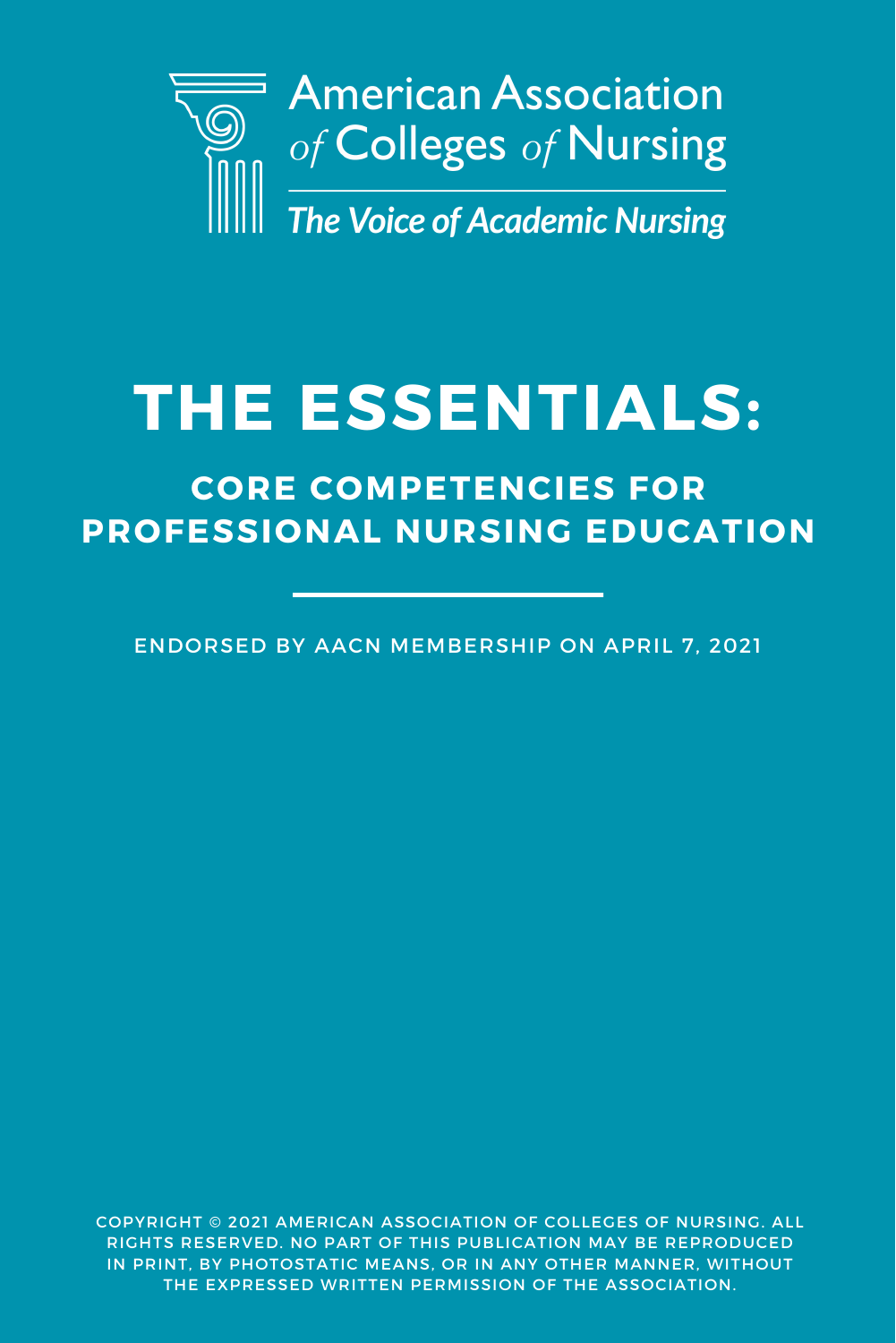

# **THE ESSENTIALS:**

# **CORE COMPETENCIES FOR PROFESSIONAL NURSING EDUCATION**

ENDORSED BY AACN MEMBERSHIP ON APRIL 7, 2021

COPYRIGHT © 2021 AMERICAN ASSOCIATION OF COLLEGES OF NURSING. ALL RIGHTS RESERVED. NO PART OF THIS PUBLICATION MAY BE REPRODUCED IN PRINT, BY PHOTOSTATIC MEANS, OR IN ANY OTHER MANNER, WITHOUT THE EXPRESSED WRITTEN PERMISSION OF THE ASSOCIATION.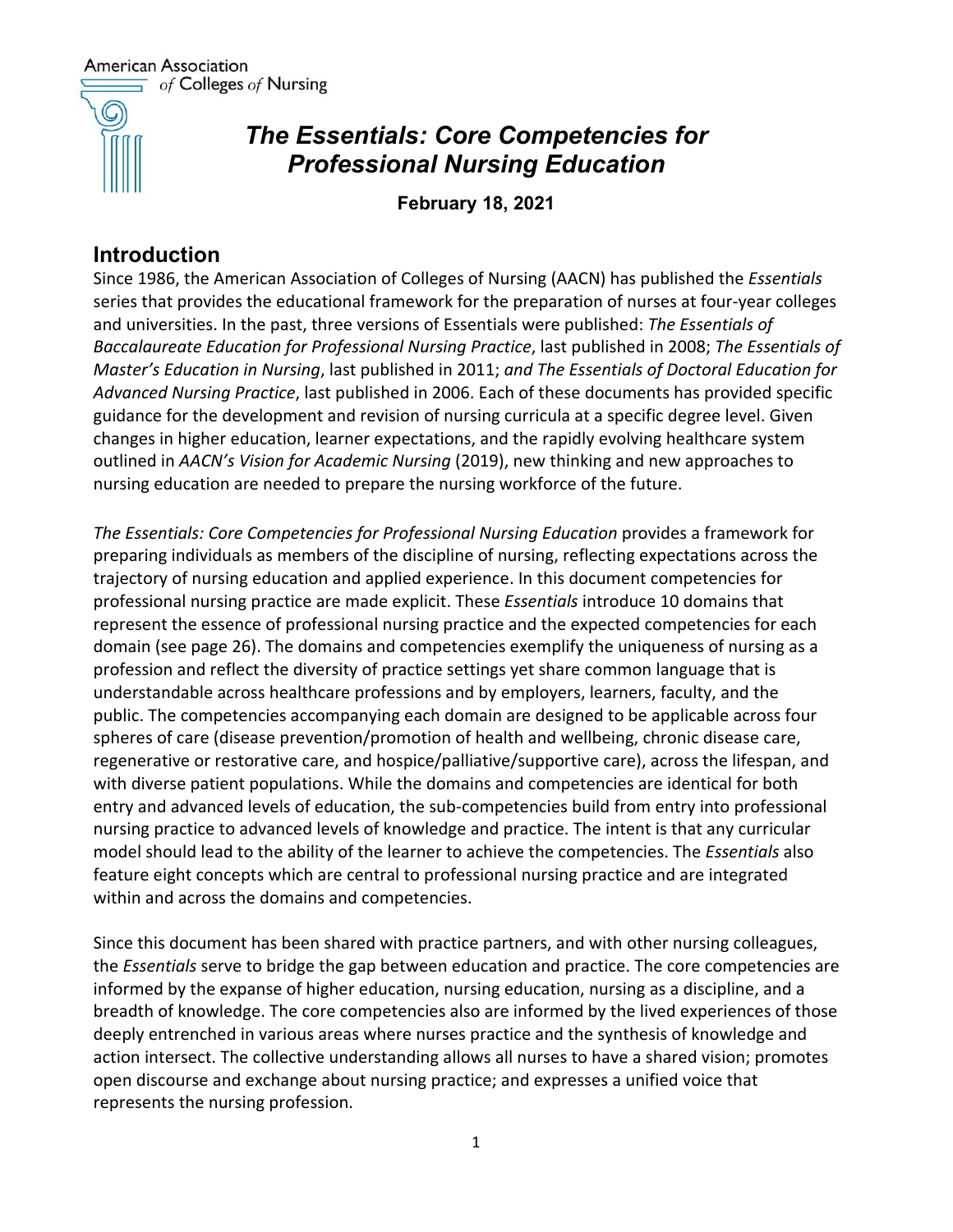American Association  $\equiv$  of Colleges of Nursing



# *The Essentials: Core Competencies for Professional Nursing Education*

**February 18, 2021**

# **Introduction**

Since 1986, the American Association of Colleges of Nursing (AACN) has published the *Essentials*  series that provides the educational framework for the preparation of nurses at four-year colleges and universities. In the past, three versions of Essentials were published: *The Essentials of Baccalaureate Education for Professional Nursing Practice*, last published in 2008; *The Essentials of Master's Education in Nursing*, last published in 2011; *and The Essentials of Doctoral Education for Advanced Nursing Practice*, last published in 2006. Each of these documents has provided specific guidance for the development and revision of nursing curricula at a specific degree level. Given changes in higher education, learner expectations, and the rapidly evolving healthcare system outlined in *AACN's Vision for Academic Nursing* (2019), new thinking and new approaches to nursing education are needed to prepare the nursing workforce of the future.

*The Essentials: Core Competencies for Professional Nursing Education* provides a framework for preparing individuals as members of the discipline of nursing, reflecting expectations across the trajectory of nursing education and applied experience. In this document competencies for professional nursing practice are made explicit. These *Essentials* introduce 10 domains that represent the essence of professional nursing practice and the expected competencies for each domain (see page 26). The domains and competencies exemplify the uniqueness of nursing as a profession and reflect the diversity of practice settings yet share common language that is understandable across healthcare professions and by employers, learners, faculty, and the public. The competencies accompanying each domain are designed to be applicable across four spheres of care (disease prevention/promotion of health and wellbeing, chronic disease care, regenerative or restorative care, and hospice/palliative/supportive care), across the lifespan, and with diverse patient populations. While the domains and competencies are identical for both entry and advanced levels of education, the sub-competencies build from entry into professional nursing practice to advanced levels of knowledge and practice. The intent is that any curricular model should lead to the ability of the learner to achieve the competencies. The *Essentials* also feature eight concepts which are central to professional nursing practice and are integrated within and across the domains and competencies.

Since this document has been shared with practice partners, and with other nursing colleagues, the *Essentials* serve to bridge the gap between education and practice. The core competencies are informed by the expanse of higher education, nursing education, nursing as a discipline, and a breadth of knowledge. The core competencies also are informed by the lived experiences of those deeply entrenched in various areas where nurses practice and the synthesis of knowledge and action intersect. The collective understanding allows all nurses to have a shared vision; promotes open discourse and exchange about nursing practice; and expresses a unified voice that represents the nursing profession.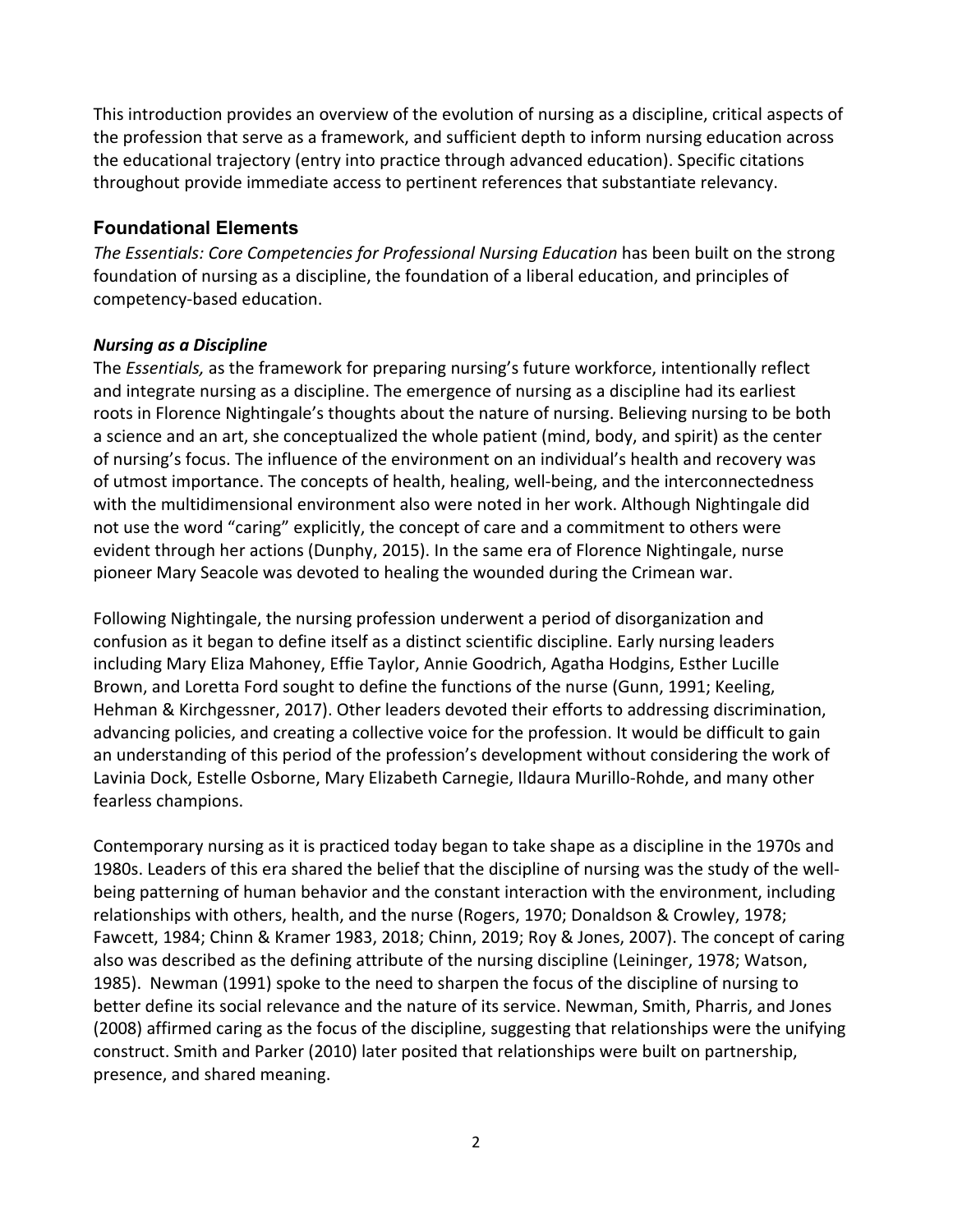This introduction provides an overview of the evolution of nursing as a discipline, critical aspects of the profession that serve as a framework, and sufficient depth to inform nursing education across the educational trajectory (entry into practice through advanced education). Specific citations throughout provide immediate access to pertinent references that substantiate relevancy.

#### **Foundational Elements**

*The Essentials: Core Competencies for Professional Nursing Education* has been built on the strong foundation of nursing as a discipline, the foundation of a liberal education, and principles of competency-based education.

#### *Nursing as a Discipline*

The *Essentials,* as the framework for preparing nursing's future workforce, intentionally reflect and integrate nursing as a discipline. The emergence of nursing as a discipline had its earliest roots in Florence Nightingale's thoughts about the nature of nursing. Believing nursing to be both a science and an art, she conceptualized the whole patient (mind, body, and spirit) as the center of nursing's focus. The influence of the environment on an individual's health and recovery was of utmost importance. The concepts of health, healing, well-being, and the interconnectedness with the multidimensional environment also were noted in her work. Although Nightingale did not use the word "caring" explicitly, the concept of care and a commitment to others were evident through her actions (Dunphy, 2015). In the same era of Florence Nightingale, nurse pioneer Mary Seacole was devoted to healing the wounded during the Crimean war.

Following Nightingale, the nursing profession underwent a period of disorganization and confusion as it began to define itself as a distinct scientific discipline. Early nursing leaders including Mary Eliza Mahoney, Effie Taylor, Annie Goodrich, Agatha Hodgins, Esther Lucille Brown, and Loretta Ford sought to define the functions of the nurse (Gunn, 1991; Keeling, Hehman & Kirchgessner, 2017). Other leaders devoted their efforts to addressing discrimination, advancing policies, and creating a collective voice for the profession. It would be difficult to gain an understanding of this period of the profession's development without considering the work of Lavinia Dock, Estelle Osborne, Mary Elizabeth Carnegie, Ildaura Murillo-Rohde, and many other fearless champions.

Contemporary nursing as it is practiced today began to take shape as a discipline in the 1970s and 1980s. Leaders of this era shared the belief that the discipline of nursing was the study of the wellbeing patterning of human behavior and the constant interaction with the environment, including relationships with others, health, and the nurse (Rogers, 1970; Donaldson & Crowley, 1978; Fawcett, 1984; Chinn & Kramer 1983, 2018; Chinn, 2019; Roy & Jones, 2007). The concept of caring also was described as the defining attribute of the nursing discipline (Leininger, 1978; Watson, 1985). Newman (1991) spoke to the need to sharpen the focus of the discipline of nursing to better define its social relevance and the nature of its service. Newman, Smith, Pharris, and Jones (2008) affirmed caring as the focus of the discipline, suggesting that relationships were the unifying construct. Smith and Parker (2010) later posited that relationships were built on partnership, presence, and shared meaning.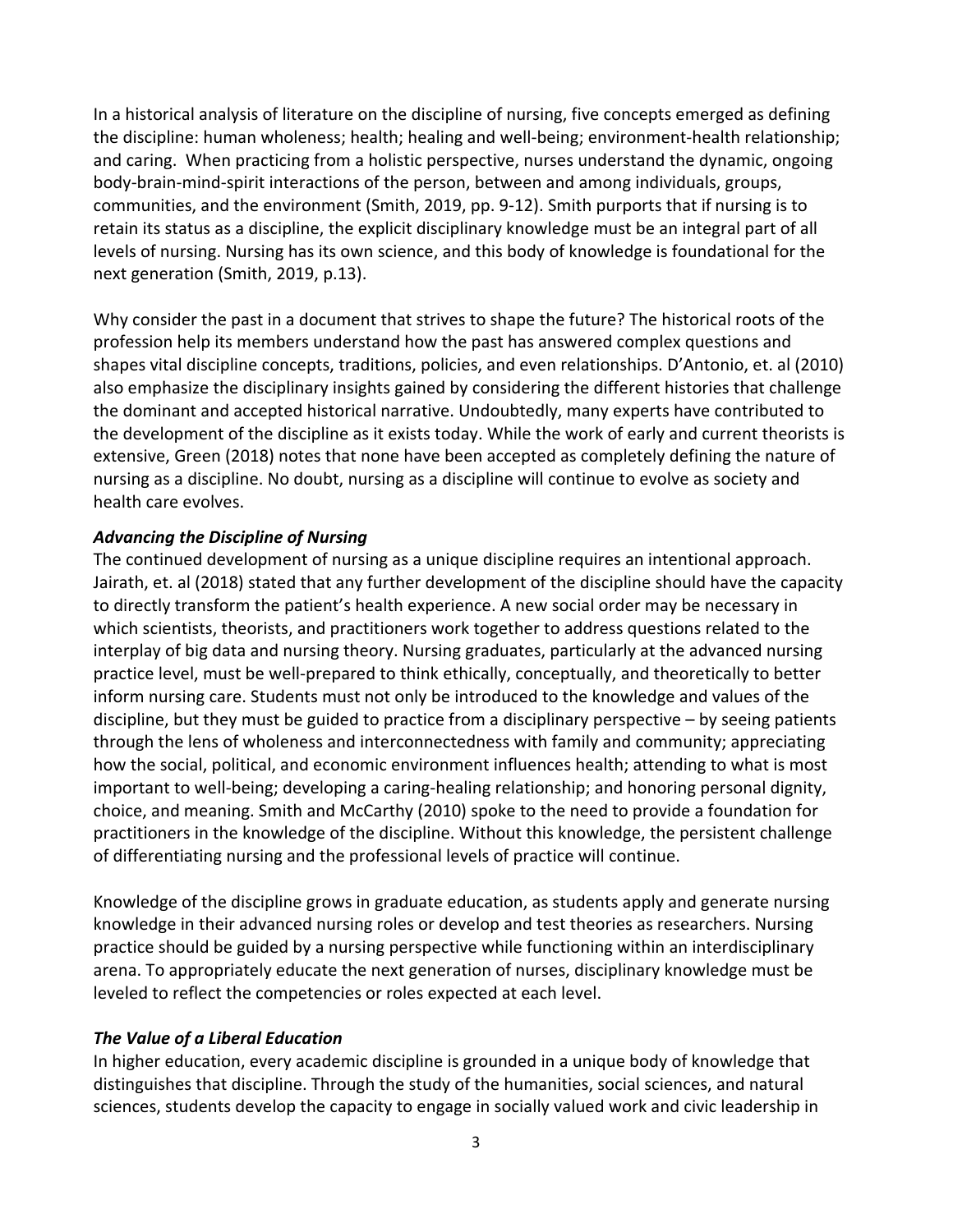In a historical analysis of literature on the discipline of nursing, five concepts emerged as defining the discipline: human wholeness; health; healing and well-being; environment-health relationship; and caring. When practicing from a holistic perspective, nurses understand the dynamic, ongoing body-brain-mind-spirit interactions of the person, between and among individuals, groups, communities, and the environment (Smith, 2019, pp. 9-12). Smith purports that if nursing is to retain its status as a discipline, the explicit disciplinary knowledge must be an integral part of all levels of nursing. Nursing has its own science, and this body of knowledge is foundational for the next generation (Smith, 2019, p.13).

Why consider the past in a document that strives to shape the future? The historical roots of the profession help its members understand how the past has answered complex questions and shapes vital discipline concepts, traditions, policies, and even relationships. D'Antonio, et. al (2010) also emphasize the disciplinary insights gained by considering the different histories that challenge the dominant and accepted historical narrative. Undoubtedly, many experts have contributed to the development of the discipline as it exists today. While the work of early and current theorists is extensive, Green (2018) notes that none have been accepted as completely defining the nature of nursing as a discipline. No doubt, nursing as a discipline will continue to evolve as society and health care evolves.

#### *Advancing the Discipline of Nursing*

The continued development of nursing as a unique discipline requires an intentional approach. Jairath, et. al (2018) stated that any further development of the discipline should have the capacity to directly transform the patient's health experience. A new social order may be necessary in which scientists, theorists, and practitioners work together to address questions related to the interplay of big data and nursing theory. Nursing graduates, particularly at the advanced nursing practice level, must be well-prepared to think ethically, conceptually, and theoretically to better inform nursing care. Students must not only be introduced to the knowledge and values of the discipline, but they must be guided to practice from a disciplinary perspective – by seeing patients through the lens of wholeness and interconnectedness with family and community; appreciating how the social, political, and economic environment influences health; attending to what is most important to well-being; developing a caring-healing relationship; and honoring personal dignity, choice, and meaning. Smith and McCarthy (2010) spoke to the need to provide a foundation for practitioners in the knowledge of the discipline. Without this knowledge, the persistent challenge of differentiating nursing and the professional levels of practice will continue.

Knowledge of the discipline grows in graduate education, as students apply and generate nursing knowledge in their advanced nursing roles or develop and test theories as researchers. Nursing practice should be guided by a nursing perspective while functioning within an interdisciplinary arena. To appropriately educate the next generation of nurses, disciplinary knowledge must be leveled to reflect the competencies or roles expected at each level.

#### *The Value of a Liberal Education*

In higher education, every academic discipline is grounded in a unique body of knowledge that distinguishes that discipline. Through the study of the humanities, social sciences, and natural sciences, students develop the capacity to engage in socially valued work and civic leadership in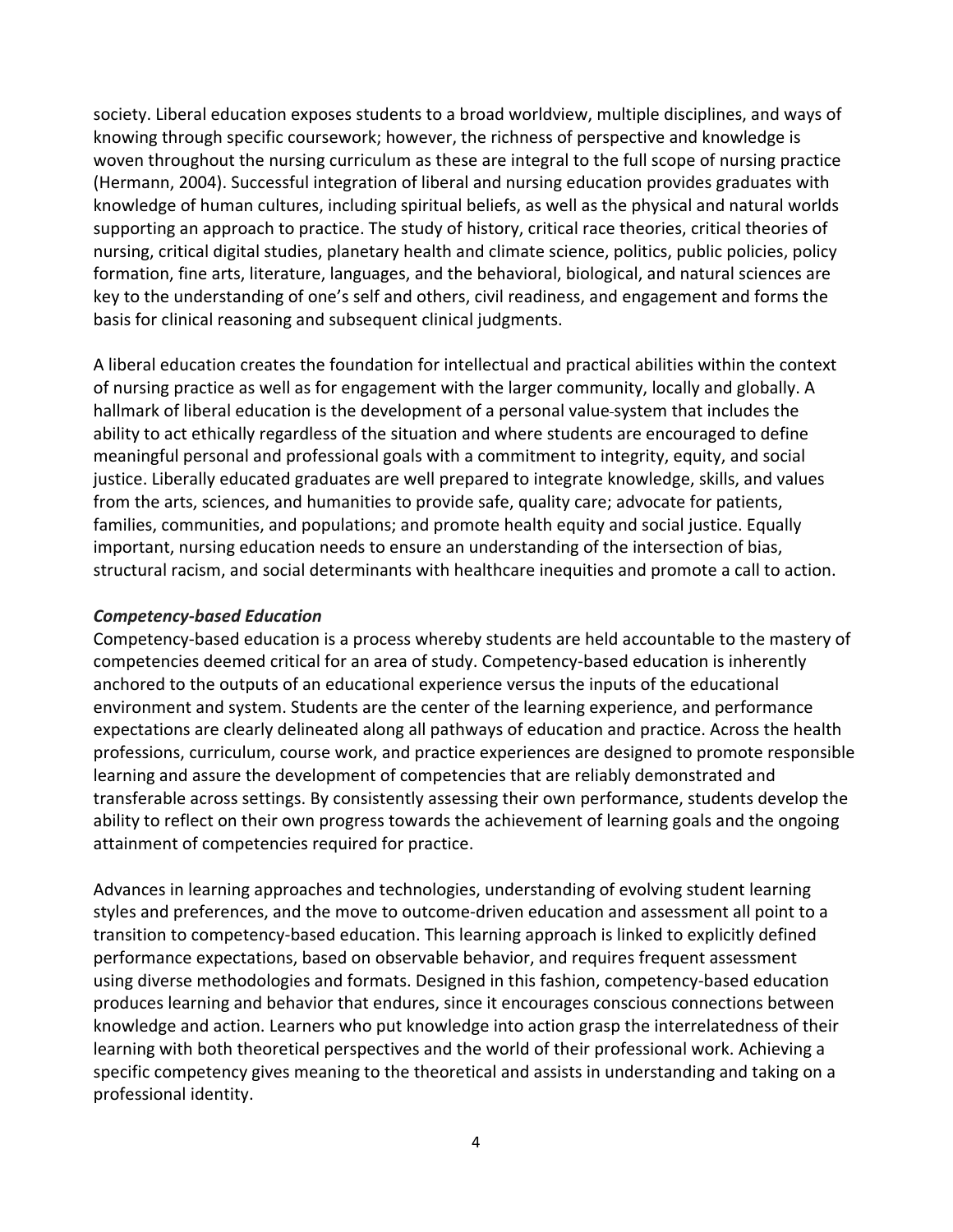society. Liberal education exposes students to a broad worldview, multiple disciplines, and ways of knowing through specific coursework; however, the richness of perspective and knowledge is woven throughout the nursing curriculum as these are integral to the full scope of nursing practice (Hermann, 2004). Successful integration of liberal and nursing education provides graduates with knowledge of human cultures, including spiritual beliefs, as well as the physical and natural worlds supporting an approach to practice. The study of history, critical race theories, critical theories of nursing, critical digital studies, planetary health and climate science, politics, public policies, policy formation, fine arts, literature, languages, and the behavioral, biological, and natural sciences are key to the understanding of one's self and others, civil readiness, and engagement and forms the basis for clinical reasoning and subsequent clinical judgments.

A liberal education creates the foundation for intellectual and practical abilities within the context of nursing practice as well as for engagement with the larger community, locally and globally. A hallmark of liberal education is the development of a personal value system that includes the ability to act ethically regardless of the situation and where students are encouraged to define meaningful personal and professional goals with a commitment to integrity, equity, and social justice. Liberally educated graduates are well prepared to integrate knowledge, skills, and values from the arts, sciences, and humanities to provide safe, quality care; advocate for patients, families, communities, and populations; and promote health equity and social justice. Equally important, nursing education needs to ensure an understanding of the intersection of bias, structural racism, and social determinants with healthcare inequities and promote a call to action.

#### *Competency-based Education*

Competency-based education is a process whereby students are held accountable to the mastery of competencies deemed critical for an area of study. Competency-based education is inherently anchored to the outputs of an educational experience versus the inputs of the educational environment and system. Students are the center of the learning experience, and performance expectations are clearly delineated along all pathways of education and practice. Across the health professions, curriculum, course work, and practice experiences are designed to promote responsible learning and assure the development of competencies that are reliably demonstrated and transferable across settings. By consistently assessing their own performance, students develop the ability to reflect on their own progress towards the achievement of learning goals and the ongoing attainment of competencies required for practice.

Advances in learning approaches and technologies, understanding of evolving student learning styles and preferences, and the move to outcome-driven education and assessment all point to a transition to competency-based education. This learning approach is linked to explicitly defined performance expectations, based on observable behavior, and requires frequent assessment using diverse methodologies and formats. Designed in this fashion, competency-based education produces learning and behavior that endures, since it encourages conscious connections between knowledge and action. Learners who put knowledge into action grasp the interrelatedness of their learning with both theoretical perspectives and the world of their professional work. Achieving a specific competency gives meaning to the theoretical and assists in understanding and taking on a professional identity.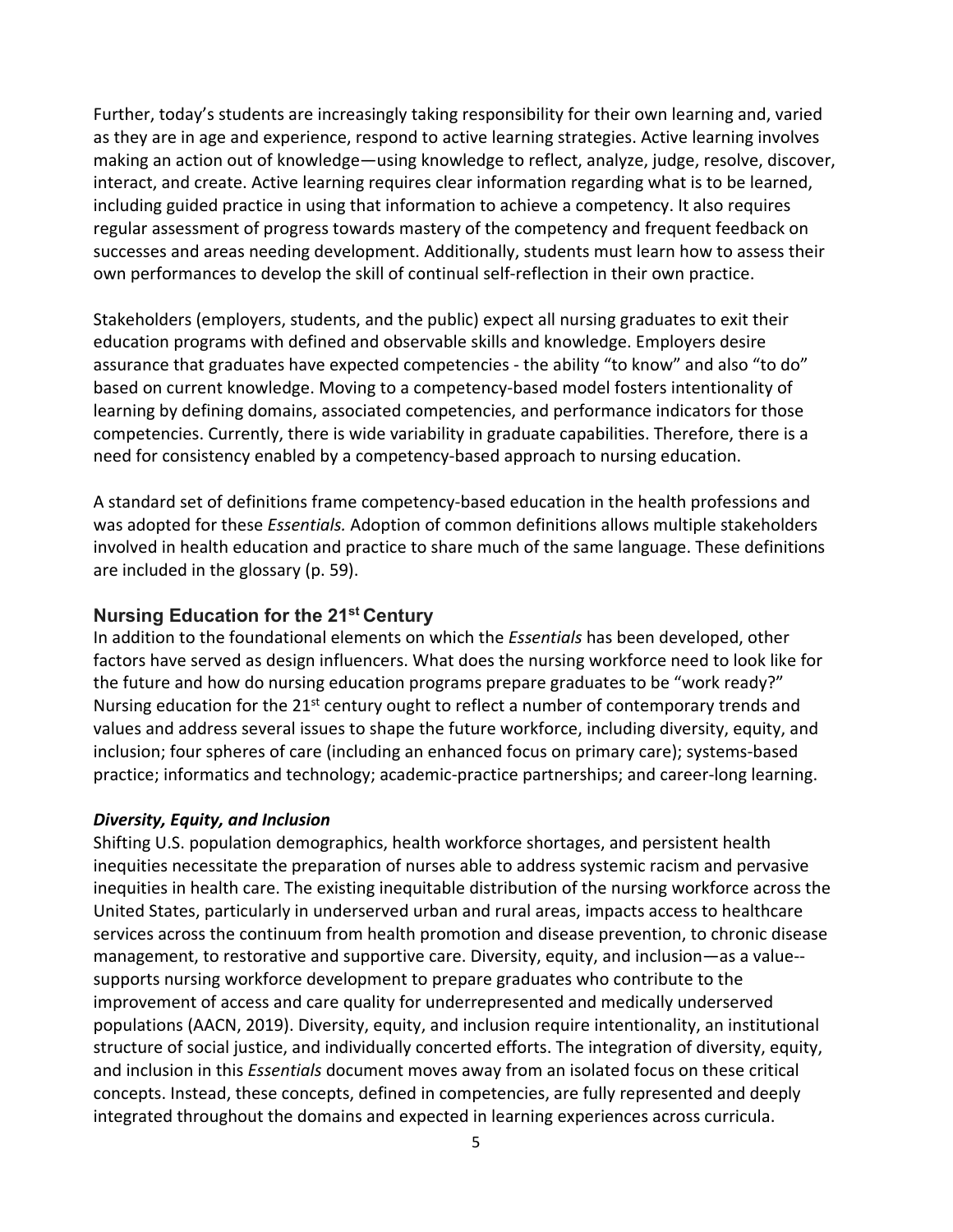Further, today's students are increasingly taking responsibility for their own learning and, varied as they are in age and experience, respond to active learning strategies. Active learning involves making an action out of knowledge—using knowledge to reflect, analyze, judge, resolve, discover, interact, and create. Active learning requires clear information regarding what is to be learned, including guided practice in using that information to achieve a competency. It also requires regular assessment of progress towards mastery of the competency and frequent feedback on successes and areas needing development. Additionally, students must learn how to assess their own performances to develop the skill of continual self-reflection in their own practice.

Stakeholders (employers, students, and the public) expect all nursing graduates to exit their education programs with defined and observable skills and knowledge. Employers desire assurance that graduates have expected competencies - the ability "to know" and also "to do" based on current knowledge. Moving to a competency-based model fosters intentionality of learning by defining domains, associated competencies, and performance indicators for those competencies. Currently, there is wide variability in graduate capabilities. Therefore, there is a need for consistency enabled by a competency-based approach to nursing education.

A standard set of definitions frame competency-based education in the health professions and was adopted for these *Essentials.* Adoption of common definitions allows multiple stakeholders involved in health education and practice to share much of the same language. These definitions are included in the glossary (p. 59).

#### **Nursing Education for the 21st Century**

In addition to the foundational elements on which the *Essentials* has been developed, other factors have served as design influencers. What does the nursing workforce need to look like for the future and how do nursing education programs prepare graduates to be "work ready?" Nursing education for the  $21^{st}$  century ought to reflect a number of contemporary trends and values and address several issues to shape the future workforce, including diversity, equity, and inclusion; four spheres of care (including an enhanced focus on primary care); systems-based practice; informatics and technology; academic-practice partnerships; and career-long learning.

#### *Diversity, Equity, and Inclusion*

Shifting U.S. population demographics, health workforce shortages, and persistent health inequities necessitate the preparation of nurses able to address systemic racism and pervasive inequities in health care. The existing inequitable distribution of the nursing workforce across the United States, particularly in underserved urban and rural areas, impacts access to healthcare services across the continuum from health promotion and disease prevention, to chronic disease management, to restorative and supportive care. Diversity, equity, and inclusion—as a value- supports nursing workforce development to prepare graduates who contribute to the improvement of access and care quality for underrepresented and medically underserved populations (AACN, 2019). Diversity, equity, and inclusion require intentionality, an institutional structure of social justice, and individually concerted efforts. The integration of diversity, equity, and inclusion in this *Essentials* document moves away from an isolated focus on these critical concepts. Instead, these concepts, defined in competencies, are fully represented and deeply integrated throughout the domains and expected in learning experiences across curricula.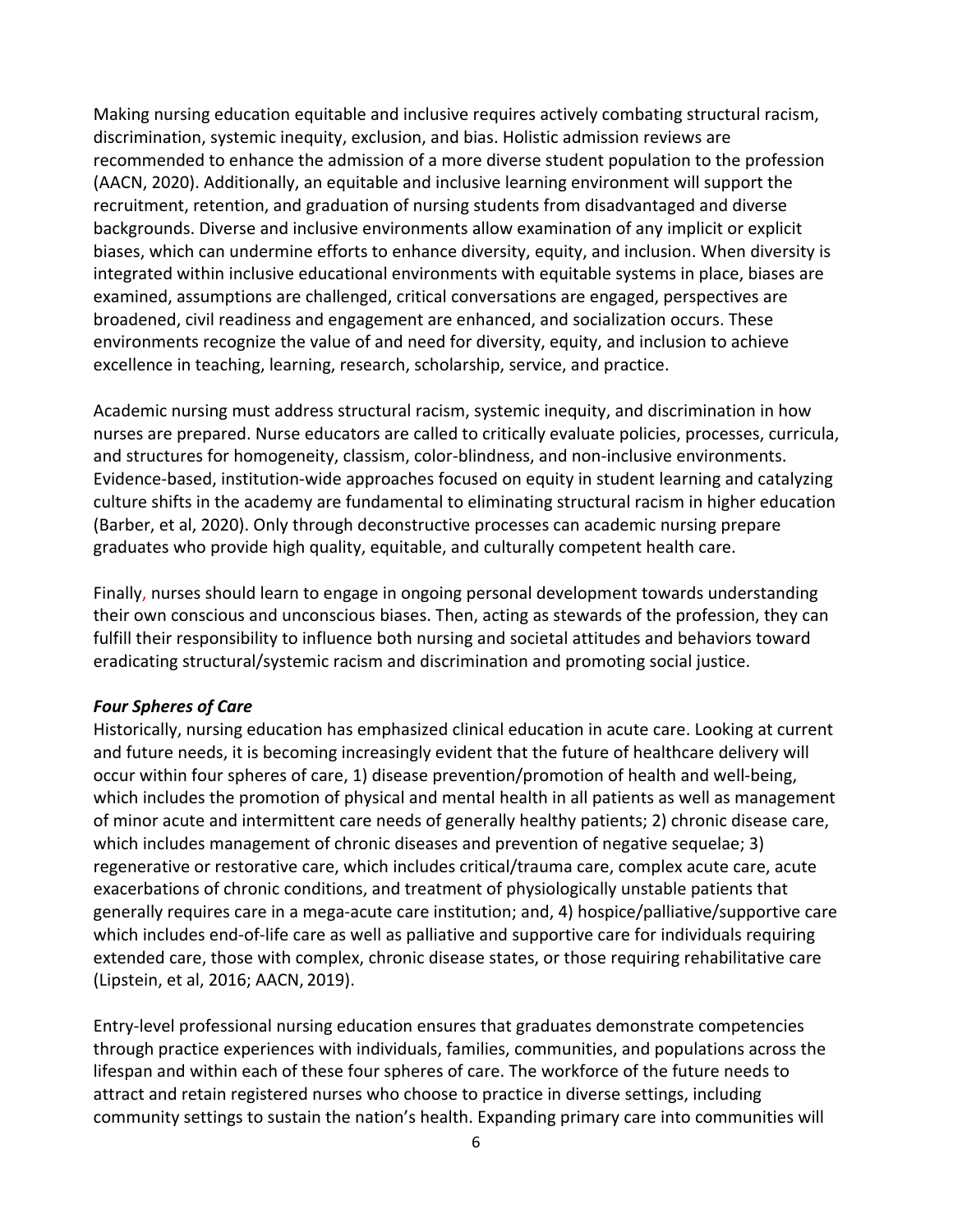Making nursing education equitable and inclusive requires actively combating structural racism, discrimination, systemic inequity, exclusion, and bias. Holistic admission reviews are recommended to enhance the admission of a more diverse student population to the profession (AACN, 2020). Additionally, an equitable and inclusive learning environment will support the recruitment, retention, and graduation of nursing students from disadvantaged and diverse backgrounds. Diverse and inclusive environments allow examination of any implicit or explicit biases, which can undermine efforts to enhance diversity, equity, and inclusion. When diversity is integrated within inclusive educational environments with equitable systems in place, biases are examined, assumptions are challenged, critical conversations are engaged, perspectives are broadened, civil readiness and engagement are enhanced, and socialization occurs. These environments recognize the value of and need for diversity, equity, and inclusion to achieve excellence in teaching, learning, research, scholarship, service, and practice.

Academic nursing must address structural racism, systemic inequity, and discrimination in how nurses are prepared. Nurse educators are called to critically evaluate policies, processes, curricula, and structures for homogeneity, classism, color-blindness, and non-inclusive environments. Evidence-based, institution-wide approaches focused on equity in student learning and catalyzing culture shifts in the academy are fundamental to eliminating structural racism in higher education (Barber, et al, 2020). Only through deconstructive processes can academic nursing prepare graduates who provide high quality, equitable, and culturally competent health care.

Finally, nurses should learn to engage in ongoing personal development towards understanding their own conscious and unconscious biases. Then, acting as stewards of the profession, they can fulfill their responsibility to influence both nursing and societal attitudes and behaviors toward eradicating structural/systemic racism and discrimination and promoting social justice.

#### *Four Spheres of Care*

Historically, nursing education has emphasized clinical education in acute care. Looking at current and future needs, it is becoming increasingly evident that the future of healthcare delivery will occur within four spheres of care, 1) disease prevention/promotion of health and well-being, which includes the promotion of physical and mental health in all patients as well as management of minor acute and intermittent care needs of generally healthy patients; 2) chronic disease care, which includes management of chronic diseases and prevention of negative sequelae; 3) regenerative or restorative care, which includes critical/trauma care, complex acute care, acute exacerbations of chronic conditions, and treatment of physiologically unstable patients that generally requires care in a mega-acute care institution; and, 4) hospice/palliative/supportive care which includes end-of-life care as well as palliative and supportive care for individuals requiring extended care, those with complex, chronic disease states, or those requiring rehabilitative care (Lipstein, et al, 2016; AACN, 2019).

Entry-level professional nursing education ensures that graduates demonstrate competencies through practice experiences with individuals, families, communities, and populations across the lifespan and within each of these four spheres of care. The workforce of the future needs to attract and retain registered nurses who choose to practice in diverse settings, including community settings to sustain the nation's health. Expanding primary care into communities will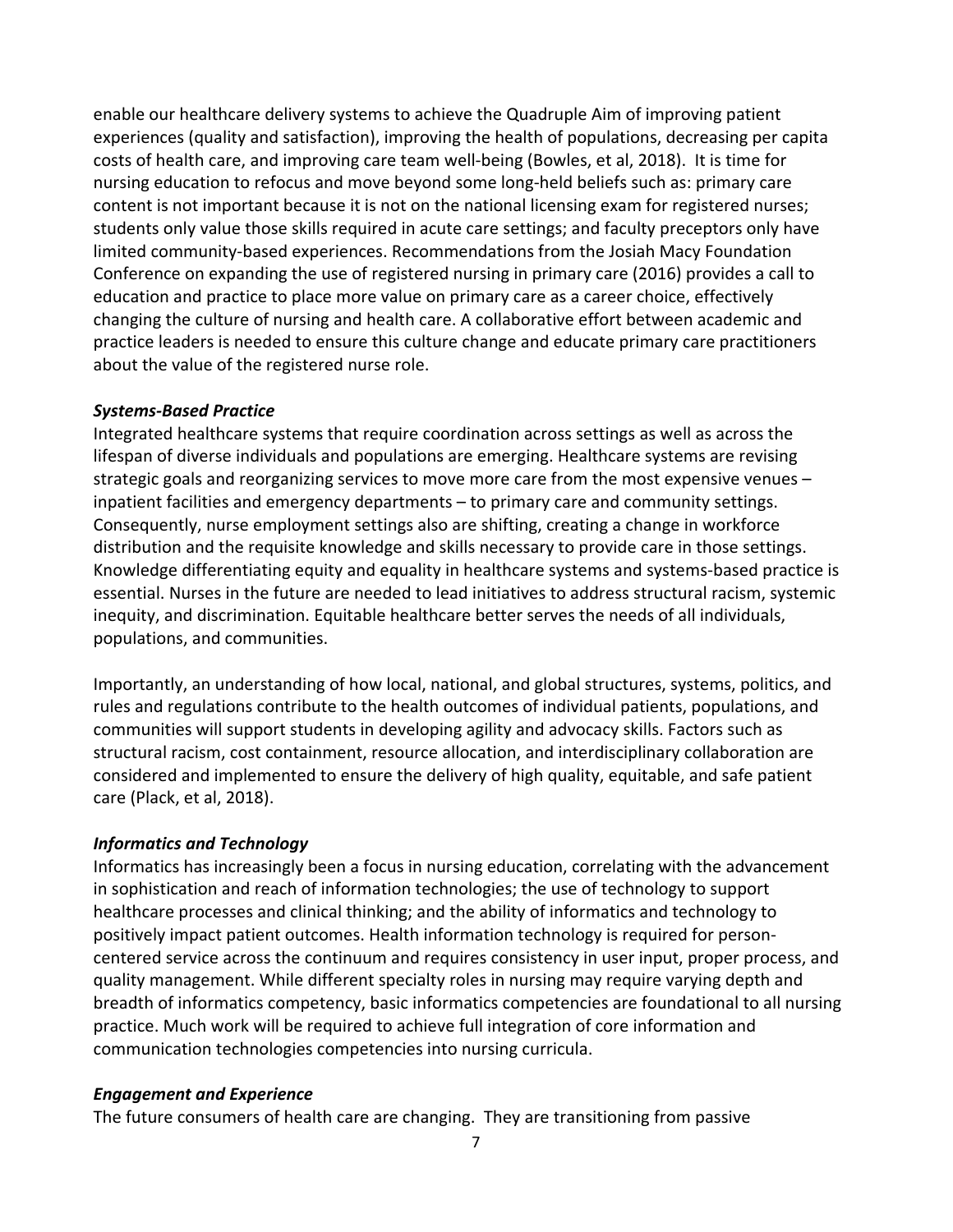enable our healthcare delivery systems to achieve the Quadruple Aim of improving patient experiences (quality and satisfaction), improving the health of populations, decreasing per capita costs of health care, and improving care team well-being (Bowles, et al, 2018). It is time for nursing education to refocus and move beyond some long-held beliefs such as: primary care content is not important because it is not on the national licensing exam for registered nurses; students only value those skills required in acute care settings; and faculty preceptors only have limited community-based experiences. Recommendations from the Josiah Macy Foundation Conference on expanding the use of registered nursing in primary care (2016) provides a call to education and practice to place more value on primary care as a career choice, effectively changing the culture of nursing and health care. A collaborative effort between academic and practice leaders is needed to ensure this culture change and educate primary care practitioners about the value of the registered nurse role.

#### *Systems-Based Practice*

Integrated healthcare systems that require coordination across settings as well as across the lifespan of diverse individuals and populations are emerging. Healthcare systems are revising strategic goals and reorganizing services to move more care from the most expensive venues – inpatient facilities and emergency departments – to primary care and community settings. Consequently, nurse employment settings also are shifting, creating a change in workforce distribution and the requisite knowledge and skills necessary to provide care in those settings. Knowledge differentiating equity and equality in healthcare systems and systems-based practice is essential. Nurses in the future are needed to lead initiatives to address structural racism, systemic inequity, and discrimination. Equitable healthcare better serves the needs of all individuals, populations, and communities.

Importantly, an understanding of how local, national, and global structures, systems, politics, and rules and regulations contribute to the health outcomes of individual patients, populations, and communities will support students in developing agility and advocacy skills. Factors such as structural racism, cost containment, resource allocation, and interdisciplinary collaboration are considered and implemented to ensure the delivery of high quality, equitable, and safe patient care (Plack, et al, 2018).

#### *Informatics and Technology*

Informatics has increasingly been a focus in nursing education, correlating with the advancement in sophistication and reach of information technologies; the use of technology to support healthcare processes and clinical thinking; and the ability of informatics and technology to positively impact patient outcomes. Health information technology is required for personcentered service across the continuum and requires consistency in user input, proper process, and quality management. While different specialty roles in nursing may require varying depth and breadth of informatics competency, basic informatics competencies are foundational to all nursing practice. Much work will be required to achieve full integration of core information and communication technologies competencies into nursing curricula.

#### *Engagement and Experience*

The future consumers of health care are changing. They are transitioning from passive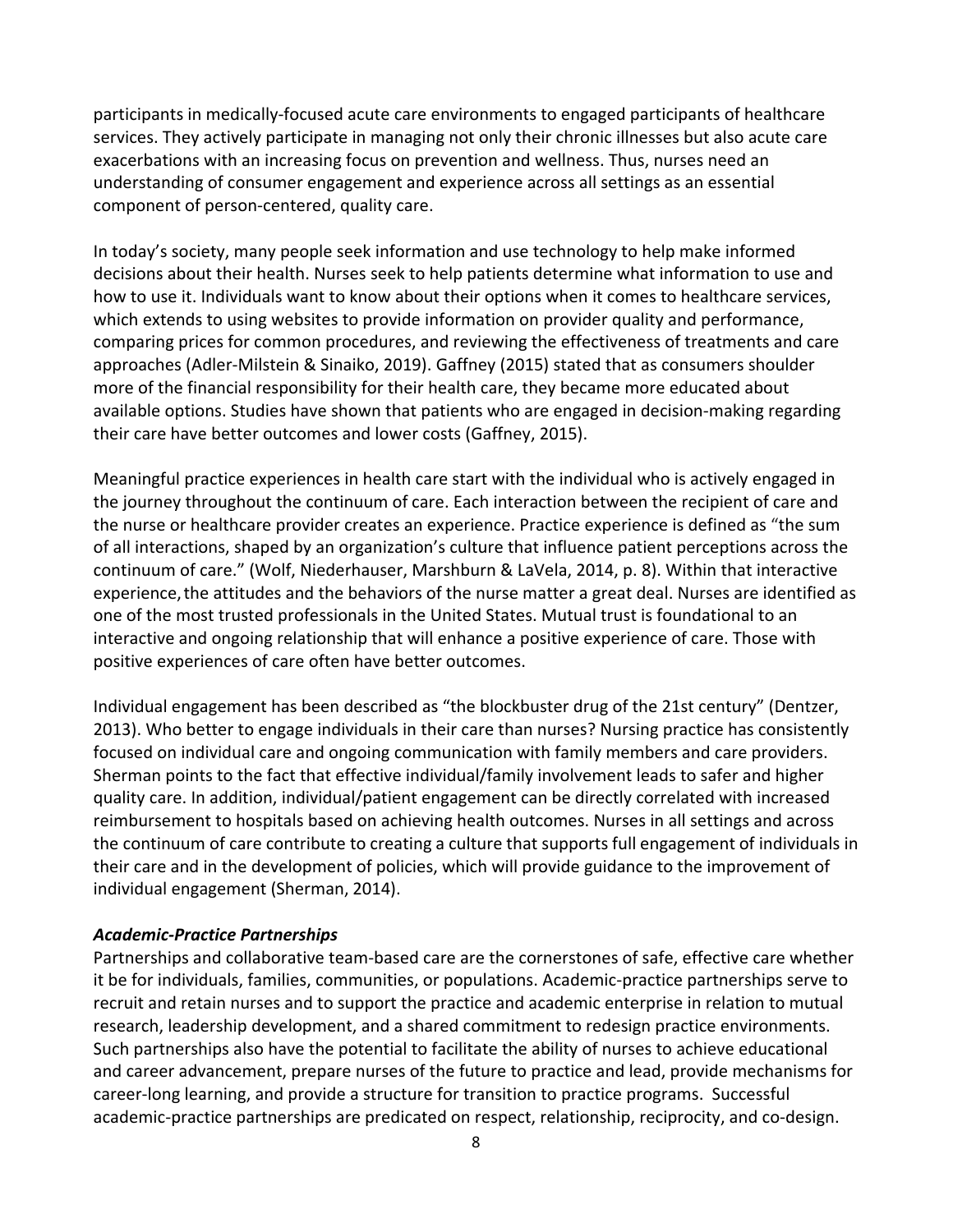participants in medically-focused acute care environments to engaged participants of healthcare services. They actively participate in managing not only their chronic illnesses but also acute care exacerbations with an increasing focus on prevention and wellness. Thus, nurses need an understanding of consumer engagement and experience across all settings as an essential component of person-centered, quality care.

In today's society, many people seek information and use technology to help make informed decisions about their health. Nurses seek to help patients determine what information to use and how to use it. Individuals want to know about their options when it comes to healthcare services, which extends to using websites to provide information on provider quality and performance, comparing prices for common procedures, and reviewing the effectiveness of treatments and care approaches (Adler-Milstein & Sinaiko, 2019). Gaffney (2015) stated that as consumers shoulder more of the financial responsibility for their health care, they became more educated about available options. Studies have shown that patients who are engaged in decision-making regarding their care have better outcomes and lower costs (Gaffney, 2015).

Meaningful practice experiences in health care start with the individual who is actively engaged in the journey throughout the continuum of care. Each interaction between the recipient of care and the nurse or healthcare provider creates an experience. Practice experience is defined as "the sum of all interactions, shaped by an organization's culture that influence patient perceptions across the continuum of care." (Wolf, Niederhauser, Marshburn & LaVela, 2014, p. 8). Within that interactive experience,the attitudes and the behaviors of the nurse matter a great deal. Nurses are identified as one of the most trusted professionals in the United States. Mutual trust is foundational to an interactive and ongoing relationship that will enhance a positive experience of care. Those with positive experiences of care often have better outcomes.

Individual engagement has been described as "the blockbuster drug of the 21st century" (Dentzer, 2013). Who better to engage individuals in their care than nurses? Nursing practice has consistently focused on individual care and ongoing communication with family members and care providers. Sherman points to the fact that effective individual/family involvement leads to safer and higher quality care. In addition, individual/patient engagement can be directly correlated with increased reimbursement to hospitals based on achieving health outcomes. Nurses in all settings and across the continuum of care contribute to creating a culture that supports full engagement of individuals in their care and in the development of policies, which will provide guidance to the improvement of individual engagement (Sherman, 2014).

#### *Academic-Practice Partnerships*

Partnerships and collaborative team-based care are the cornerstones of safe, effective care whether it be for individuals, families, communities, or populations. Academic-practice partnerships serve to recruit and retain nurses and to support the practice and academic enterprise in relation to mutual research, leadership development, and a shared commitment to redesign practice environments. Such partnerships also have the potential to facilitate the ability of nurses to achieve educational and career advancement, prepare nurses of the future to practice and lead, provide mechanisms for career-long learning, and provide a structure for transition to practice programs. Successful academic-practice partnerships are predicated on respect, relationship, reciprocity, and co-design.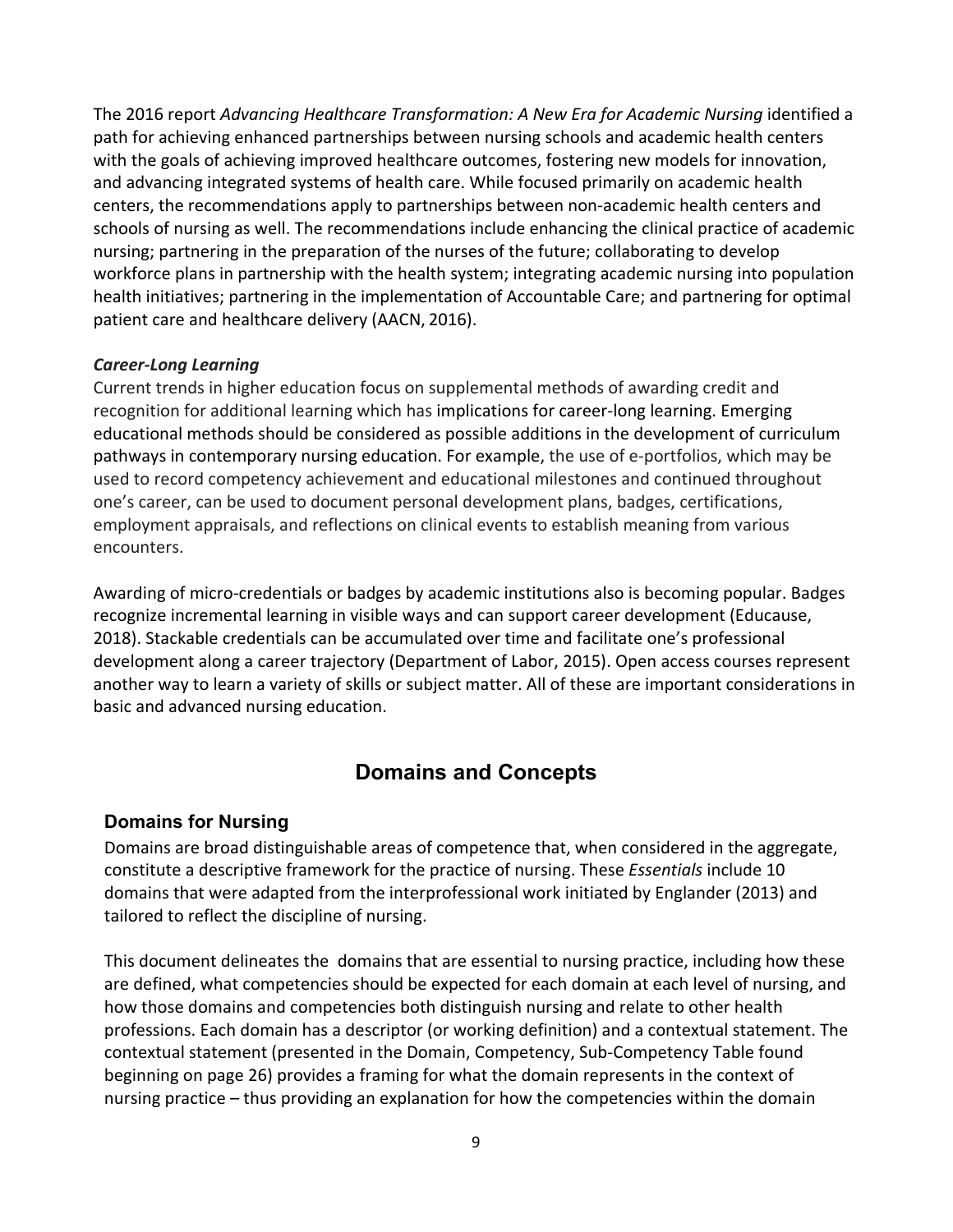The 2016 report *Advancing Healthcare Transformation: A New Era for Academic Nursing identified a* path for achieving enhanced partnerships between nursing schools and academic health centers with the goals of achieving improved healthcare outcomes, fostering new models for innovation, and advancing integrated systems of health care. While focused primarily on academic health centers, the recommendations apply to partnerships between non-academic health centers and schools of nursing as well. The recommendations include enhancing the clinical practice of academic nursing; partnering in the preparation of the nurses of the future; collaborating to develop workforce plans in partnership with the health system; integrating academic nursing into population health initiatives; partnering in the implementation of Accountable Care; and partnering for optimal patient care and healthcare delivery (AACN, 2016).

#### *Career-Long Learning*

Current trends in higher education focus on supplemental methods of awarding credit and recognition for additional learning which has implications for career-long learning. Emerging educational methods should be considered as possible additions in the development of curriculum pathways in contemporary nursing education. For example, the use of e-portfolios, which may be used to record competency achievement and educational milestones and continued throughout one's career, can be used to document personal development plans, badges, certifications, employment appraisals, and reflections on clinical events to establish meaning from various encounters.

Awarding of micro-credentials or badges by academic institutions also is becoming popular. Badges recognize incremental learning in visible ways and can support career development (Educause, 2018). Stackable credentials can be accumulated over time and facilitate one's professional development along a career trajectory (Department of Labor, 2015). Open access courses represent another way to learn a variety of skills or subject matter. All of these are important considerations in basic and advanced nursing education.

# **Domains and Concepts**

#### **Domains for Nursing**

Domains are broad distinguishable areas of competence that, when considered in the aggregate, constitute a descriptive framework for the practice of nursing. These *Essentials* include 10 domains that were adapted from the interprofessional work initiated by Englander (2013) and tailored to reflect the discipline of nursing.

This document delineates the domains that are essential to nursing practice, including how these are defined, what competencies should be expected for each domain at each level of nursing, and how those domains and competencies both distinguish nursing and relate to other health professions. Each domain has a descriptor (or working definition) and a contextual statement. The contextual statement (presented in the Domain, Competency, Sub-Competency Table found beginning on page 26) provides a framing for what the domain represents in the context of nursing practice – thus providing an explanation for how the competencies within the domain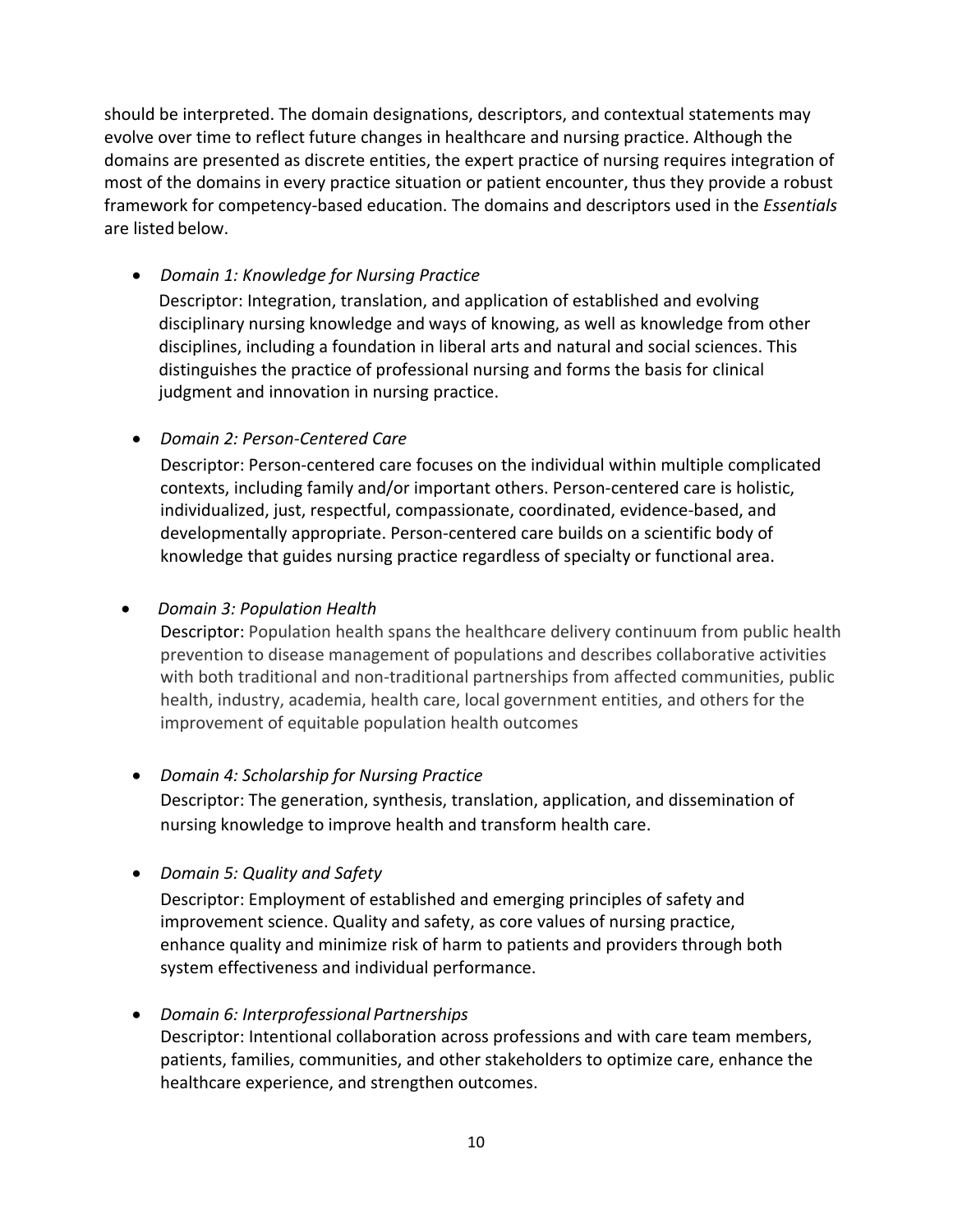should be interpreted. The domain designations, descriptors, and contextual statements may evolve over time to reflect future changes in healthcare and nursing practice. Although the domains are presented as discrete entities, the expert practice of nursing requires integration of most of the domains in every practice situation or patient encounter, thus they provide a robust framework for competency-based education. The domains and descriptors used in the *Essentials* are listed below.

• *Domain 1: Knowledge for Nursing Practice*

Descriptor: Integration, translation, and application of established and evolving disciplinary nursing knowledge and ways of knowing, as well as knowledge from other disciplines, including a foundation in liberal arts and natural and social sciences. This distinguishes the practice of professional nursing and forms the basis for clinical judgment and innovation in nursing practice.

• *Domain 2: Person-Centered Care*

Descriptor: Person-centered care focuses on the individual within multiple complicated contexts, including family and/or important others. Person-centered care is holistic, individualized, just, respectful, compassionate, coordinated, evidence-based, and developmentally appropriate. Person-centered care builds on a scientific body of knowledge that guides nursing practice regardless of specialty or functional area.

#### • *Domain 3: Population Health*

Descriptor: Population health spans the healthcare delivery continuum from public health prevention to disease management of populations and describes collaborative activities with both traditional and non-traditional partnerships from affected communities, public health, industry, academia, health care, local government entities, and others for the improvement of equitable population health outcomes

• *Domain 4: Scholarship for Nursing Practice*

Descriptor: The generation, synthesis, translation, application, and dissemination of nursing knowledge to improve health and transform health care.

• *Domain 5: Quality and Safety* 

Descriptor: Employment of established and emerging principles of safety and improvement science. Quality and safety, as core values of nursing practice, enhance quality and minimize risk of harm to patients and providers through both system effectiveness and individual performance.

# • *Domain 6: Interprofessional Partnerships*

Descriptor: Intentional collaboration across professions and with care team members, patients, families, communities, and other stakeholders to optimize care, enhance the healthcare experience, and strengthen outcomes.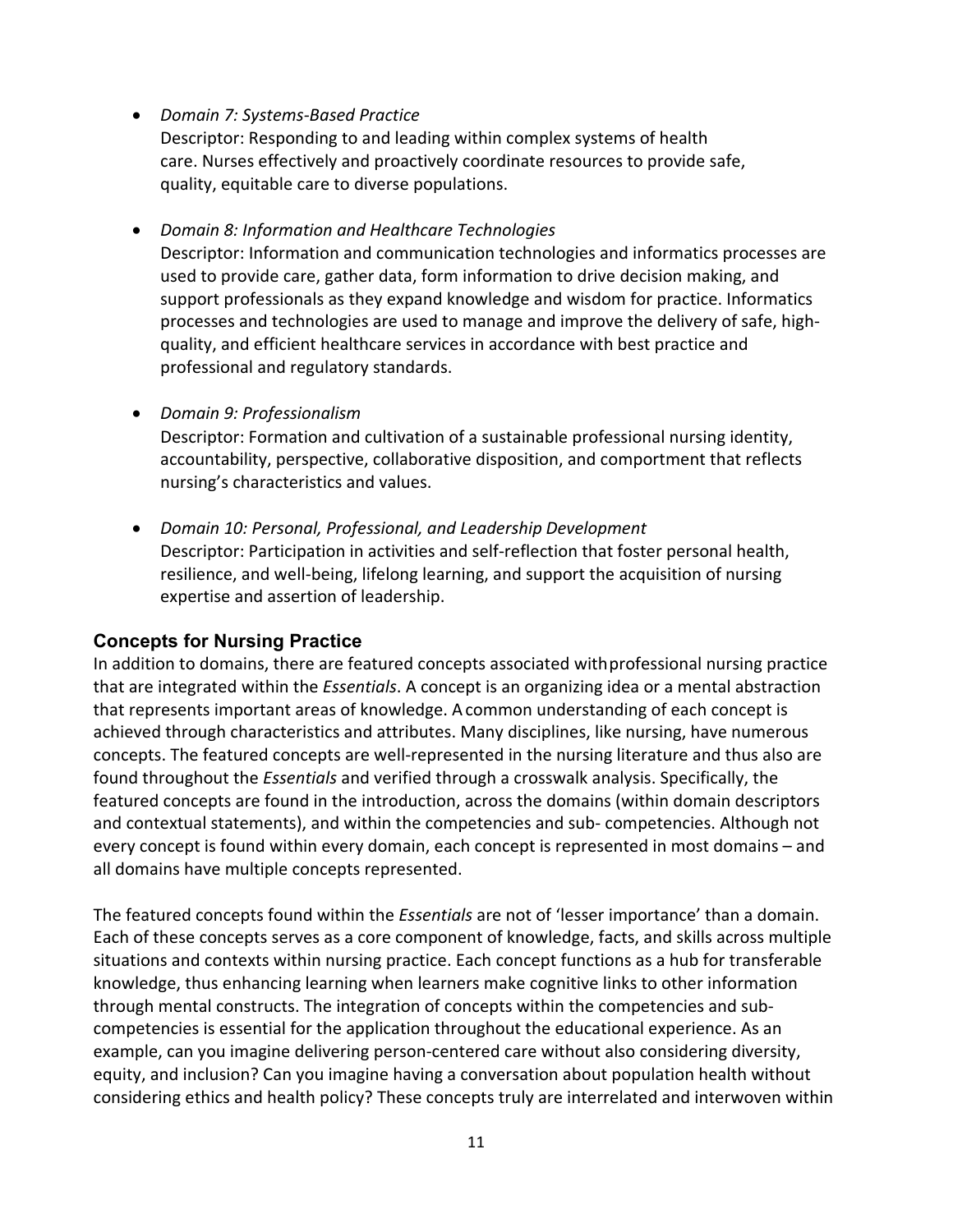• *Domain 7: Systems-Based Practice*

Descriptor: Responding to and leading within complex systems of health care. Nurses effectively and proactively coordinate resources to provide safe, quality, equitable care to diverse populations.

• *Domain 8: Information and Healthcare Technologies* Descriptor: Information and communication technologies and informatics processes are used to provide care, gather data, form information to drive decision making, and support professionals as they expand knowledge and wisdom for practice. Informatics processes and technologies are used to manage and improve the delivery of safe, highquality, and efficient healthcare services in accordance with best practice and professional and regulatory standards.

• *Domain 9: Professionalism* Descriptor: Formation and cultivation of a sustainable professional nursing identity, accountability, perspective, collaborative disposition, and comportment that reflects nursing's characteristics and values.

• *Domain 10: Personal, Professional, and Leadership Development* Descriptor: Participation in activities and self-reflection that foster personal health, resilience, and well-being, lifelong learning, and support the acquisition of nursing expertise and assertion of leadership.

#### **Concepts for Nursing Practice**

In addition to domains, there are featured concepts associated withprofessional nursing practice that are integrated within the *Essentials*. A concept is an organizing idea or a mental abstraction that represents important areas of knowledge. Acommon understanding of each concept is achieved through characteristics and attributes. Many disciplines, like nursing, have numerous concepts. The featured concepts are well-represented in the nursing literature and thus also are found throughout the *Essentials* and verified through a crosswalk analysis. Specifically, the featured concepts are found in the introduction, across the domains (within domain descriptors and contextual statements), and within the competencies and sub- competencies. Although not every concept is found within every domain, each concept is represented in most domains – and all domains have multiple concepts represented.

The featured concepts found within the *Essentials* are not of 'lesser importance' than a domain. Each of these concepts serves as a core component of knowledge, facts, and skills across multiple situations and contexts within nursing practice. Each concept functions as a hub for transferable knowledge, thus enhancing learning when learners make cognitive links to other information through mental constructs. The integration of concepts within the competencies and subcompetencies is essential for the application throughout the educational experience. As an example, can you imagine delivering person-centered care without also considering diversity, equity, and inclusion? Can you imagine having a conversation about population health without considering ethics and health policy? These concepts truly are interrelated and interwoven within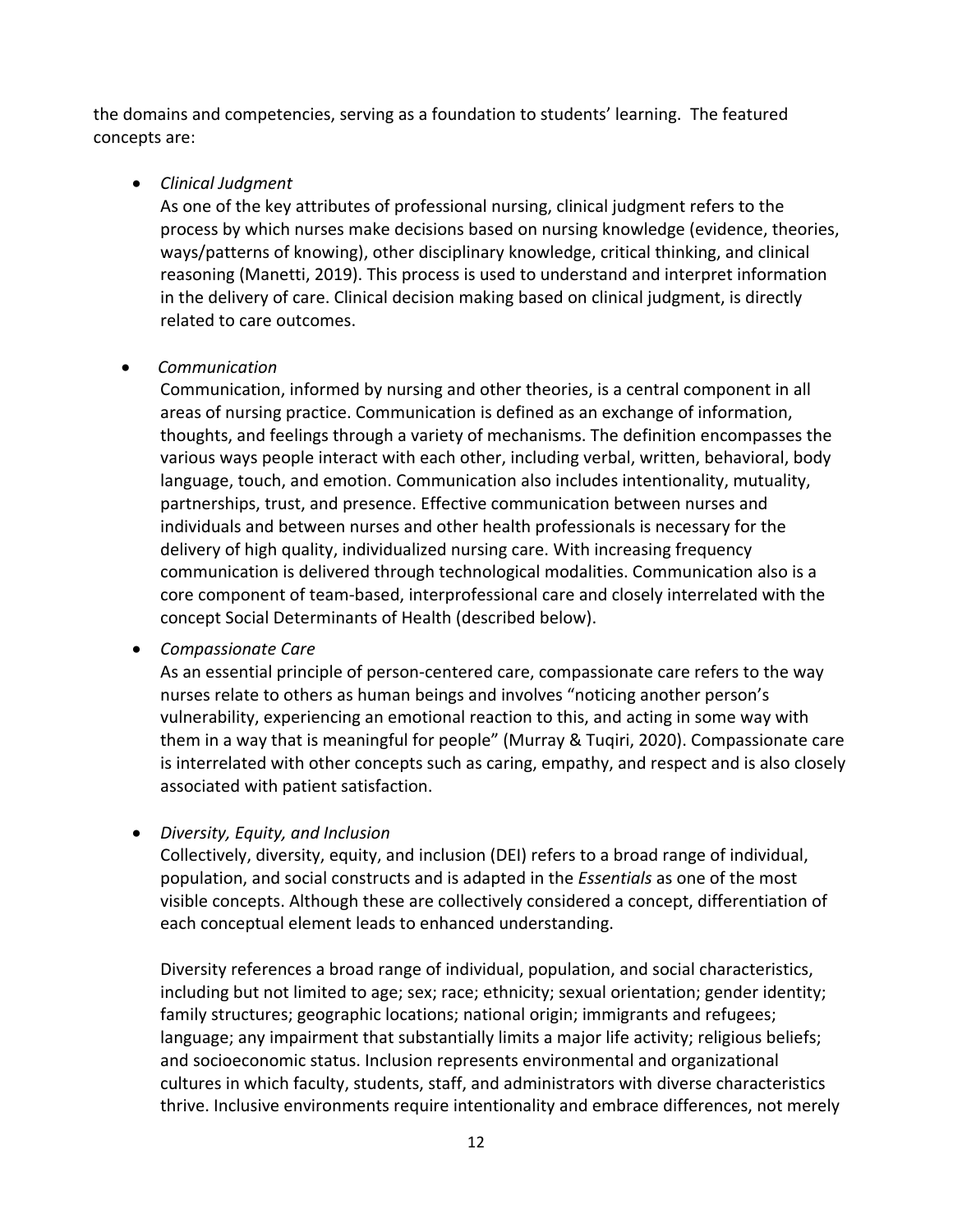the domains and competencies, serving as a foundation to students' learning. The featured concepts are:

#### • *Clinical Judgment*

As one of the key attributes of professional nursing, clinical judgment refers to the process by which nurses make decisions based on nursing knowledge (evidence, theories, ways/patterns of knowing), other disciplinary knowledge, critical thinking, and clinical reasoning (Manetti, 2019). This process is used to understand and interpret information in the delivery of care. Clinical decision making based on clinical judgment, is directly related to care outcomes.

#### • *Communication*

Communication, informed by nursing and other theories, is a central component in all areas of nursing practice. Communication is defined as an exchange of information, thoughts, and feelings through a variety of mechanisms. The definition encompasses the various ways people interact with each other, including verbal, written, behavioral, body language, touch, and emotion. Communication also includes intentionality, mutuality, partnerships, trust, and presence. Effective communication between nurses and individuals and between nurses and other health professionals is necessary for the delivery of high quality, individualized nursing care. With increasing frequency communication is delivered through technological modalities. Communication also is a core component of team-based, interprofessional care and closely interrelated with the concept Social Determinants of Health (described below).

#### • *Compassionate Care*

As an essential principle of person-centered care, compassionate care refers to the way nurses relate to others as human beings and involves "noticing another person's vulnerability, experiencing an emotional reaction to this, and acting in some way with them in a way that is meaningful for people" (Murray & Tuqiri, 2020). Compassionate care is interrelated with other concepts such as caring, empathy, and respect and is also closely associated with patient satisfaction.

# • *Diversity, Equity, and Inclusion*

Collectively, diversity, equity, and inclusion (DEI) refers to a broad range of individual, population, and social constructs and is adapted in the *Essentials* as one of the most visible concepts. Although these are collectively considered a concept, differentiation of each conceptual element leads to enhanced understanding.

Diversity references a broad range of individual, population, and social characteristics, including but not limited to age; sex; race; ethnicity; sexual orientation; gender identity; family structures; geographic locations; national origin; immigrants and refugees; language; any impairment that substantially limits a major life activity; religious beliefs; and socioeconomic status. Inclusion represents environmental and organizational cultures in which faculty, students, staff, and administrators with diverse characteristics thrive. Inclusive environments require intentionality and embrace differences, not merely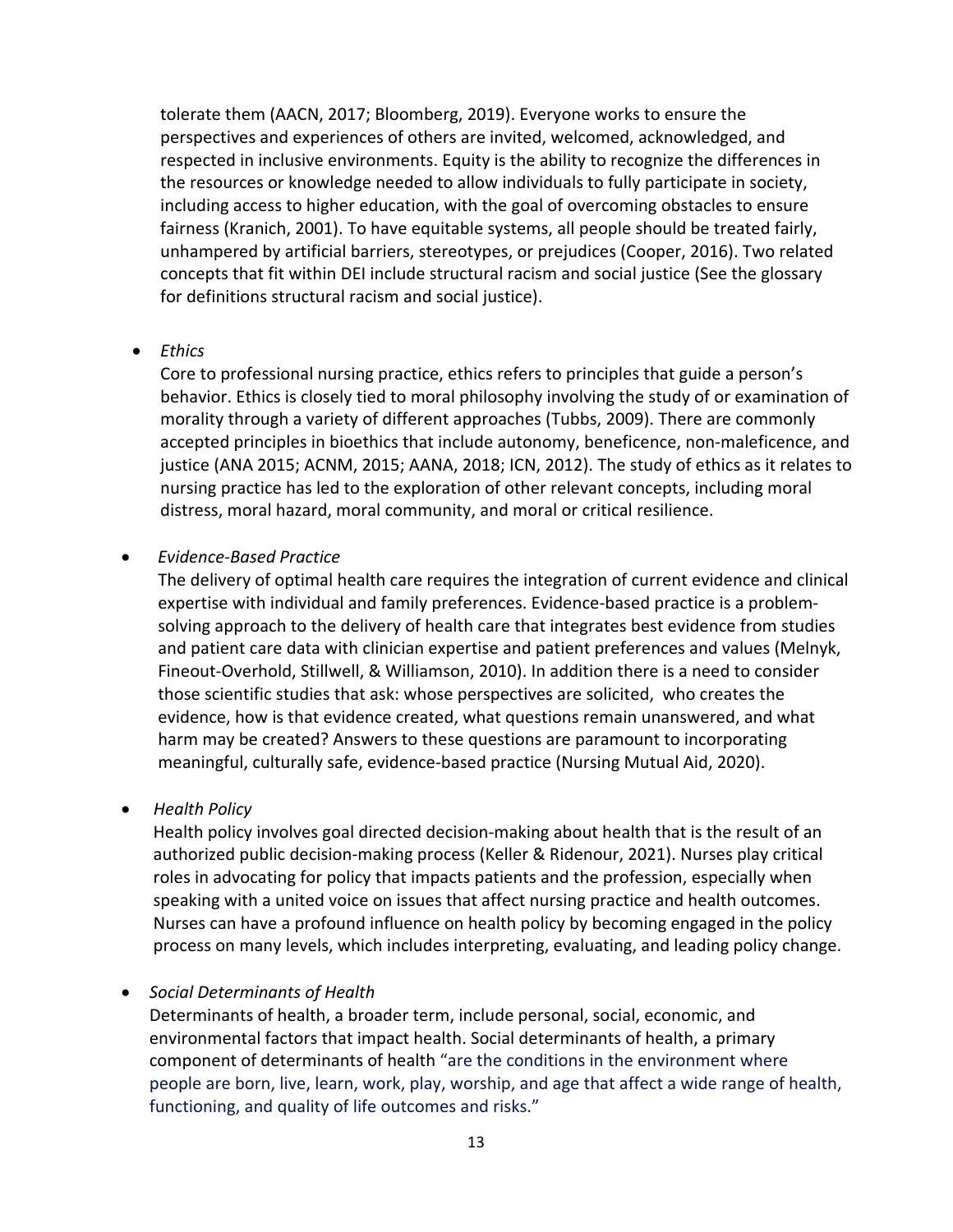tolerate them (AACN, 2017; Bloomberg, 2019). Everyone works to ensure the perspectives and experiences of others are invited, welcomed, acknowledged, and respected in inclusive environments. Equity is the ability to recognize the differences in the resources or knowledge needed to allow individuals to fully participate in society, including access to higher education, with the goal of overcoming obstacles to ensure fairness (Kranich, 2001). To have equitable systems, all people should be treated fairly, unhampered by artificial barriers, stereotypes, or prejudices (Cooper, 2016). Two related concepts that fit within DEI include structural racism and social justice (See the glossary for definitions structural racism and social justice).

#### • *Ethics*

Core to professional nursing practice, ethics refers to principles that guide a person's behavior. Ethics is closely tied to moral philosophy involving the study of or examination of morality through a variety of different approaches (Tubbs, 2009). There are commonly accepted principles in bioethics that include autonomy, beneficence, non-maleficence, and justice (ANA 2015; ACNM, 2015; AANA, 2018; ICN, 2012). The study of ethics as it relates to nursing practice has led to the exploration of other relevant concepts, including moral distress, moral hazard, moral community, and moral or critical resilience.

#### • *Evidence-Based Practice*

The delivery of optimal health care requires the integration of current evidence and clinical expertise with individual and family preferences. Evidence-based practice is a problemsolving approach to the delivery of health care that integrates best evidence from studies and patient care data with clinician expertise and patient preferences and values (Melnyk, Fineout-Overhold, Stillwell, & Williamson, 2010). In addition there is a need to consider those scientific studies that ask: whose perspectives are solicited, who creates the evidence, how is that evidence created, what questions remain unanswered, and what harm may be created? Answers to these questions are paramount to incorporating meaningful, culturally safe, evidence-based practice (Nursing Mutual Aid, 2020).

• *Health Policy*

Health policy involves goal directed decision-making about health that is the result of an authorized public decision-making process (Keller & Ridenour, 2021). Nurses play critical roles in advocating for policy that impacts patients and the profession, especially when speaking with a united voice on issues that affect nursing practice and health outcomes. Nurses can have a profound influence on health policy by becoming engaged in the policy process on many levels, which includes interpreting, evaluating, and leading policy change.

• *Social Determinants of Health*

Determinants of health, a broader term, include personal, social, economic, and environmental factors that impact health. Social determinants of health, a primary component of determinants of health "are the conditions in the environment where people are born, live, learn, work, play, worship, and age that affect a wide range of health, functioning, and quality of life outcomes and risks."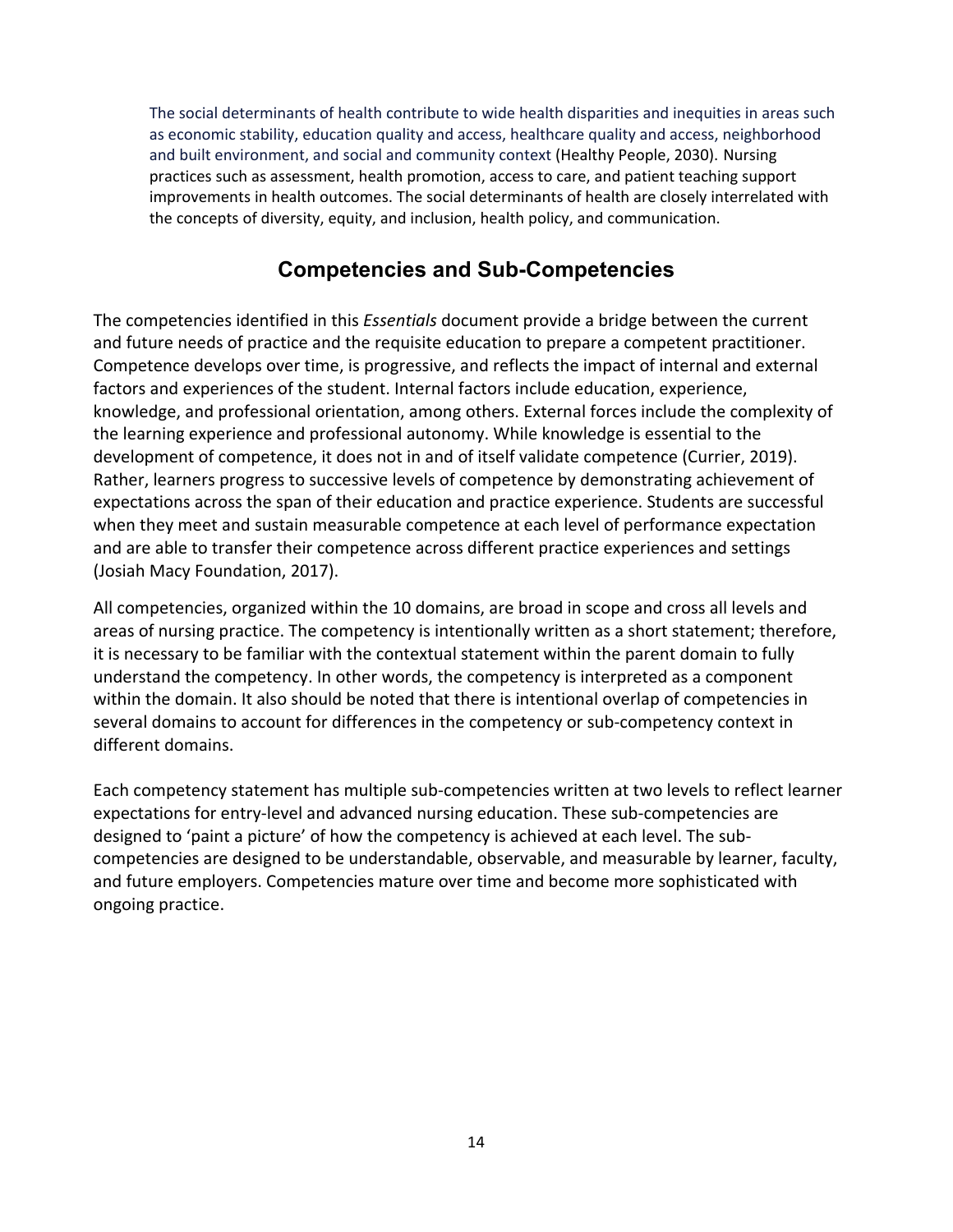The social determinants of health contribute to wide health disparities and inequities in areas such as economic stability, education quality and access, healthcare quality and access, neighborhood and built environment, and social and community context (Healthy People, 2030). Nursing practices such as assessment, health promotion, access to care, and patient teaching support improvements in health outcomes. The social determinants of health are closely interrelated with the concepts of diversity, equity, and inclusion, health policy, and communication.

# **Competencies and Sub-Competencies**

The competencies identified in this *Essentials* document provide a bridge between the current and future needs of practice and the requisite education to prepare a competent practitioner. Competence develops over time, is progressive, and reflects the impact of internal and external factors and experiences of the student. Internal factors include education, experience, knowledge, and professional orientation, among others. External forces include the complexity of the learning experience and professional autonomy. While knowledge is essential to the development of competence, it does not in and of itself validate competence (Currier, 2019). Rather, learners progress to successive levels of competence by demonstrating achievement of expectations across the span of their education and practice experience. Students are successful when they meet and sustain measurable competence at each level of performance expectation and are able to transfer their competence across different practice experiences and settings (Josiah Macy Foundation, 2017).

All competencies, organized within the 10 domains, are broad in scope and cross all levels and areas of nursing practice. The competency is intentionally written as a short statement; therefore, it is necessary to be familiar with the contextual statement within the parent domain to fully understand the competency. In other words, the competency is interpreted as a component within the domain. It also should be noted that there is intentional overlap of competencies in several domains to account for differences in the competency or sub-competency context in different domains.

Each competency statement has multiple sub-competencies written at two levels to reflect learner expectations for entry-level and advanced nursing education. These sub-competencies are designed to 'paint a picture' of how the competency is achieved at each level. The subcompetencies are designed to be understandable, observable, and measurable by learner, faculty, and future employers. Competencies mature over time and become more sophisticated with ongoing practice.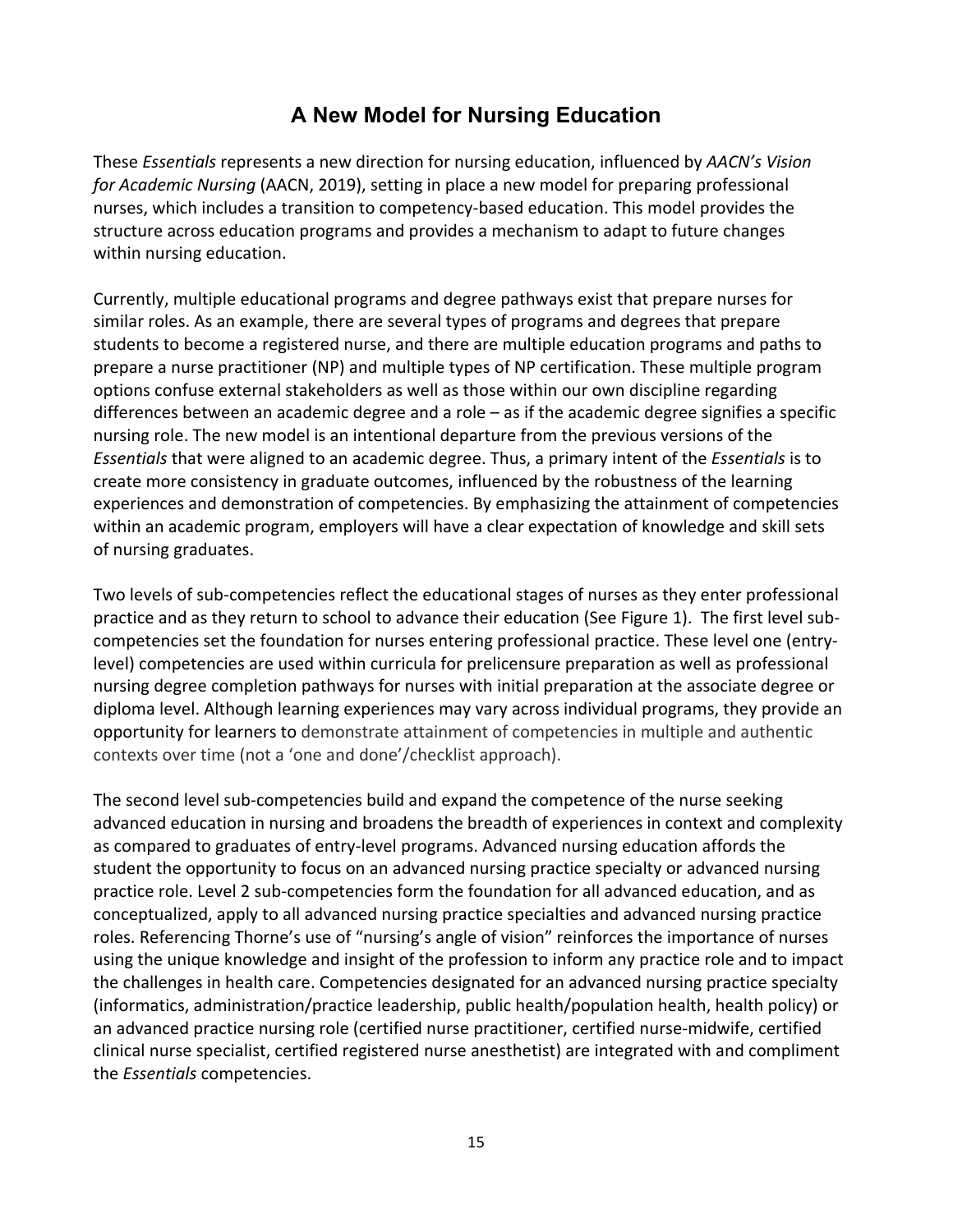# **A New Model for Nursing Education**

These *Essentials* represents a new direction for nursing education, influenced by *AACN's Vision for Academic Nursing* (AACN, 2019), setting in place a new model for preparing professional nurses, which includes a transition to competency-based education. This model provides the structure across education programs and provides a mechanism to adapt to future changes within nursing education.

Currently, multiple educational programs and degree pathways exist that prepare nurses for similar roles. As an example, there are several types of programs and degrees that prepare students to become a registered nurse, and there are multiple education programs and paths to prepare a nurse practitioner (NP) and multiple types of NP certification. These multiple program options confuse external stakeholders as well as those within our own discipline regarding differences between an academic degree and a role – as if the academic degree signifies a specific nursing role. The new model is an intentional departure from the previous versions of the *Essentials* that were aligned to an academic degree. Thus, a primary intent of the *Essentials* is to create more consistency in graduate outcomes, influenced by the robustness of the learning experiences and demonstration of competencies. By emphasizing the attainment of competencies within an academic program, employers will have a clear expectation of knowledge and skill sets of nursing graduates.

Two levels of sub-competencies reflect the educational stages of nurses as they enter professional practice and as they return to school to advance their education (See Figure 1). The first level subcompetencies set the foundation for nurses entering professional practice. These level one (entrylevel) competencies are used within curricula for prelicensure preparation as well as professional nursing degree completion pathways for nurses with initial preparation at the associate degree or diploma level. Although learning experiences may vary across individual programs, they provide an opportunity for learners to demonstrate attainment of competencies in multiple and authentic contexts over time (not a 'one and done'/checklist approach).

The second level sub-competencies build and expand the competence of the nurse seeking advanced education in nursing and broadens the breadth of experiences in context and complexity as compared to graduates of entry-level programs. Advanced nursing education affords the student the opportunity to focus on an advanced nursing practice specialty or advanced nursing practice role. Level 2 sub-competencies form the foundation for all advanced education, and as conceptualized, apply to all advanced nursing practice specialties and advanced nursing practice roles. Referencing Thorne's use of "nursing's angle of vision" reinforces the importance of nurses using the unique knowledge and insight of the profession to inform any practice role and to impact the challenges in health care. Competencies designated for an advanced nursing practice specialty (informatics, administration/practice leadership, public health/population health, health policy) or an advanced practice nursing role (certified nurse practitioner, certified nurse-midwife, certified clinical nurse specialist, certified registered nurse anesthetist) are integrated with and compliment the *Essentials* competencies.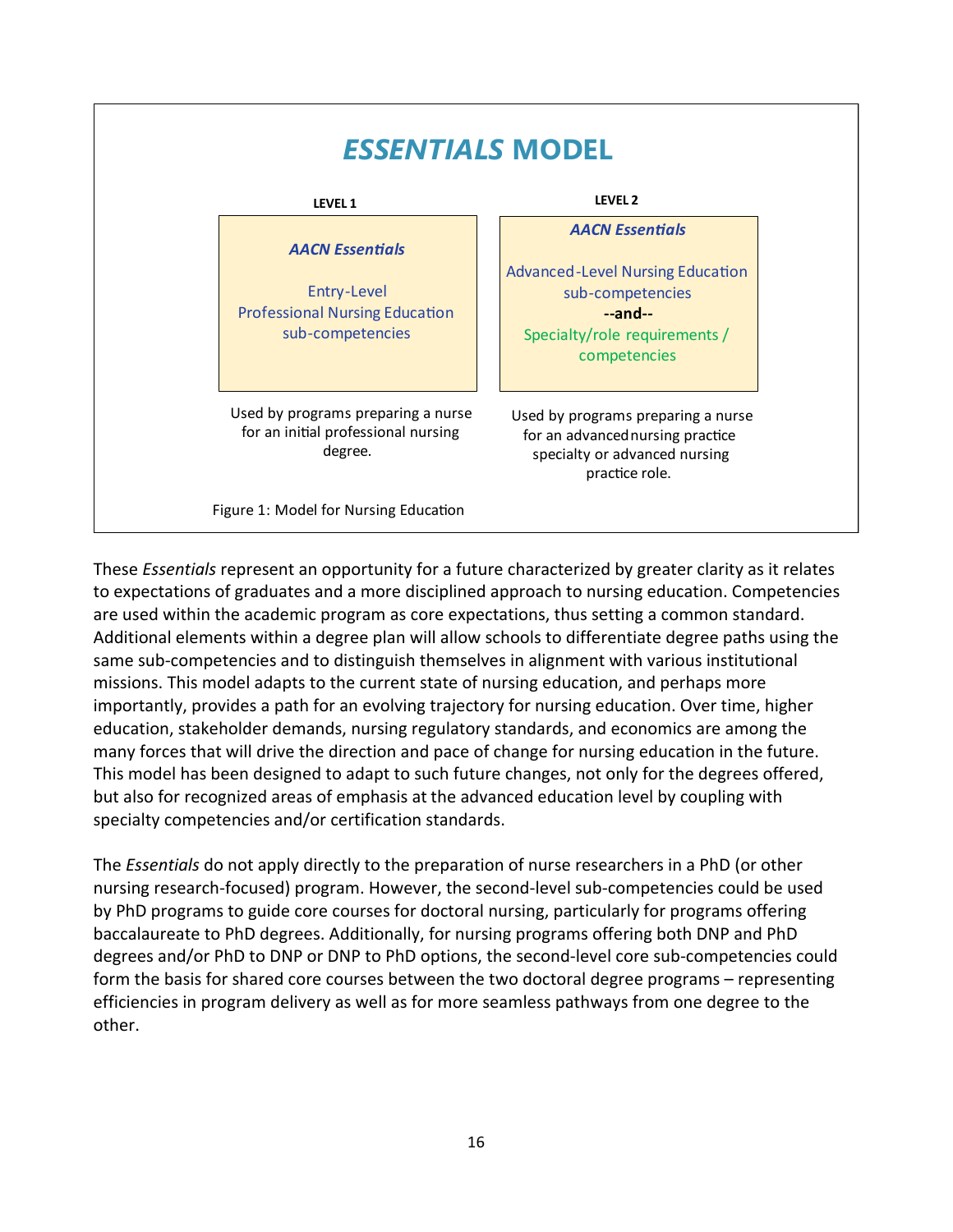

These *Essentials* represent an opportunity for a future characterized by greater clarity as it relates to expectations of graduates and a more disciplined approach to nursing education. Competencies are used within the academic program as core expectations, thus setting a common standard. Additional elements within a degree plan will allow schools to differentiate degree paths using the same sub-competencies and to distinguish themselves in alignment with various institutional missions. This model adapts to the current state of nursing education, and perhaps more importantly, provides a path for an evolving trajectory for nursing education. Over time, higher education, stakeholder demands, nursing regulatory standards, and economics are among the many forces that will drive the direction and pace of change for nursing education in the future. This model has been designed to adapt to such future changes, not only for the degrees offered, but also for recognized areas of emphasis at the advanced education level by coupling with specialty competencies and/or certification standards.

The *Essentials* do not apply directly to the preparation of nurse researchers in a PhD (or other nursing research-focused) program. However, the second-level sub-competencies could be used by PhD programs to guide core courses for doctoral nursing, particularly for programs offering baccalaureate to PhD degrees. Additionally, for nursing programs offering both DNP and PhD degrees and/or PhD to DNP or DNP to PhD options, the second-level core sub-competencies could form the basis for shared core courses between the two doctoral degree programs – representing efficiencies in program delivery as well as for more seamless pathways from one degree to the other.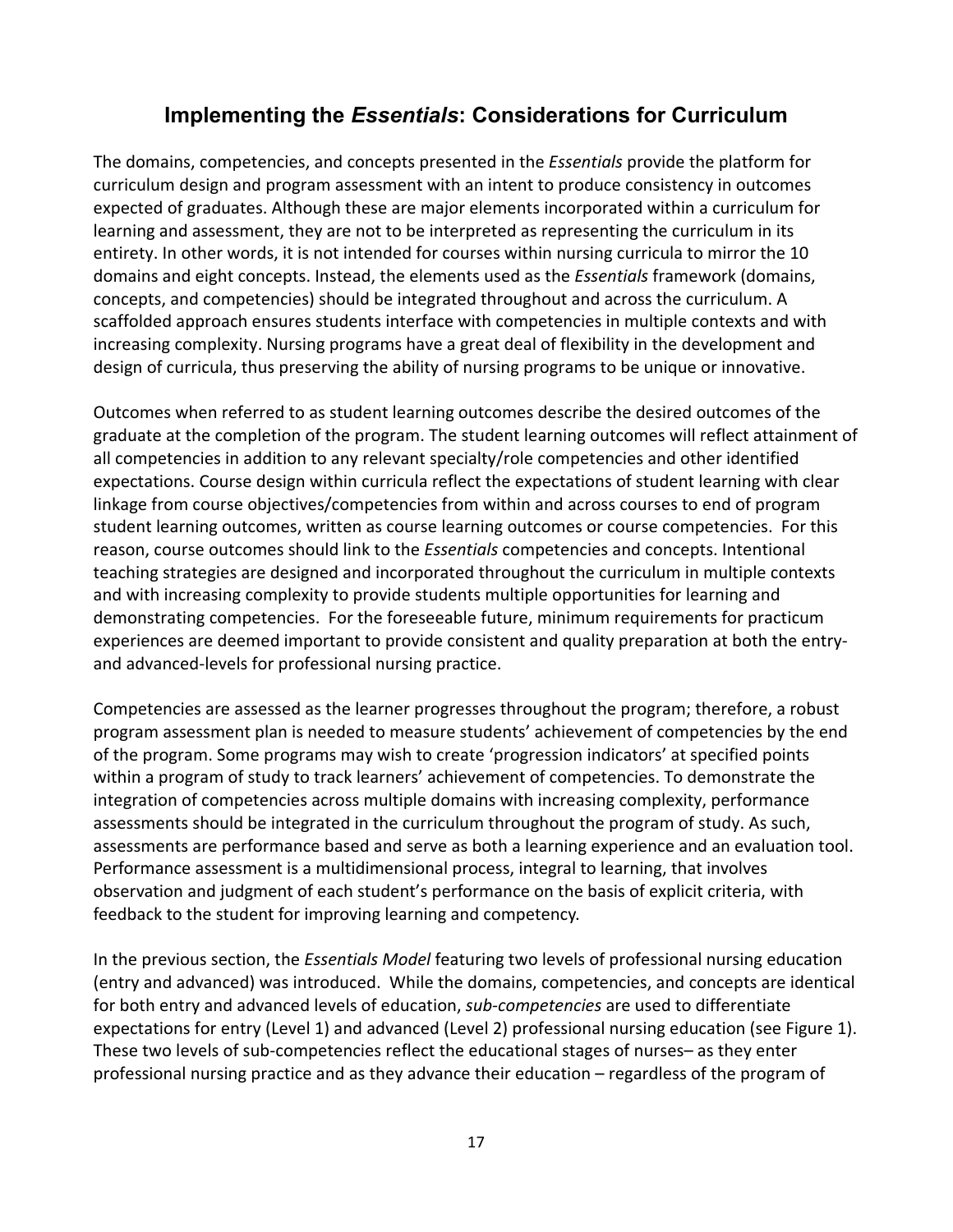# **Implementing the** *Essentials***: Considerations for Curriculum**

The domains, competencies, and concepts presented in the *Essentials* provide the platform for curriculum design and program assessment with an intent to produce consistency in outcomes expected of graduates. Although these are major elements incorporated within a curriculum for learning and assessment, they are not to be interpreted as representing the curriculum in its entirety. In other words, it is not intended for courses within nursing curricula to mirror the 10 domains and eight concepts. Instead, the elements used as the *Essentials* framework (domains, concepts, and competencies) should be integrated throughout and across the curriculum. A scaffolded approach ensures students interface with competencies in multiple contexts and with increasing complexity. Nursing programs have a great deal of flexibility in the development and design of curricula, thus preserving the ability of nursing programs to be unique or innovative.

Outcomes when referred to as student learning outcomes describe the desired outcomes of the graduate at the completion of the program. The student learning outcomes will reflect attainment of all competencies in addition to any relevant specialty/role competencies and other identified expectations. Course design within curricula reflect the expectations of student learning with clear linkage from course objectives/competencies from within and across courses to end of program student learning outcomes, written as course learning outcomes or course competencies. For this reason, course outcomes should link to the *Essentials* competencies and concepts. Intentional teaching strategies are designed and incorporated throughout the curriculum in multiple contexts and with increasing complexity to provide students multiple opportunities for learning and demonstrating competencies. For the foreseeable future, minimum requirements for practicum experiences are deemed important to provide consistent and quality preparation at both the entryand advanced-levels for professional nursing practice.

Competencies are assessed as the learner progresses throughout the program; therefore, a robust program assessment plan is needed to measure students' achievement of competencies by the end of the program. Some programs may wish to create 'progression indicators' at specified points within a program of study to track learners' achievement of competencies. To demonstrate the integration of competencies across multiple domains with increasing complexity, performance assessments should be integrated in the curriculum throughout the program of study. As such, assessments are performance based and serve as both a learning experience and an evaluation tool. Performance assessment is a multidimensional process, integral to learning, that involves observation and judgment of each student's performance on the basis of explicit criteria, with feedback to the student for improving learning and competency.

In the previous section, the *Essentials Model* featuring two levels of professional nursing education (entry and advanced) was introduced. While the domains, competencies, and concepts are identical for both entry and advanced levels of education, *sub-competencies* are used to differentiate expectations for entry (Level 1) and advanced (Level 2) professional nursing education (see Figure 1). These two levels of sub-competencies reflect the educational stages of nurses– as they enter professional nursing practice and as they advance their education – regardless of the program of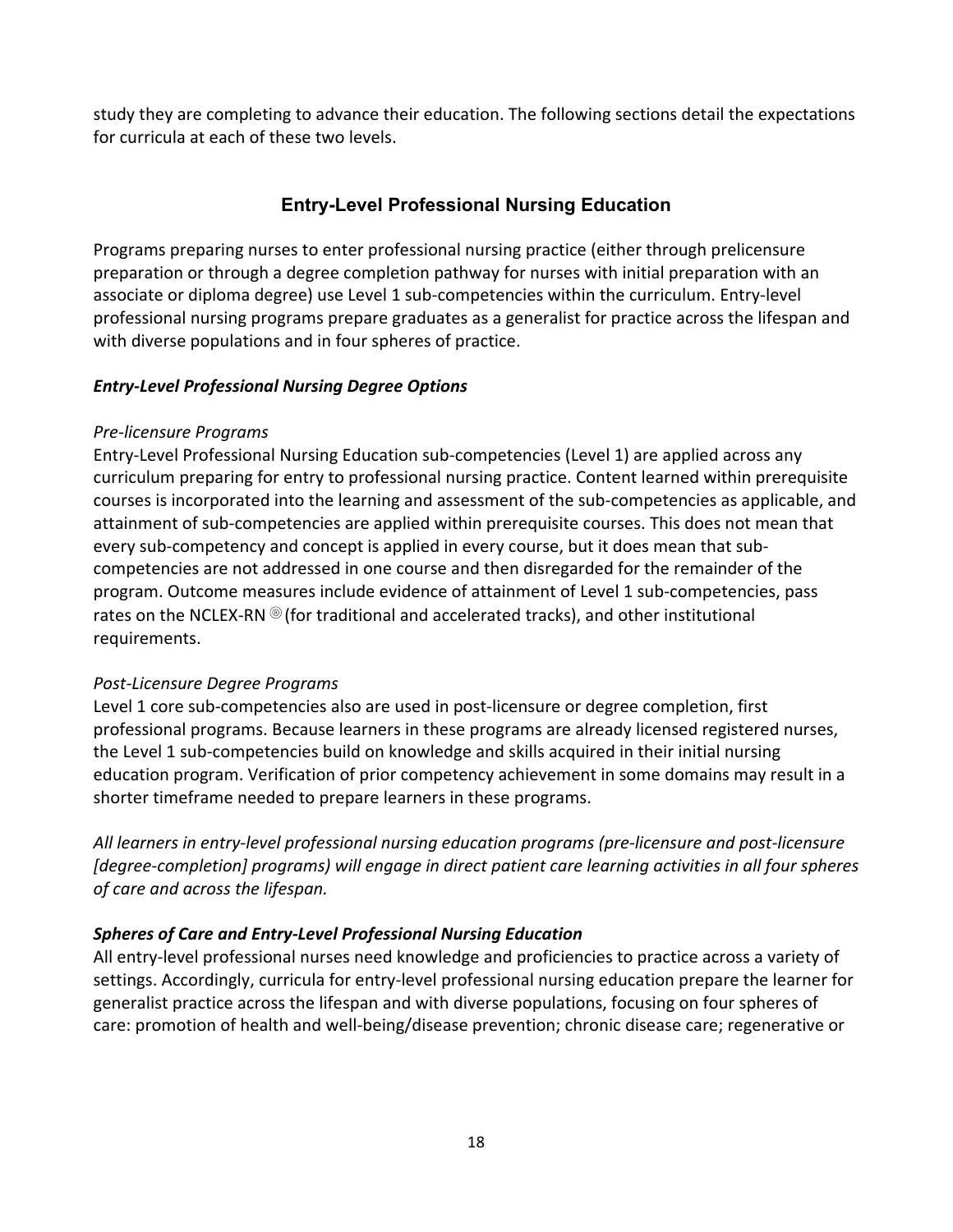study they are completing to advance their education. The following sections detail the expectations for curricula at each of these two levels.

# **Entry-Level Professional Nursing Education**

Programs preparing nurses to enter professional nursing practice (either through prelicensure preparation or through a degree completion pathway for nurses with initial preparation with an associate or diploma degree) use Level 1 sub-competencies within the curriculum. Entry-level professional nursing programs prepare graduates as a generalist for practice across the lifespan and with diverse populations and in four spheres of practice.

#### *Entry-Level Professional Nursing Degree Options*

#### *Pre-licensure Programs*

Entry-Level Professional Nursing Education sub-competencies (Level 1) are applied across any curriculum preparing for entry to professional nursing practice. Content learned within prerequisite courses is incorporated into the learning and assessment of the sub-competencies as applicable, and attainment of sub-competencies are applied within prerequisite courses. This does not mean that every sub-competency and concept is applied in every course, but it does mean that subcompetencies are not addressed in one course and then disregarded for the remainder of the program. Outcome measures include evidence of attainment of Level 1 sub-competencies, pass rates on the NCLEX-RN  $\circledR$  (for traditional and accelerated tracks), and other institutional requirements.

# *Post-Licensure Degree Programs*

Level 1 core sub-competencies also are used in post-licensure or degree completion, first professional programs. Because learners in these programs are already licensed registered nurses, the Level 1 sub-competencies build on knowledge and skills acquired in their initial nursing education program. Verification of prior competency achievement in some domains may result in a shorter timeframe needed to prepare learners in these programs.

*All learners in entry-level professional nursing education programs (pre-licensure and post-licensure [degree-completion] programs) will engage in direct patient care learning activities in all four spheres of care and across the lifespan.*

# *Spheres of Care and Entry-Level Professional Nursing Education*

All entry-level professional nurses need knowledge and proficiencies to practice across a variety of settings. Accordingly, curricula for entry-level professional nursing education prepare the learner for generalist practice across the lifespan and with diverse populations, focusing on four spheres of care: promotion of health and well-being/disease prevention; chronic disease care; regenerative or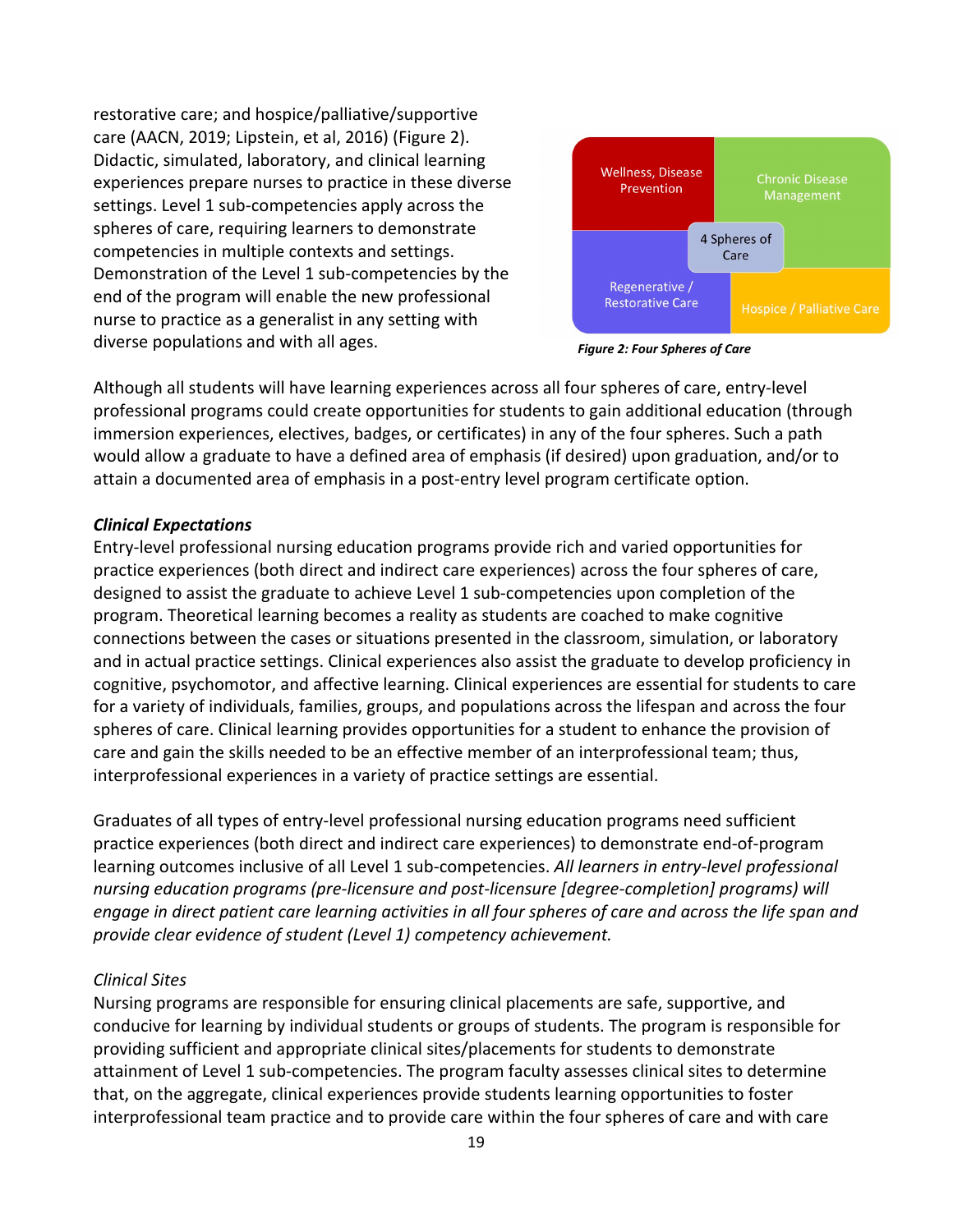restorative care; and hospice/palliative/supportive care (AACN, 2019; Lipstein, et al, 2016) (Figure 2). Didactic, simulated, laboratory, and clinical learning experiences prepare nurses to practice in these diverse settings. Level 1 sub-competencies apply across the spheres of care, requiring learners to demonstrate competencies in multiple contexts and settings. Demonstration of the Level 1 sub-competencies by the end of the program will enable the new professional nurse to practice as a generalist in any setting with diverse populations and with all ages.



*Figure 2: Four Spheres of Care*

Although all students will have learning experiences across all four spheres of care, entry-level professional programs could create opportunities for students to gain additional education (through immersion experiences, electives, badges, or certificates) in any of the four spheres. Such a path would allow a graduate to have a defined area of emphasis (if desired) upon graduation, and/or to attain a documented area of emphasis in a post-entry level program certificate option.

#### *Clinical Expectations*

Entry-level professional nursing education programs provide rich and varied opportunities for practice experiences (both direct and indirect care experiences) across the four spheres of care, designed to assist the graduate to achieve Level 1 sub-competencies upon completion of the program. Theoretical learning becomes a reality as students are coached to make cognitive connections between the cases or situations presented in the classroom, simulation, or laboratory and in actual practice settings. Clinical experiences also assist the graduate to develop proficiency in cognitive, psychomotor, and affective learning. Clinical experiences are essential for students to care for a variety of individuals, families, groups, and populations across the lifespan and across the four spheres of care. Clinical learning provides opportunities for a student to enhance the provision of care and gain the skills needed to be an effective member of an interprofessional team; thus, interprofessional experiences in a variety of practice settings are essential.

Graduates of all types of entry-level professional nursing education programs need sufficient practice experiences (both direct and indirect care experiences) to demonstrate end-of-program learning outcomes inclusive of all Level 1 sub-competencies. *All learners in entry-level professional nursing education programs (pre-licensure and post-licensure [degree-completion] programs) will engage in direct patient care learning activities in all four spheres of care and across the life span and provide clear evidence of student (Level 1) competency achievement.* 

#### *Clinical Sites*

Nursing programs are responsible for ensuring clinical placements are safe, supportive, and conducive for learning by individual students or groups of students. The program is responsible for providing sufficient and appropriate clinical sites/placements for students to demonstrate attainment of Level 1 sub-competencies. The program faculty assesses clinical sites to determine that, on the aggregate, clinical experiences provide students learning opportunities to foster interprofessional team practice and to provide care within the four spheres of care and with care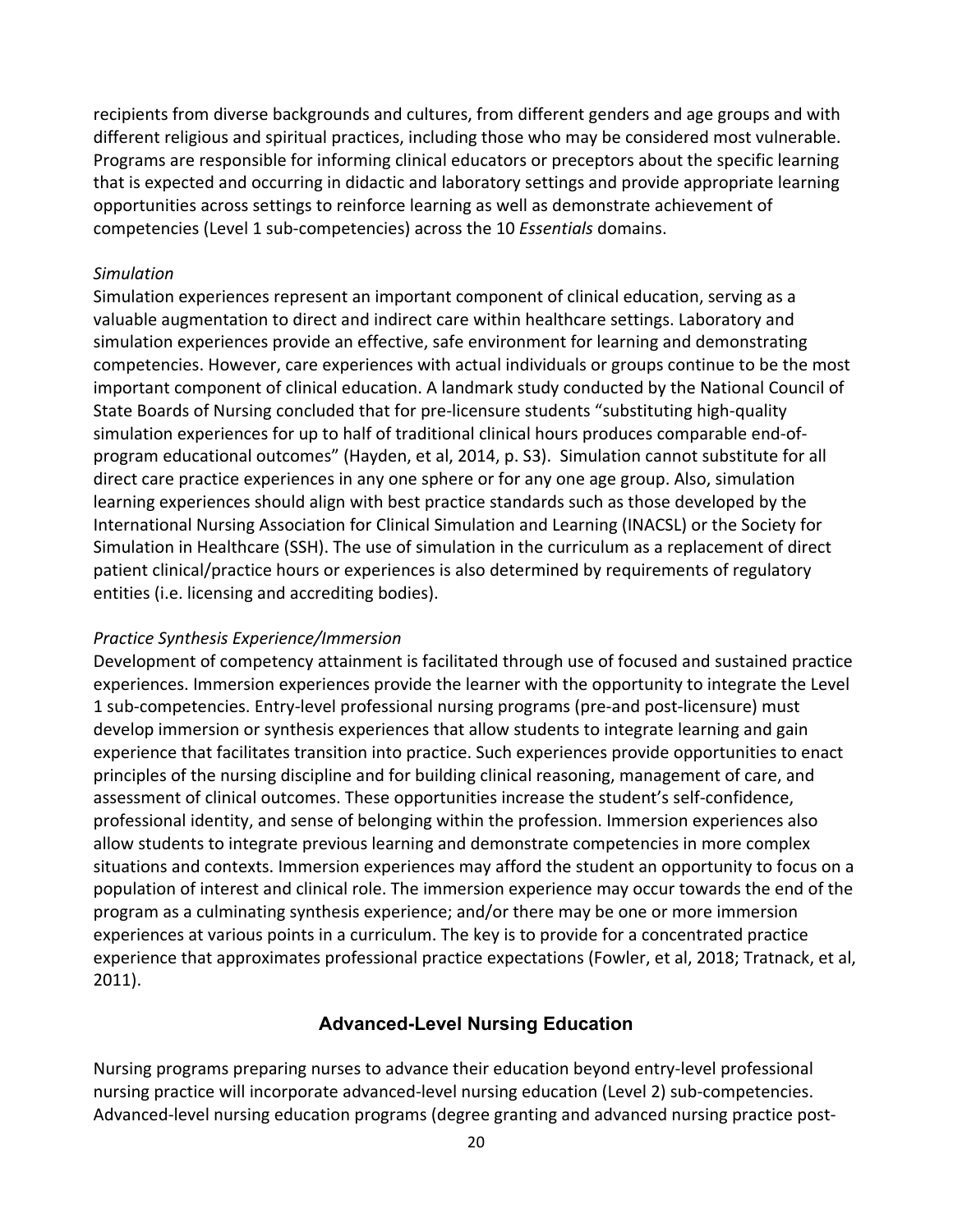recipients from diverse backgrounds and cultures, from different genders and age groups and with different religious and spiritual practices, including those who may be considered most vulnerable. Programs are responsible for informing clinical educators or preceptors about the specific learning that is expected and occurring in didactic and laboratory settings and provide appropriate learning opportunities across settings to reinforce learning as well as demonstrate achievement of competencies (Level 1 sub-competencies) across the 10 *Essentials* domains.

#### *Simulation*

Simulation experiences represent an important component of clinical education, serving as a valuable augmentation to direct and indirect care within healthcare settings. Laboratory and simulation experiences provide an effective, safe environment for learning and demonstrating competencies. However, care experiences with actual individuals or groups continue to be the most important component of clinical education. A landmark study conducted by the National Council of State Boards of Nursing concluded that for pre-licensure students "substituting high-quality simulation experiences for up to half of traditional clinical hours produces comparable end-ofprogram educational outcomes" (Hayden, et al, 2014, p. S3). Simulation cannot substitute for all direct care practice experiences in any one sphere or for any one age group. Also, simulation learning experiences should align with best practice standards such as those developed by the International Nursing Association for Clinical Simulation and Learning (INACSL) or the Society for Simulation in Healthcare (SSH). The use of simulation in the curriculum as a replacement of direct patient clinical/practice hours or experiences is also determined by requirements of regulatory entities (i.e. licensing and accrediting bodies).

#### *Practice Synthesis Experience/Immersion*

Development of competency attainment is facilitated through use of focused and sustained practice experiences. Immersion experiences provide the learner with the opportunity to integrate the Level 1 sub-competencies. Entry-level professional nursing programs (pre-and post-licensure) must develop immersion or synthesis experiences that allow students to integrate learning and gain experience that facilitates transition into practice. Such experiences provide opportunities to enact principles of the nursing discipline and for building clinical reasoning, management of care, and assessment of clinical outcomes. These opportunities increase the student's self-confidence, professional identity, and sense of belonging within the profession. Immersion experiences also allow students to integrate previous learning and demonstrate competencies in more complex situations and contexts. Immersion experiences may afford the student an opportunity to focus on a population of interest and clinical role. The immersion experience may occur towards the end of the program as a culminating synthesis experience; and/or there may be one or more immersion experiences at various points in a curriculum. The key is to provide for a concentrated practice experience that approximates professional practice expectations (Fowler, et al, 2018; Tratnack, et al, 2011).

#### **Advanced-Level Nursing Education**

Nursing programs preparing nurses to advance their education beyond entry-level professional nursing practice will incorporate advanced-level nursing education (Level 2) sub-competencies. Advanced-level nursing education programs (degree granting and advanced nursing practice post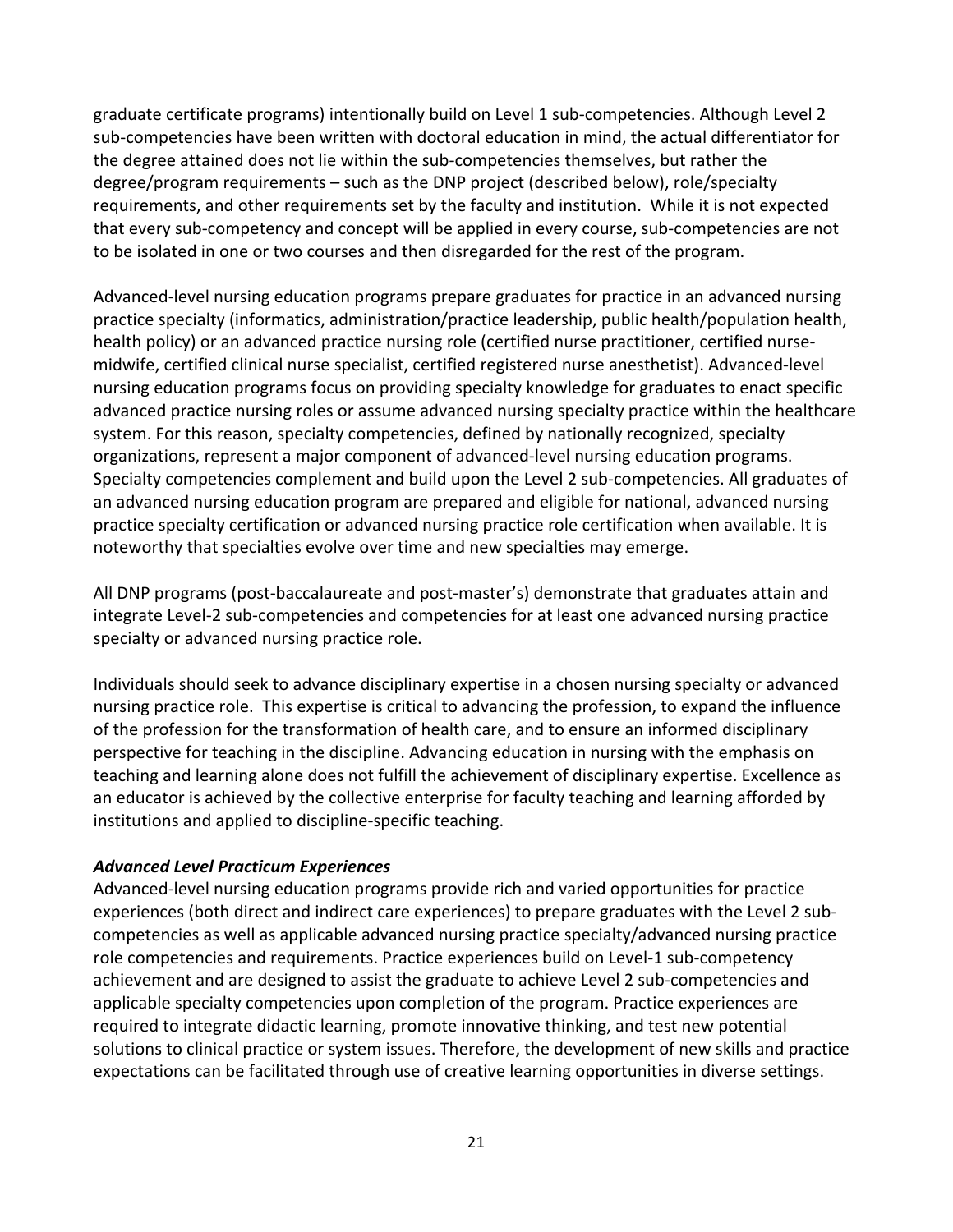graduate certificate programs) intentionally build on Level 1 sub-competencies. Although Level 2 sub-competencies have been written with doctoral education in mind, the actual differentiator for the degree attained does not lie within the sub-competencies themselves, but rather the degree/program requirements – such as the DNP project (described below), role/specialty requirements, and other requirements set by the faculty and institution. While it is not expected that every sub-competency and concept will be applied in every course, sub-competencies are not to be isolated in one or two courses and then disregarded for the rest of the program.

Advanced-level nursing education programs prepare graduates for practice in an advanced nursing practice specialty (informatics, administration/practice leadership, public health/population health, health policy) or an advanced practice nursing role (certified nurse practitioner, certified nursemidwife, certified clinical nurse specialist, certified registered nurse anesthetist). Advanced-level nursing education programs focus on providing specialty knowledge for graduates to enact specific advanced practice nursing roles or assume advanced nursing specialty practice within the healthcare system. For this reason, specialty competencies, defined by nationally recognized, specialty organizations, represent a major component of advanced-level nursing education programs. Specialty competencies complement and build upon the Level 2 sub-competencies. All graduates of an advanced nursing education program are prepared and eligible for national, advanced nursing practice specialty certification or advanced nursing practice role certification when available. It is noteworthy that specialties evolve over time and new specialties may emerge.

All DNP programs (post-baccalaureate and post-master's) demonstrate that graduates attain and integrate Level-2 sub-competencies and competencies for at least one advanced nursing practice specialty or advanced nursing practice role.

Individuals should seek to advance disciplinary expertise in a chosen nursing specialty or advanced nursing practice role. This expertise is critical to advancing the profession, to expand the influence of the profession for the transformation of health care, and to ensure an informed disciplinary perspective for teaching in the discipline. Advancing education in nursing with the emphasis on teaching and learning alone does not fulfill the achievement of disciplinary expertise. Excellence as an educator is achieved by the collective enterprise for faculty teaching and learning afforded by institutions and applied to discipline-specific teaching.

#### *Advanced Level Practicum Experiences*

Advanced-level nursing education programs provide rich and varied opportunities for practice experiences (both direct and indirect care experiences) to prepare graduates with the Level 2 subcompetencies as well as applicable advanced nursing practice specialty/advanced nursing practice role competencies and requirements. Practice experiences build on Level-1 sub-competency achievement and are designed to assist the graduate to achieve Level 2 sub-competencies and applicable specialty competencies upon completion of the program. Practice experiences are required to integrate didactic learning, promote innovative thinking, and test new potential solutions to clinical practice or system issues. Therefore, the development of new skills and practice expectations can be facilitated through use of creative learning opportunities in diverse settings.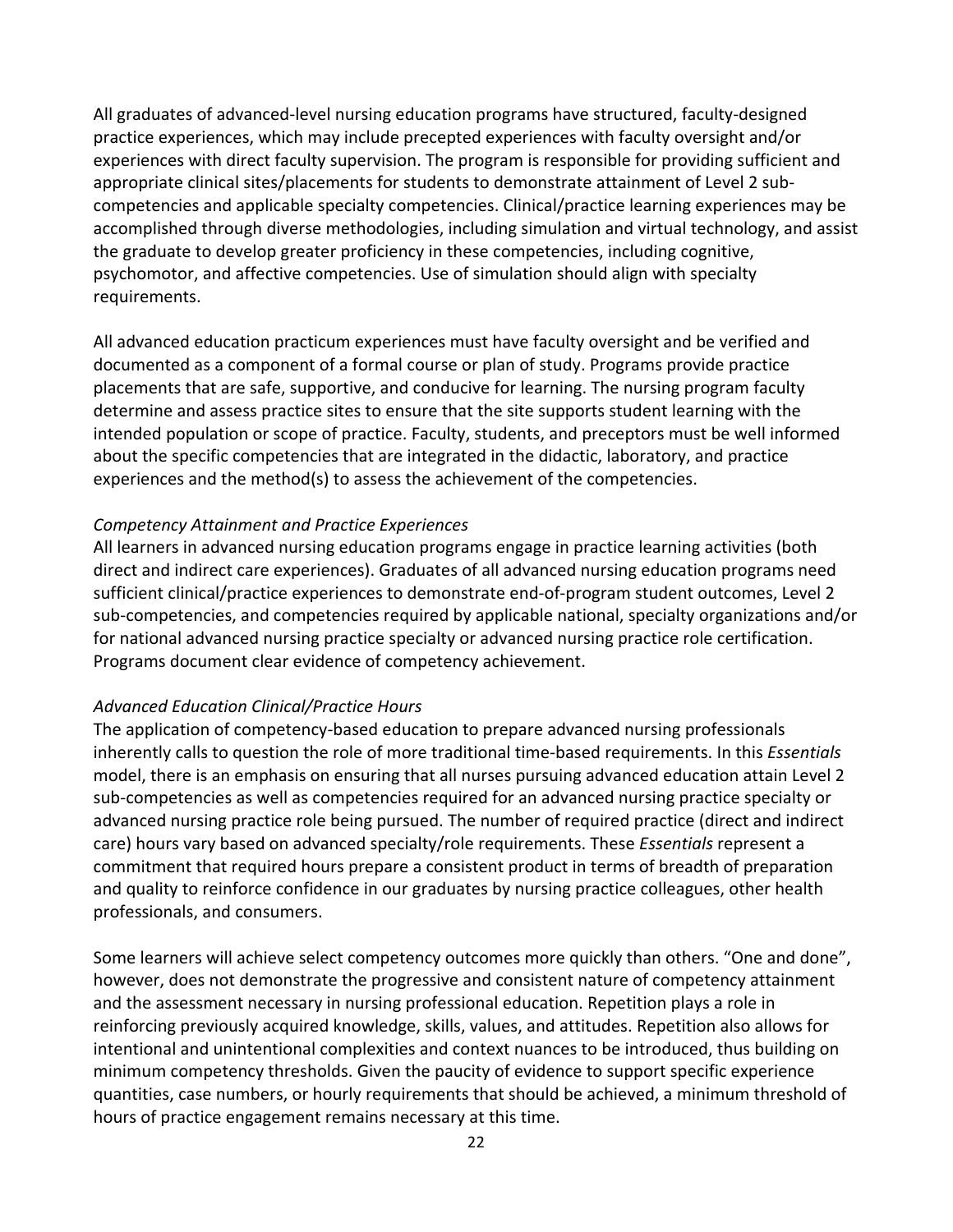All graduates of advanced-level nursing education programs have structured, faculty-designed practice experiences, which may include precepted experiences with faculty oversight and/or experiences with direct faculty supervision. The program is responsible for providing sufficient and appropriate clinical sites/placements for students to demonstrate attainment of Level 2 subcompetencies and applicable specialty competencies. Clinical/practice learning experiences may be accomplished through diverse methodologies, including simulation and virtual technology, and assist the graduate to develop greater proficiency in these competencies, including cognitive, psychomotor, and affective competencies. Use of simulation should align with specialty requirements.

All advanced education practicum experiences must have faculty oversight and be verified and documented as a component of a formal course or plan of study. Programs provide practice placements that are safe, supportive, and conducive for learning. The nursing program faculty determine and assess practice sites to ensure that the site supports student learning with the intended population or scope of practice. Faculty, students, and preceptors must be well informed about the specific competencies that are integrated in the didactic, laboratory, and practice experiences and the method(s) to assess the achievement of the competencies.

#### *Competency Attainment and Practice Experiences*

All learners in advanced nursing education programs engage in practice learning activities (both direct and indirect care experiences). Graduates of all advanced nursing education programs need sufficient clinical/practice experiences to demonstrate end-of-program student outcomes, Level 2 sub-competencies, and competencies required by applicable national, specialty organizations and/or for national advanced nursing practice specialty or advanced nursing practice role certification. Programs document clear evidence of competency achievement.

#### *Advanced Education Clinical/Practice Hours*

The application of competency-based education to prepare advanced nursing professionals inherently calls to question the role of more traditional time-based requirements. In this *Essentials* model, there is an emphasis on ensuring that all nurses pursuing advanced education attain Level 2 sub-competencies as well as competencies required for an advanced nursing practice specialty or advanced nursing practice role being pursued. The number of required practice (direct and indirect care) hours vary based on advanced specialty/role requirements. These *Essentials* represent a commitment that required hours prepare a consistent product in terms of breadth of preparation and quality to reinforce confidence in our graduates by nursing practice colleagues, other health professionals, and consumers.

Some learners will achieve select competency outcomes more quickly than others. "One and done", however, does not demonstrate the progressive and consistent nature of competency attainment and the assessment necessary in nursing professional education. Repetition plays a role in reinforcing previously acquired knowledge, skills, values, and attitudes. Repetition also allows for intentional and unintentional complexities and context nuances to be introduced, thus building on minimum competency thresholds. Given the paucity of evidence to support specific experience quantities, case numbers, or hourly requirements that should be achieved, a minimum threshold of hours of practice engagement remains necessary at this time.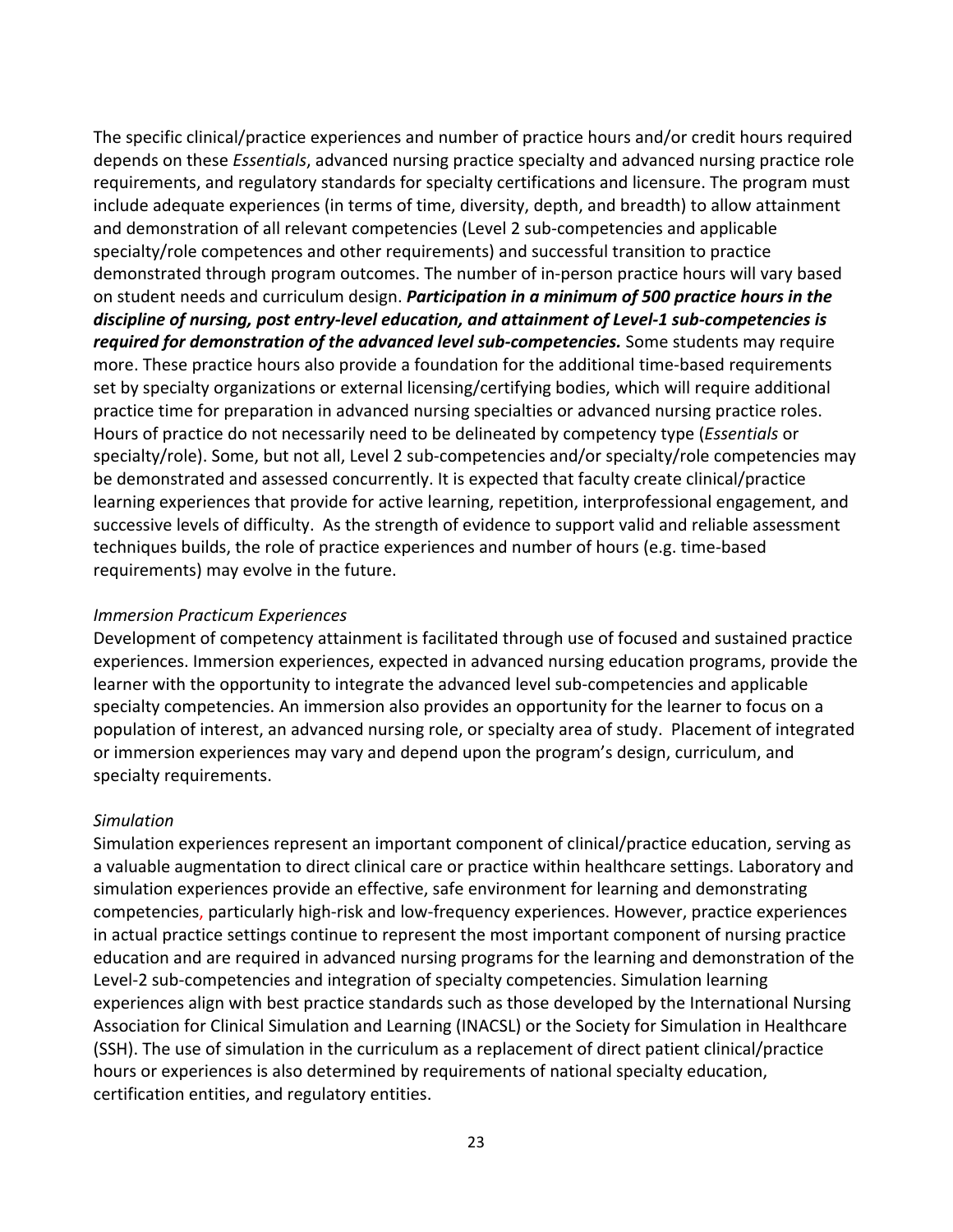The specific clinical/practice experiences and number of practice hours and/or credit hours required depends on these *Essentials*, advanced nursing practice specialty and advanced nursing practice role requirements, and regulatory standards for specialty certifications and licensure. The program must include adequate experiences (in terms of time, diversity, depth, and breadth) to allow attainment and demonstration of all relevant competencies (Level 2 sub-competencies and applicable specialty/role competences and other requirements) and successful transition to practice demonstrated through program outcomes. The number of in-person practice hours will vary based on student needs and curriculum design. *Participation in a minimum of 500 practice hours in the discipline of nursing, post entry-level education, and attainment of Level-1 sub-competencies is required for demonstration of the advanced level sub-competencies.* Some students may require more. These practice hours also provide a foundation for the additional time-based requirements set by specialty organizations or external licensing/certifying bodies, which will require additional practice time for preparation in advanced nursing specialties or advanced nursing practice roles. Hours of practice do not necessarily need to be delineated by competency type (*Essentials* or specialty/role). Some, but not all, Level 2 sub-competencies and/or specialty/role competencies may be demonstrated and assessed concurrently. It is expected that faculty create clinical/practice learning experiences that provide for active learning, repetition, interprofessional engagement, and successive levels of difficulty. As the strength of evidence to support valid and reliable assessment techniques builds, the role of practice experiences and number of hours (e.g. time-based requirements) may evolve in the future.

#### *Immersion Practicum Experiences*

Development of competency attainment is facilitated through use of focused and sustained practice experiences. Immersion experiences, expected in advanced nursing education programs, provide the learner with the opportunity to integrate the advanced level sub-competencies and applicable specialty competencies. An immersion also provides an opportunity for the learner to focus on a population of interest, an advanced nursing role, or specialty area of study. Placement of integrated or immersion experiences may vary and depend upon the program's design, curriculum, and specialty requirements.

#### *Simulation*

Simulation experiences represent an important component of clinical/practice education, serving as a valuable augmentation to direct clinical care or practice within healthcare settings. Laboratory and simulation experiences provide an effective, safe environment for learning and demonstrating competencies, particularly high-risk and low-frequency experiences. However, practice experiences in actual practice settings continue to represent the most important component of nursing practice education and are required in advanced nursing programs for the learning and demonstration of the Level-2 sub-competencies and integration of specialty competencies. Simulation learning experiences align with best practice standards such as those developed by the International Nursing Association for Clinical Simulation and Learning (INACSL) or the Society for Simulation in Healthcare (SSH). The use of simulation in the curriculum as a replacement of direct patient clinical/practice hours or experiences is also determined by requirements of national specialty education, certification entities, and regulatory entities.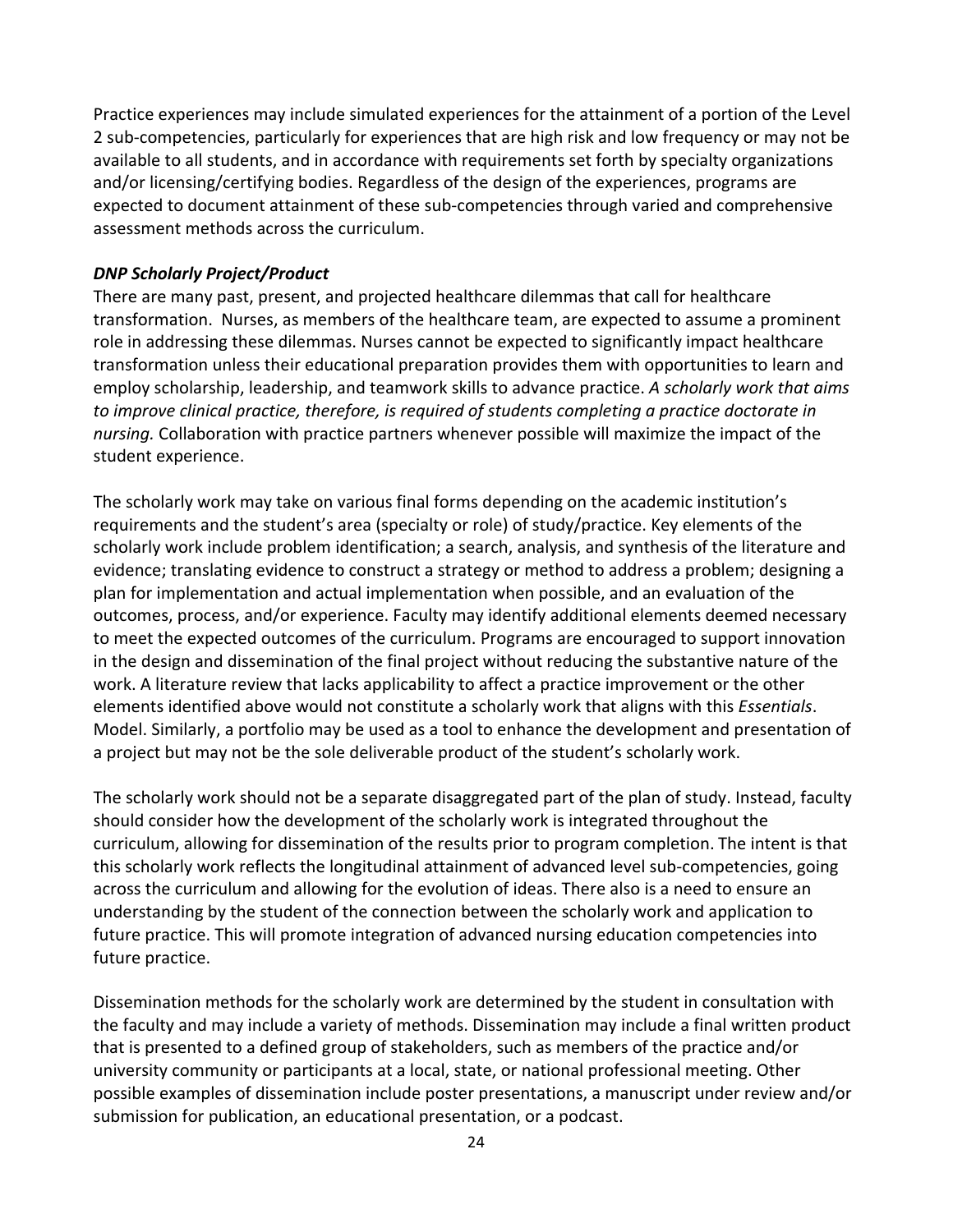Practice experiences may include simulated experiences for the attainment of a portion of the Level 2 sub-competencies, particularly for experiences that are high risk and low frequency or may not be available to all students, and in accordance with requirements set forth by specialty organizations and/or licensing/certifying bodies. Regardless of the design of the experiences, programs are expected to document attainment of these sub-competencies through varied and comprehensive assessment methods across the curriculum.

#### *DNP Scholarly Project/Product*

There are many past, present, and projected healthcare dilemmas that call for healthcare transformation. Nurses, as members of the healthcare team, are expected to assume a prominent role in addressing these dilemmas. Nurses cannot be expected to significantly impact healthcare transformation unless their educational preparation provides them with opportunities to learn and employ scholarship, leadership, and teamwork skills to advance practice. *A scholarly work that aims to improve clinical practice, therefore, is required of students completing a practice doctorate in nursing.* Collaboration with practice partners whenever possible will maximize the impact of the student experience.

The scholarly work may take on various final forms depending on the academic institution's requirements and the student's area (specialty or role) of study/practice. Key elements of the scholarly work include problem identification; a search, analysis, and synthesis of the literature and evidence; translating evidence to construct a strategy or method to address a problem; designing a plan for implementation and actual implementation when possible, and an evaluation of the outcomes, process, and/or experience. Faculty may identify additional elements deemed necessary to meet the expected outcomes of the curriculum. Programs are encouraged to support innovation in the design and dissemination of the final project without reducing the substantive nature of the work. A literature review that lacks applicability to affect a practice improvement or the other elements identified above would not constitute a scholarly work that aligns with this *Essentials*. Model. Similarly, a portfolio may be used as a tool to enhance the development and presentation of a project but may not be the sole deliverable product of the student's scholarly work.

The scholarly work should not be a separate disaggregated part of the plan of study. Instead, faculty should consider how the development of the scholarly work is integrated throughout the curriculum, allowing for dissemination of the results prior to program completion. The intent is that this scholarly work reflects the longitudinal attainment of advanced level sub-competencies, going across the curriculum and allowing for the evolution of ideas. There also is a need to ensure an understanding by the student of the connection between the scholarly work and application to future practice. This will promote integration of advanced nursing education competencies into future practice.

Dissemination methods for the scholarly work are determined by the student in consultation with the faculty and may include a variety of methods. Dissemination may include a final written product that is presented to a defined group of stakeholders, such as members of the practice and/or university community or participants at a local, state, or national professional meeting. Other possible examples of dissemination include poster presentations, a manuscript under review and/or submission for publication, an educational presentation, or a podcast.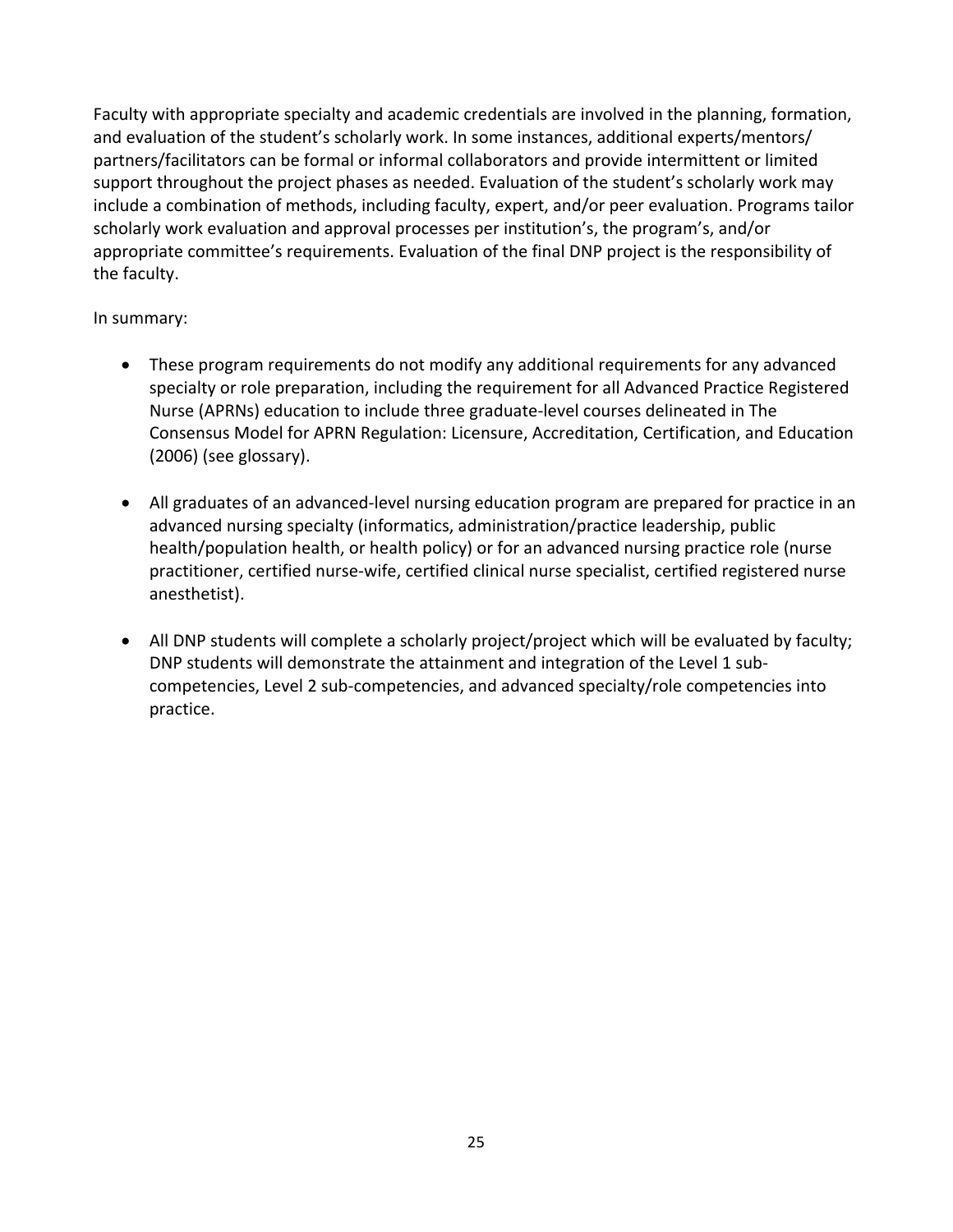Faculty with appropriate specialty and academic credentials are involved in the planning, formation, and evaluation of the student's scholarly work. In some instances, additional experts/mentors/ partners/facilitators can be formal or informal collaborators and provide intermittent or limited support throughout the project phases as needed. Evaluation of the student's scholarly work may include a combination of methods, including faculty, expert, and/or peer evaluation. Programs tailor scholarly work evaluation and approval processes per institution's, the program's, and/or appropriate committee's requirements. Evaluation of the final DNP project is the responsibility of the faculty.

In summary:

- These program requirements do not modify any additional requirements for any advanced specialty or role preparation, including the requirement for all Advanced Practice Registered Nurse (APRNs) education to include three graduate-level courses delineated in The Consensus Model for APRN Regulation: Licensure, Accreditation, Certification, and Education (2006) (see glossary).
- All graduates of an advanced-level nursing education program are prepared for practice in an advanced nursing specialty (informatics, administration/practice leadership, public health/population health, or health policy) or for an advanced nursing practice role (nurse practitioner, certified nurse-wife, certified clinical nurse specialist, certified registered nurse anesthetist).
- All DNP students will complete a scholarly project/project which will be evaluated by faculty; DNP students will demonstrate the attainment and integration of the Level 1 subcompetencies, Level 2 sub-competencies, and advanced specialty/role competencies into practice.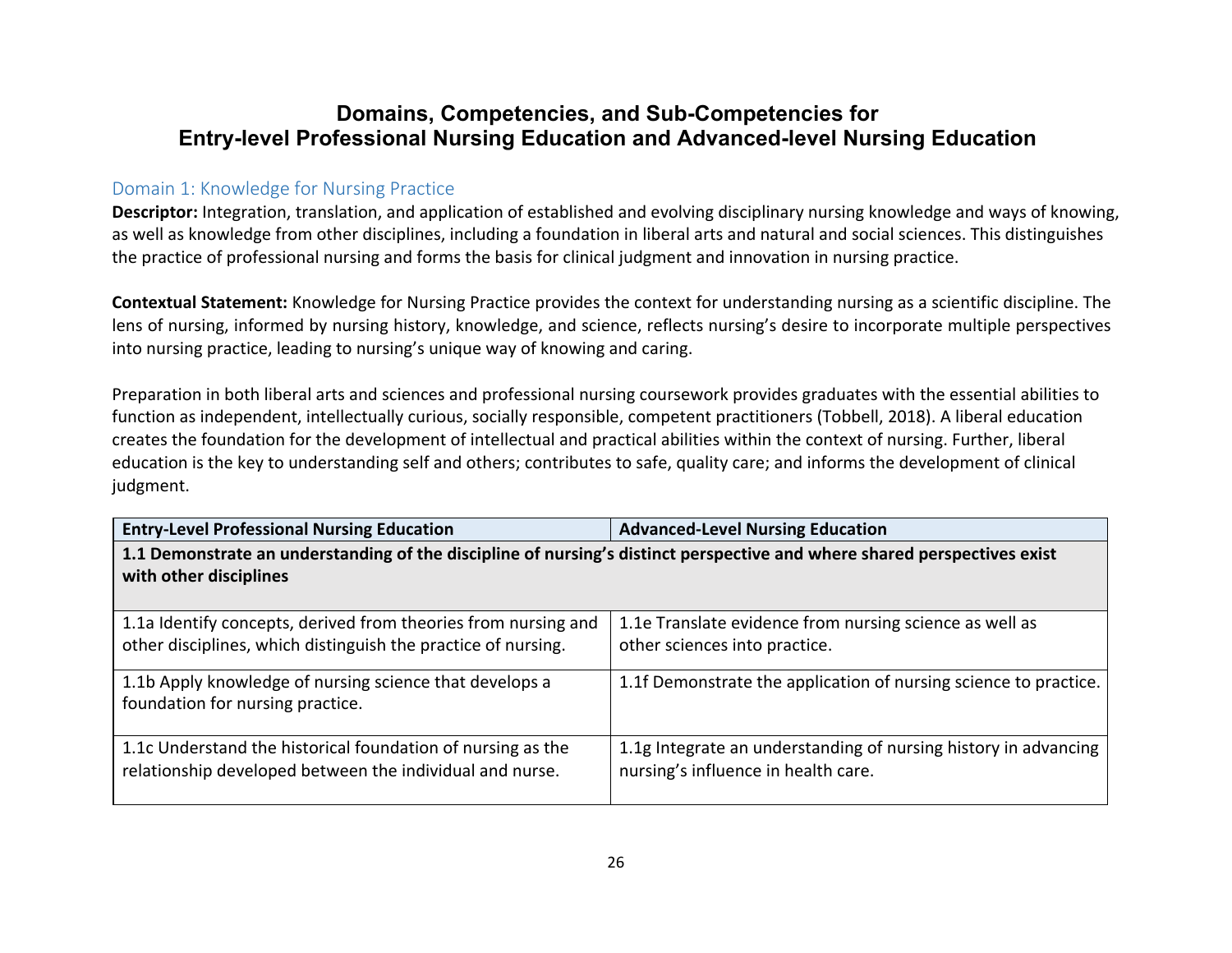# **Domains, Competencies, and Sub-Competencies for Entry-level Professional Nursing Education and Advanced-level Nursing Education**

#### Domain 1: Knowledge for Nursing Practice

**Descriptor:** Integration, translation, and application of established and evolving disciplinary nursing knowledge and ways of knowing, as well as knowledge from other disciplines, including a foundation in liberal arts and natural and social sciences. This distinguishes the practice of professional nursing and forms the basis for clinical judgment and innovation in nursing practice.

**Contextual Statement:** Knowledge for Nursing Practice provides the context for understanding nursing as a scientific discipline. The lens of nursing, informed by nursing history, knowledge, and science, reflects nursing's desire to incorporate multiple perspectives into nursing practice, leading to nursing's unique way of knowing and caring.

Preparation in both liberal arts and sciences and professional nursing coursework provides graduates with the essential abilities to function as independent, intellectually curious, socially responsible, competent practitioners (Tobbell, 2018). A liberal education creates the foundation for the development of intellectual and practical abilities within the context of nursing. Further, liberal education is the key to understanding self and others; contributes to safe, quality care; and informs the development of clinical judgment.

| <b>Entry-Level Professional Nursing Education</b>                                                                                                  | <b>Advanced-Level Nursing Education</b>                                                                |
|----------------------------------------------------------------------------------------------------------------------------------------------------|--------------------------------------------------------------------------------------------------------|
| 1.1 Demonstrate an understanding of the discipline of nursing's distinct perspective and where shared perspectives exist<br>with other disciplines |                                                                                                        |
|                                                                                                                                                    |                                                                                                        |
| 1.1a Identify concepts, derived from theories from nursing and<br>other disciplines, which distinguish the practice of nursing.                    | 1.1e Translate evidence from nursing science as well as<br>other sciences into practice.               |
| 1.1b Apply knowledge of nursing science that develops a<br>foundation for nursing practice.                                                        | 1.1f Demonstrate the application of nursing science to practice.                                       |
| 1.1c Understand the historical foundation of nursing as the<br>relationship developed between the individual and nurse.                            | 1.1g Integrate an understanding of nursing history in advancing<br>nursing's influence in health care. |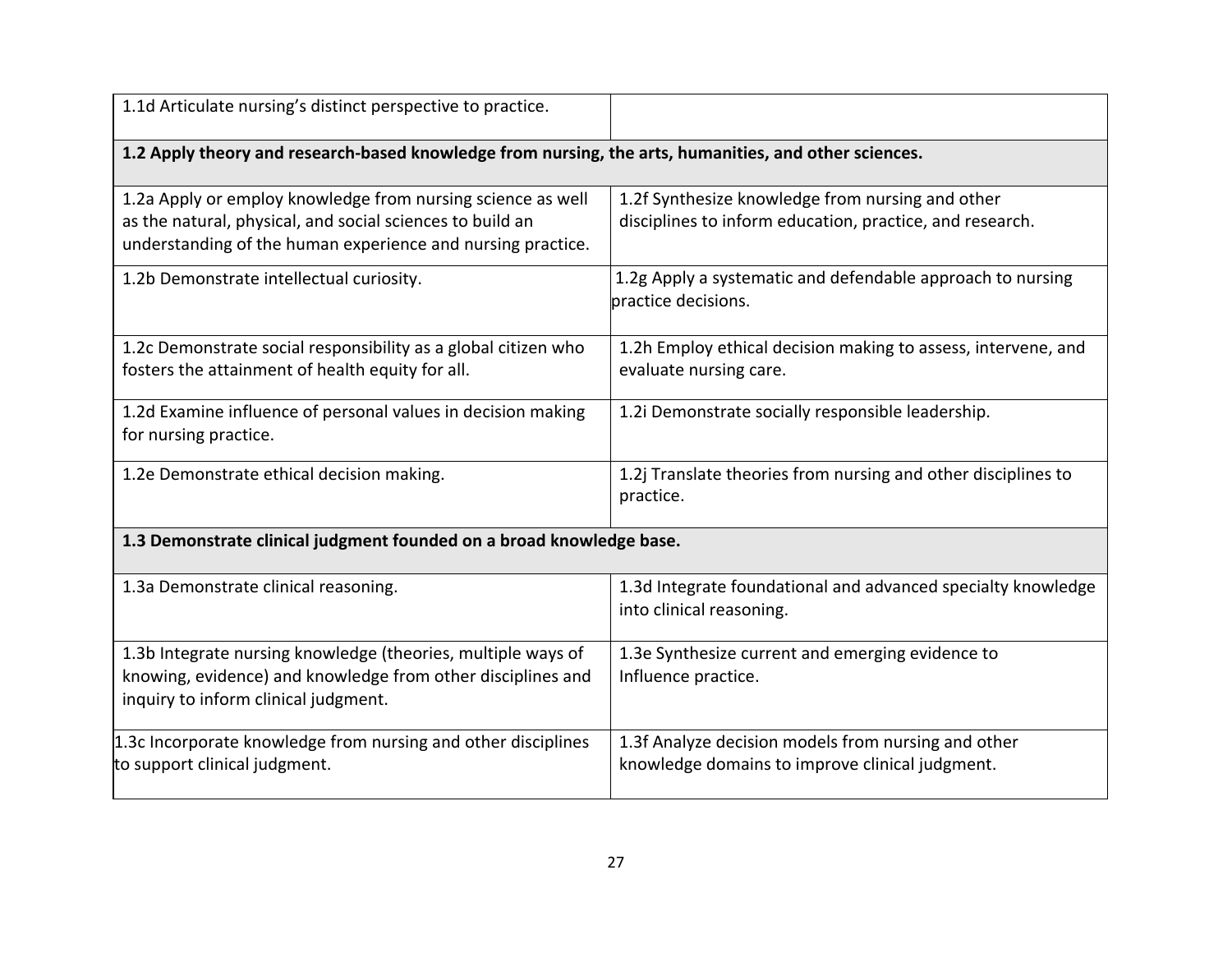| 1.1d Articulate nursing's distinct perspective to practice.                                                                                                                             |                                                                                                              |
|-----------------------------------------------------------------------------------------------------------------------------------------------------------------------------------------|--------------------------------------------------------------------------------------------------------------|
| 1.2 Apply theory and research-based knowledge from nursing, the arts, humanities, and other sciences.                                                                                   |                                                                                                              |
| 1.2a Apply or employ knowledge from nursing science as well<br>as the natural, physical, and social sciences to build an<br>understanding of the human experience and nursing practice. | 1.2f Synthesize knowledge from nursing and other<br>disciplines to inform education, practice, and research. |
| 1.2b Demonstrate intellectual curiosity.                                                                                                                                                | 1.2g Apply a systematic and defendable approach to nursing<br>practice decisions.                            |
| 1.2c Demonstrate social responsibility as a global citizen who<br>fosters the attainment of health equity for all.                                                                      | 1.2h Employ ethical decision making to assess, intervene, and<br>evaluate nursing care.                      |
| 1.2d Examine influence of personal values in decision making<br>for nursing practice.                                                                                                   | 1.2i Demonstrate socially responsible leadership.                                                            |
| 1.2e Demonstrate ethical decision making.                                                                                                                                               | 1.2j Translate theories from nursing and other disciplines to<br>practice.                                   |
| 1.3 Demonstrate clinical judgment founded on a broad knowledge base.                                                                                                                    |                                                                                                              |
| 1.3a Demonstrate clinical reasoning.                                                                                                                                                    | 1.3d Integrate foundational and advanced specialty knowledge<br>into clinical reasoning.                     |
| 1.3b Integrate nursing knowledge (theories, multiple ways of<br>knowing, evidence) and knowledge from other disciplines and<br>inquiry to inform clinical judgment.                     | 1.3e Synthesize current and emerging evidence to<br>Influence practice.                                      |
| 1.3c Incorporate knowledge from nursing and other disciplines<br>to support clinical judgment.                                                                                          | 1.3f Analyze decision models from nursing and other<br>knowledge domains to improve clinical judgment.       |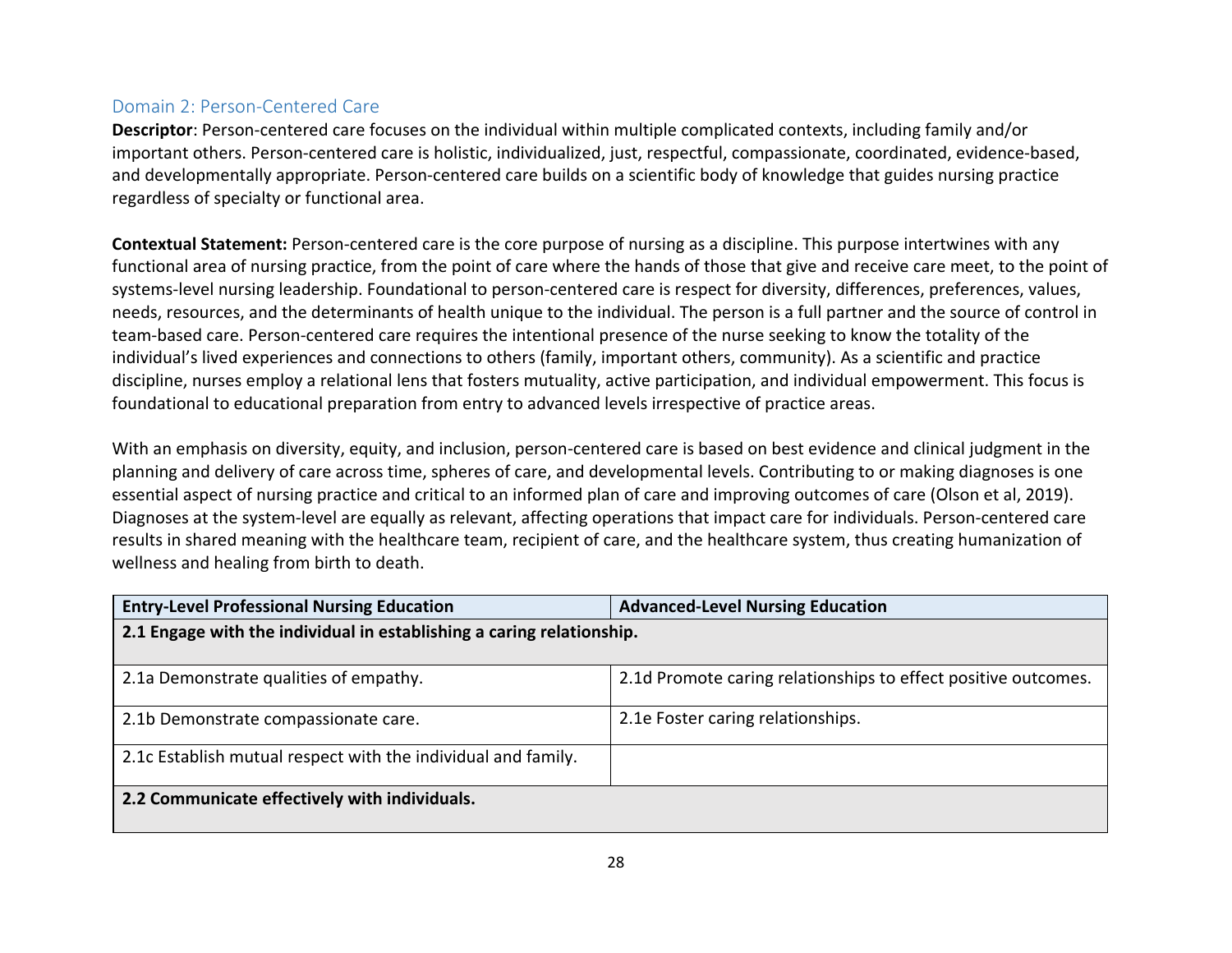#### Domain 2: Person-Centered Care

**Descriptor**: Person-centered care focuses on the individual within multiple complicated contexts, including family and/or important others. Person-centered care is holistic, individualized, just, respectful, compassionate, coordinated, evidence-based, and developmentally appropriate. Person-centered care builds on a scientific body of knowledge that guides nursing practice regardless of specialty or functional area.

**Contextual Statement:** Person-centered care is the core purpose of nursing as a discipline. This purpose intertwines with any functional area of nursing practice, from the point of care where the hands of those that give and receive care meet, to the point of systems-level nursing leadership. Foundational to person-centered care is respect for diversity, differences, preferences, values, needs, resources, and the determinants of health unique to the individual. The person is a full partner and the source of control in team-based care. Person-centered care requires the intentional presence of the nurse seeking to know the totality of the individual's lived experiences and connections to others (family, important others, community). As a scientific and practice discipline, nurses employ a relational lens that fosters mutuality, active participation, and individual empowerment. This focus is foundational to educational preparation from entry to advanced levels irrespective of practice areas.

With an emphasis on diversity, equity, and inclusion, person-centered care is based on best evidence and clinical judgment in the planning and delivery of care across time, spheres of care, and developmental levels. Contributing to or making diagnoses is one essential aspect of nursing practice and critical to an informed plan of care and improving outcomes of care (Olson et al, 2019). Diagnoses at the system-level are equally as relevant, affecting operations that impact care for individuals. Person-centered care results in shared meaning with the healthcare team, recipient of care, and the healthcare system, thus creating humanization of wellness and healing from birth to death.

| <b>Entry-Level Professional Nursing Education</b>                     | <b>Advanced-Level Nursing Education</b>                        |
|-----------------------------------------------------------------------|----------------------------------------------------------------|
| 2.1 Engage with the individual in establishing a caring relationship. |                                                                |
|                                                                       |                                                                |
| 2.1a Demonstrate qualities of empathy.                                | 2.1d Promote caring relationships to effect positive outcomes. |
| 2.1b Demonstrate compassionate care.                                  | 2.1e Foster caring relationships.                              |
| 2.1c Establish mutual respect with the individual and family.         |                                                                |
| 2.2 Communicate effectively with individuals.                         |                                                                |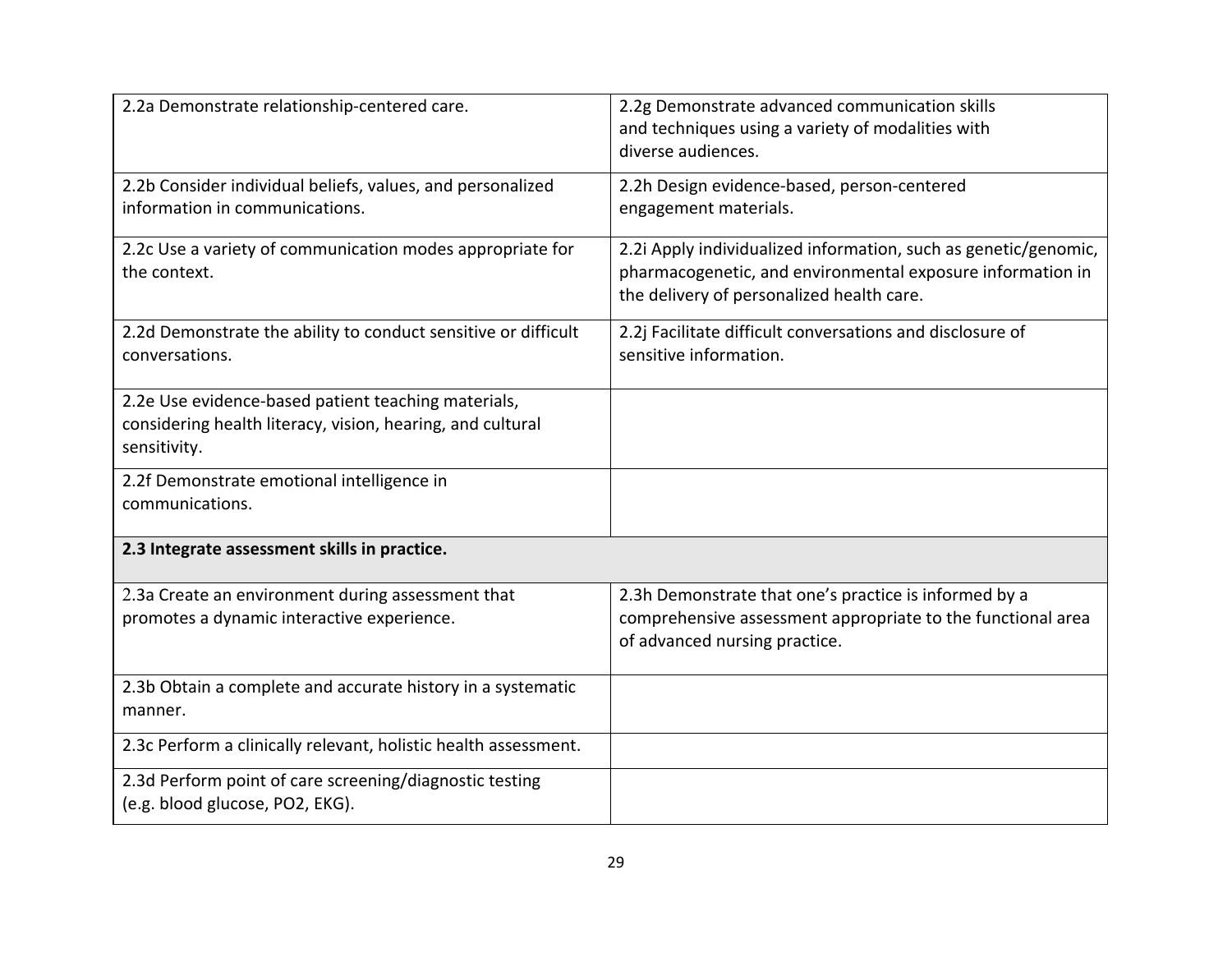| 2.2a Demonstrate relationship-centered care.                                                                                      | 2.2g Demonstrate advanced communication skills<br>and techniques using a variety of modalities with<br>diverse audiences.                                                  |
|-----------------------------------------------------------------------------------------------------------------------------------|----------------------------------------------------------------------------------------------------------------------------------------------------------------------------|
| 2.2b Consider individual beliefs, values, and personalized<br>information in communications.                                      | 2.2h Design evidence-based, person-centered<br>engagement materials.                                                                                                       |
| 2.2c Use a variety of communication modes appropriate for<br>the context.                                                         | 2.2i Apply individualized information, such as genetic/genomic,<br>pharmacogenetic, and environmental exposure information in<br>the delivery of personalized health care. |
| 2.2d Demonstrate the ability to conduct sensitive or difficult<br>conversations.                                                  | 2.2j Facilitate difficult conversations and disclosure of<br>sensitive information.                                                                                        |
| 2.2e Use evidence-based patient teaching materials,<br>considering health literacy, vision, hearing, and cultural<br>sensitivity. |                                                                                                                                                                            |
| 2.2f Demonstrate emotional intelligence in<br>communications.                                                                     |                                                                                                                                                                            |
| 2.3 Integrate assessment skills in practice.                                                                                      |                                                                                                                                                                            |
| 2.3a Create an environment during assessment that<br>promotes a dynamic interactive experience.                                   | 2.3h Demonstrate that one's practice is informed by a<br>comprehensive assessment appropriate to the functional area<br>of advanced nursing practice.                      |
| 2.3b Obtain a complete and accurate history in a systematic<br>manner.                                                            |                                                                                                                                                                            |
| 2.3c Perform a clinically relevant, holistic health assessment.                                                                   |                                                                                                                                                                            |
| 2.3d Perform point of care screening/diagnostic testing<br>(e.g. blood glucose, PO2, EKG).                                        |                                                                                                                                                                            |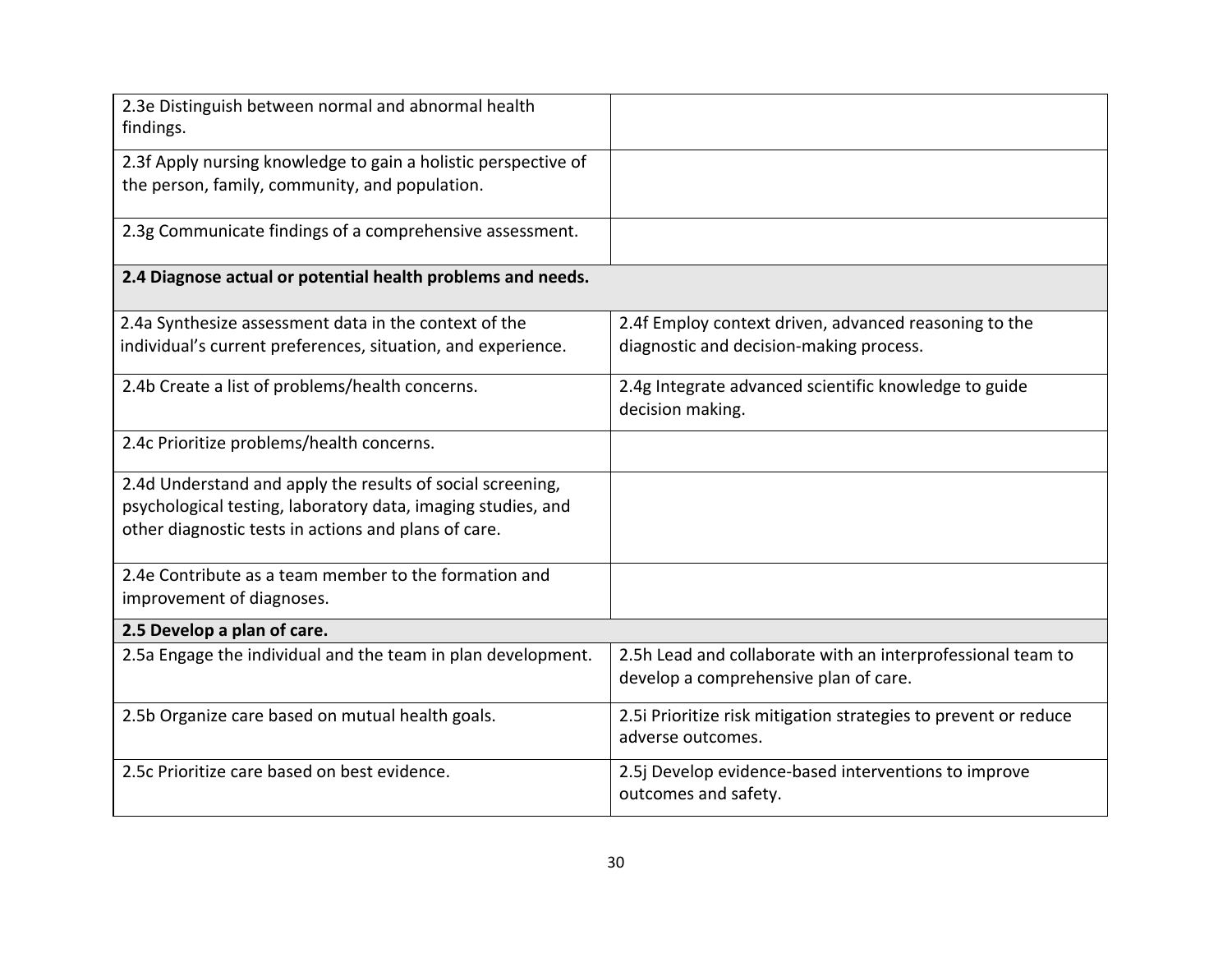| 2.3e Distinguish between normal and abnormal health<br>findings.                                                                                                                   |                                                                                                      |
|------------------------------------------------------------------------------------------------------------------------------------------------------------------------------------|------------------------------------------------------------------------------------------------------|
| 2.3f Apply nursing knowledge to gain a holistic perspective of<br>the person, family, community, and population.                                                                   |                                                                                                      |
| 2.3g Communicate findings of a comprehensive assessment.                                                                                                                           |                                                                                                      |
| 2.4 Diagnose actual or potential health problems and needs.                                                                                                                        |                                                                                                      |
| 2.4a Synthesize assessment data in the context of the                                                                                                                              | 2.4f Employ context driven, advanced reasoning to the                                                |
| individual's current preferences, situation, and experience.                                                                                                                       | diagnostic and decision-making process.                                                              |
| 2.4b Create a list of problems/health concerns.                                                                                                                                    | 2.4g Integrate advanced scientific knowledge to guide<br>decision making.                            |
| 2.4c Prioritize problems/health concerns.                                                                                                                                          |                                                                                                      |
| 2.4d Understand and apply the results of social screening,<br>psychological testing, laboratory data, imaging studies, and<br>other diagnostic tests in actions and plans of care. |                                                                                                      |
| 2.4e Contribute as a team member to the formation and<br>improvement of diagnoses.                                                                                                 |                                                                                                      |
| 2.5 Develop a plan of care.                                                                                                                                                        |                                                                                                      |
| 2.5a Engage the individual and the team in plan development.                                                                                                                       | 2.5h Lead and collaborate with an interprofessional team to<br>develop a comprehensive plan of care. |
| 2.5b Organize care based on mutual health goals.                                                                                                                                   | 2.5i Prioritize risk mitigation strategies to prevent or reduce<br>adverse outcomes.                 |
| 2.5c Prioritize care based on best evidence.                                                                                                                                       | 2.5j Develop evidence-based interventions to improve<br>outcomes and safety.                         |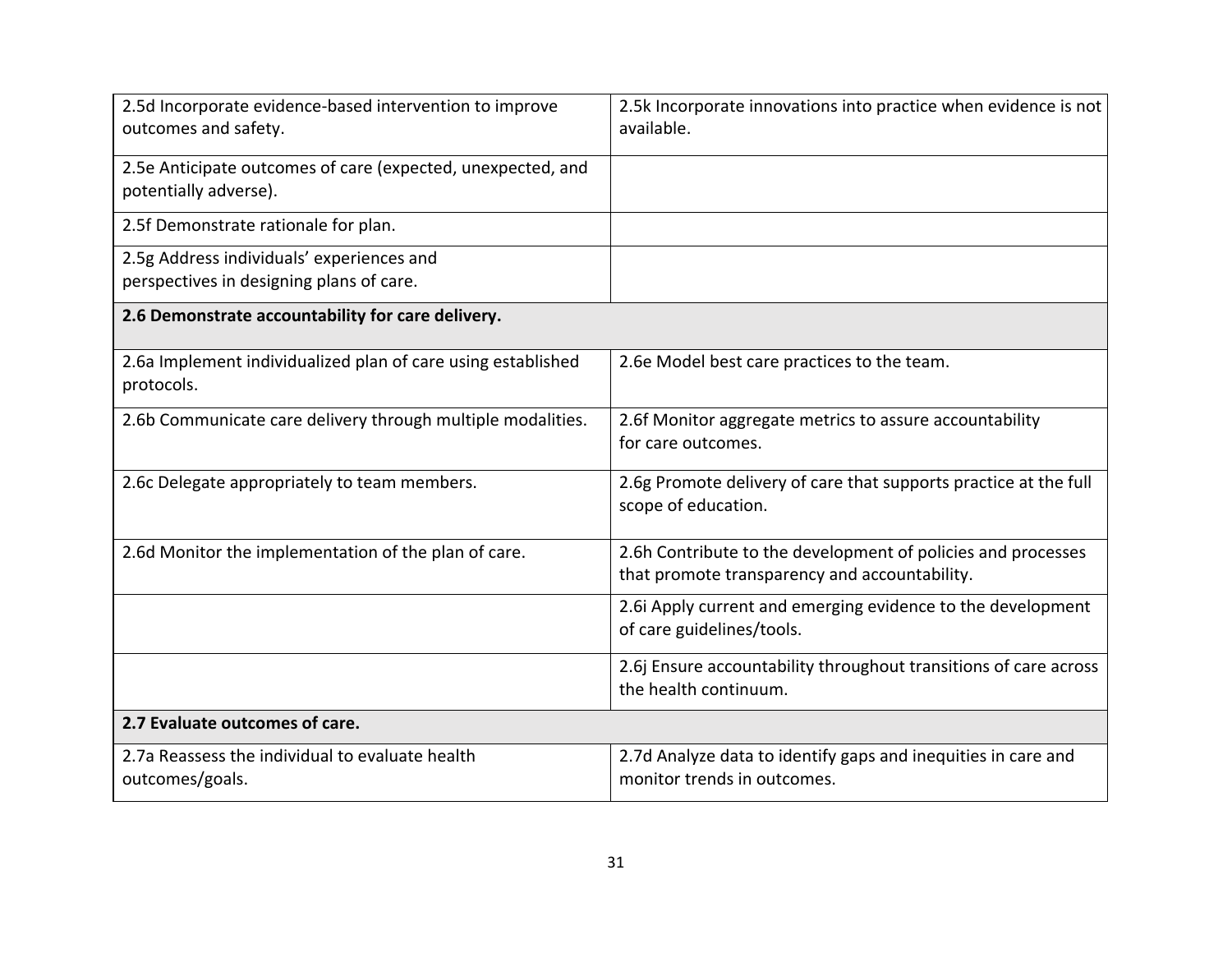| 2.5d Incorporate evidence-based intervention to improve<br>outcomes and safety.       | 2.5k Incorporate innovations into practice when evidence is not<br>available.                                 |
|---------------------------------------------------------------------------------------|---------------------------------------------------------------------------------------------------------------|
| 2.5e Anticipate outcomes of care (expected, unexpected, and<br>potentially adverse).  |                                                                                                               |
| 2.5f Demonstrate rationale for plan.                                                  |                                                                                                               |
| 2.5g Address individuals' experiences and<br>perspectives in designing plans of care. |                                                                                                               |
| 2.6 Demonstrate accountability for care delivery.                                     |                                                                                                               |
| 2.6a Implement individualized plan of care using established<br>protocols.            | 2.6e Model best care practices to the team.                                                                   |
| 2.6b Communicate care delivery through multiple modalities.                           | 2.6f Monitor aggregate metrics to assure accountability<br>for care outcomes.                                 |
| 2.6c Delegate appropriately to team members.                                          | 2.6g Promote delivery of care that supports practice at the full<br>scope of education.                       |
| 2.6d Monitor the implementation of the plan of care.                                  | 2.6h Contribute to the development of policies and processes<br>that promote transparency and accountability. |
|                                                                                       | 2.6i Apply current and emerging evidence to the development<br>of care guidelines/tools.                      |
|                                                                                       | 2.6j Ensure accountability throughout transitions of care across<br>the health continuum.                     |
| 2.7 Evaluate outcomes of care.                                                        |                                                                                                               |
| 2.7a Reassess the individual to evaluate health<br>outcomes/goals.                    | 2.7d Analyze data to identify gaps and inequities in care and<br>monitor trends in outcomes.                  |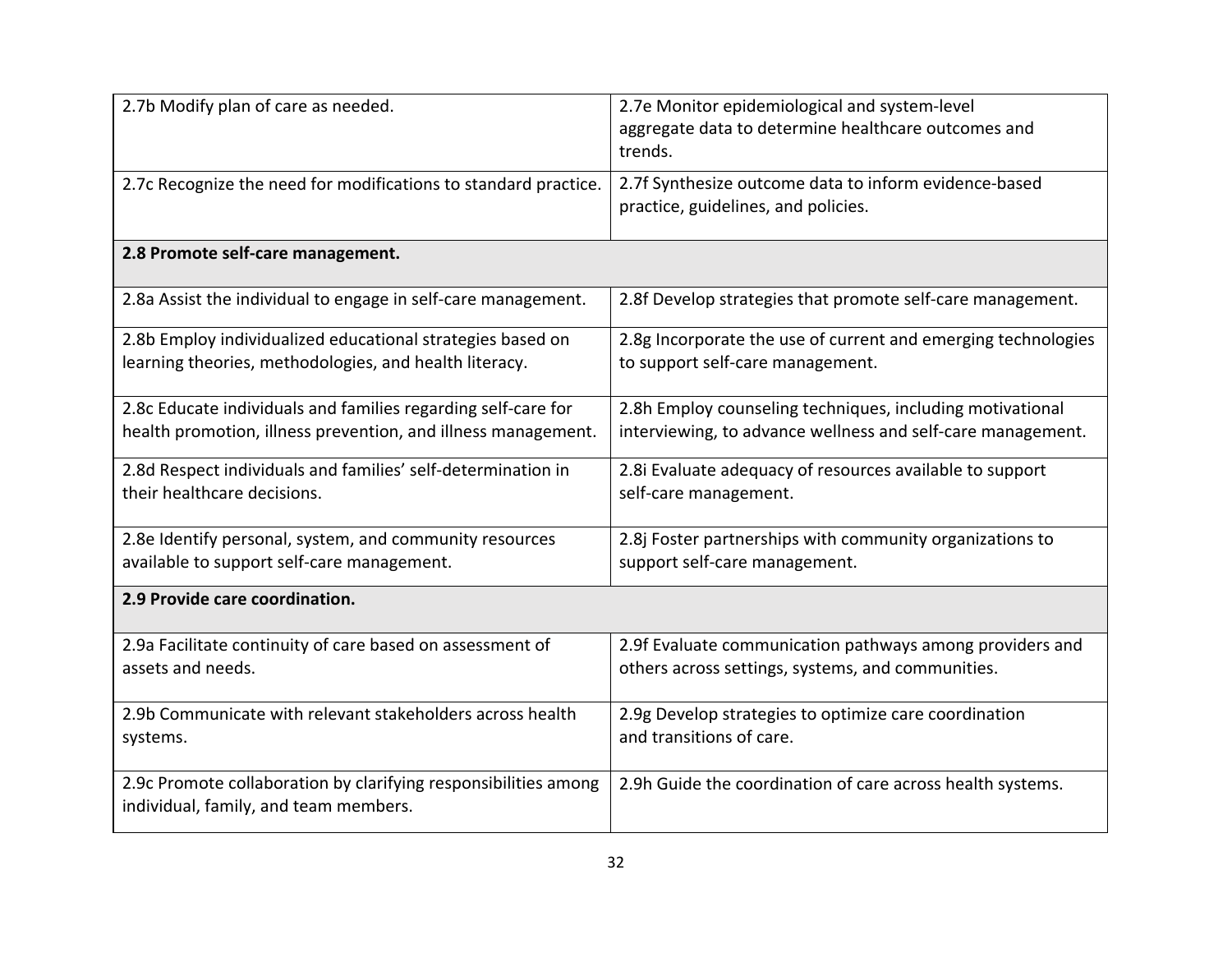| 2.7b Modify plan of care as needed.                                                                      | 2.7e Monitor epidemiological and system-level<br>aggregate data to determine healthcare outcomes and<br>trends. |
|----------------------------------------------------------------------------------------------------------|-----------------------------------------------------------------------------------------------------------------|
| 2.7c Recognize the need for modifications to standard practice.                                          | 2.7f Synthesize outcome data to inform evidence-based<br>practice, guidelines, and policies.                    |
| 2.8 Promote self-care management.                                                                        |                                                                                                                 |
| 2.8a Assist the individual to engage in self-care management.                                            | 2.8f Develop strategies that promote self-care management.                                                      |
| 2.8b Employ individualized educational strategies based on                                               | 2.8g Incorporate the use of current and emerging technologies                                                   |
| learning theories, methodologies, and health literacy.                                                   | to support self-care management.                                                                                |
| 2.8c Educate individuals and families regarding self-care for                                            | 2.8h Employ counseling techniques, including motivational                                                       |
| health promotion, illness prevention, and illness management.                                            | interviewing, to advance wellness and self-care management.                                                     |
| 2.8d Respect individuals and families' self-determination in                                             | 2.8i Evaluate adequacy of resources available to support                                                        |
| their healthcare decisions.                                                                              | self-care management.                                                                                           |
| 2.8e Identify personal, system, and community resources                                                  | 2.8j Foster partnerships with community organizations to                                                        |
| available to support self-care management.                                                               | support self-care management.                                                                                   |
| 2.9 Provide care coordination.                                                                           |                                                                                                                 |
| 2.9a Facilitate continuity of care based on assessment of                                                | 2.9f Evaluate communication pathways among providers and                                                        |
| assets and needs.                                                                                        | others across settings, systems, and communities.                                                               |
| 2.9b Communicate with relevant stakeholders across health                                                | 2.9g Develop strategies to optimize care coordination                                                           |
| systems.                                                                                                 | and transitions of care.                                                                                        |
| 2.9c Promote collaboration by clarifying responsibilities among<br>individual, family, and team members. | 2.9h Guide the coordination of care across health systems.                                                      |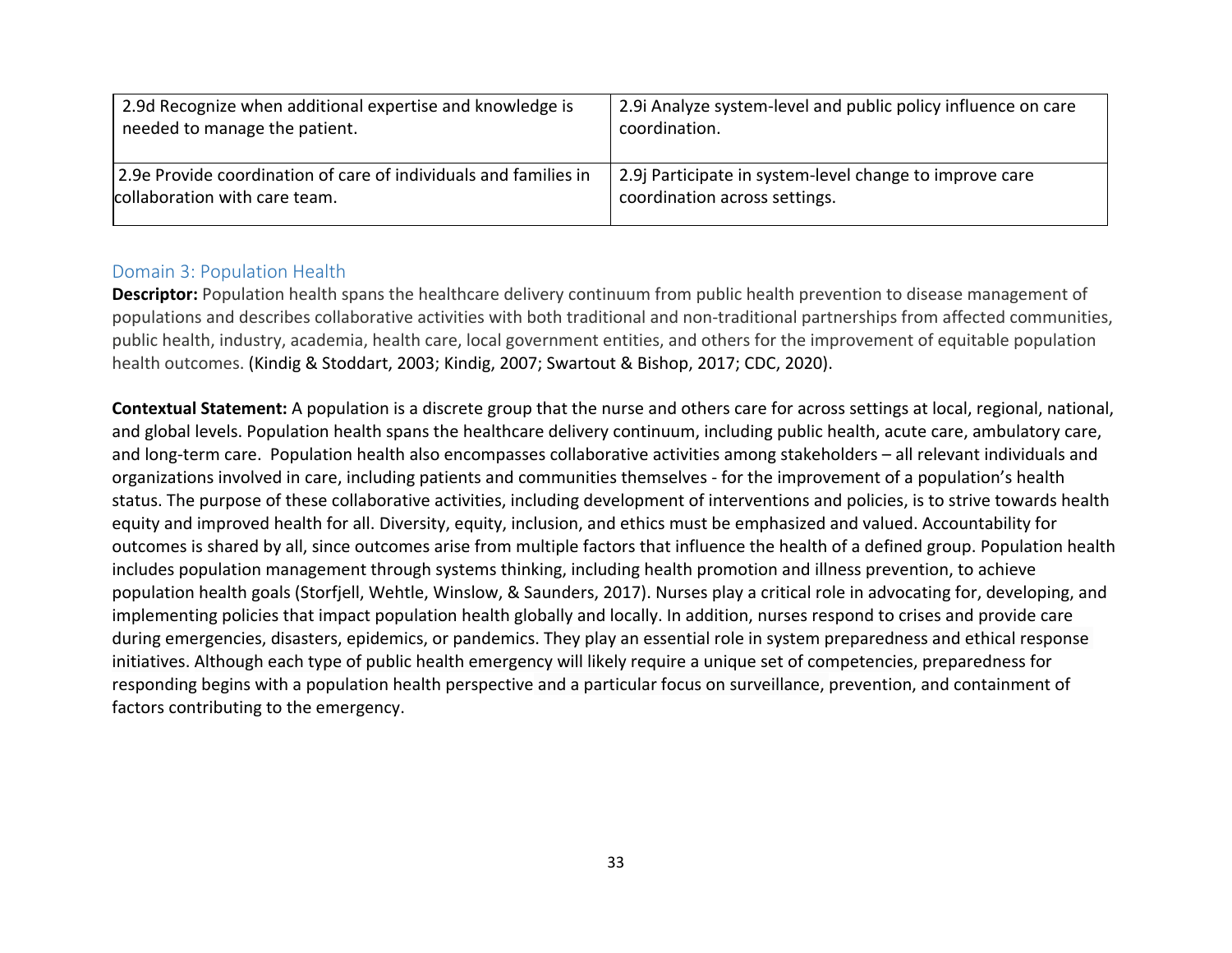| 2.9d Recognize when additional expertise and knowledge is        | 2.9 Analyze system-level and public policy influence on care |
|------------------------------------------------------------------|--------------------------------------------------------------|
| needed to manage the patient.                                    | coordination.                                                |
| 2.9e Provide coordination of care of individuals and families in | 2.9 Participate in system-level change to improve care       |
| collaboration with care team.                                    | coordination across settings.                                |

#### Domain 3: Population Health

**Descriptor:** Population health spans the healthcare delivery continuum from public health prevention to disease management of populations and describes collaborative activities with both traditional and non-traditional partnerships from affected communities, public health, industry, academia, health care, local government entities, and others for the improvement of equitable population health outcomes. (Kindig & Stoddart, 2003; Kindig, 2007; Swartout & Bishop, 2017; CDC, 2020).

**Contextual Statement:** A population is a discrete group that the nurse and others care for across settings at local, regional, national, and global levels. Population health spans the healthcare delivery continuum, including public health, acute care, ambulatory care, and long-term care. Population health also encompasses collaborative activities among stakeholders – all relevant individuals and organizations involved in care, including patients and communities themselves - for the improvement of a population's health status. The purpose of these collaborative activities, including development of interventions and policies, is to strive towards health equity and improved health for all. Diversity, equity, inclusion, and ethics must be emphasized and valued. Accountability for outcomes is shared by all, since outcomes arise from multiple factors that influence the health of a defined group. Population health includes population management through systems thinking, including health promotion and illness prevention, to achieve population health goals (Storfjell, Wehtle, Winslow, & Saunders, 2017). Nurses play a critical role in advocating for, developing, and implementing policies that impact population health globally and locally. In addition, nurses respond to crises and provide care during emergencies, disasters, epidemics, or pandemics. They play an essential role in system preparedness and ethical response initiatives. Although each type of public health emergency will likely require a unique set of competencies, preparedness for responding begins with a population health perspective and a particular focus on surveillance, prevention, and containment of factors contributing to the emergency.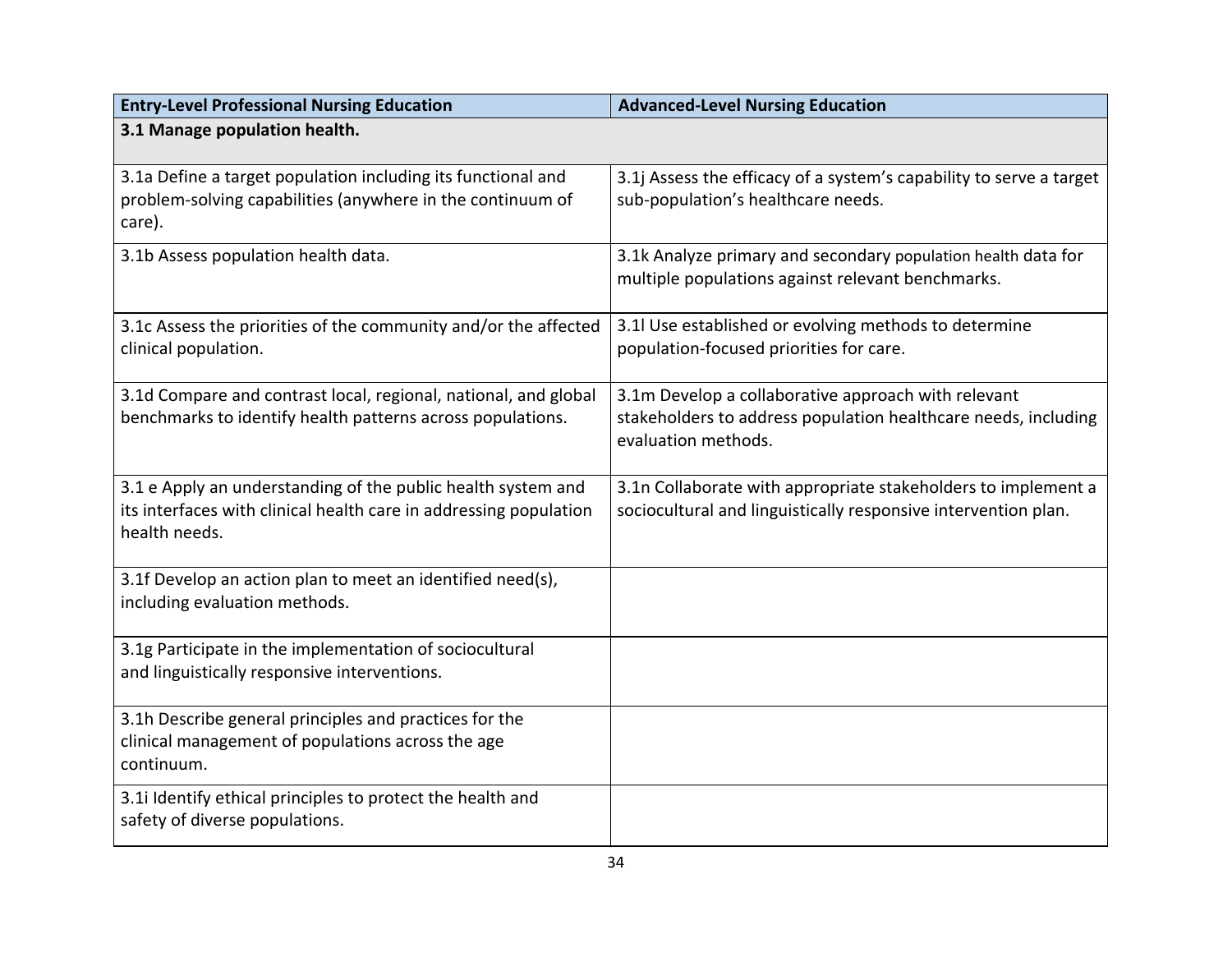| <b>Entry-Level Professional Nursing Education</b>                                                                                                  | <b>Advanced-Level Nursing Education</b>                                                                                                      |
|----------------------------------------------------------------------------------------------------------------------------------------------------|----------------------------------------------------------------------------------------------------------------------------------------------|
| 3.1 Manage population health.                                                                                                                      |                                                                                                                                              |
| 3.1a Define a target population including its functional and<br>problem-solving capabilities (anywhere in the continuum of<br>care).               | 3.1j Assess the efficacy of a system's capability to serve a target<br>sub-population's healthcare needs.                                    |
| 3.1b Assess population health data.                                                                                                                | 3.1k Analyze primary and secondary population health data for<br>multiple populations against relevant benchmarks.                           |
| 3.1c Assess the priorities of the community and/or the affected<br>clinical population.                                                            | 3.1l Use established or evolving methods to determine<br>population-focused priorities for care.                                             |
| 3.1d Compare and contrast local, regional, national, and global<br>benchmarks to identify health patterns across populations.                      | 3.1m Develop a collaborative approach with relevant<br>stakeholders to address population healthcare needs, including<br>evaluation methods. |
| 3.1 e Apply an understanding of the public health system and<br>its interfaces with clinical health care in addressing population<br>health needs. | 3.1n Collaborate with appropriate stakeholders to implement a<br>sociocultural and linguistically responsive intervention plan.              |
| 3.1f Develop an action plan to meet an identified need(s),<br>including evaluation methods.                                                        |                                                                                                                                              |
| 3.1g Participate in the implementation of sociocultural<br>and linguistically responsive interventions.                                            |                                                                                                                                              |
| 3.1h Describe general principles and practices for the<br>clinical management of populations across the age<br>continuum.                          |                                                                                                                                              |
| 3.1i Identify ethical principles to protect the health and<br>safety of diverse populations.                                                       |                                                                                                                                              |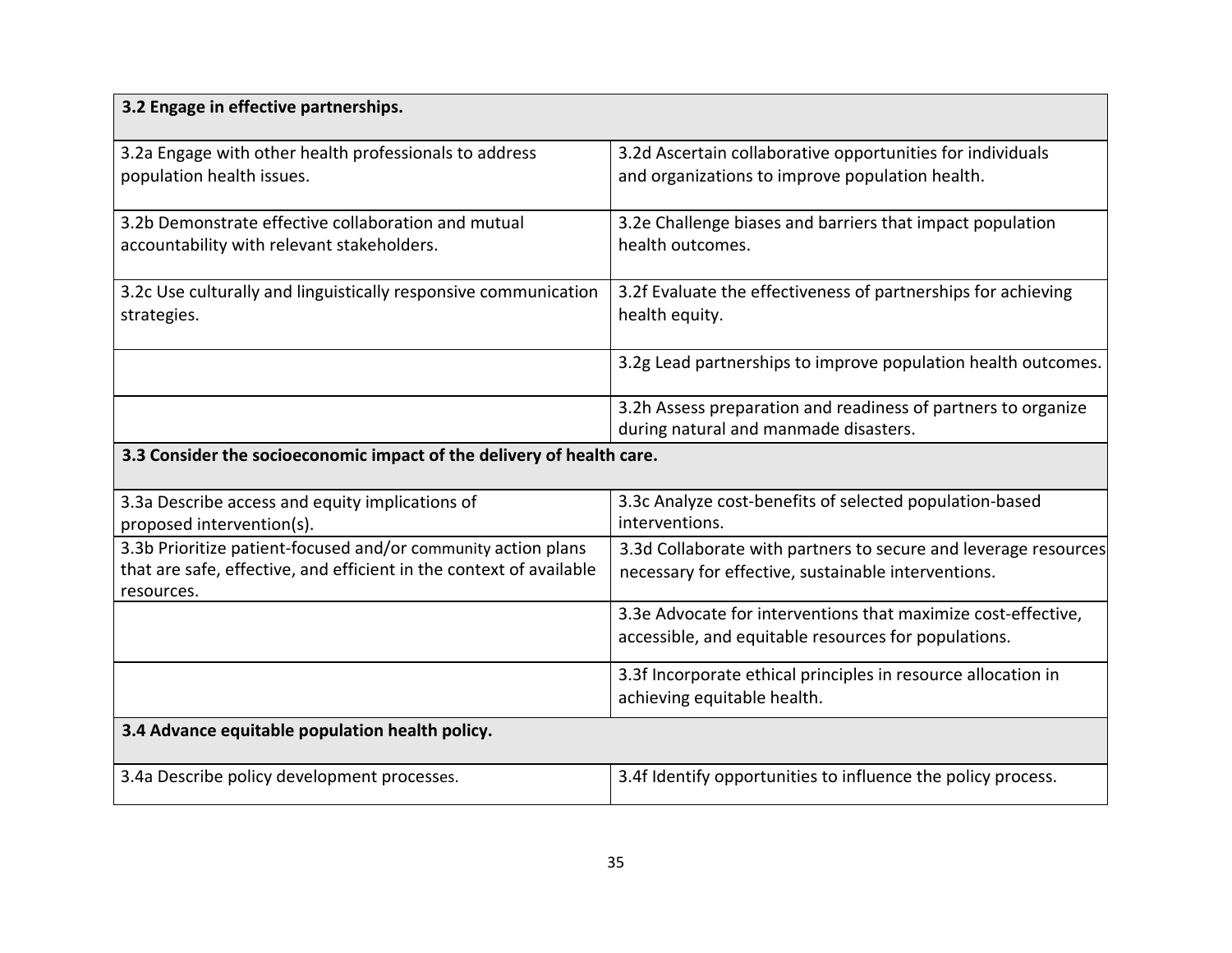| 3.2 Engage in effective partnerships.                                                                                                              |                                                                                                                        |
|----------------------------------------------------------------------------------------------------------------------------------------------------|------------------------------------------------------------------------------------------------------------------------|
| 3.2a Engage with other health professionals to address<br>population health issues.                                                                | 3.2d Ascertain collaborative opportunities for individuals<br>and organizations to improve population health.          |
| 3.2b Demonstrate effective collaboration and mutual<br>accountability with relevant stakeholders.                                                  | 3.2e Challenge biases and barriers that impact population<br>health outcomes.                                          |
| 3.2c Use culturally and linguistically responsive communication<br>strategies.                                                                     | 3.2f Evaluate the effectiveness of partnerships for achieving<br>health equity.                                        |
|                                                                                                                                                    | 3.2g Lead partnerships to improve population health outcomes.                                                          |
|                                                                                                                                                    | 3.2h Assess preparation and readiness of partners to organize<br>during natural and manmade disasters.                 |
| 3.3 Consider the socioeconomic impact of the delivery of health care.                                                                              |                                                                                                                        |
| 3.3a Describe access and equity implications of<br>proposed intervention(s).                                                                       | 3.3c Analyze cost-benefits of selected population-based<br>interventions.                                              |
| 3.3b Prioritize patient-focused and/or community action plans<br>that are safe, effective, and efficient in the context of available<br>resources. | 3.3d Collaborate with partners to secure and leverage resources<br>necessary for effective, sustainable interventions. |
|                                                                                                                                                    | 3.3e Advocate for interventions that maximize cost-effective,<br>accessible, and equitable resources for populations.  |
|                                                                                                                                                    | 3.3f Incorporate ethical principles in resource allocation in<br>achieving equitable health.                           |
| 3.4 Advance equitable population health policy.                                                                                                    |                                                                                                                        |
| 3.4a Describe policy development processes.                                                                                                        | 3.4f Identify opportunities to influence the policy process.                                                           |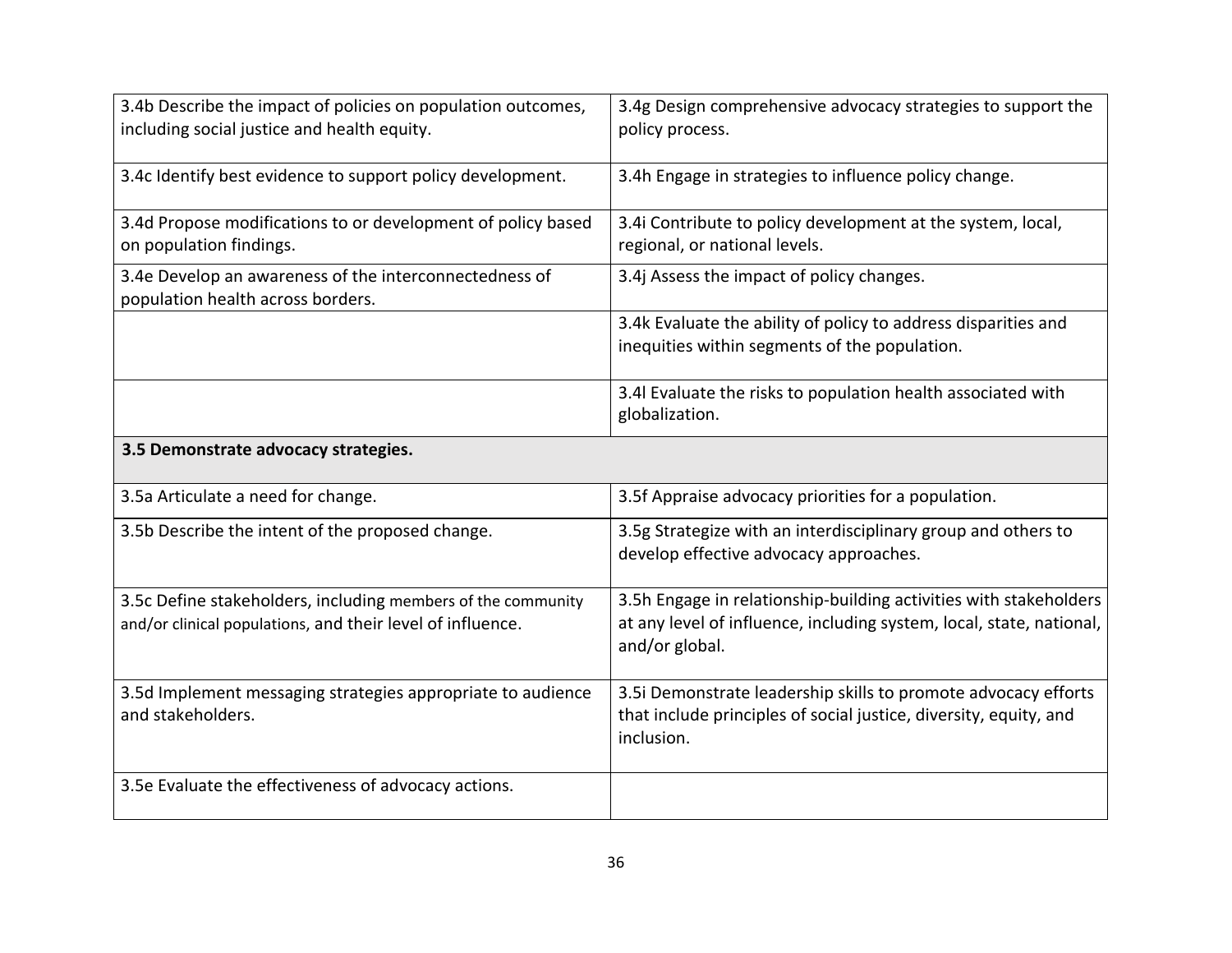| 3.4b Describe the impact of policies on population outcomes,<br>including social justice and health equity.                | 3.4g Design comprehensive advocacy strategies to support the<br>policy process.                                                                             |
|----------------------------------------------------------------------------------------------------------------------------|-------------------------------------------------------------------------------------------------------------------------------------------------------------|
| 3.4c Identify best evidence to support policy development.                                                                 | 3.4h Engage in strategies to influence policy change.                                                                                                       |
| 3.4d Propose modifications to or development of policy based<br>on population findings.                                    | 3.4i Contribute to policy development at the system, local,<br>regional, or national levels.                                                                |
| 3.4e Develop an awareness of the interconnectedness of<br>population health across borders.                                | 3.4j Assess the impact of policy changes.                                                                                                                   |
|                                                                                                                            | 3.4k Evaluate the ability of policy to address disparities and<br>inequities within segments of the population.                                             |
|                                                                                                                            | 3.4l Evaluate the risks to population health associated with<br>globalization.                                                                              |
| 3.5 Demonstrate advocacy strategies.                                                                                       |                                                                                                                                                             |
| 3.5a Articulate a need for change.                                                                                         | 3.5f Appraise advocacy priorities for a population.                                                                                                         |
| 3.5b Describe the intent of the proposed change.                                                                           | 3.5g Strategize with an interdisciplinary group and others to<br>develop effective advocacy approaches.                                                     |
| 3.5c Define stakeholders, including members of the community<br>and/or clinical populations, and their level of influence. | 3.5h Engage in relationship-building activities with stakeholders<br>at any level of influence, including system, local, state, national,<br>and/or global. |
| 3.5d Implement messaging strategies appropriate to audience<br>and stakeholders.                                           | 3.5i Demonstrate leadership skills to promote advocacy efforts<br>that include principles of social justice, diversity, equity, and<br>inclusion.           |
| 3.5e Evaluate the effectiveness of advocacy actions.                                                                       |                                                                                                                                                             |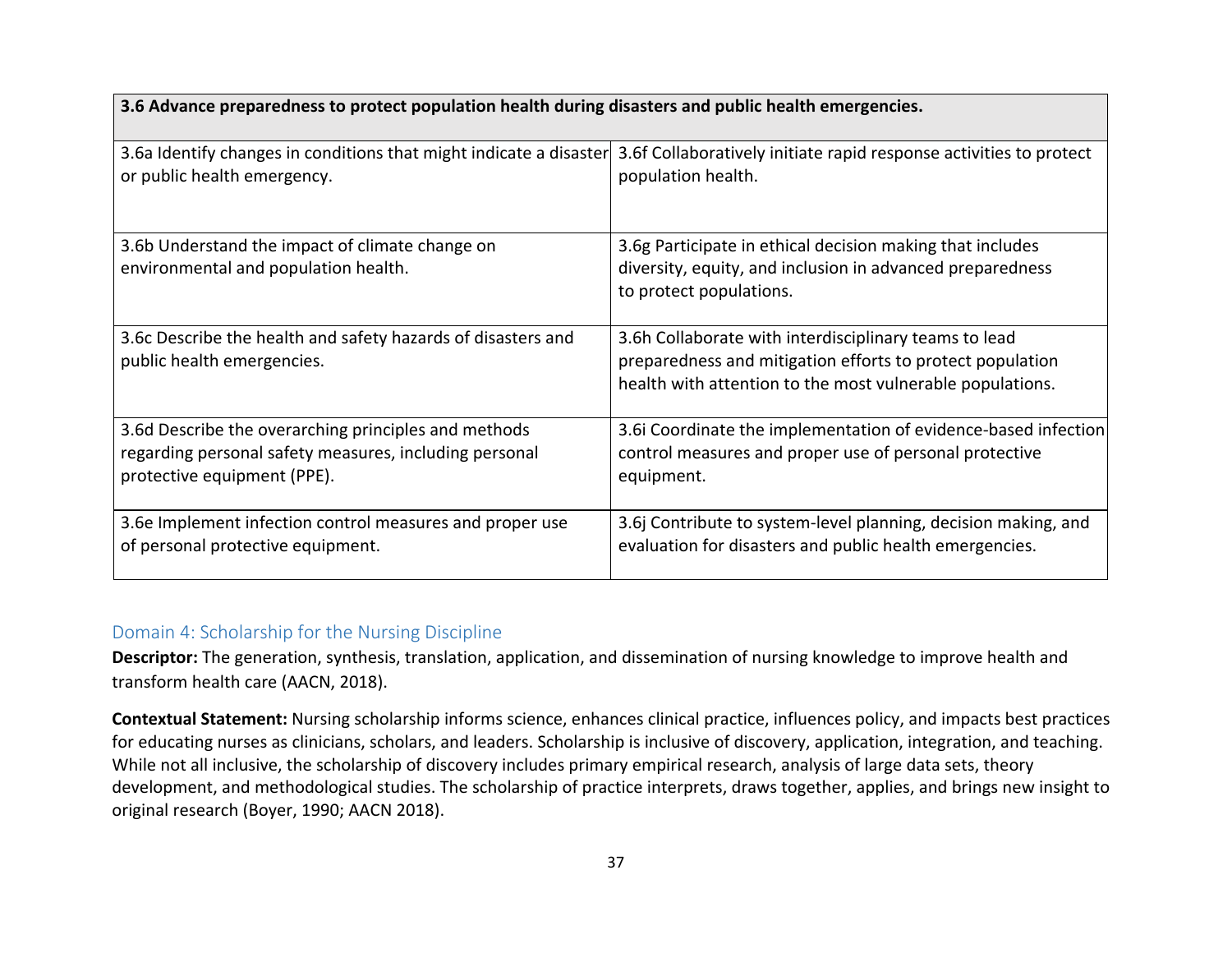| 3.6 Advance preparedness to protect population health during disasters and public health emergencies. |                                                                                                                                                                                 |
|-------------------------------------------------------------------------------------------------------|---------------------------------------------------------------------------------------------------------------------------------------------------------------------------------|
| 3.6a Identify changes in conditions that might indicate a disaster                                    | 3.6f Collaboratively initiate rapid response activities to protect                                                                                                              |
| or public health emergency.                                                                           | population health.                                                                                                                                                              |
| 3.6b Understand the impact of climate change on<br>environmental and population health.               | 3.6g Participate in ethical decision making that includes<br>diversity, equity, and inclusion in advanced preparedness<br>to protect populations.                               |
| 3.6c Describe the health and safety hazards of disasters and<br>public health emergencies.            | 3.6h Collaborate with interdisciplinary teams to lead<br>preparedness and mitigation efforts to protect population<br>health with attention to the most vulnerable populations. |
| 3.6d Describe the overarching principles and methods                                                  | 3.6i Coordinate the implementation of evidence-based infection                                                                                                                  |
| regarding personal safety measures, including personal                                                | control measures and proper use of personal protective                                                                                                                          |
| protective equipment (PPE).                                                                           | equipment.                                                                                                                                                                      |
| 3.6e Implement infection control measures and proper use                                              | 3.6j Contribute to system-level planning, decision making, and                                                                                                                  |
| of personal protective equipment.                                                                     | evaluation for disasters and public health emergencies.                                                                                                                         |

## Domain 4: Scholarship for the Nursing Discipline

**Descriptor:** The generation, synthesis, translation, application, and dissemination of nursing knowledge to improve health and transform health care (AACN, 2018).

**Contextual Statement:** Nursing scholarship informs science, enhances clinical practice, influences policy, and impacts best practices for educating nurses as clinicians, scholars, and leaders. Scholarship is inclusive of discovery, application, integration, and teaching. While not all inclusive, the scholarship of discovery includes primary empirical research, analysis of large data sets, theory development, and methodological studies. The scholarship of practice interprets, draws together, applies, and brings new insight to original research (Boyer, 1990; AACN 2018).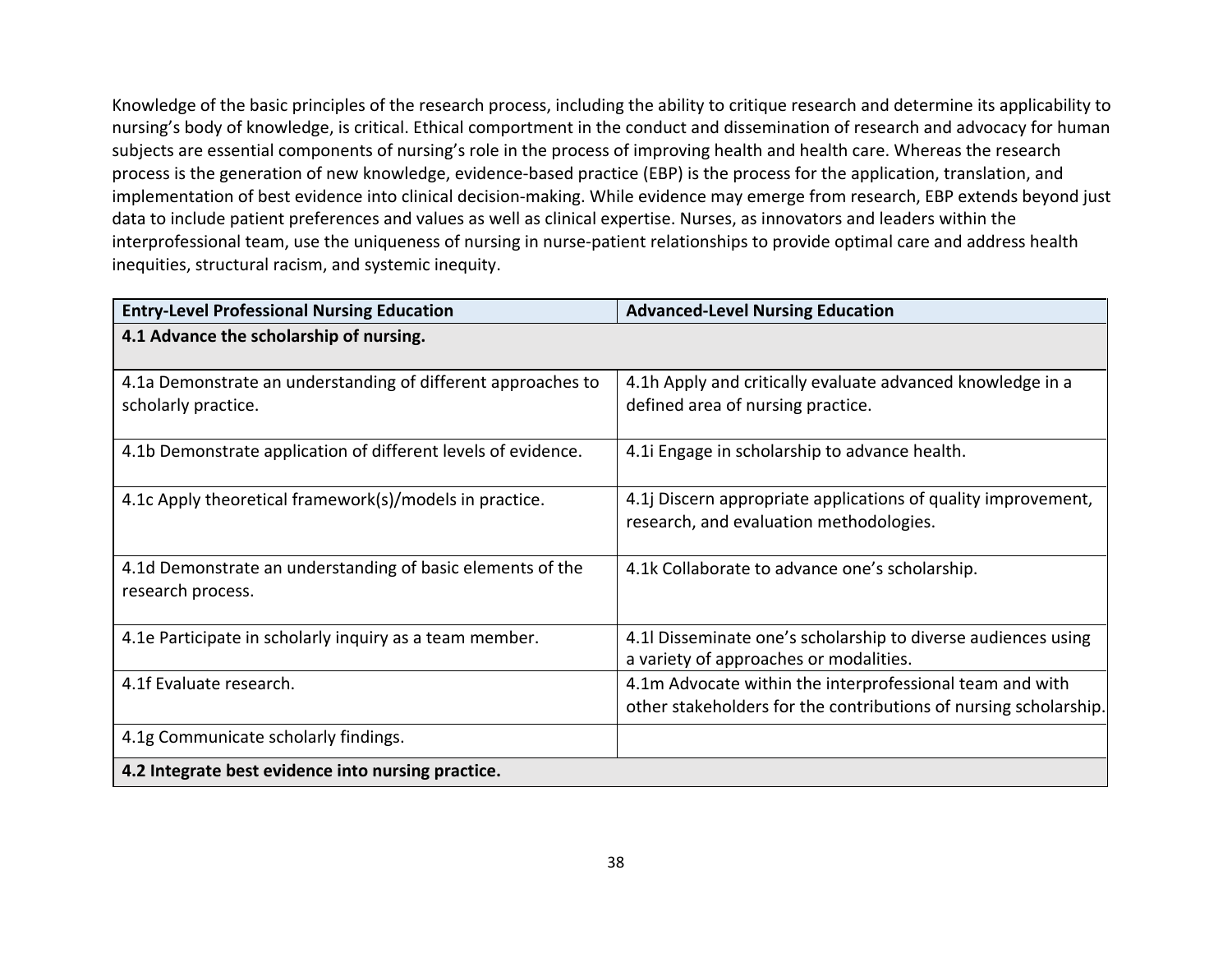Knowledge of the basic principles of the research process, including the ability to critique research and determine its applicability to nursing's body of knowledge, is critical. Ethical comportment in the conduct and dissemination of research and advocacy for human subjects are essential components of nursing's role in the process of improving health and health care. Whereas the research process is the generation of new knowledge, evidence-based practice (EBP) is the process for the application, translation, and implementation of best evidence into clinical decision-making. While evidence may emerge from research, EBP extends beyond just data to include patient preferences and values as well as clinical expertise. Nurses, as innovators and leaders within the interprofessional team, use the uniqueness of nursing in nurse-patient relationships to provide optimal care and address health inequities, structural racism, and systemic inequity.

| <b>Entry-Level Professional Nursing Education</b>             | <b>Advanced-Level Nursing Education</b>                          |
|---------------------------------------------------------------|------------------------------------------------------------------|
| 4.1 Advance the scholarship of nursing.                       |                                                                  |
|                                                               |                                                                  |
| 4.1a Demonstrate an understanding of different approaches to  | 4.1h Apply and critically evaluate advanced knowledge in a       |
| scholarly practice.                                           | defined area of nursing practice.                                |
| 4.1b Demonstrate application of different levels of evidence. | 4.1 Engage in scholarship to advance health.                     |
|                                                               |                                                                  |
| 4.1c Apply theoretical framework(s)/models in practice.       | 4.1j Discern appropriate applications of quality improvement,    |
|                                                               | research, and evaluation methodologies.                          |
|                                                               |                                                                  |
| 4.1d Demonstrate an understanding of basic elements of the    | 4.1k Collaborate to advance one's scholarship.                   |
| research process.                                             |                                                                  |
|                                                               |                                                                  |
| 4.1e Participate in scholarly inquiry as a team member.       | 4.1l Disseminate one's scholarship to diverse audiences using    |
|                                                               | a variety of approaches or modalities.                           |
| 4.1f Evaluate research.                                       | 4.1m Advocate within the interprofessional team and with         |
|                                                               | other stakeholders for the contributions of nursing scholarship. |
| 4.1g Communicate scholarly findings.                          |                                                                  |
| 4.2 Integrate best evidence into nursing practice.            |                                                                  |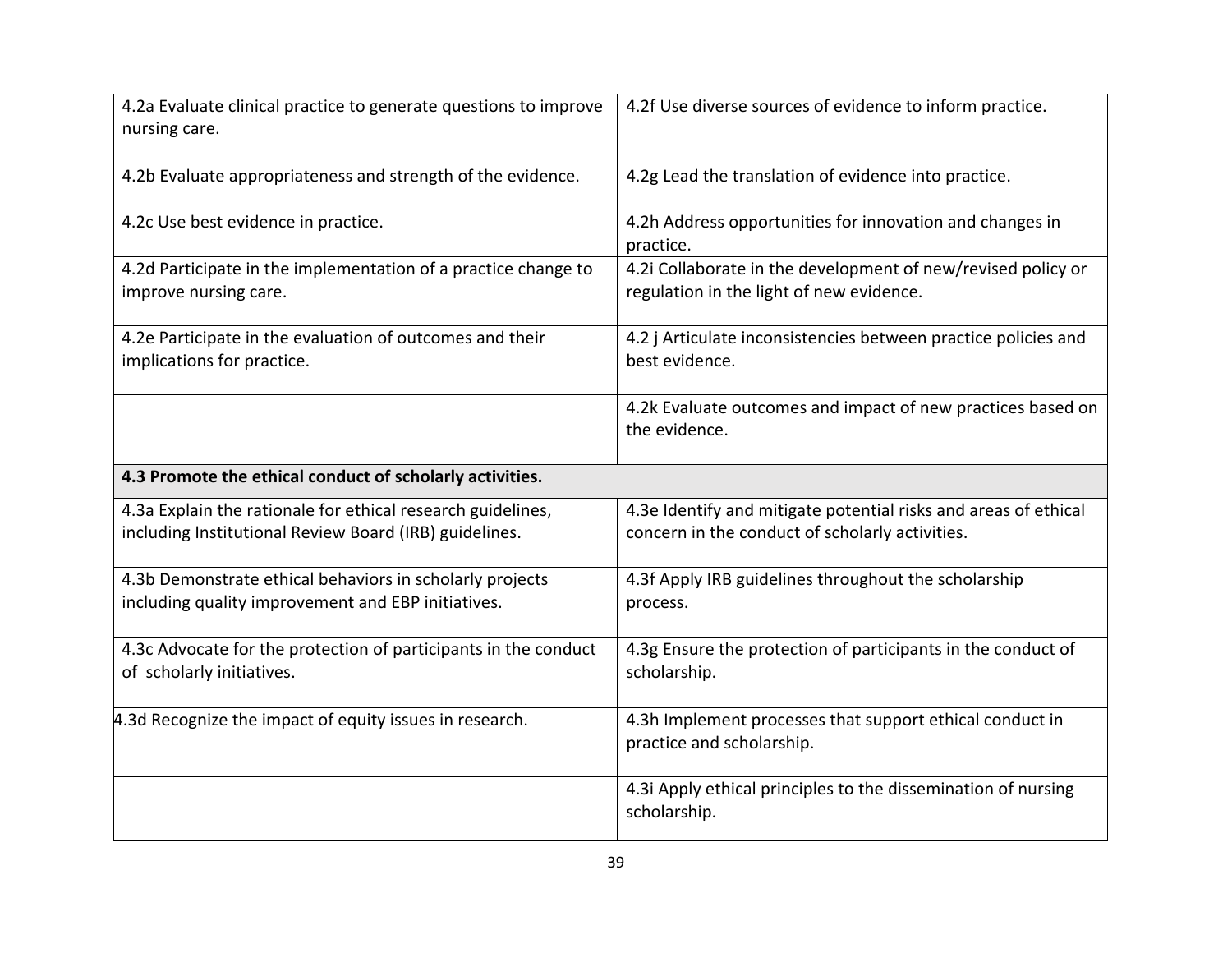| 4.2a Evaluate clinical practice to generate questions to improve<br>nursing care.                                     | 4.2f Use diverse sources of evidence to inform practice.                                                           |
|-----------------------------------------------------------------------------------------------------------------------|--------------------------------------------------------------------------------------------------------------------|
| 4.2b Evaluate appropriateness and strength of the evidence.                                                           | 4.2g Lead the translation of evidence into practice.                                                               |
| 4.2c Use best evidence in practice.                                                                                   | 4.2h Address opportunities for innovation and changes in<br>practice.                                              |
| 4.2d Participate in the implementation of a practice change to<br>improve nursing care.                               | 4.2i Collaborate in the development of new/revised policy or<br>regulation in the light of new evidence.           |
| 4.2e Participate in the evaluation of outcomes and their<br>implications for practice.                                | 4.2 j Articulate inconsistencies between practice policies and<br>best evidence.                                   |
|                                                                                                                       | 4.2k Evaluate outcomes and impact of new practices based on<br>the evidence.                                       |
| 4.3 Promote the ethical conduct of scholarly activities.                                                              |                                                                                                                    |
| 4.3a Explain the rationale for ethical research guidelines,<br>including Institutional Review Board (IRB) guidelines. | 4.3e Identify and mitigate potential risks and areas of ethical<br>concern in the conduct of scholarly activities. |
| 4.3b Demonstrate ethical behaviors in scholarly projects<br>including quality improvement and EBP initiatives.        | 4.3f Apply IRB guidelines throughout the scholarship<br>process.                                                   |
| 4.3c Advocate for the protection of participants in the conduct<br>of scholarly initiatives.                          | 4.3g Ensure the protection of participants in the conduct of<br>scholarship.                                       |
| 4.3d Recognize the impact of equity issues in research.                                                               | 4.3h Implement processes that support ethical conduct in<br>practice and scholarship.                              |
|                                                                                                                       | 4.3i Apply ethical principles to the dissemination of nursing<br>scholarship.                                      |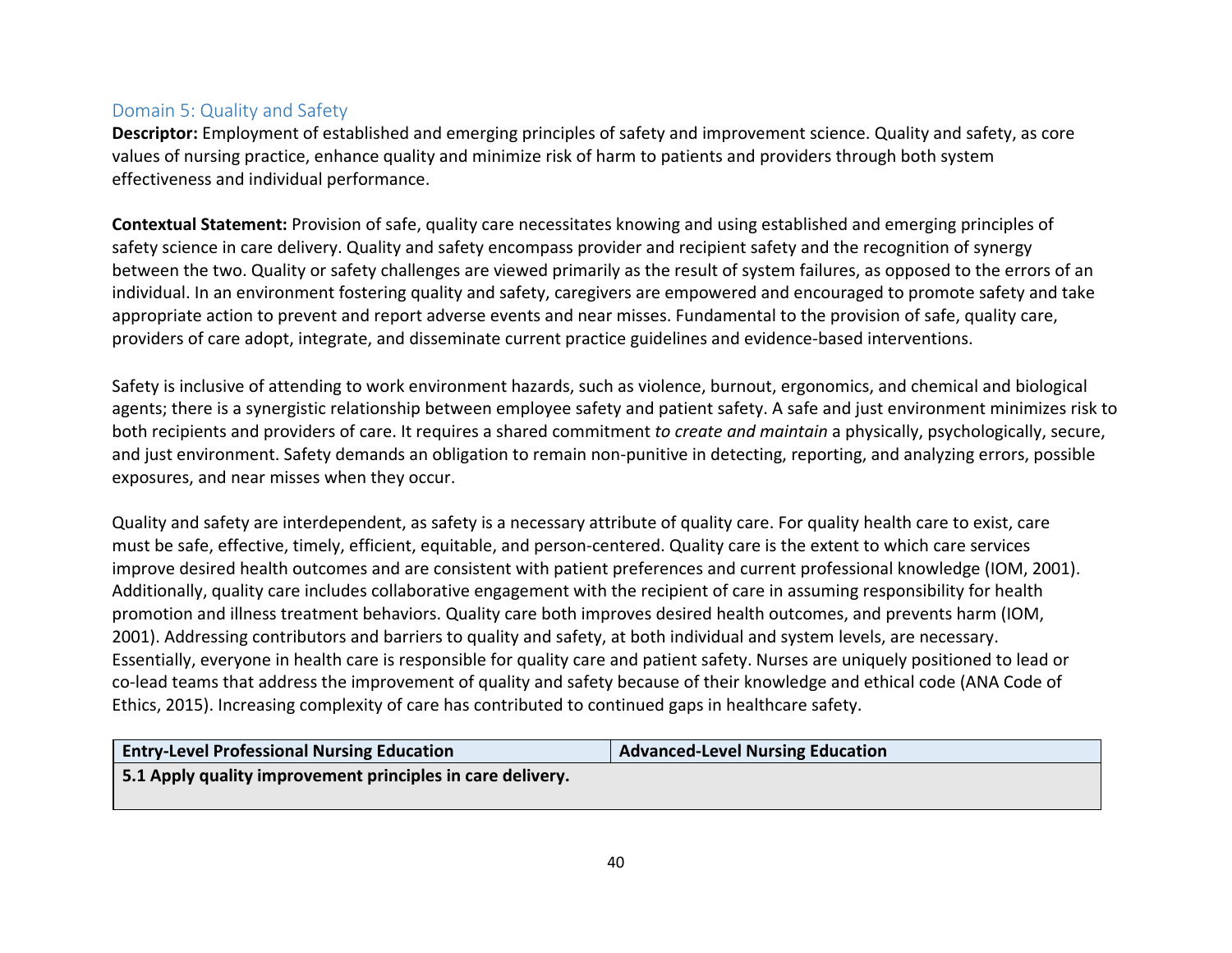## Domain 5: Quality and Safety

**Descriptor:** Employment of established and emerging principles of safety and improvement science. Quality and safety, as core values of nursing practice, enhance quality and minimize risk of harm to patients and providers through both system effectiveness and individual performance.

**Contextual Statement:** Provision of safe, quality care necessitates knowing and using established and emerging principles of safety science in care delivery. Quality and safety encompass provider and recipient safety and the recognition of synergy between the two. Quality or safety challenges are viewed primarily as the result of system failures, as opposed to the errors of an individual. In an environment fostering quality and safety, caregivers are empowered and encouraged to promote safety and take appropriate action to prevent and report adverse events and near misses. Fundamental to the provision of safe, quality care, providers of care adopt, integrate, and disseminate current practice guidelines and evidence-based interventions.

Safety is inclusive of attending to work environment hazards, such as violence, burnout, ergonomics, and chemical and biological agents; there is a synergistic relationship between employee safety and patient safety. A safe and just environment minimizes risk to both recipients and providers of care. It requires a shared commitment *to create and maintain* a physically, psychologically, secure, and just environment. Safety demands an obligation to remain non-punitive in detecting, reporting, and analyzing errors, possible exposures, and near misses when they occur.

Quality and safety are interdependent, as safety is a necessary attribute of quality care. For quality health care to exist, care must be safe, effective, timely, efficient, equitable, and person-centered. Quality care is the extent to which care services improve desired health outcomes and are consistent with patient preferences and current professional knowledge (IOM, 2001). Additionally, quality care includes collaborative [engagement with t](https://www.elationhealth.com/patient-portal/)he recipient of care in assuming responsibility for health promotion and illness treatment behaviors. Quality care both improves desired health outcomes, and prevents harm (IOM, 2001). Addressing contributors and barriers to quality and safety, at both individual and system levels, are necessary. Essentially, everyone in health care is responsible for quality care and patient safety. Nurses are uniquely positioned to lead or co-lead teams that address the improvement of quality and safety because of their knowledge and ethical code (ANA Code of Ethics, 2015). Increasing complexity of care has contributed to continued gaps in healthcare safety.

| <b>Entry-Level Professional Nursing Education</b>          | Advanced-Level Nursing Education |
|------------------------------------------------------------|----------------------------------|
| 5.1 Apply quality improvement principles in care delivery. |                                  |
|                                                            |                                  |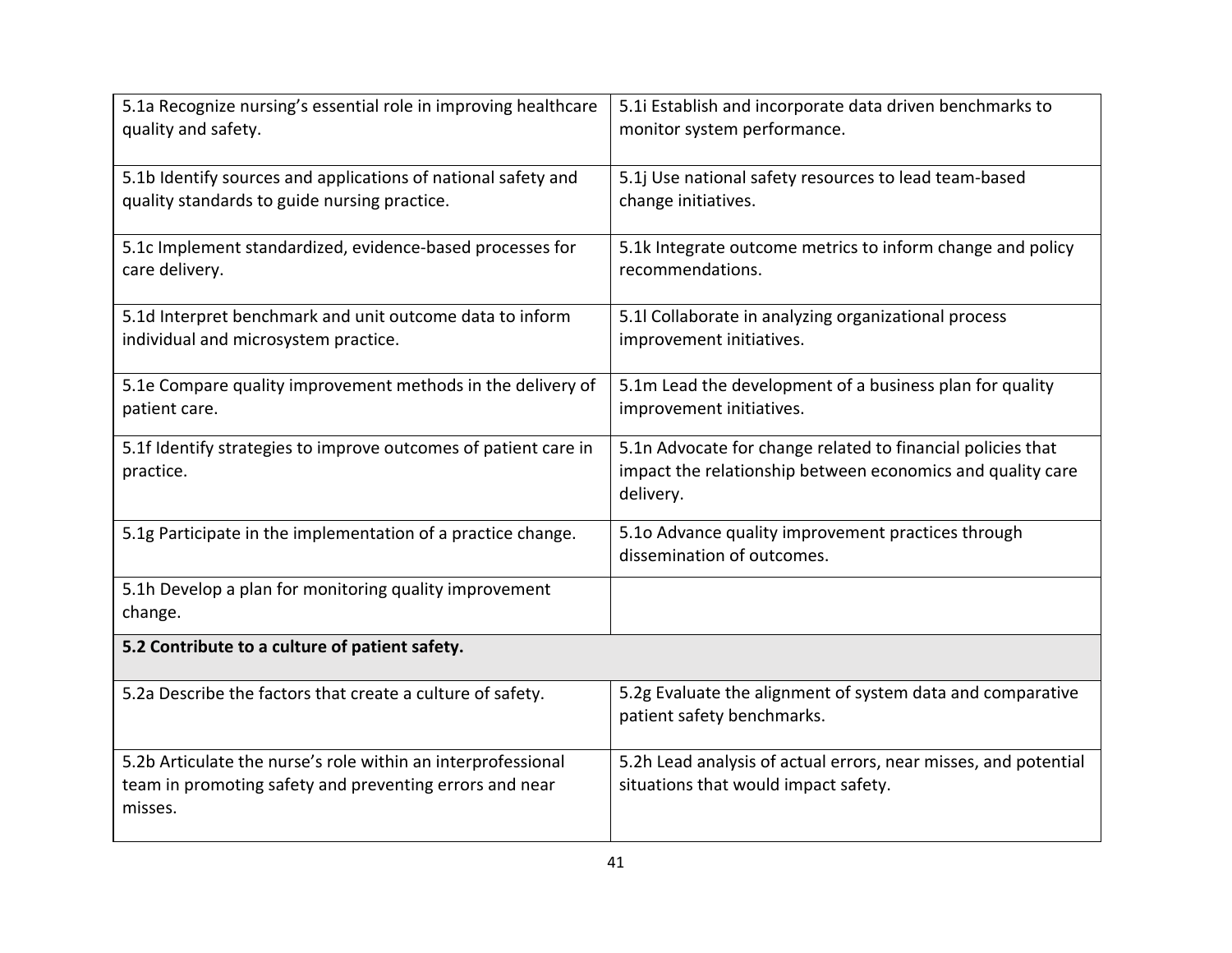| 5.1a Recognize nursing's essential role in improving healthcare<br>quality and safety.                                             | 5.1i Establish and incorporate data driven benchmarks to<br>monitor system performance.                                                |  |
|------------------------------------------------------------------------------------------------------------------------------------|----------------------------------------------------------------------------------------------------------------------------------------|--|
| 5.1b Identify sources and applications of national safety and<br>quality standards to guide nursing practice.                      | 5.1j Use national safety resources to lead team-based<br>change initiatives.                                                           |  |
| 5.1c Implement standardized, evidence-based processes for<br>care delivery.                                                        | 5.1k Integrate outcome metrics to inform change and policy<br>recommendations.                                                         |  |
| 5.1d Interpret benchmark and unit outcome data to inform<br>individual and microsystem practice.                                   | 5.1l Collaborate in analyzing organizational process<br>improvement initiatives.                                                       |  |
| 5.1e Compare quality improvement methods in the delivery of<br>patient care.                                                       | 5.1m Lead the development of a business plan for quality<br>improvement initiatives.                                                   |  |
| 5.1f Identify strategies to improve outcomes of patient care in<br>practice.                                                       | 5.1n Advocate for change related to financial policies that<br>impact the relationship between economics and quality care<br>delivery. |  |
| 5.1g Participate in the implementation of a practice change.                                                                       | 5.10 Advance quality improvement practices through<br>dissemination of outcomes.                                                       |  |
| 5.1h Develop a plan for monitoring quality improvement<br>change.                                                                  |                                                                                                                                        |  |
| 5.2 Contribute to a culture of patient safety.                                                                                     |                                                                                                                                        |  |
| 5.2a Describe the factors that create a culture of safety.                                                                         | 5.2g Evaluate the alignment of system data and comparative<br>patient safety benchmarks.                                               |  |
| 5.2b Articulate the nurse's role within an interprofessional<br>team in promoting safety and preventing errors and near<br>misses. | 5.2h Lead analysis of actual errors, near misses, and potential<br>situations that would impact safety.                                |  |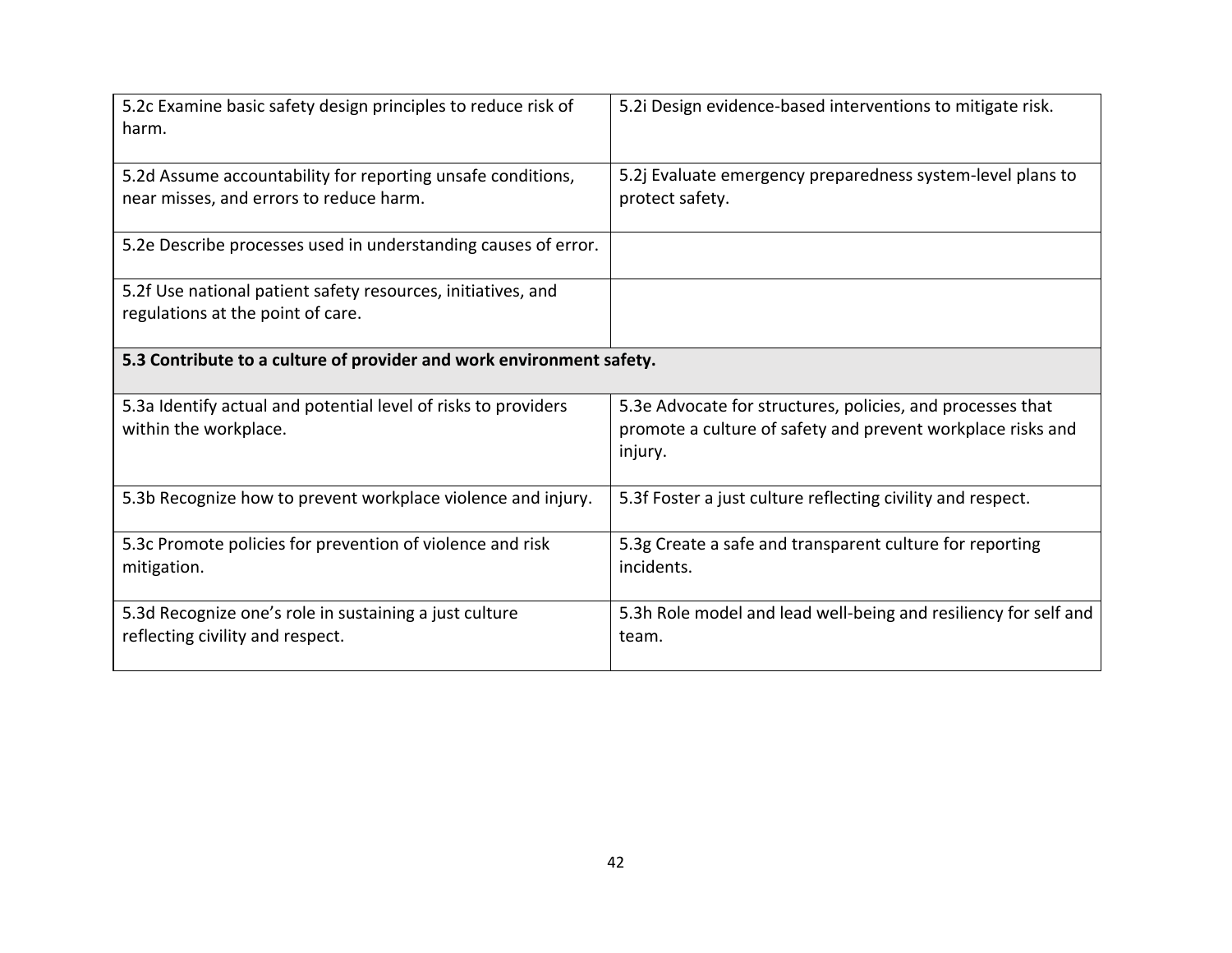| 5.2c Examine basic safety design principles to reduce risk of<br>harm.                                 | 5.2i Design evidence-based interventions to mitigate risk.                                                                           |  |
|--------------------------------------------------------------------------------------------------------|--------------------------------------------------------------------------------------------------------------------------------------|--|
| 5.2d Assume accountability for reporting unsafe conditions,<br>near misses, and errors to reduce harm. | 5.2j Evaluate emergency preparedness system-level plans to<br>protect safety.                                                        |  |
| 5.2e Describe processes used in understanding causes of error.                                         |                                                                                                                                      |  |
| 5.2f Use national patient safety resources, initiatives, and<br>regulations at the point of care.      |                                                                                                                                      |  |
| 5.3 Contribute to a culture of provider and work environment safety.                                   |                                                                                                                                      |  |
| 5.3a Identify actual and potential level of risks to providers<br>within the workplace.                | 5.3e Advocate for structures, policies, and processes that<br>promote a culture of safety and prevent workplace risks and<br>injury. |  |
| 5.3b Recognize how to prevent workplace violence and injury.                                           | 5.3f Foster a just culture reflecting civility and respect.                                                                          |  |
| 5.3c Promote policies for prevention of violence and risk<br>mitigation.                               | 5.3g Create a safe and transparent culture for reporting<br>incidents.                                                               |  |
| 5.3d Recognize one's role in sustaining a just culture<br>reflecting civility and respect.             | 5.3h Role model and lead well-being and resiliency for self and<br>team.                                                             |  |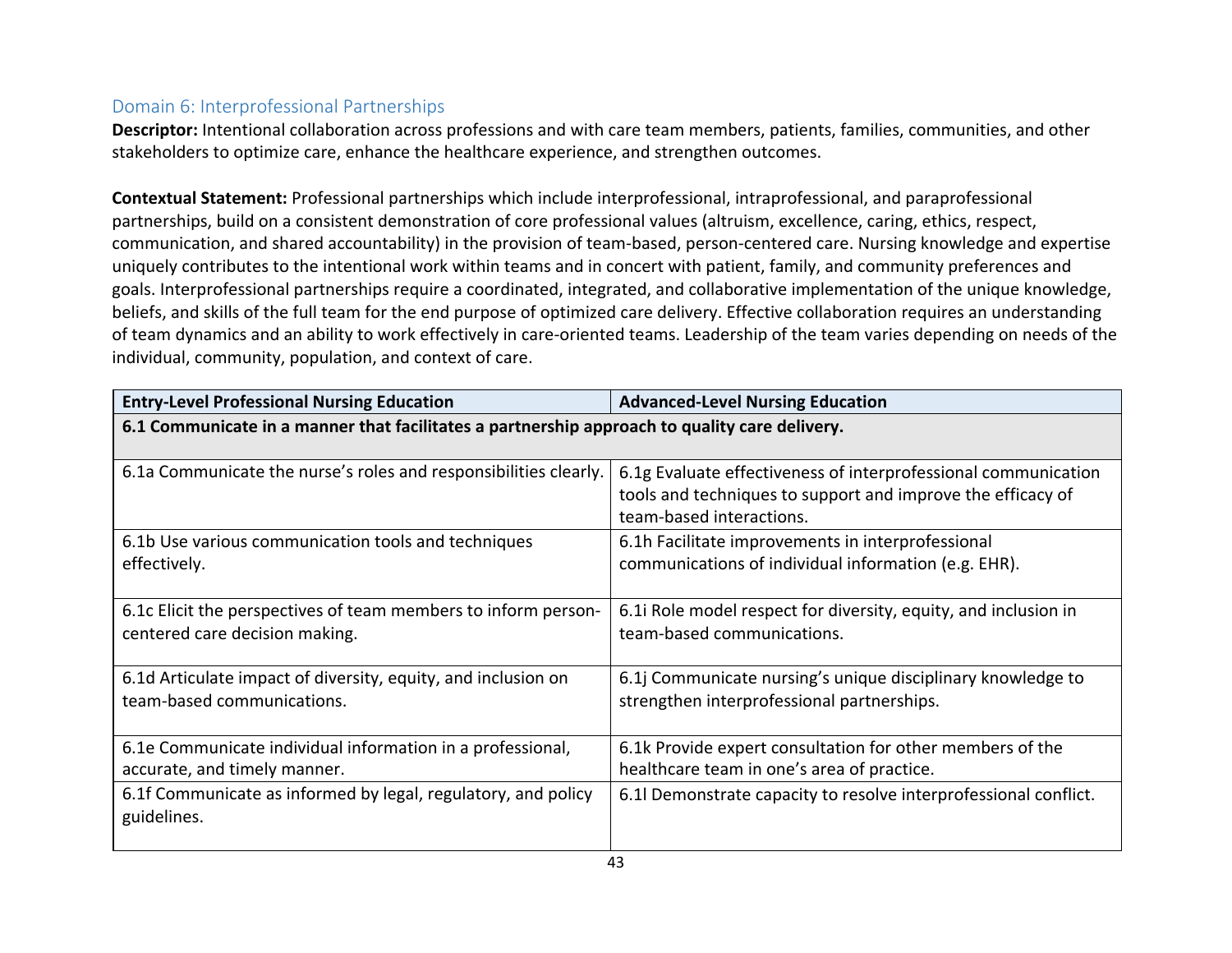## Domain 6: Interprofessional Partnerships

**Descriptor:** Intentional collaboration across professions and with care team members, patients, families, communities, and other stakeholders to optimize care, enhance the healthcare experience, and strengthen outcomes.

**Contextual Statement:** Professional partnerships which include interprofessional, intraprofessional, and paraprofessional partnerships, build on a consistent demonstration of core professional values (altruism, excellence, caring, ethics, respect, communication, and shared accountability) in the provision of team-based, person-centered care. Nursing knowledge and expertise uniquely contributes to the intentional work within teams and in concert with patient, family, and community preferences and goals. Interprofessional partnerships require a coordinated, integrated, and collaborative implementation of the unique knowledge, beliefs, and skills of the full team for the end purpose of optimized care delivery. Effective collaboration requires an understanding of team dynamics and an ability to work effectively in care-oriented teams. Leadership of the team varies depending on needs of the individual, community, population, and context of care.

| <b>Entry-Level Professional Nursing Education</b>                                             | <b>Advanced-Level Nursing Education</b>                                                                                                                   |
|-----------------------------------------------------------------------------------------------|-----------------------------------------------------------------------------------------------------------------------------------------------------------|
| 6.1 Communicate in a manner that facilitates a partnership approach to quality care delivery. |                                                                                                                                                           |
|                                                                                               |                                                                                                                                                           |
| 6.1a Communicate the nurse's roles and responsibilities clearly.                              | 6.1g Evaluate effectiveness of interprofessional communication<br>tools and techniques to support and improve the efficacy of<br>team-based interactions. |
| 6.1b Use various communication tools and techniques                                           | 6.1h Facilitate improvements in interprofessional                                                                                                         |
| effectively.                                                                                  | communications of individual information (e.g. EHR).                                                                                                      |
| 6.1c Elicit the perspectives of team members to inform person-                                | 6.1 Role model respect for diversity, equity, and inclusion in                                                                                            |
| centered care decision making.                                                                | team-based communications.                                                                                                                                |
| 6.1d Articulate impact of diversity, equity, and inclusion on                                 | 6.1 Communicate nursing's unique disciplinary knowledge to                                                                                                |
| team-based communications.                                                                    | strengthen interprofessional partnerships.                                                                                                                |
| 6.1e Communicate individual information in a professional,<br>accurate, and timely manner.    | 6.1k Provide expert consultation for other members of the<br>healthcare team in one's area of practice.                                                   |
| 6.1f Communicate as informed by legal, regulatory, and policy<br>guidelines.                  | 6.1l Demonstrate capacity to resolve interprofessional conflict.                                                                                          |
|                                                                                               |                                                                                                                                                           |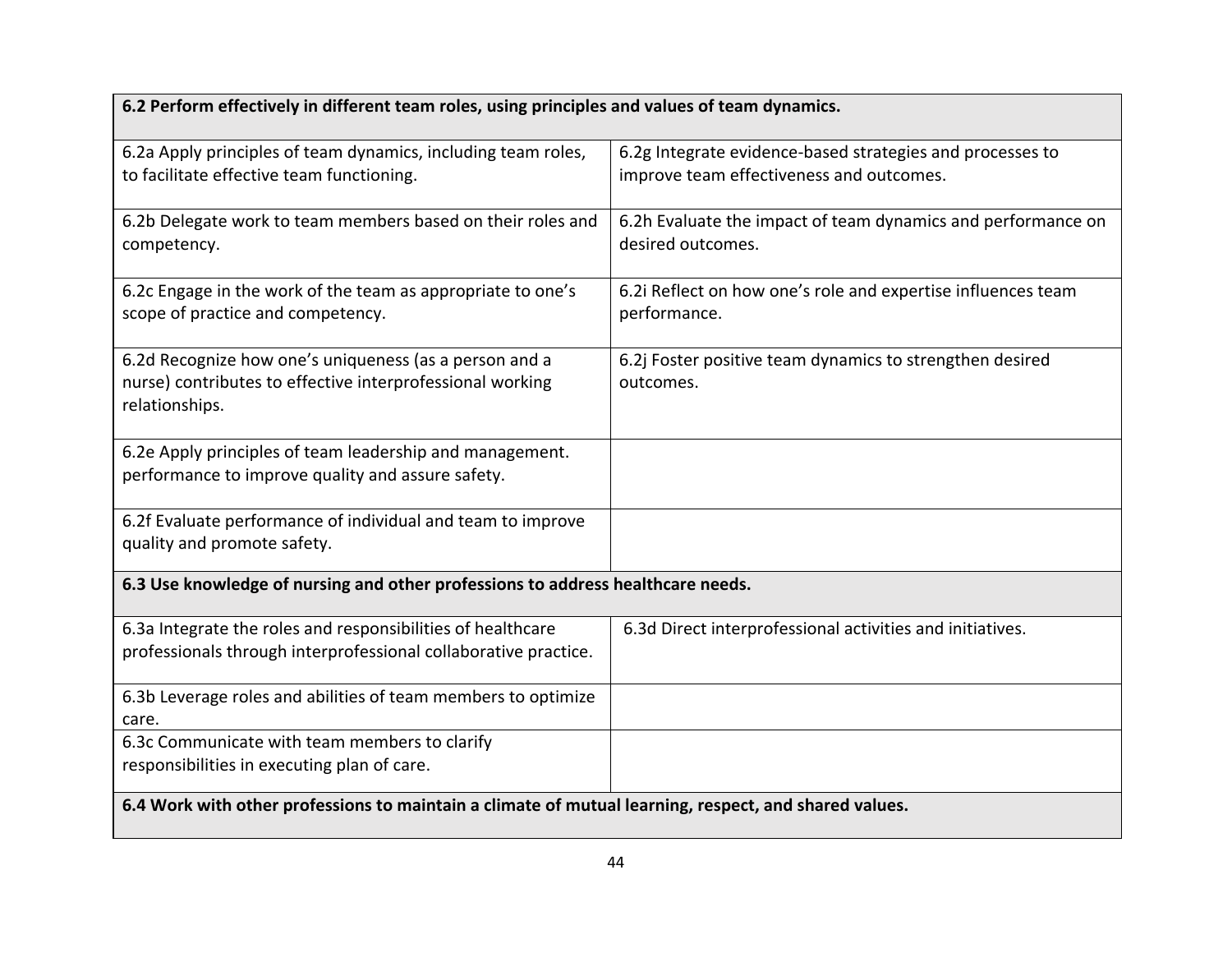| 6.2 Perform effectively in different team roles, using principles and values of team dynamics.                                        |                                                                                                       |  |
|---------------------------------------------------------------------------------------------------------------------------------------|-------------------------------------------------------------------------------------------------------|--|
| 6.2a Apply principles of team dynamics, including team roles,<br>to facilitate effective team functioning.                            | 6.2g Integrate evidence-based strategies and processes to<br>improve team effectiveness and outcomes. |  |
| 6.2b Delegate work to team members based on their roles and<br>competency.                                                            | 6.2h Evaluate the impact of team dynamics and performance on<br>desired outcomes.                     |  |
| 6.2c Engage in the work of the team as appropriate to one's<br>scope of practice and competency.                                      | 6.2i Reflect on how one's role and expertise influences team<br>performance.                          |  |
| 6.2d Recognize how one's uniqueness (as a person and a<br>nurse) contributes to effective interprofessional working<br>relationships. | 6.2j Foster positive team dynamics to strengthen desired<br>outcomes.                                 |  |
| 6.2e Apply principles of team leadership and management.<br>performance to improve quality and assure safety.                         |                                                                                                       |  |
| 6.2f Evaluate performance of individual and team to improve<br>quality and promote safety.                                            |                                                                                                       |  |
| 6.3 Use knowledge of nursing and other professions to address healthcare needs.                                                       |                                                                                                       |  |
| 6.3a Integrate the roles and responsibilities of healthcare<br>professionals through interprofessional collaborative practice.        | 6.3d Direct interprofessional activities and initiatives.                                             |  |
| 6.3b Leverage roles and abilities of team members to optimize<br>care.                                                                |                                                                                                       |  |
| 6.3c Communicate with team members to clarify<br>responsibilities in executing plan of care.                                          |                                                                                                       |  |
| 6.4 Work with other professions to maintain a climate of mutual learning, respect, and shared values.                                 |                                                                                                       |  |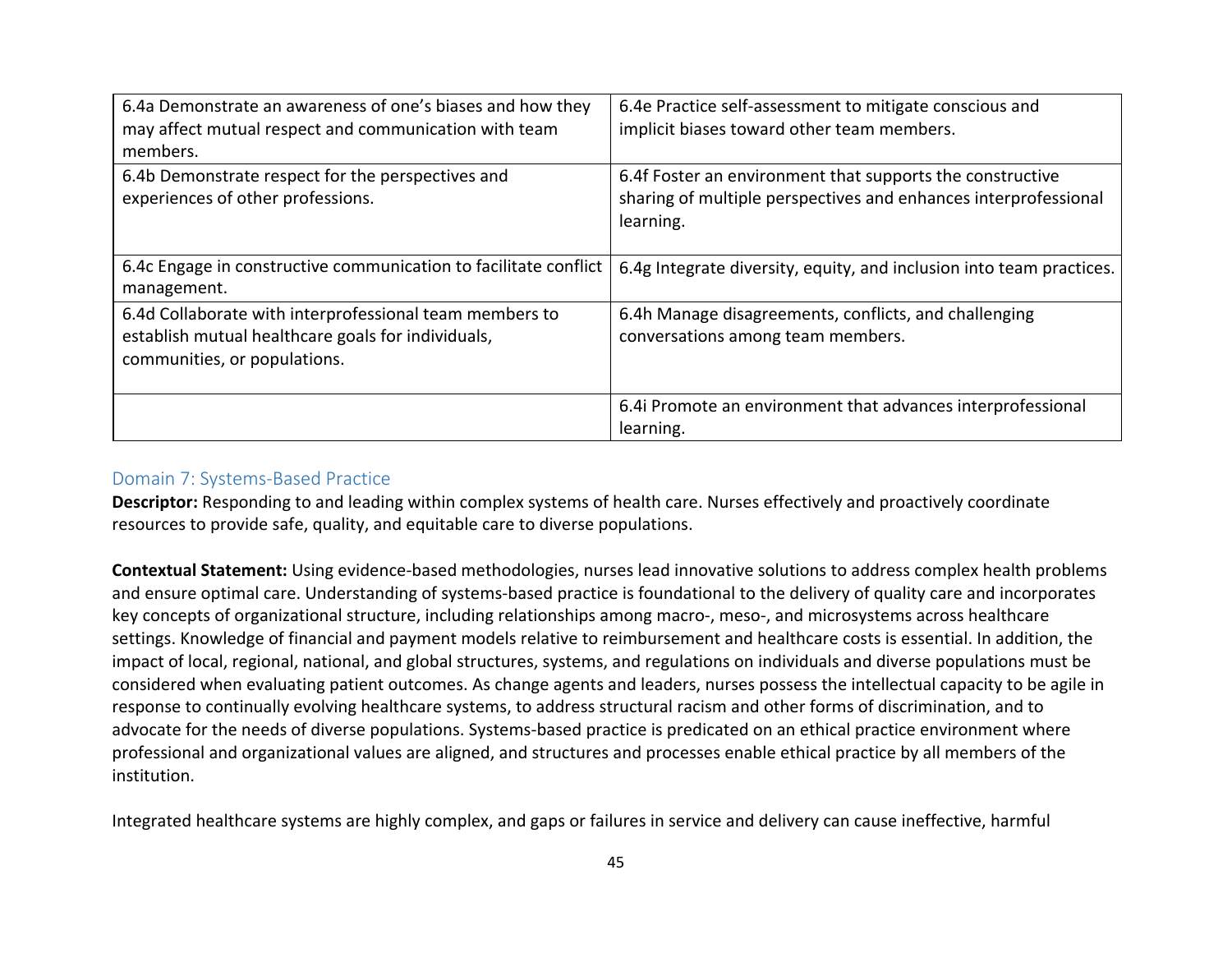| 6.4a Demonstrate an awareness of one's biases and how they<br>may affect mutual respect and communication with team<br>members.               | 6.4e Practice self-assessment to mitigate conscious and<br>implicit biases toward other team members.                                     |
|-----------------------------------------------------------------------------------------------------------------------------------------------|-------------------------------------------------------------------------------------------------------------------------------------------|
| 6.4b Demonstrate respect for the perspectives and<br>experiences of other professions.                                                        | 6.4f Foster an environment that supports the constructive<br>sharing of multiple perspectives and enhances interprofessional<br>learning. |
| 6.4c Engage in constructive communication to facilitate conflict<br>management.                                                               | 6.4g Integrate diversity, equity, and inclusion into team practices.                                                                      |
| 6.4d Collaborate with interprofessional team members to<br>establish mutual healthcare goals for individuals,<br>communities, or populations. | 6.4h Manage disagreements, conflicts, and challenging<br>conversations among team members.                                                |
|                                                                                                                                               | 6.4i Promote an environment that advances interprofessional<br>learning.                                                                  |

#### Domain 7: Systems-Based Practice

**Descriptor:** Responding to and leading within complex systems of health care. Nurses effectively and proactively coordinate resources to provide safe, quality, and equitable care to diverse populations.

**Contextual Statement:** Using evidence-based methodologies, nurses lead innovative solutions to address complex health problems and ensure optimal care. Understanding of systems-based practice is foundational to the delivery of quality care and incorporates key concepts of organizational structure, including relationships among macro-, meso-, and microsystems across healthcare settings. Knowledge of financial and payment models relative to reimbursement and healthcare costs is essential. In addition, the impact of local, regional, national, and global structures, systems, and regulations on individuals and diverse populations must be considered when evaluating patient outcomes. As change agents and leaders, nurses possess the intellectual capacity to be agile in response to continually evolving healthcare systems, to address structural racism and other forms of discrimination, and to advocate for the needs of diverse populations. Systems-based practice is predicated on an ethical practice environment where professional and organizational values are aligned, and structures and processes enable ethical practice by all members of the institution.

Integrated healthcare systems are highly complex, and gaps or failures in service and delivery can cause ineffective, harmful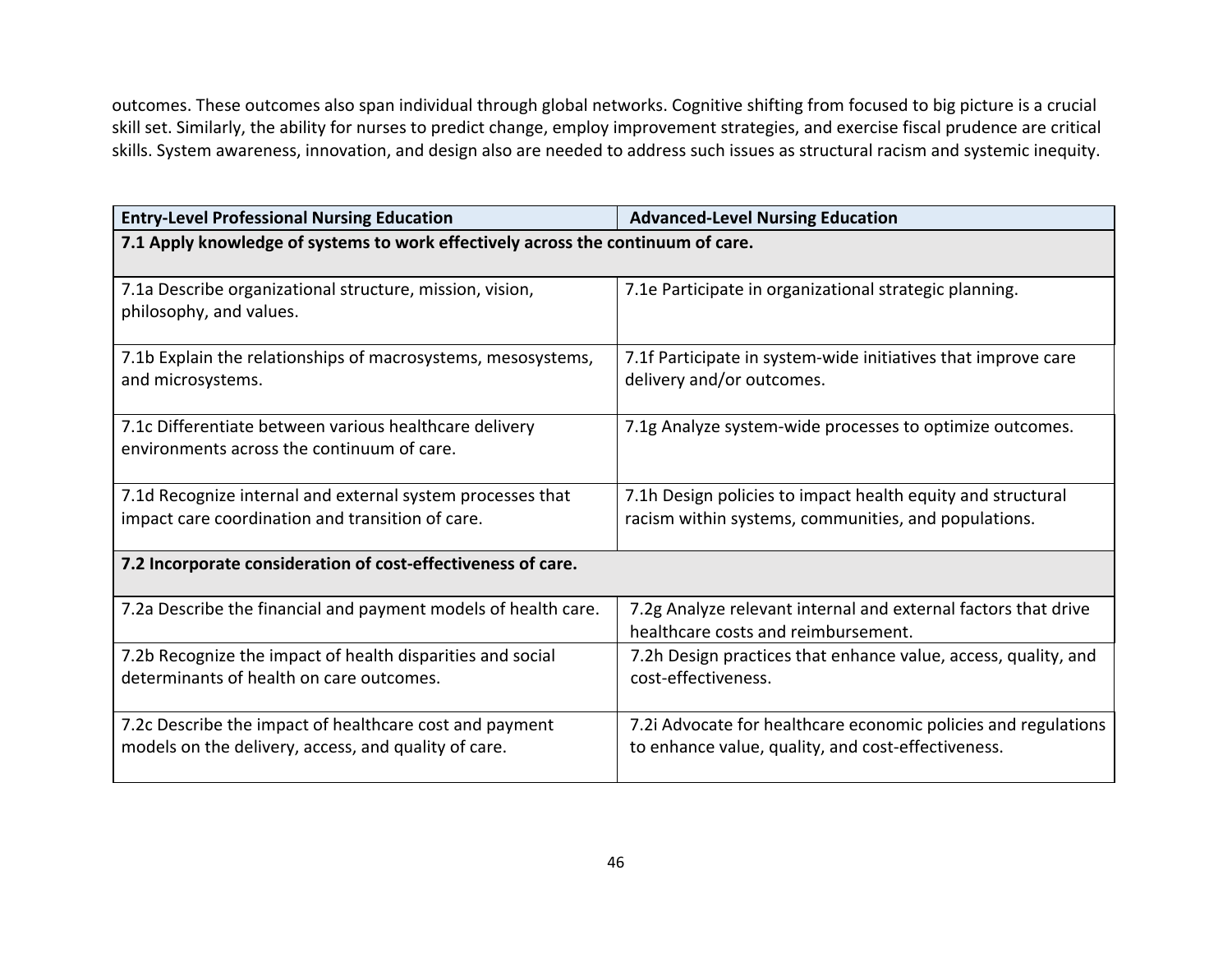outcomes. These outcomes also span individual through global networks. Cognitive shifting from focused to big picture is a crucial skill set. Similarly, the ability for nurses to predict change, employ improvement strategies, and exercise fiscal prudence are critical skills. System awareness, innovation, and design also are needed to address such issues as structural racism and systemic inequity.

| <b>Entry-Level Professional Nursing Education</b>                                                               | <b>Advanced-Level Nursing Education</b>                                                                              |  |
|-----------------------------------------------------------------------------------------------------------------|----------------------------------------------------------------------------------------------------------------------|--|
| 7.1 Apply knowledge of systems to work effectively across the continuum of care.                                |                                                                                                                      |  |
| 7.1a Describe organizational structure, mission, vision,<br>philosophy, and values.                             | 7.1e Participate in organizational strategic planning.                                                               |  |
| 7.1b Explain the relationships of macrosystems, mesosystems,<br>and microsystems.                               | 7.1f Participate in system-wide initiatives that improve care<br>delivery and/or outcomes.                           |  |
| 7.1c Differentiate between various healthcare delivery<br>environments across the continuum of care.            | 7.1g Analyze system-wide processes to optimize outcomes.                                                             |  |
| 7.1d Recognize internal and external system processes that<br>impact care coordination and transition of care.  | 7.1h Design policies to impact health equity and structural<br>racism within systems, communities, and populations.  |  |
| 7.2 Incorporate consideration of cost-effectiveness of care.                                                    |                                                                                                                      |  |
| 7.2a Describe the financial and payment models of health care.                                                  | 7.2g Analyze relevant internal and external factors that drive<br>healthcare costs and reimbursement.                |  |
| 7.2b Recognize the impact of health disparities and social<br>determinants of health on care outcomes.          | 7.2h Design practices that enhance value, access, quality, and<br>cost-effectiveness.                                |  |
| 7.2c Describe the impact of healthcare cost and payment<br>models on the delivery, access, and quality of care. | 7.2i Advocate for healthcare economic policies and regulations<br>to enhance value, quality, and cost-effectiveness. |  |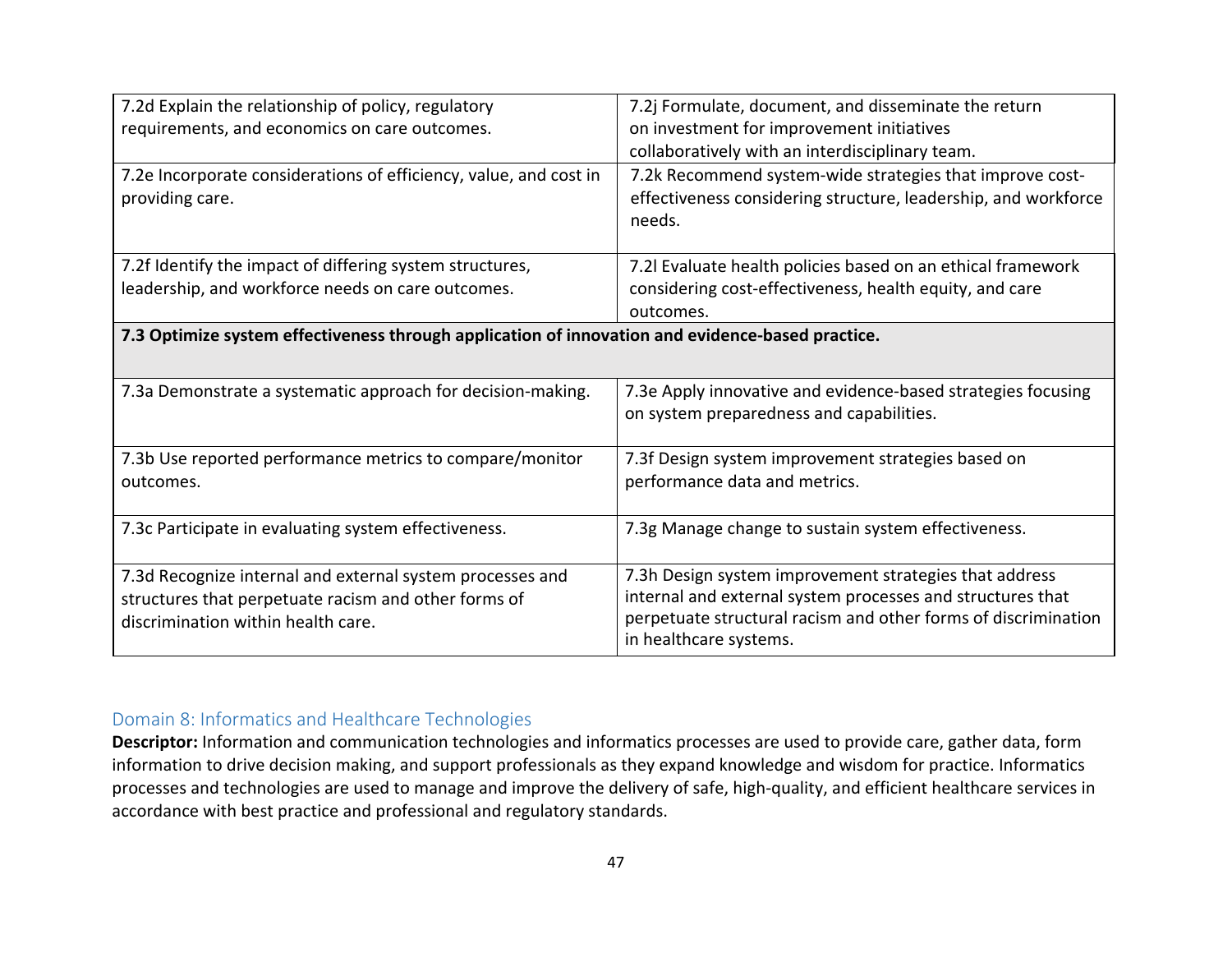| 7.2d Explain the relationship of policy, regulatory<br>requirements, and economics on care outcomes.<br>7.2e Incorporate considerations of efficiency, value, and cost in<br>providing care. | 7.2j Formulate, document, and disseminate the return<br>on investment for improvement initiatives<br>collaboratively with an interdisciplinary team.<br>7.2k Recommend system-wide strategies that improve cost-<br>effectiveness considering structure, leadership, and workforce<br>needs. |
|----------------------------------------------------------------------------------------------------------------------------------------------------------------------------------------------|----------------------------------------------------------------------------------------------------------------------------------------------------------------------------------------------------------------------------------------------------------------------------------------------|
| 7.2f Identify the impact of differing system structures,<br>leadership, and workforce needs on care outcomes.                                                                                | 7.2I Evaluate health policies based on an ethical framework<br>considering cost-effectiveness, health equity, and care<br>outcomes.                                                                                                                                                          |
| 7.3 Optimize system effectiveness through application of innovation and evidence-based practice.                                                                                             |                                                                                                                                                                                                                                                                                              |
| 7.3a Demonstrate a systematic approach for decision-making.                                                                                                                                  | 7.3e Apply innovative and evidence-based strategies focusing<br>on system preparedness and capabilities.                                                                                                                                                                                     |
| 7.3b Use reported performance metrics to compare/monitor<br>outcomes.                                                                                                                        | 7.3f Design system improvement strategies based on<br>performance data and metrics.                                                                                                                                                                                                          |
| 7.3c Participate in evaluating system effectiveness.                                                                                                                                         | 7.3g Manage change to sustain system effectiveness.                                                                                                                                                                                                                                          |
| 7.3d Recognize internal and external system processes and<br>structures that perpetuate racism and other forms of<br>discrimination within health care.                                      | 7.3h Design system improvement strategies that address<br>internal and external system processes and structures that<br>perpetuate structural racism and other forms of discrimination<br>in healthcare systems.                                                                             |

## Domain 8: Informatics and Healthcare Technologies

**Descriptor:** Information and communication technologies and informatics processes are used to provide care, gather data, form information to drive decision making, and support professionals as they expand knowledge and wisdom for practice. Informatics processes and technologies are used to manage and improve the delivery of safe, high-quality, and efficient healthcare services in accordance with best practice and professional and regulatory standards.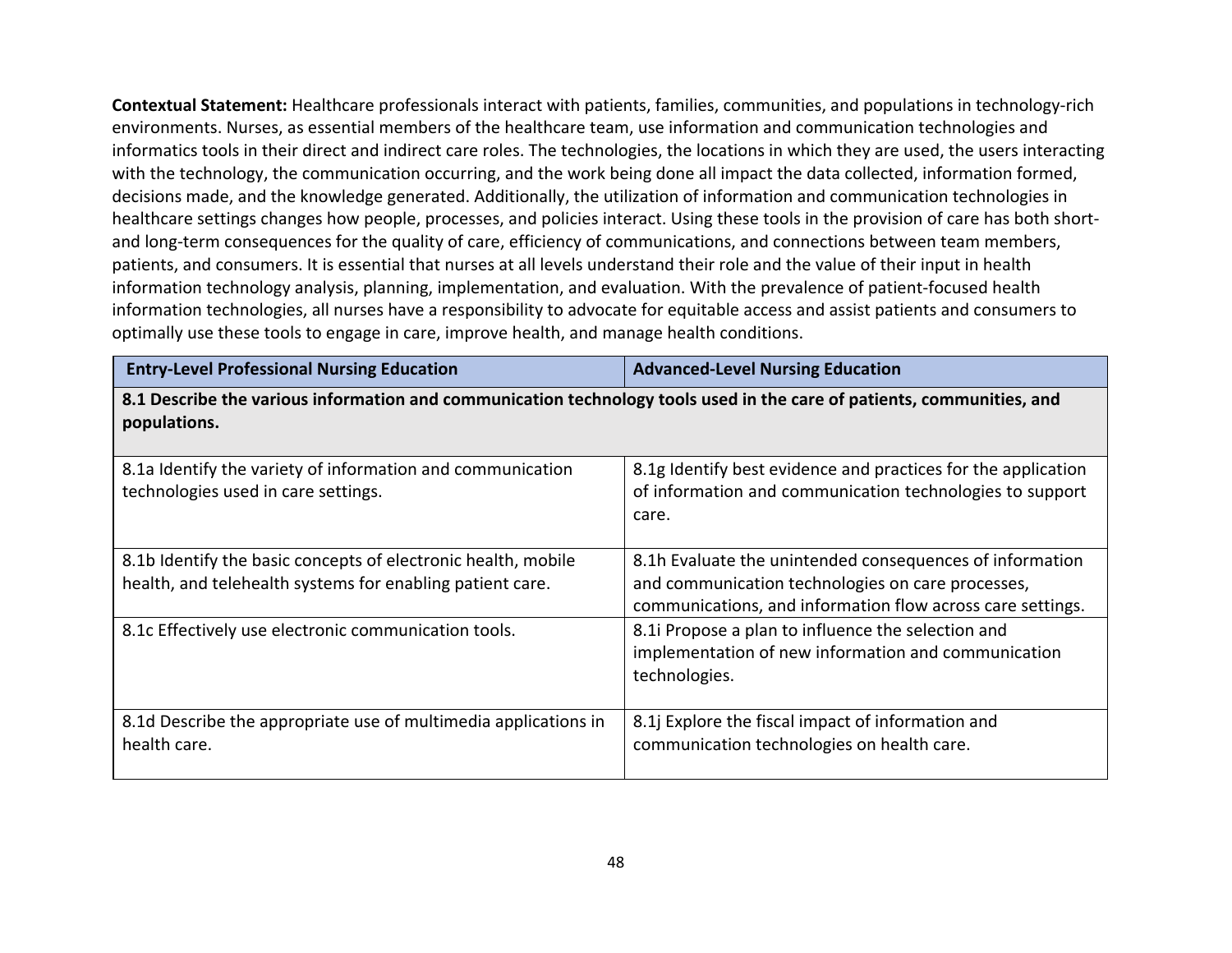**Contextual Statement:** Healthcare professionals interact with patients, families, communities, and populations in technology-rich environments. Nurses, as essential members of the healthcare team, use information and communication technologies and informatics tools in their direct and indirect care roles. The technologies, the locations in which they are used, the users interacting with the technology, the communication occurring, and the work being done all impact the data collected, information formed, decisions made, and the knowledge generated. Additionally, the utilization of information and communication technologies in healthcare settings changes how people, processes, and policies interact. Using these tools in the provision of care has both shortand long-term consequences for the quality of care, efficiency of communications, and connections between team members, patients, and consumers. It is essential that nurses at all levels understand their role and the value of their input in health information technology analysis, planning, implementation, and evaluation. With the prevalence of patient-focused health information technologies, all nurses have a responsibility to advocate for equitable access and assist patients and consumers to optimally use these tools to engage in care, improve health, and manage health conditions.

| <b>Entry-Level Professional Nursing Education</b>                                                                                      | <b>Advanced-Level Nursing Education</b>                                                                                                                                     |
|----------------------------------------------------------------------------------------------------------------------------------------|-----------------------------------------------------------------------------------------------------------------------------------------------------------------------------|
| 8.1 Describe the various information and communication technology tools used in the care of patients, communities, and<br>populations. |                                                                                                                                                                             |
| 8.1a Identify the variety of information and communication<br>technologies used in care settings.                                      | 8.1g Identify best evidence and practices for the application<br>of information and communication technologies to support<br>care.                                          |
| 8.1b Identify the basic concepts of electronic health, mobile<br>health, and telehealth systems for enabling patient care.             | 8.1h Evaluate the unintended consequences of information<br>and communication technologies on care processes,<br>communications, and information flow across care settings. |
| 8.1c Effectively use electronic communication tools.                                                                                   | 8.1i Propose a plan to influence the selection and<br>implementation of new information and communication<br>technologies.                                                  |
| 8.1d Describe the appropriate use of multimedia applications in<br>health care.                                                        | 8.1j Explore the fiscal impact of information and<br>communication technologies on health care.                                                                             |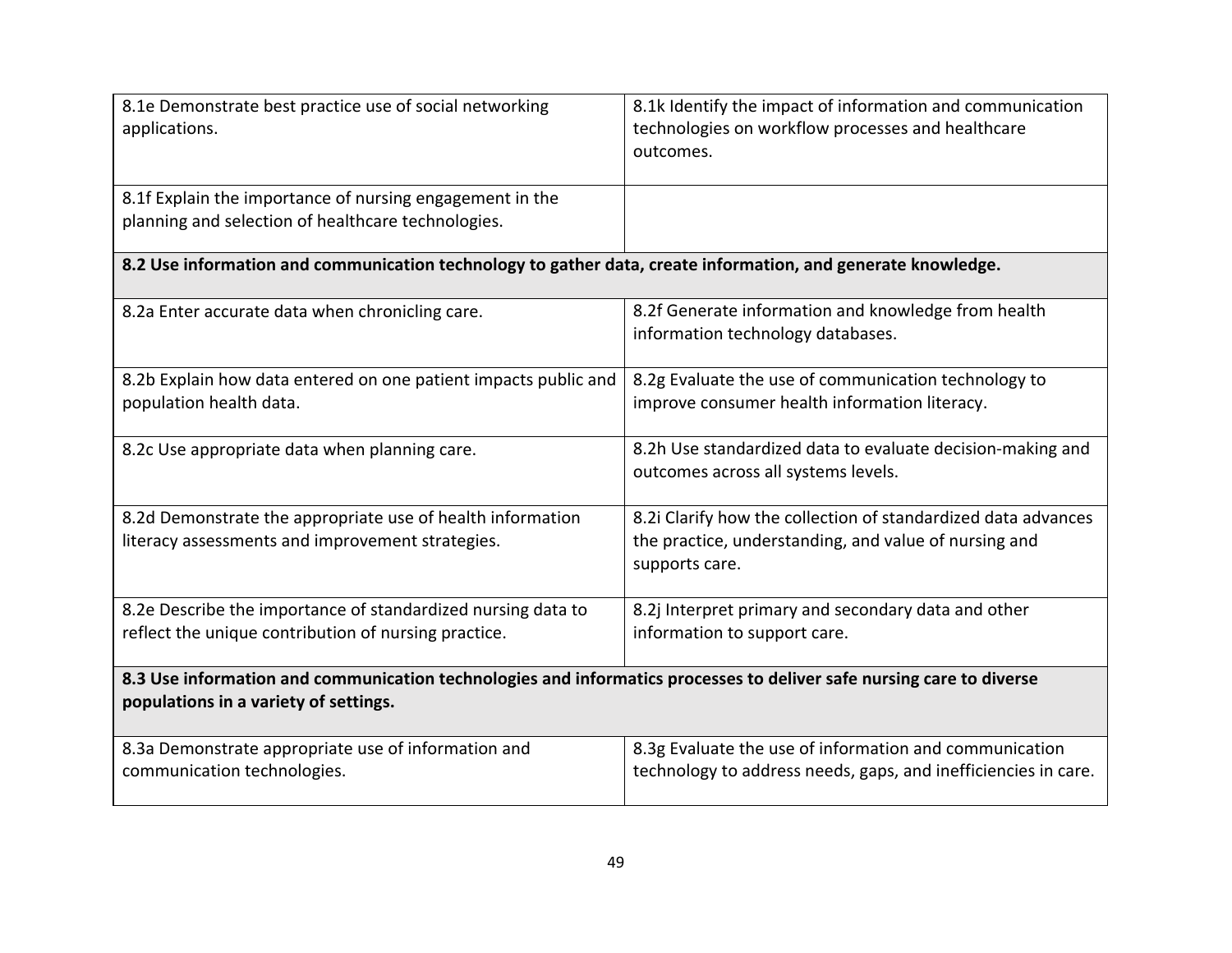| 8.1e Demonstrate best practice use of social networking<br>applications.                                                                                      | 8.1k Identify the impact of information and communication<br>technologies on workflow processes and healthcare<br>outcomes.              |
|---------------------------------------------------------------------------------------------------------------------------------------------------------------|------------------------------------------------------------------------------------------------------------------------------------------|
| 8.1f Explain the importance of nursing engagement in the<br>planning and selection of healthcare technologies.                                                |                                                                                                                                          |
| 8.2 Use information and communication technology to gather data, create information, and generate knowledge.                                                  |                                                                                                                                          |
| 8.2a Enter accurate data when chronicling care.                                                                                                               | 8.2f Generate information and knowledge from health<br>information technology databases.                                                 |
| 8.2b Explain how data entered on one patient impacts public and<br>population health data.                                                                    | 8.2g Evaluate the use of communication technology to<br>improve consumer health information literacy.                                    |
| 8.2c Use appropriate data when planning care.                                                                                                                 | 8.2h Use standardized data to evaluate decision-making and<br>outcomes across all systems levels.                                        |
| 8.2d Demonstrate the appropriate use of health information<br>literacy assessments and improvement strategies.                                                | 8.2i Clarify how the collection of standardized data advances<br>the practice, understanding, and value of nursing and<br>supports care. |
| 8.2e Describe the importance of standardized nursing data to<br>reflect the unique contribution of nursing practice.                                          | 8.2j Interpret primary and secondary data and other<br>information to support care.                                                      |
| 8.3 Use information and communication technologies and informatics processes to deliver safe nursing care to diverse<br>populations in a variety of settings. |                                                                                                                                          |
| 8.3a Demonstrate appropriate use of information and<br>communication technologies.                                                                            | 8.3g Evaluate the use of information and communication<br>technology to address needs, gaps, and inefficiencies in care.                 |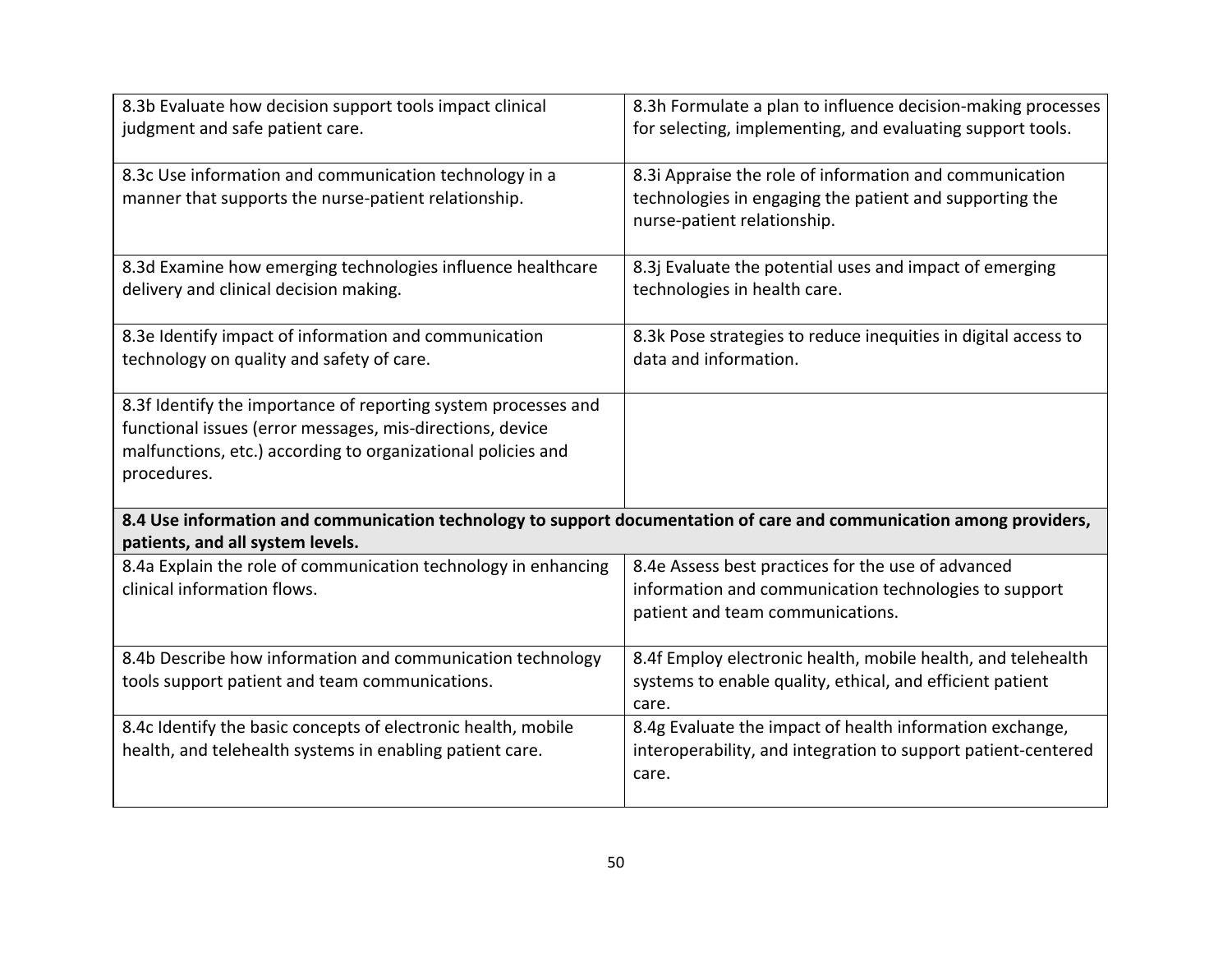| 8.3b Evaluate how decision support tools impact clinical<br>judgment and safe patient care.                                                                                                                | 8.3h Formulate a plan to influence decision-making processes<br>for selecting, implementing, and evaluating support tools.                        |
|------------------------------------------------------------------------------------------------------------------------------------------------------------------------------------------------------------|---------------------------------------------------------------------------------------------------------------------------------------------------|
| 8.3c Use information and communication technology in a<br>manner that supports the nurse-patient relationship.                                                                                             | 8.3i Appraise the role of information and communication<br>technologies in engaging the patient and supporting the<br>nurse-patient relationship. |
| 8.3d Examine how emerging technologies influence healthcare<br>delivery and clinical decision making.                                                                                                      | 8.3j Evaluate the potential uses and impact of emerging<br>technologies in health care.                                                           |
| 8.3e Identify impact of information and communication<br>technology on quality and safety of care.                                                                                                         | 8.3k Pose strategies to reduce inequities in digital access to<br>data and information.                                                           |
| 8.3f Identify the importance of reporting system processes and<br>functional issues (error messages, mis-directions, device<br>malfunctions, etc.) according to organizational policies and<br>procedures. |                                                                                                                                                   |
| 8.4 Use information and communication technology to support documentation of care and communication among providers,<br>patients, and all system levels.                                                   |                                                                                                                                                   |
| 8.4a Explain the role of communication technology in enhancing<br>clinical information flows.                                                                                                              | 8.4e Assess best practices for the use of advanced<br>information and communication technologies to support<br>patient and team communications.   |
| 8.4b Describe how information and communication technology<br>tools support patient and team communications.                                                                                               | 8.4f Employ electronic health, mobile health, and telehealth<br>systems to enable quality, ethical, and efficient patient<br>care.                |
| 8.4c Identify the basic concepts of electronic health, mobile<br>health, and telehealth systems in enabling patient care.                                                                                  | 8.4g Evaluate the impact of health information exchange,<br>interoperability, and integration to support patient-centered<br>care.                |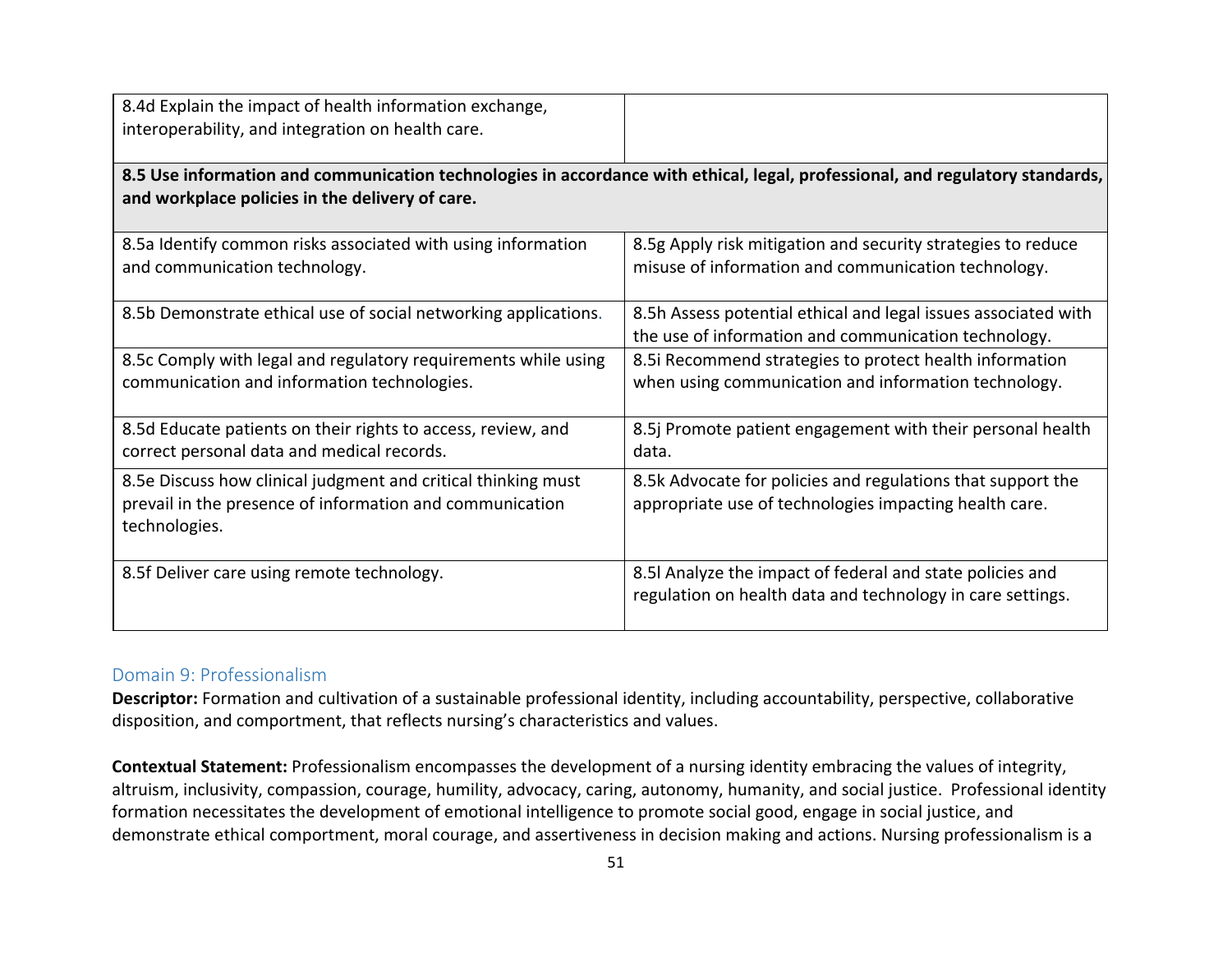| 8.4d Explain the impact of health information exchange,<br>interoperability, and integration on health care.                                                                     |                                                                                                                         |
|----------------------------------------------------------------------------------------------------------------------------------------------------------------------------------|-------------------------------------------------------------------------------------------------------------------------|
| 8.5 Use information and communication technologies in accordance with ethical, legal, professional, and regulatory standards,<br>and workplace policies in the delivery of care. |                                                                                                                         |
| 8.5a Identify common risks associated with using information<br>and communication technology.                                                                                    | 8.5g Apply risk mitigation and security strategies to reduce<br>misuse of information and communication technology.     |
| 8.5b Demonstrate ethical use of social networking applications.                                                                                                                  | 8.5h Assess potential ethical and legal issues associated with<br>the use of information and communication technology.  |
| 8.5c Comply with legal and regulatory requirements while using<br>communication and information technologies.                                                                    | 8.5i Recommend strategies to protect health information<br>when using communication and information technology.         |
| 8.5d Educate patients on their rights to access, review, and<br>correct personal data and medical records.                                                                       | 8.5j Promote patient engagement with their personal health<br>data.                                                     |
| 8.5e Discuss how clinical judgment and critical thinking must<br>prevail in the presence of information and communication<br>technologies.                                       | 8.5k Advocate for policies and regulations that support the<br>appropriate use of technologies impacting health care.   |
| 8.5f Deliver care using remote technology.                                                                                                                                       | 8.5I Analyze the impact of federal and state policies and<br>regulation on health data and technology in care settings. |

### Domain 9: Professionalism

**Descriptor:** Formation and cultivation of a sustainable professional identity, including accountability, perspective, collaborative disposition, and comportment, that reflects nursing's characteristics and values.

**Contextual Statement:** Professionalism encompasses the development of a nursing identity embracing the values of integrity, altruism, inclusivity, compassion, courage, humility, advocacy, caring, autonomy, humanity, and social justice. Professional identity formation necessitates the development of emotional intelligence to promote social good, engage in social justice, and demonstrate ethical comportment, moral courage, and assertiveness in decision making and actions. Nursing professionalism is a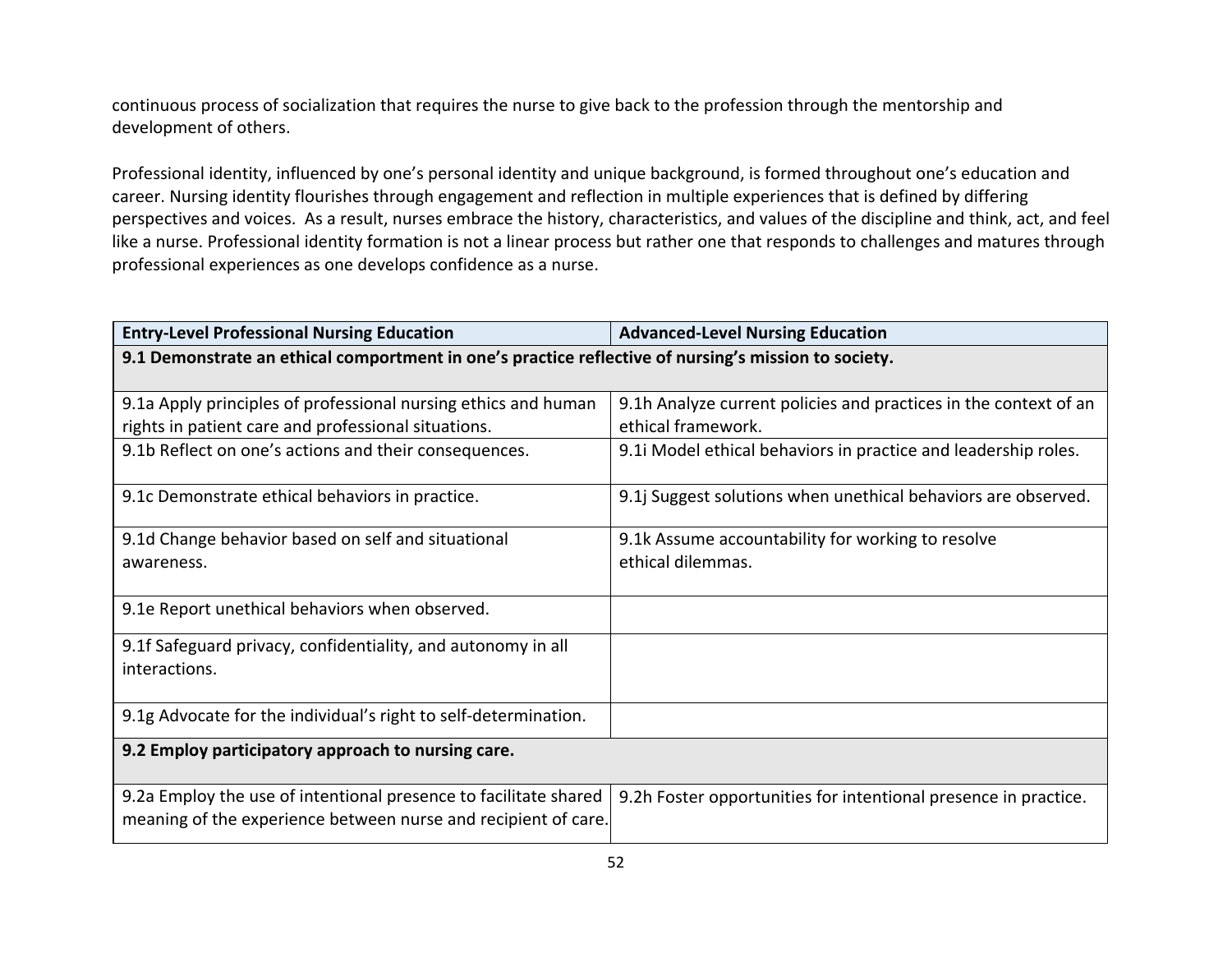continuous process of socialization that requires the nurse to give back to the profession through the mentorship and development of others.

Professional identity, influenced by one's personal identity and unique background, is formed throughout one's education and career. Nursing identity flourishes through engagement and reflection in multiple experiences that is defined by differing perspectives and voices. As a result, nurses embrace the history, characteristics, and values of the discipline and think, act, and feel like a nurse. Professional identity formation is not a linear process but rather one that responds to challenges and matures through professional experiences as one develops confidence as a nurse.

| <b>Entry-Level Professional Nursing Education</b>                                                    | <b>Advanced-Level Nursing Education</b>                          |
|------------------------------------------------------------------------------------------------------|------------------------------------------------------------------|
| 9.1 Demonstrate an ethical comportment in one's practice reflective of nursing's mission to society. |                                                                  |
|                                                                                                      |                                                                  |
| 9.1a Apply principles of professional nursing ethics and human                                       | 9.1h Analyze current policies and practices in the context of an |
| rights in patient care and professional situations.                                                  | ethical framework.                                               |
| 9.1b Reflect on one's actions and their consequences.                                                | 9.1 Model ethical behaviors in practice and leadership roles.    |
| 9.1c Demonstrate ethical behaviors in practice.                                                      | 9.1j Suggest solutions when unethical behaviors are observed.    |
| 9.1d Change behavior based on self and situational                                                   | 9.1k Assume accountability for working to resolve                |
| awareness.                                                                                           | ethical dilemmas.                                                |
|                                                                                                      |                                                                  |
| 9.1e Report unethical behaviors when observed.                                                       |                                                                  |
| 9.1f Safeguard privacy, confidentiality, and autonomy in all                                         |                                                                  |
| interactions.                                                                                        |                                                                  |
|                                                                                                      |                                                                  |
| 9.1g Advocate for the individual's right to self-determination.                                      |                                                                  |
| 9.2 Employ participatory approach to nursing care.                                                   |                                                                  |
|                                                                                                      |                                                                  |
| 9.2a Employ the use of intentional presence to facilitate shared                                     | 9.2h Foster opportunities for intentional presence in practice.  |
| meaning of the experience between nurse and recipient of care.                                       |                                                                  |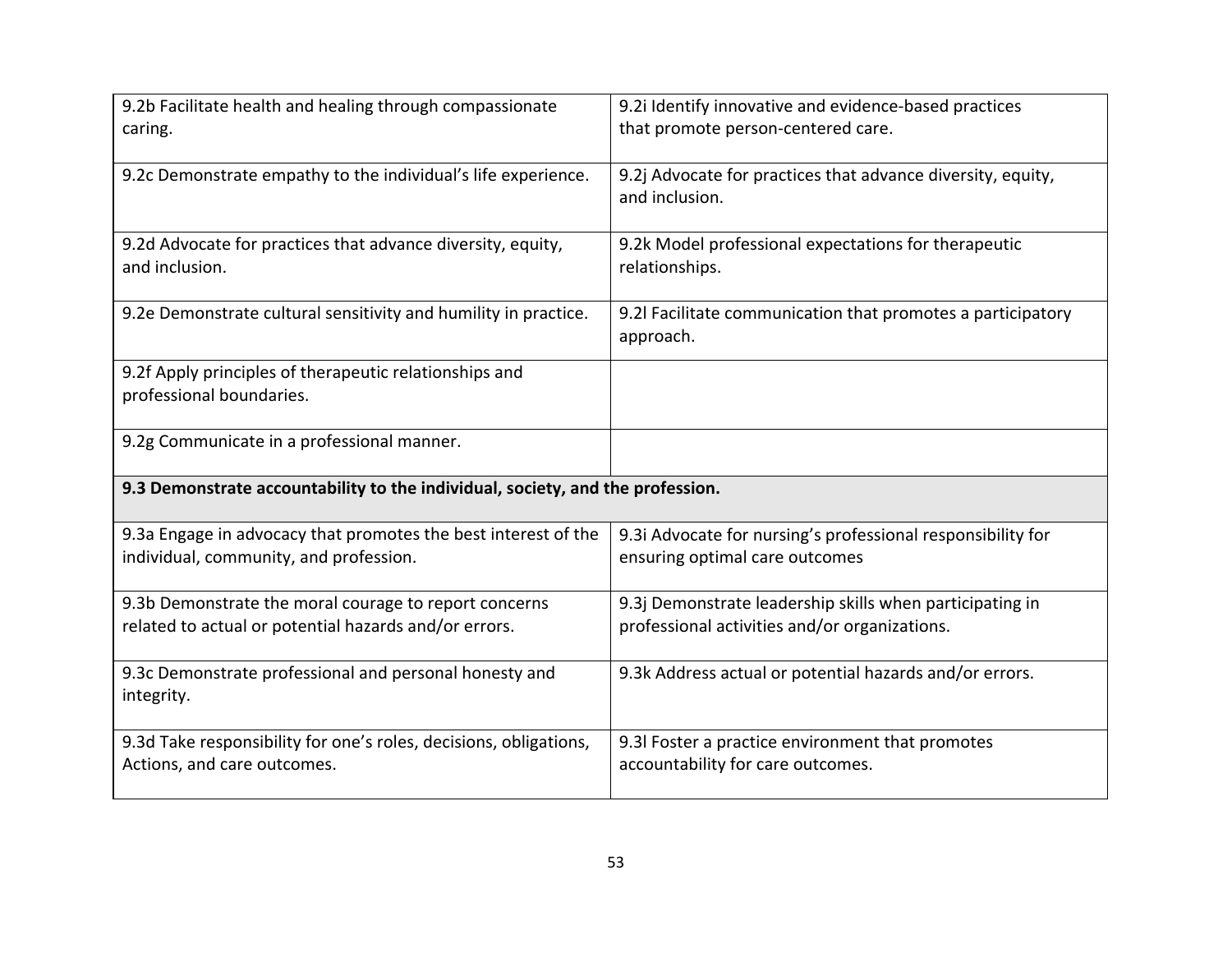| 9.2b Facilitate health and healing through compassionate<br>caring.                                            | 9.2i Identify innovative and evidence-based practices<br>that promote person-centered care.               |
|----------------------------------------------------------------------------------------------------------------|-----------------------------------------------------------------------------------------------------------|
| 9.2c Demonstrate empathy to the individual's life experience.                                                  | 9.2j Advocate for practices that advance diversity, equity,<br>and inclusion.                             |
| 9.2d Advocate for practices that advance diversity, equity,<br>and inclusion.                                  | 9.2k Model professional expectations for therapeutic<br>relationships.                                    |
| 9.2e Demonstrate cultural sensitivity and humility in practice.                                                | 9.2l Facilitate communication that promotes a participatory<br>approach.                                  |
| 9.2f Apply principles of therapeutic relationships and<br>professional boundaries.                             |                                                                                                           |
| 9.2g Communicate in a professional manner.                                                                     |                                                                                                           |
| 9.3 Demonstrate accountability to the individual, society, and the profession.                                 |                                                                                                           |
| 9.3a Engage in advocacy that promotes the best interest of the<br>individual, community, and profession.       | 9.3i Advocate for nursing's professional responsibility for<br>ensuring optimal care outcomes             |
| 9.3b Demonstrate the moral courage to report concerns<br>related to actual or potential hazards and/or errors. | 9.3j Demonstrate leadership skills when participating in<br>professional activities and/or organizations. |
| 9.3c Demonstrate professional and personal honesty and<br>integrity.                                           | 9.3k Address actual or potential hazards and/or errors.                                                   |
| 9.3d Take responsibility for one's roles, decisions, obligations,<br>Actions, and care outcomes.               | 9.3l Foster a practice environment that promotes<br>accountability for care outcomes.                     |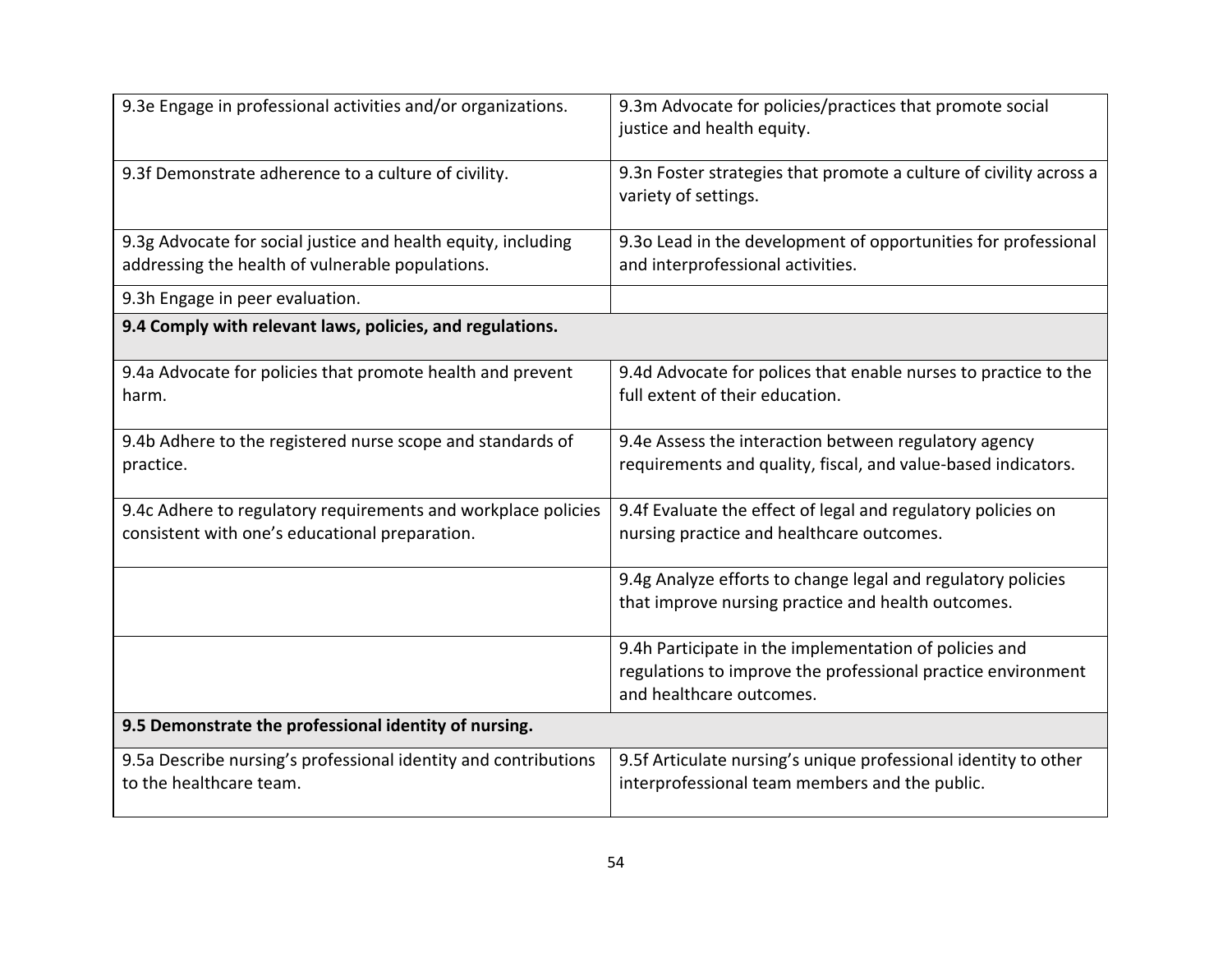| 9.3e Engage in professional activities and/or organizations.                                                      | 9.3m Advocate for policies/practices that promote social<br>justice and health equity.                                                             |
|-------------------------------------------------------------------------------------------------------------------|----------------------------------------------------------------------------------------------------------------------------------------------------|
| 9.3f Demonstrate adherence to a culture of civility.                                                              | 9.3n Foster strategies that promote a culture of civility across a<br>variety of settings.                                                         |
| 9.3g Advocate for social justice and health equity, including<br>addressing the health of vulnerable populations. | 9.30 Lead in the development of opportunities for professional<br>and interprofessional activities.                                                |
| 9.3h Engage in peer evaluation.                                                                                   |                                                                                                                                                    |
| 9.4 Comply with relevant laws, policies, and regulations.                                                         |                                                                                                                                                    |
| 9.4a Advocate for policies that promote health and prevent<br>harm.                                               | 9.4d Advocate for polices that enable nurses to practice to the<br>full extent of their education.                                                 |
| 9.4b Adhere to the registered nurse scope and standards of<br>practice.                                           | 9.4e Assess the interaction between regulatory agency<br>requirements and quality, fiscal, and value-based indicators.                             |
| 9.4c Adhere to regulatory requirements and workplace policies<br>consistent with one's educational preparation.   | 9.4f Evaluate the effect of legal and regulatory policies on<br>nursing practice and healthcare outcomes.                                          |
|                                                                                                                   | 9.4g Analyze efforts to change legal and regulatory policies<br>that improve nursing practice and health outcomes.                                 |
|                                                                                                                   | 9.4h Participate in the implementation of policies and<br>regulations to improve the professional practice environment<br>and healthcare outcomes. |
| 9.5 Demonstrate the professional identity of nursing.                                                             |                                                                                                                                                    |
| 9.5a Describe nursing's professional identity and contributions<br>to the healthcare team.                        | 9.5f Articulate nursing's unique professional identity to other<br>interprofessional team members and the public.                                  |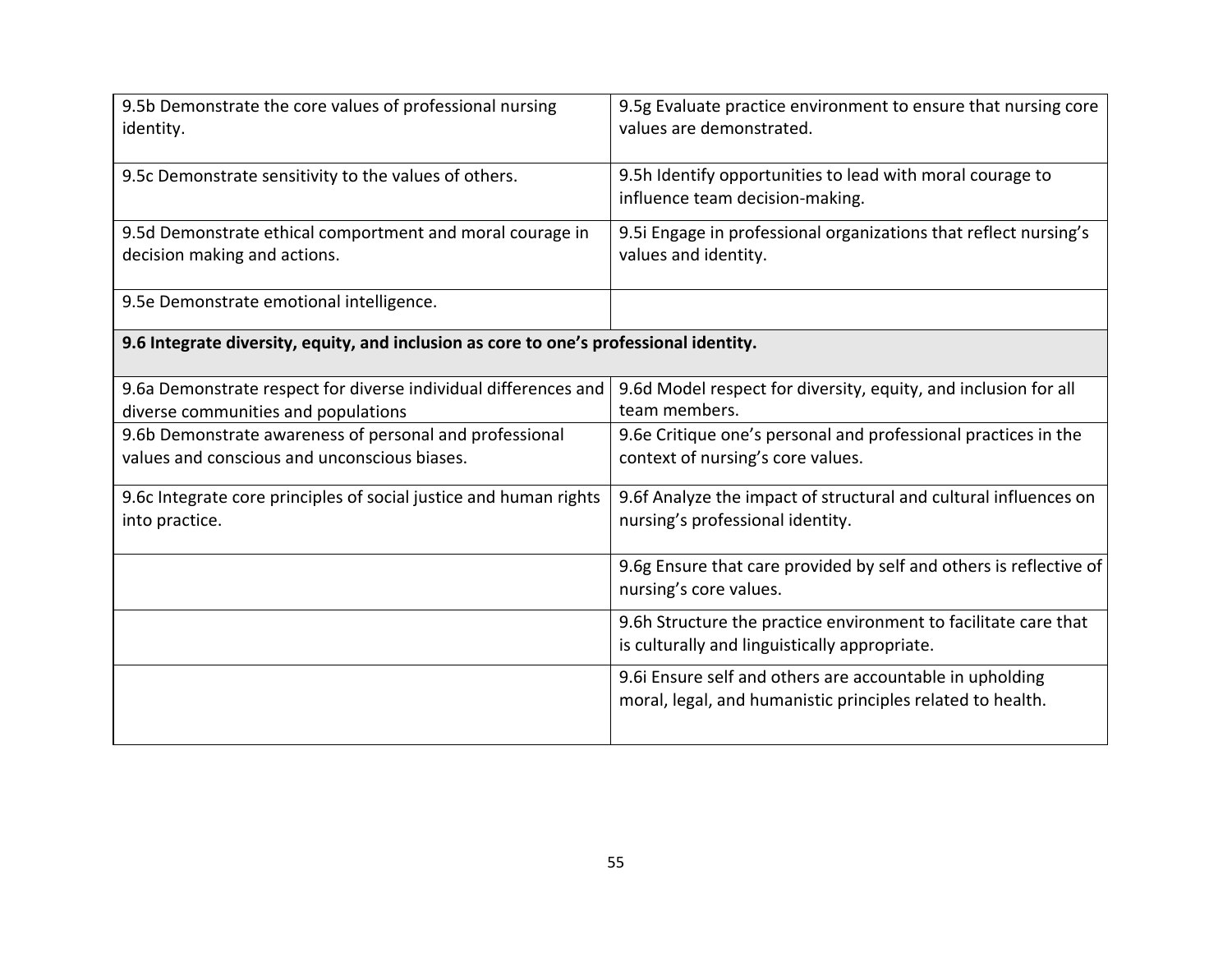| 9.5b Demonstrate the core values of professional nursing<br>identity.                                   | 9.5g Evaluate practice environment to ensure that nursing core<br>values are demonstrated.                             |
|---------------------------------------------------------------------------------------------------------|------------------------------------------------------------------------------------------------------------------------|
| 9.5c Demonstrate sensitivity to the values of others.                                                   | 9.5h Identify opportunities to lead with moral courage to<br>influence team decision-making.                           |
| 9.5d Demonstrate ethical comportment and moral courage in<br>decision making and actions.               | 9.5i Engage in professional organizations that reflect nursing's<br>values and identity.                               |
| 9.5e Demonstrate emotional intelligence.                                                                |                                                                                                                        |
| 9.6 Integrate diversity, equity, and inclusion as core to one's professional identity.                  |                                                                                                                        |
| 9.6a Demonstrate respect for diverse individual differences and<br>diverse communities and populations  | 9.6d Model respect for diversity, equity, and inclusion for all<br>team members.                                       |
| 9.6b Demonstrate awareness of personal and professional<br>values and conscious and unconscious biases. | 9.6e Critique one's personal and professional practices in the<br>context of nursing's core values.                    |
| 9.6c Integrate core principles of social justice and human rights<br>into practice.                     | 9.6f Analyze the impact of structural and cultural influences on<br>nursing's professional identity.                   |
|                                                                                                         | 9.6g Ensure that care provided by self and others is reflective of<br>nursing's core values.                           |
|                                                                                                         | 9.6h Structure the practice environment to facilitate care that<br>is culturally and linguistically appropriate.       |
|                                                                                                         | 9.6i Ensure self and others are accountable in upholding<br>moral, legal, and humanistic principles related to health. |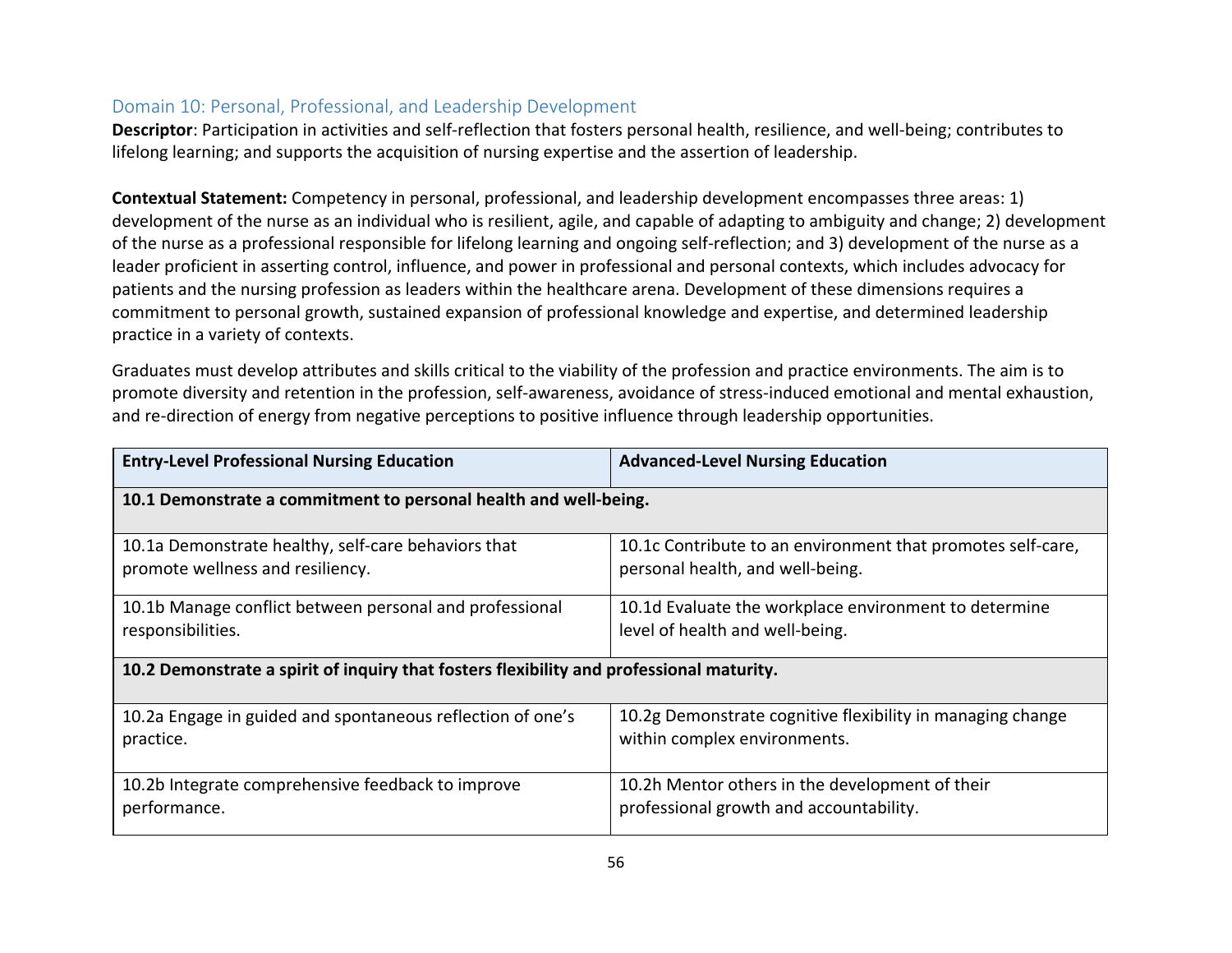#### Domain 10: Personal, Professional, and Leadership Development

**Descriptor**: Participation in activities and self-reflection that fosters personal health, resilience, and well-being; contributes to lifelong learning; and supports the acquisition of nursing expertise and the assertion of leadership.

**Contextual Statement:** Competency in personal, professional, and leadership development encompasses three areas: 1) development of the nurse as an individual who is resilient, agile, and capable of adapting to ambiguity and change; 2) development of the nurse as a professional responsible for lifelong learning and ongoing self-reflection; and 3) development of the nurse as a leader proficient in asserting control, influence, and power in professional and personal contexts, which includes advocacy for patients and the nursing profession as leaders within the healthcare arena. Development of these dimensions requires a commitment to personal growth, sustained expansion of professional knowledge and expertise, and determined leadership practice in a variety of contexts.

Graduates must develop attributes and skills critical to the viability of the profession and practice environments. The aim is to promote diversity and retention in the profession, self-awareness, avoidance of stress-induced emotional and mental exhaustion, and re-direction of energy from negative perceptions to positive influence through leadership opportunities.

| <b>Entry-Level Professional Nursing Education</b>                                        | <b>Advanced-Level Nursing Education</b>                     |  |
|------------------------------------------------------------------------------------------|-------------------------------------------------------------|--|
| 10.1 Demonstrate a commitment to personal health and well-being.                         |                                                             |  |
| 10.1a Demonstrate healthy, self-care behaviors that                                      | 10.1c Contribute to an environment that promotes self-care, |  |
| promote wellness and resiliency.                                                         | personal health, and well-being.                            |  |
| 10.1b Manage conflict between personal and professional                                  | 10.1d Evaluate the workplace environment to determine       |  |
| responsibilities.                                                                        | level of health and well-being.                             |  |
| 10.2 Demonstrate a spirit of inquiry that fosters flexibility and professional maturity. |                                                             |  |
| 10.2a Engage in guided and spontaneous reflection of one's                               | 10.2g Demonstrate cognitive flexibility in managing change  |  |
| practice.                                                                                | within complex environments.                                |  |
| 10.2b Integrate comprehensive feedback to improve                                        | 10.2h Mentor others in the development of their             |  |
| performance.                                                                             | professional growth and accountability.                     |  |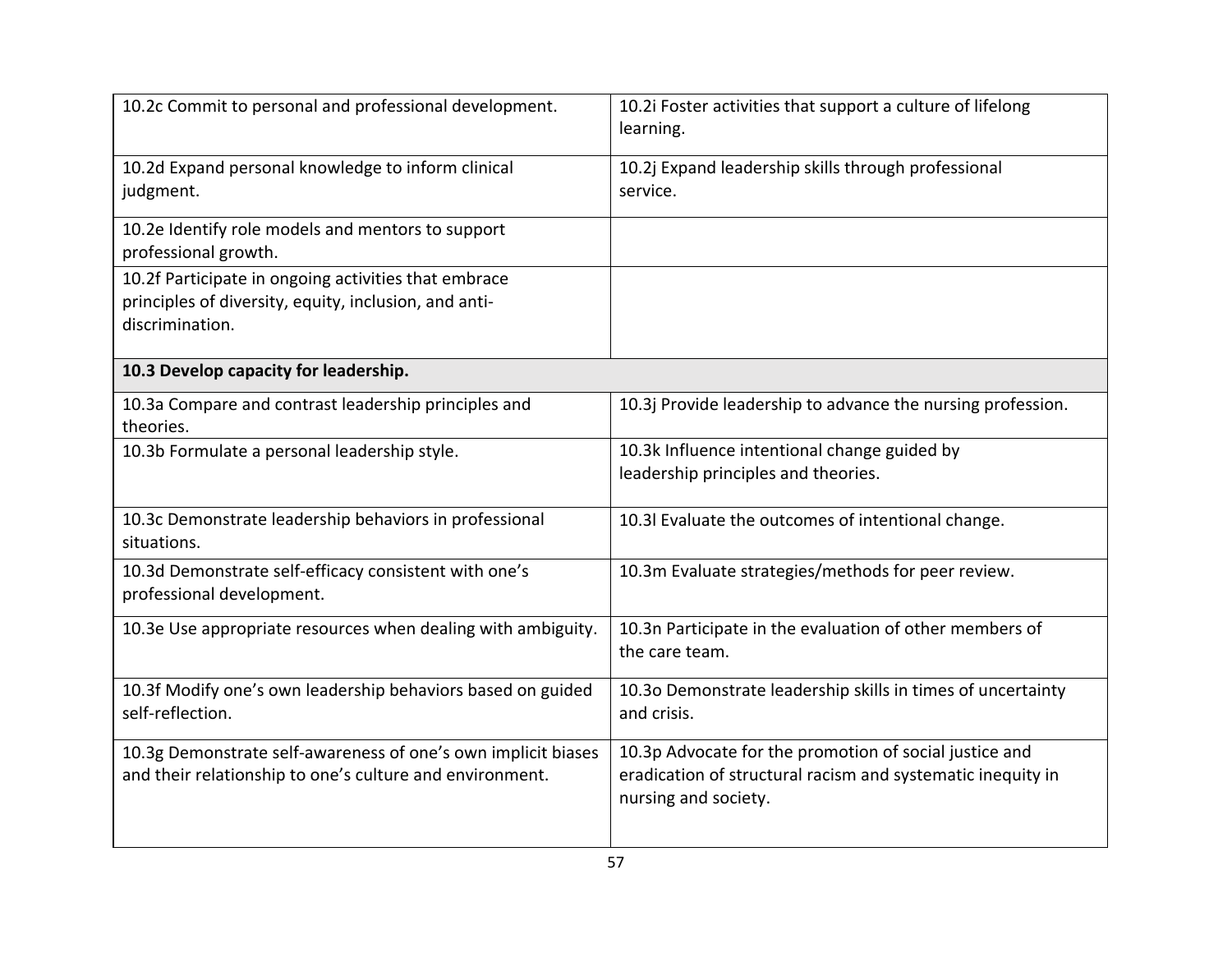| 10.2c Commit to personal and professional development.                                                                           | 10.2i Foster activities that support a culture of lifelong<br>learning.                                                                       |
|----------------------------------------------------------------------------------------------------------------------------------|-----------------------------------------------------------------------------------------------------------------------------------------------|
| 10.2d Expand personal knowledge to inform clinical<br>judgment.                                                                  | 10.2j Expand leadership skills through professional<br>service.                                                                               |
| 10.2e Identify role models and mentors to support<br>professional growth.                                                        |                                                                                                                                               |
| 10.2f Participate in ongoing activities that embrace<br>principles of diversity, equity, inclusion, and anti-<br>discrimination. |                                                                                                                                               |
| 10.3 Develop capacity for leadership.                                                                                            |                                                                                                                                               |
| 10.3a Compare and contrast leadership principles and<br>theories.                                                                | 10.3j Provide leadership to advance the nursing profession.                                                                                   |
| 10.3b Formulate a personal leadership style.                                                                                     | 10.3k Influence intentional change guided by<br>leadership principles and theories.                                                           |
| 10.3c Demonstrate leadership behaviors in professional<br>situations.                                                            | 10.3l Evaluate the outcomes of intentional change.                                                                                            |
| 10.3d Demonstrate self-efficacy consistent with one's<br>professional development.                                               | 10.3m Evaluate strategies/methods for peer review.                                                                                            |
| 10.3e Use appropriate resources when dealing with ambiguity.                                                                     | 10.3n Participate in the evaluation of other members of<br>the care team.                                                                     |
| 10.3f Modify one's own leadership behaviors based on guided<br>self-reflection.                                                  | 10.30 Demonstrate leadership skills in times of uncertainty<br>and crisis.                                                                    |
| 10.3g Demonstrate self-awareness of one's own implicit biases<br>and their relationship to one's culture and environment.        | 10.3p Advocate for the promotion of social justice and<br>eradication of structural racism and systematic inequity in<br>nursing and society. |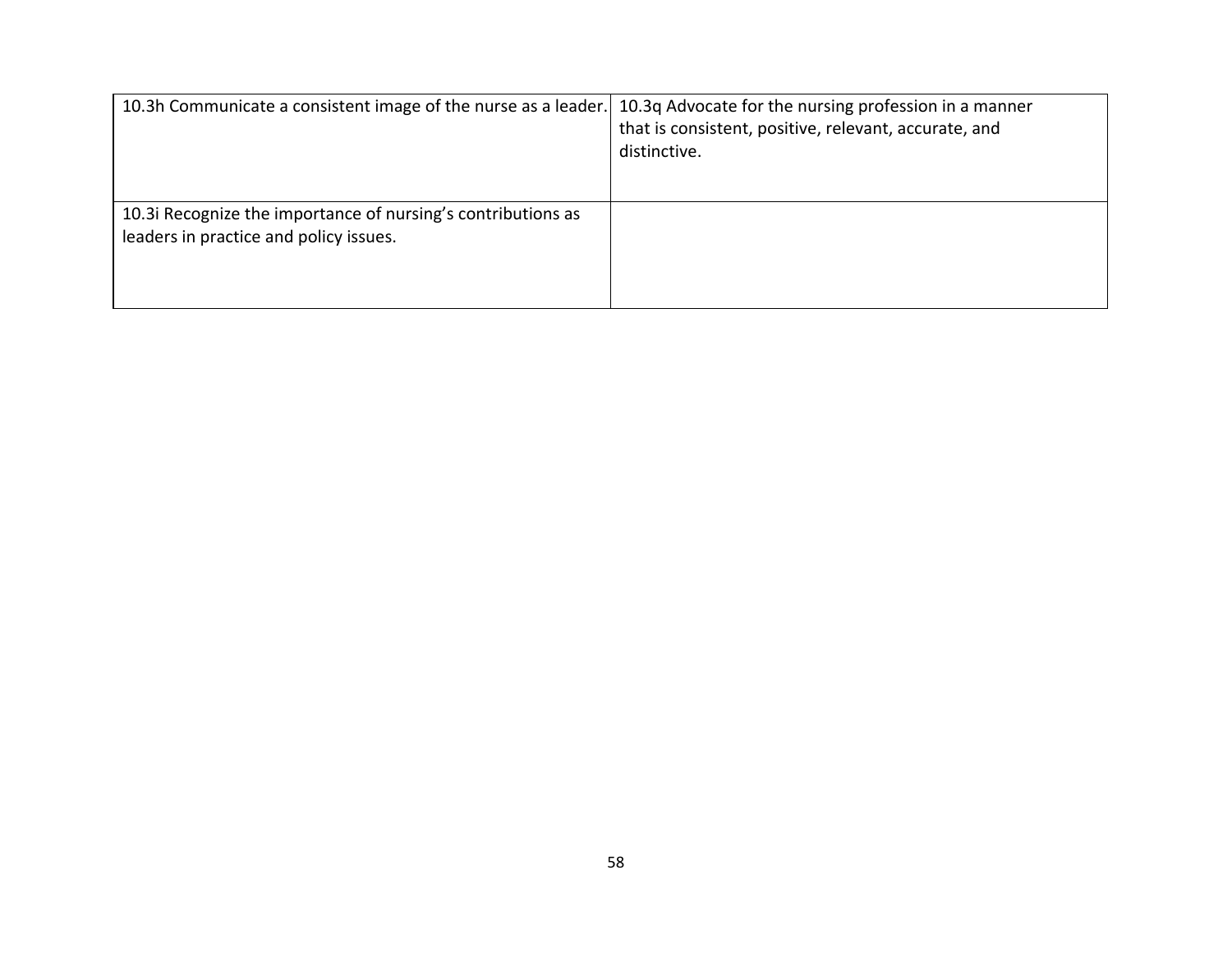| 10.3h Communicate a consistent image of the nurse as a leader.                                        | 10.3q Advocate for the nursing profession in a manner<br>that is consistent, positive, relevant, accurate, and<br>distinctive. |
|-------------------------------------------------------------------------------------------------------|--------------------------------------------------------------------------------------------------------------------------------|
| 10.3 Recognize the importance of nursing's contributions as<br>leaders in practice and policy issues. |                                                                                                                                |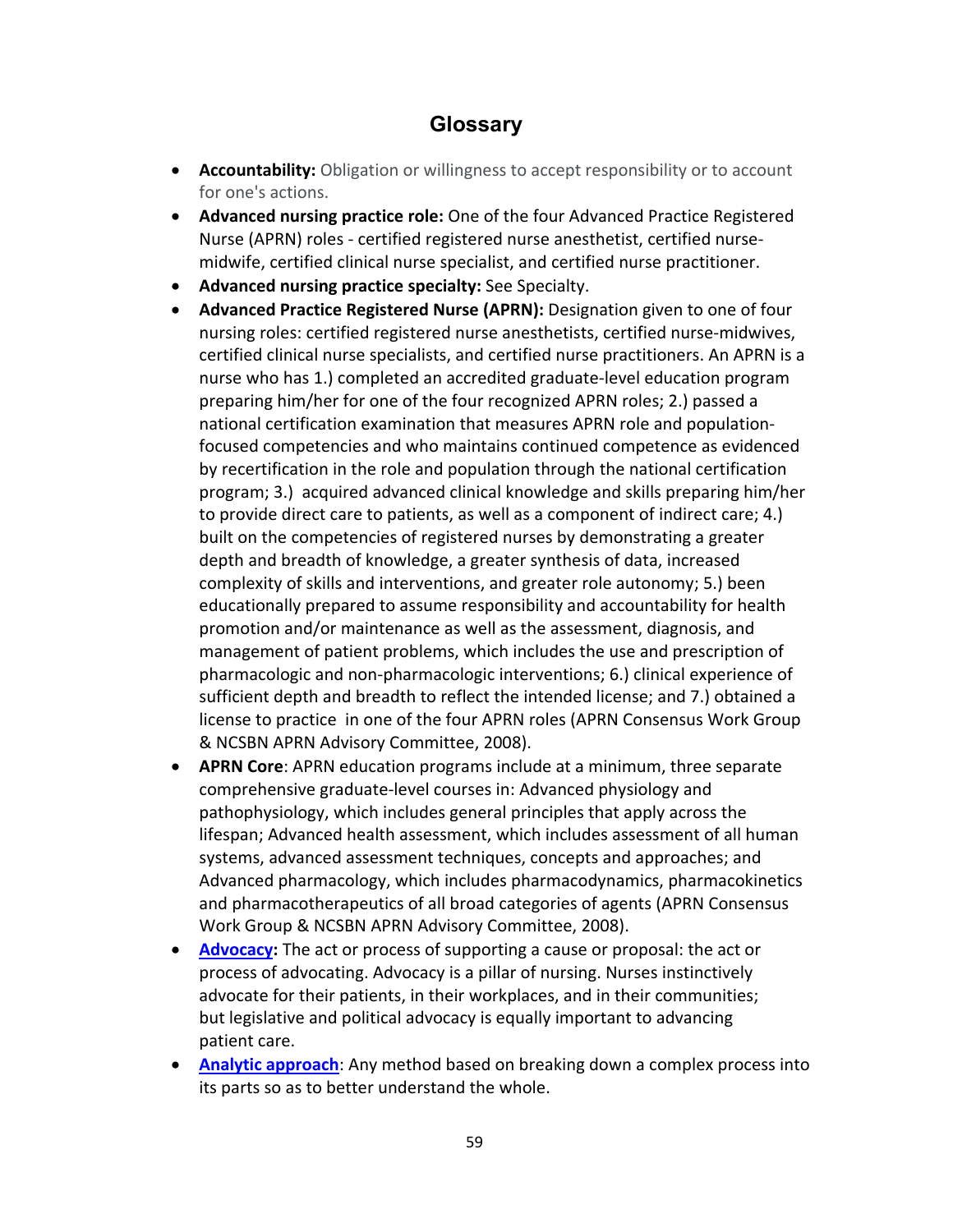# **Glossary**

- **Accountability:** Obligation or willingness to accept responsibility or to account for one's actions.
- **Advanced nursing practice role:** One of the four Advanced Practice Registered Nurse (APRN) roles - certified registered nurse anesthetist, certified nursemidwife, certified clinical nurse specialist, and certified nurse practitioner.
- **Advanced nursing practice specialty:** See Specialty.
- **Advanced Practice Registered Nurse (APRN):** Designation given to one of four nursing roles: certified registered nurse anesthetists, certified nurse-midwives, certified clinical nurse specialists, and certified nurse practitioners. An APRN is a nurse who has 1.) completed an accredited graduate-level education program preparing him/her for one of the four recognized APRN roles; 2.) passed a national certification examination that measures APRN role and populationfocused competencies and who maintains continued competence as evidenced by recertification in the role and population through the national certification program; 3.) acquired advanced clinical knowledge and skills preparing him/her to provide direct care to patients, as well as a component of indirect care; 4.) built on the competencies of registered nurses by demonstrating a greater depth and breadth of knowledge, a greater synthesis of data, increased complexity of skills and interventions, and greater role autonomy; 5.) been educationally prepared to assume responsibility and accountability for health promotion and/or maintenance as well as the assessment, diagnosis, and management of patient problems, which includes the use and prescription of pharmacologic and non-pharmacologic interventions; 6.) clinical experience of sufficient depth and breadth to reflect the intended license; and 7.) obtained a license to practice in one of the four APRN roles (APRN Consensus Work Group & NCSBN APRN Advisory Committee, 2008).
- **APRN Core**: APRN education programs include at a minimum, three separate comprehensive graduate-level courses in: Advanced physiology and pathophysiology, which includes general principles that apply across the lifespan; Advanced health assessment, which includes assessment of all human systems, advanced assessment techniques, concepts and approaches; and Advanced pharmacology, which includes pharmacodynamics, pharmacokinetics and pharmacotherapeutics of all broad categories of agents (APRN Consensus Work Group & NCSBN APRN Advisory Committee, 2008).
- **[Advocacy:](https://www.merriam-webster.com/dictionary/advocacy)** The act or process of supporting a cause or proposal: the act or process of advocating. Advocacy is a pillar of nursing. Nurses instinctively advocate for their patients, in their workplaces, and in their communities; but legislative and political advocacy is equally important to advancing patient care.
- **[Analytic approach](https://dictionary.apa.org/analytic-approach)**: Any method based on breaking down a complex process into its parts so as to better understand the whole.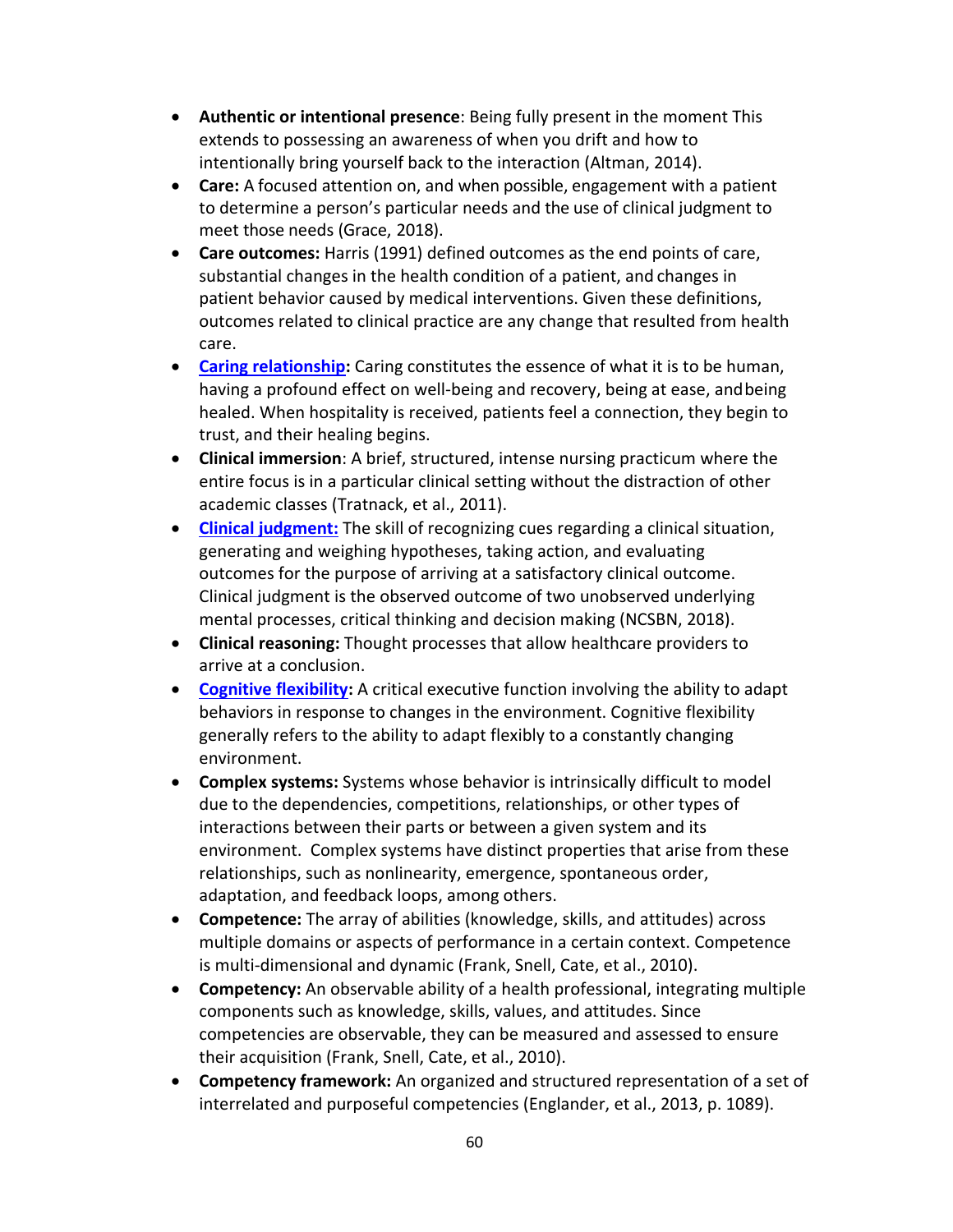- **Authentic or intentional presence**: Being fully present in the moment This extends to possessing an awareness of when you drift and how to intentionally bring yourself back to the interaction (Altman, 2014).
- **Care:** A focused attention on, and when possible, engagement with a patient to determine a person's particular needs and the use of clinical judgment to meet those needs (Grace, 2018).
- **Care outcomes:** Harris (1991) defined outcomes as the end points of care, substantial changes in the health condition of a patient, and changes in patient behavior caused by medical interventions. Given these definitions, outcomes related to clinical practice are any change that resulted from health care.
- **Caring relationship:** Caring constitutes the essence of what it is to be human, having a profound effect on well-being and recovery, being at ease, and being healed. When hospitality is received, patients feel a connection, they begin to trust, and their healing begins.
- **Clinical immersion**: A brief, structured, intense nursing practicum where the entire focus is in a particular clinical setting without the distraction of other academic classes (Tratnack, et al., 2011).
- **[Clinical judgment:](https://www.ncsbn.org/NCLEX_Next_Winter18_Eng_05.pdf)** The skill of recognizing cues regarding a clinical situation, generating and weighing hypotheses, taking action, and evaluating outcomes for the purpose of arriving at a satisfactory clinical outcome. Clinical judgment is the observed outcome of two unobserved underlying mental processes, critical thinking and decision making (NCSBN, 2018).
- **Clinical reasoning:** Thought processes that allow healthcare providers to arrive at a conclusion.
- **[Cognitive flexibility:](https://www.sciencedirect.com/topics/neuroscience/cognitive-flexibility)** A critical executive function involving the ability to adapt behaviors in response to changes in the environment. Cognitive flexibility generally refers to the ability to adapt flexibly to a constantly changing environment.
- **Complex systems:** Systems whose behavior is intrinsically difficult to model due to the dependencies, competitions, relationships, or other types of interactions between their parts or between a given system and its environment. Complex systems have distinct properties that arise from these relationships, such as nonlinearity, emergence, spontaneous order, adaptation, and feedback loops, among others.
- **Competence:** The array of abilities (knowledge, skills, and attitudes) across multiple domains or aspects of performance in a certain context. Competence is multi-dimensional and dynamic (Frank, Snell, Cate, et al., 2010).
- **Competency:** An observable ability of a health professional, integrating multiple components such as knowledge, skills, values, and attitudes. Since competencies are observable, they can be measured and assessed to ensure their acquisition (Frank, Snell, Cate, et al., 2010).
- **Competency framework:** An organized and structured representation of a set of interrelated and purposeful competencies (Englander, et al., 2013, p. 1089).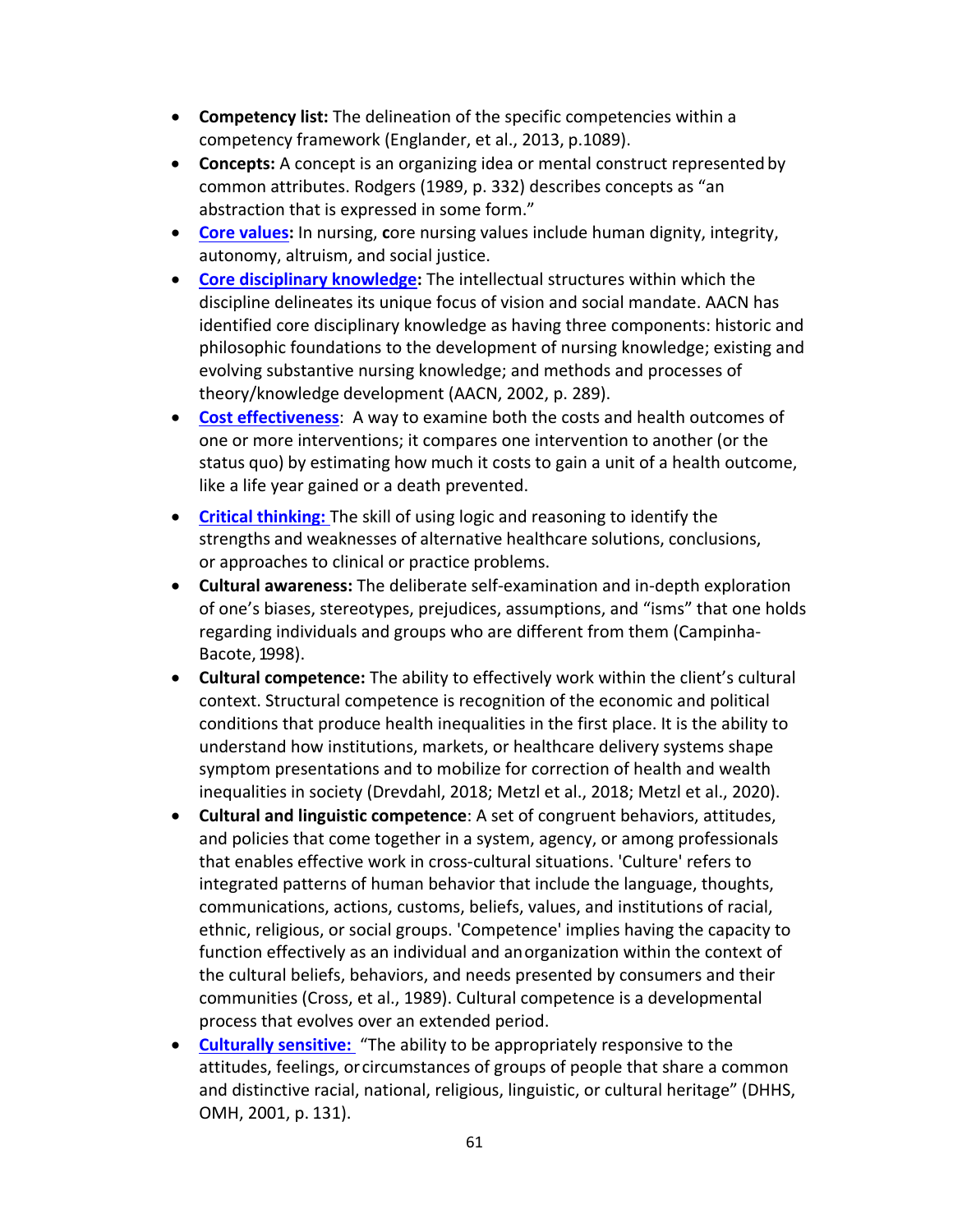- **Competency list:** The delineation of the specific competencies within a competency framework (Englander, et al., 2013, p.1089).
- **Concepts:** A concept is an organizing idea or mental construct represented by common attributes. Rodgers (1989, p. 332) describes concepts as "an abstraction that is expressed in some form."
- **[Core values:](file:///C:%5CUsers%5CJStanley%5CAppData%5CLocal%5CMicrosoft%5CWindows%5CINetCache%5CContent.Outlook%5CRD1PU24C%5CFahrenwald,%20N.%20L.,%20Bassett,%20S.%20D.,%20Tschetter,%20L.,%20Carson,%20P.%20P.,%20White,%20L.,%20&%20Winterboer,%20V.%20J.%20(2005).%20Teaching%20core%20nursing%20values.%20Journal%20of%20professional%20nursing%20:%20official%20journal%20of%20the%20American%20Association%20of%20Colleges%20of%20Nursing,%2021(1),%2046%E2%80%9351.%20https:%5Cdoi.org%5C10.1016%5Cj.profnurs.2004.11.001)** In nursing, **c**ore nursing values include human dignity, integrity, autonomy, altruism, and social justice.
- **Core disciplinary knowledge:** The intellectual structures within which the discipline delineates its unique focus of vision and social mandate. AACN has identified core disciplinary knowledge as having three components: historic and philosophic foundations to the development of nursing knowledge; existing and evolving substantive nursing knowledge; and methods and processes of theory/knowledge development (AACN, 2002, p. 289).
- **[Cost effectiveness](https://www.cdc.gov/policy/polaris/economics/cost-effectiveness.html)**: A way to examine both the costs and health outcomes of one or more interventions; it compares one intervention to another (or the status quo) by estimating how much it costs to gain a unit of a health outcome, like a life year gained or a death prevented.
- **[Critical thinking:](https://www.ncsbn.org/NCLEX_Next_Winter18_Eng_05.pdf)** The skill of using logic and reasoning to identify the strengths and weaknesses of alternative healthcare solutions, conclusions, or approaches to clinical or practice problems.
- **Cultural awareness:** The deliberate self-examination and in-depth exploration of one's biases, stereotypes, prejudices, assumptions, and "isms" that one holds regarding individuals and groups who are different from them (Campinha-Bacote, 1998).
- **[Cultural competence:](https://npin.cdc.gov/pages/cultural-competence#what)** The ability to effectively work within the client's cultural context. Structural competence is recognition of the economic and political conditions that produce health inequalities in the first place. It is the ability to understand how institutions, markets, or healthcare delivery systems shape symptom presentations and to mobilize for correction of health and wealth inequalities in society (Drevdahl, 2018; Metzl et al., 2018; Metzl et al., 2020).
- **Cultural and linguistic competence**: A set of congruent behaviors, attitudes, and policies that come together in a system, agency, or among professionals that enables effective work in cross-cultural situations. 'Culture' refers to integrated patterns of human behavior that include the language, thoughts, communications, actions, customs, beliefs, values, and institutions of racial, ethnic, religious, or social groups. 'Competence' implies having the capacity to function effectively as an individual and anorganization within the context of the cultural beliefs, behaviors, and needs presented by consumers and their communities (Cross, et al., 1989). Cultural competence is a developmental process that evolves over an extended period.
- **[Culturally sensitive:](https://www.ncbi.nlm.nih.gov/pmc/articles/PMC3092156/)** "The ability to be appropriately responsive to the attitudes, feelings, orcircumstances of groups of people that share a common and distinctive racial, national, religious, linguistic, or cultural heritage" (DHHS, OMH, 2001, p. 131).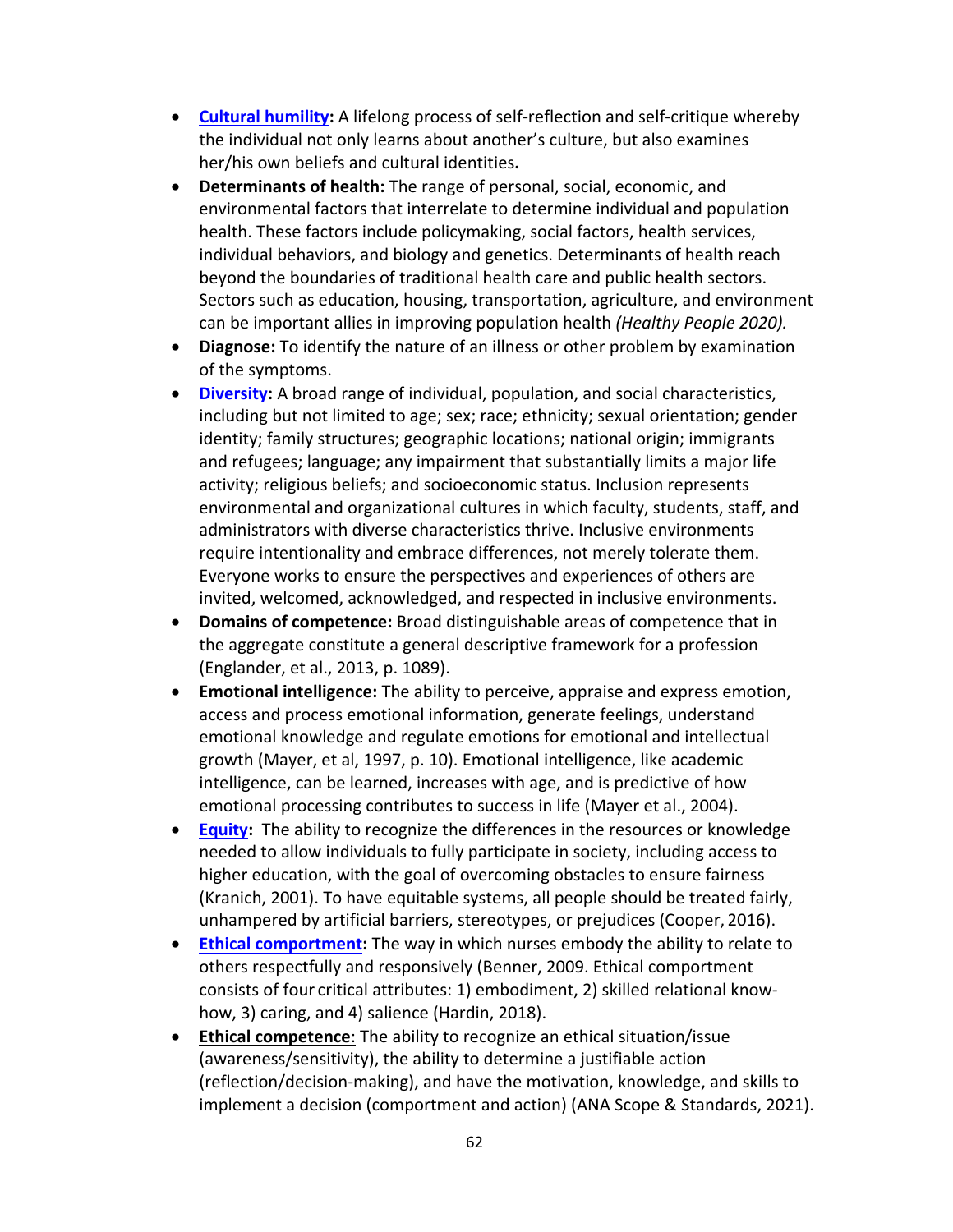- **[Cultural humility:](file:///C:%5CUsers%5CJStanley%5CAppData%5CLocal%5CMicrosoft%5CWindows%5CINetCache%5CContent.Outlook%5CRD1PU24C%5CTervalon,%20M.,%20&%20Murray-Garc%C3%ADa,%20J.%20(1998).%20Cultural%20humility%20versus%20cultural%20competence:%20a%20critical%20distinction%20in%20defining%20physician%20training%20outcomes%20in%20multicultural%20education.%20Journal%20of%20health%20care%20for%20the%20poor%20and%20underserved,%209(2),%20117%E2%80%93125.%20https:%5Cdoi.org%5C10.1353%5Chpu.2010.0233)** A lifelong process of self-reflection and self-critique whereby the individual not only learns about another's culture, but also examines her/his own beliefs and cultural identities**.**
- **Determinants of health:** The range of personal, social, economic, and environmental factors that interrelate to determine individual and population health. These factors include policymaking, social factors, health services, individual behaviors, and biology and genetics. Determinants of health reach beyond the boundaries of traditional health care and public health sectors. Sectors such as education, housing, transportation, agriculture, and environment can be important allies in improving population health *(Healthy People 2020).*
- **Diagnose:** To identify the nature of an illness or other problem by examination of the symptoms.
- **[Diversity:](https://www.aacnnursing.org/Portals/42/News/Position-Statements/Diversity-Inclusion.pdf)** A broad range of individual, population, and social characteristics, including but not limited to age; sex; race; ethnicity; sexual orientation; gender identity; family structures; geographic locations; national origin; immigrants and refugees; language; any impairment that substantially limits a major life activity; religious beliefs; and socioeconomic status. Inclusion represents environmental and organizational cultures in which faculty, students, staff, and administrators with diverse characteristics thrive. Inclusive environments require intentionality and embrace differences, not merely tolerate them. Everyone works to ensure the perspectives and experiences of others are invited, welcomed, acknowledged, and respected in inclusive environments.
- **Domains of competence:** Broad distinguishable areas of competence that in the aggregate constitute a general descriptive framework for a profession (Englander, et al., 2013, p. 1089).
- **Emotional intelligence:** The ability to perceive, appraise and express emotion, access and process emotional information, generate feelings, understand emotional knowledge and regulate emotions for emotional and intellectual growth (Mayer, et al, 1997, p. 10). Emotional intelligence, like academic intelligence, can be learned, increases with age, and is predictive of how emotional processing contributes to success in life (Mayer et al., 2004).
- **[Equity:](https://www.aacnnursing.org/Portals/42/News/Position-Statements/Diversity-Inclusion.pdf)** The ability to recognize the differences in the resources or knowledge needed to allow individuals to fully participate in society, including access to higher education, with the goal of overcoming obstacles to ensure fairness (Kranich, 2001). To have equitable systems, all people should be treated fairly, unhampered by artificial barriers, stereotypes, or prejudices (Cooper, 2016).
- **Ethical comportment:** The way in which nurses embody the ability to relate to others respectfully and responsively (Benner, 2009. Ethical comportment consists of four critical attributes: 1) embodiment, 2) skilled relational knowhow, 3) caring, and 4) salience (Hardin, 2018).
- **Ethical competence**: The ability to recognize an ethical situation/issue (awareness/sensitivity), the ability to determine a justifiable action (reflection/decision-making), and have the motivation, knowledge, and skills to implement a decision (comportment and action) (ANA Scope & Standards, 2021).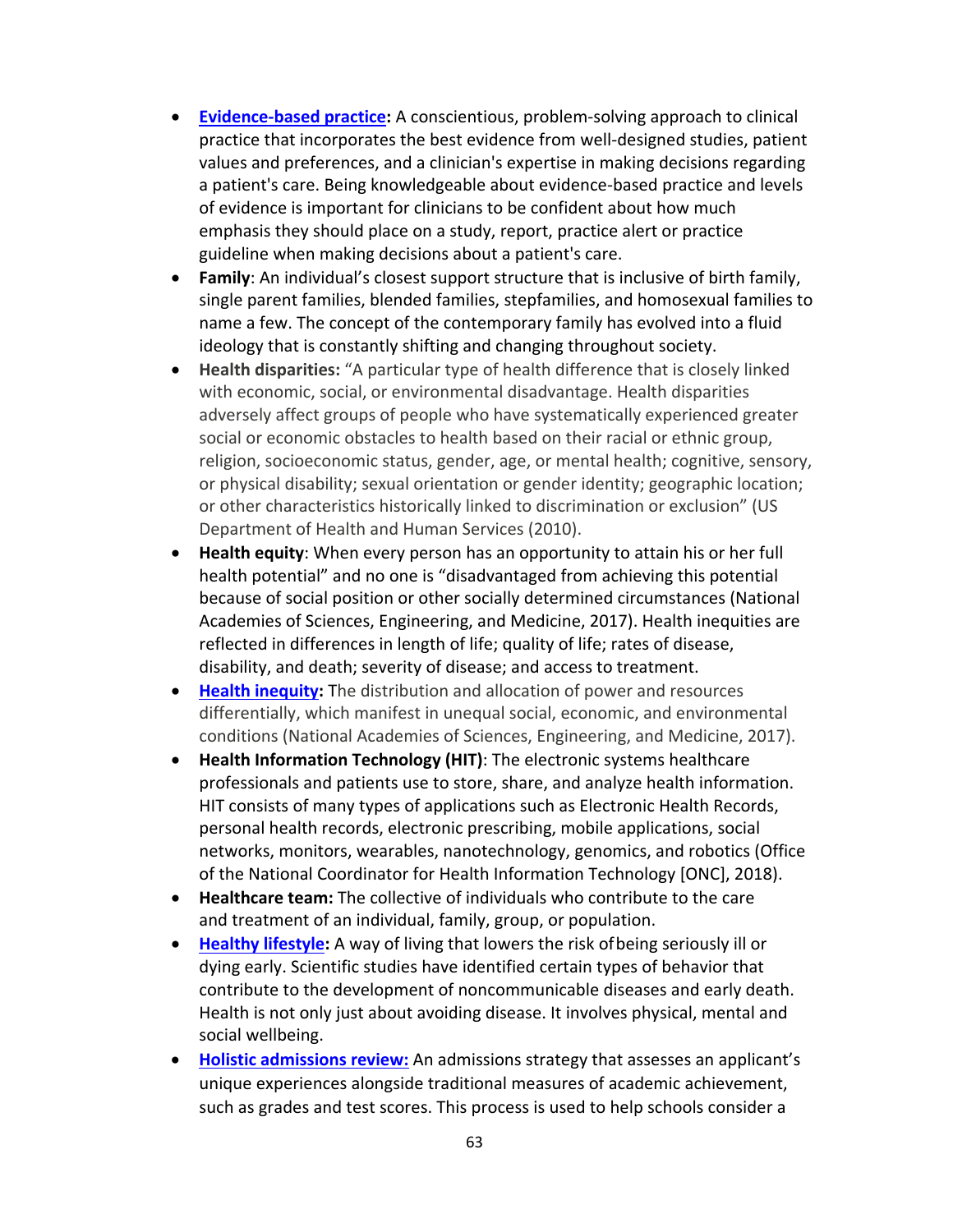- **[Evidence-based practice:](https://www.nurse.com/evidence-based-practice)** A conscientious, problem-solving approach to clinical practice that incorporates the best evidence from well-designed studies, patient values and preferences, and a clinician's expertise in making decisions regarding a patient's care. Being knowledgeable about evidence-based practice and levels of evidence is important for clinicians to be confident about how much emphasis they should place on a study, report, practice alert or practice guideline when making decisions about a patient's care.
- **[Family](https://weddingmechanic.wordpress.com/2008/08/14/marriage-and-contemporary-family/)**: An individual's closest support structure that is inclusive of birth family, single parent families, blended families, stepfamilies, and homosexual families to name a few. The concept of the contemporary family has evolved into a fluid ideology that is constantly shifting and changing throughout society.
- **Health disparities:** "A particular type of health difference that is closely linked with economic, social, or environmental disadvantage. Health disparities adversely affect groups of people who have systematically experienced greater social or economic obstacles to health based on their racial or ethnic group, religion, socioeconomic status, gender, age, or mental health; cognitive, sensory, or physical disability; sexual orientation or gender identity; geographic location; or other characteristics historically linked to discrimination or exclusion" (US Department of Health and Human Services (2010).
- **Health equity**: When every person has an opportunity to attain his or her full health potential" and no one is "disadvantaged from achieving this potential because of social position or other socially determined circumstances (National Academies of Sciences, Engineering, and Medicine, 2017). Health inequities are reflected in differences in length of life; quality of life; rates of disease, disability, and death; severity of disease; and access to treatment.
- **[Health inequity:](https://www.cdc.gov/chronicdisease/healthequity/index.htm)** The distribution and allocation of power and resources differentially, which manifest in unequal social, economic, and environmental conditions (National Academies of Sciences, Engineering, and Medicine, 2017).
- **Health Information Technology (HIT)**: The electronic systems healthcare professionals and patients use to store, share, and analyze health information. HIT consists of many types of applications such as Electronic Health Records, personal health records, electronic prescribing, mobile applications, social networks, monitors, wearables, nanotechnology, genomics, and robotics (Office of the National Coordinator for Health Information Technology [ONC], 2018).
- **Healthcare team:** The collective of individuals who contribute to the care and treatment of an individual, family, group, or population.
- **[Healthy lifestyle:](https://apps.who.int/iris/handle/10665/108180)** A way of living that lowers the risk ofbeing seriously ill or dying early. Scientific studies have identified certain types of behavior that contribute to the development of noncommunicable diseases and early death. Health is not only just about avoiding disease. It involves physical, mental and social wellbeing.
- **Holistic [admissions](https://www.aacnnursing.org/Diversity-Inclusion/Holistic-Admissions) review:** An admissions strategy that assesses an applicant's unique experiences alongside traditional measures of academic achievement, such as grades and test scores. This process is used to help schools consider a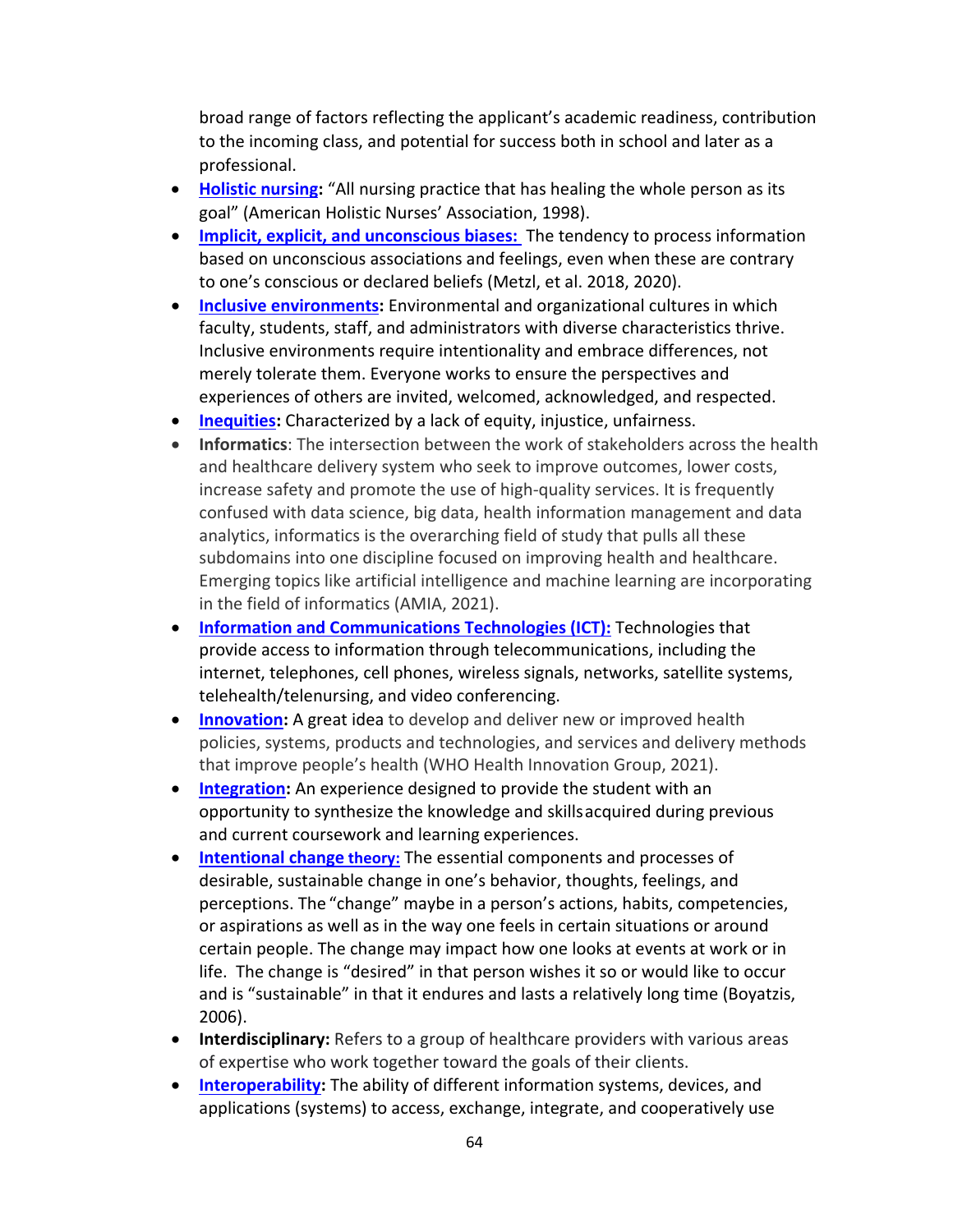broad range of factors reflecting the applicant's academic readiness, contribution to the incoming class, and potential for success both in school and later as a professional.

- **[Holistic nursing:](https://www.ahna.org/About-Us/What-is-Holistic-Nursing)** "All nursing practice that has healing the whole person as its goal" (American Holistic Nurses' Association, 1998).
- **[Implicit, explicit, and unconscious biases:](https://www.dictionary.com/browse/implicit-bias)** The tendency to process information based on unconscious associations and feelings, even when these are contrary to one's conscious or declared beliefs (Metzl, et al. 2018, 2020).
- **[Inclusive environments:](https://www.aacnnursing.org/Portals/42/News/Position-Statements/Diversity-Inclusion.pdf)** Environmental and organizational cultures in which faculty, students, staff, and administrators with diverse characteristics thrive. Inclusive environments require intentionality and embrace differences, not merely tolerate them. Everyone works to ensure the perspectives and experiences of others are invited, welcomed, acknowledged, and respected.
- **[Inequities:](https://www.collinsdictionary.com/us/dictionary/english/inequities)** Characterized by a lack of equity, injustice, unfairness.
- **Informatics**: The intersection between the work of stakeholders across the health and healthcare delivery system who seek to improve outcomes, lower costs, increase safety and promote the use of high-quality services. It is frequently confused with data science, big data, health information management and data analytics, informatics is the overarching field of study that pulls all these subdomains into one discipline focused on improving health and healthcare. Emerging topics like artificial intelligence and machine learning are incorporating in the field of informatics (AMIA, 2021).
- **[Information and Communications Technologies \(ICT\):](https://techterms.com/definition/ict)** Technologies that provide access to information through telecommunications, including the internet, telephones, cell phones, wireless signals, networks, satellite systems, telehealth/telenursing, and video conferencing.
- **[Innovation:](https://www.ideatovalue.com/inno/nickskillicorn/2016/03/innovation-15-experts-share-innovation-definition/)** A great idea to develop and deliver new or improved health policies, systems, products and technologies, and services and delivery methods that improve people's health (WHO Health Innovation Group, 2021).
- **[Integration:](https://www.nursing.columbia.edu/courses/integration-nursing-practice-nurs5490m)** An experience designed to provide the student with an opportunity to synthesize the knowledge and skillsacquired during previous and current coursework and learning experiences.
- **[Intentional change](https://citeseerx.ist.psu.edu/viewdoc/download?doi=10.1.1.465.3613&rep=rep1&type=pdf) theory:** The essential components and processes of desirable, sustainable change in one's behavior, thoughts, feelings, and perceptions. The "change" maybe in a person's actions, habits, competencies, or aspirations as well as in the way one feels in certain situations or around certain people. The change may impact how one looks at events at work or in life. The change is "desired" in that person wishes it so or would like to occur and is "sustainable" in that it endures and lasts a relatively long time (Boyatzis, 2006).
- **Interdisciplinary:** Refers to a group of healthcare providers with various areas of expertise who work together toward the goals of their clients.
- **[Interoperability:](https://www.himss.org/resources/interoperability-healthcare)** The ability of different information systems, devices, and applications (systems) to access, exchange, integrate, and cooperatively use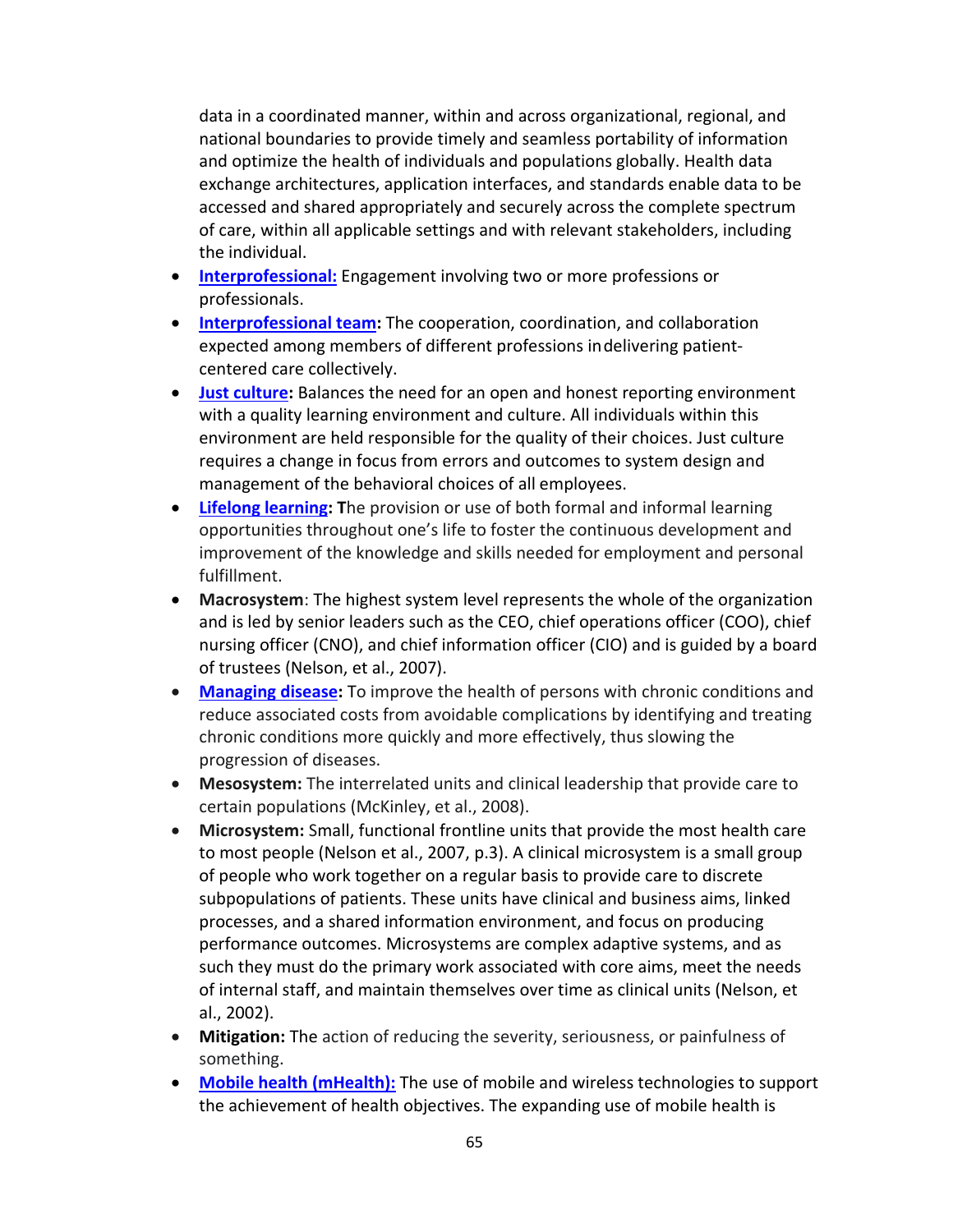data in a coordinated manner, within and across organizational, regional, and national boundaries to provide timely and seamless portability of information and optimize the health of individuals and populations globally. Health data exchange architectures, application interfaces, and standards enable data to be accessed and shared appropriately and securely across the complete spectrum of care, within all applicable settings and with relevant stakeholders, including the individual.

- **[Interprofessional:](https://www.merriam-webster.com/dictionary/interprofessional)** Engagement involving two or more professions or professionals.
- **[Interprofessional team:](https://www.myamericannurse.com/creating-high-performance-interprofessional-teams/)** The cooperation, coordination, and collaboration expected among members of different professions indelivering patientcentered care collectively.
- **[Just culture:](https://www.ncbi.nlm.nih.gov/pmc/articles/PMC3776518/)** Balances the need for an open and honest reporting environment with a quality learning environment and culture. All individuals within this environment are held responsible for the quality of their choices. Just culture requires a change in focus from errors and outcomes to system design and management of the behavioral choices of all employees.
- **[Lifelong learning:](https://www.dictionary.com/browse/lifelong-learning) T**he provision or use of both formal and informal learning opportunities throughout one's life to foster the continuous development and improvement of the knowledge and skills needed for employment and personal fulfillment.
- **Macrosystem**: The highest system level represents the whole of the organization and is led by senior leaders such as the CEO, chief operations officer (COO), chief nursing officer (CNO), and chief information officer (CIO) and is guided by a board of trustees (Nelson, et al., 2007).
- **[Managing disease:](https://www.amcp.org/about/managed-care-pharmacy-101/concepts-managed-care-pharmacy/disease-management)** To improve the health of persons with chronic conditions and reduce associated costs from avoidable complications by identifying and treating chronic conditions more quickly and more effectively, thus slowing the progression of diseases.
- **Mesosystem:** The interrelated units and clinical leadership that provide care to certain populations (McKinley, et al., 2008).
- **Microsystem:** Small, functional frontline units that provide the most health care to most people (Nelson et al., 2007, p.3). A clinical microsystem is a small group of people who work together on a regular basis to provide care to discrete subpopulations of patients. These units have clinical and business aims, linked processes, and a shared information environment, and focus on producing performance outcomes. Microsystems are complex adaptive systems, and as such they must do the primary work associated with core aims, meet the needs of internal staff, and maintain themselves over time as clinical units (Nelson, et al., 2002).
- **Mitigation:** The action of reducing the severity, seriousness, or painfulness of something.
- **[Mobile health \(mHealth\):](https://www.who.int/goe/publications/goe_mhealth_web.pdf)** The use of mobile and wireless technologies to support the achievement of health objectives. The expanding use of mobile health is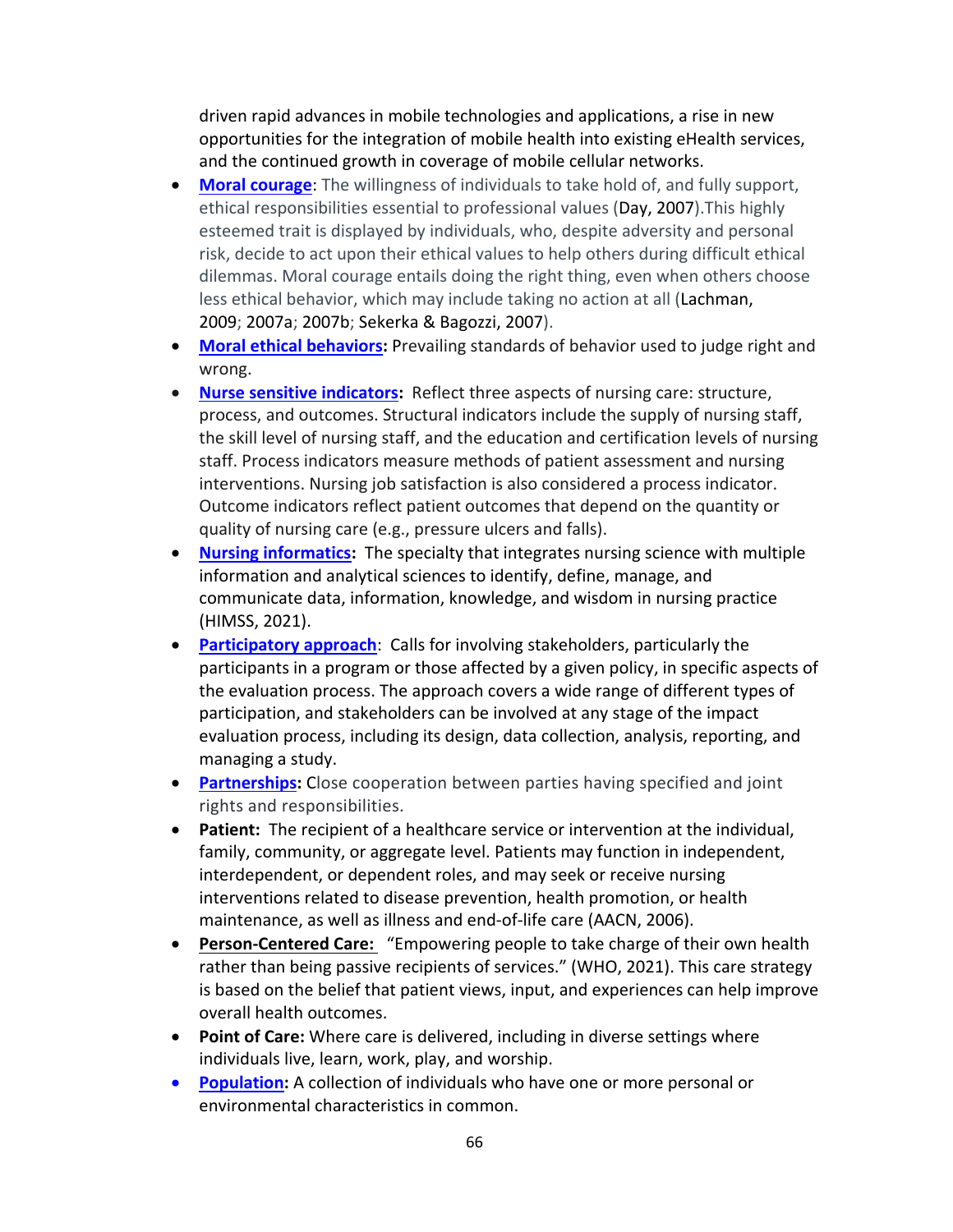driven rapid advances in mobile technologies and applications, a rise in new opportunities for the integration of mobile health into existing eHealth services, and the continued growth in coverage of mobile cellular networks.

- **[Moral courage](https://ojin.nursingworld.org/MainMenuCategories/EthicsStandards/Resources/Courage-and-Distress/Moral-Courage-and-Risk.html#Defined)**: The willingness of individuals to take hold of, and fully support, ethical responsibilities essential to professional values (Day, 2007).This highly esteemed trait is displayed by individuals, who, despite adversity and personal risk, decide to act upon their ethical values to help others during difficult ethical dilemmas. Moral courage entails doing the right thing, even when others choose less ethical behavior, which may include taking no action at all (Lachman, 2009; 2007a; 2007b; Sekerka & Bagozzi, 2007).
- **[Moral ethical behaviors:](https://ethicsunwrapped.utexas.edu/glossary/morals)** Prevailing standards of behavior used to judge right and wrong.
- **[Nurse sensitive indicators:](https://www.americansentinel.edu/blog/2011/11/02/what-are-nursing-sensitive-quality-indicators-anyway/)** Reflect three aspects of nursing care: structure, process, and outcomes. Structural indicators include the supply of nursing staff, the skill level of nursing staff, and the education and certification levels of nursing staff. Process indicators measure methods of patient assessment and nursing interventions. Nursing job satisfaction is also considered a process indicator. Outcome indicators reflect patient outcomes that depend on the quantity or quality of nursing care (e.g., pressure ulcers and falls).
- **[Nursing informatics:](https://www.himss.org/resources/what-nursing-informatics)** The specialty that integrates nursing science with multiple information and analytical sciences to identify, define, manage, and communicate data, information, knowledge, and wisdom in nursing practice (HIMSS, 2021).
- **[Participatory approach](https://www.unicef-irc.org/KM/IE/impact_5.php)**: Calls for involving stakeholders, particularly the participants in a program or those affected by a given policy, in specific aspects of the evaluation process. The approach covers a wide range of different types of participation, and stakeholders can be involved at any stage of the impact evaluation process, including its design, data collection, analysis, reporting, and managing a study.
- **[Partnerships:](https://www.merriam-webster.com/dictionary/partnership)** Close cooperation between parties having specified and joint rights and responsibilities.
- **Patient:** The recipient of a healthcare service or intervention at the individual, family, community, or aggregate level. Patients may function in independent, interdependent, or dependent roles, and may seek or receive nursing interventions related to disease prevention, health promotion, or health maintenance, as well as illness and end-of-life care (AACN, 2006).
- **[Person-Centered Care:](https://guidewaycare.com/what-is-person-centered-care-and-how-can-it-improve-healthcare/)** "Empowering people to take charge of their own health rather than being passive recipients of services." (WHO, 2021). This care strategy is based on the belief that patient views, input, and experiences can help improve overall health outcomes.
- **Point of Care:** Where care is delivered, including in diverse settings where individuals live, learn, work, play, and worship.
- **[Population:](https://www.health.state.mn.us/communities/practice/ta/phnconsultants/docs/0303phn_popbasedpractice.pdf)** A collection of individuals who have one or more personal or environmental characteristics in common.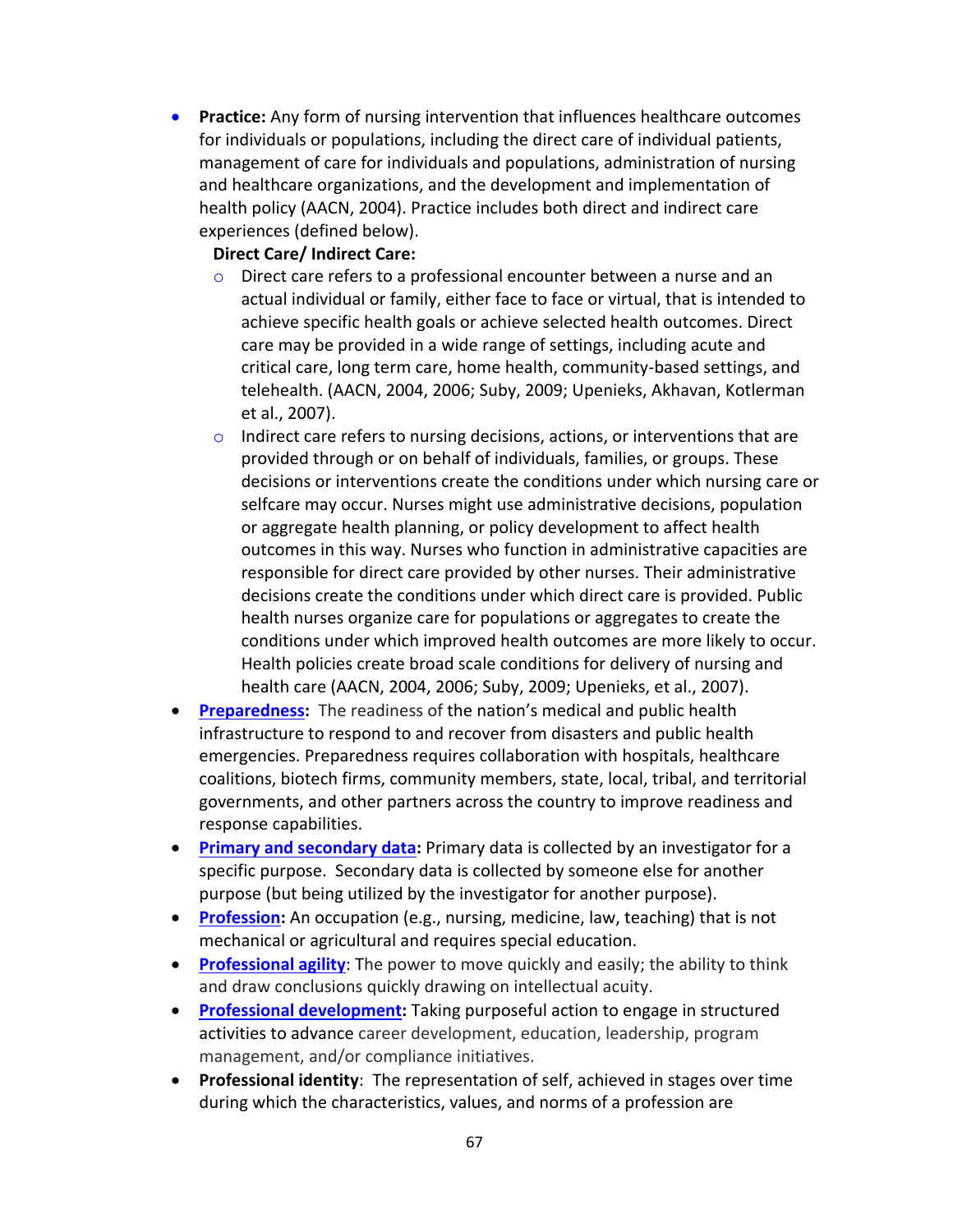• **Practice:** Any form of nursing intervention that influences healthcare outcomes for individuals or populations, including the direct care of individual patients, management of care for individuals and populations, administration of nursing and healthcare organizations, and the development and implementation of health policy (AACN, 2004). Practice includes both direct and indirect care experiences (defined below).

#### **Direct Care/ Indirect Care:**

- o Direct care refers to a professional encounter between a nurse and an actual individual or family, either face to face or virtual, that is intended to achieve specific health goals or achieve selected health outcomes. Direct care may be provided in a wide range of settings, including acute and critical care, long term care, home health, community-based settings, and telehealth. (AACN, 2004, 2006; Suby, 2009; Upenieks, Akhavan, Kotlerman et al., 2007).
- o Indirect care refers to nursing decisions, actions, or interventions that are provided through or on behalf of individuals, families, or groups. These decisions or interventions create the conditions under which nursing care or selfcare may occur. Nurses might use administrative decisions, population or aggregate health planning, or policy development to affect health outcomes in this way. Nurses who function in administrative capacities are responsible for direct care provided by other nurses. Their administrative decisions create the conditions under which direct care is provided. Public health nurses organize care for populations or aggregates to create the conditions under which improved health outcomes are more likely to occur. Health policies create broad scale conditions for delivery of nursing and health care (AACN, 2004, 2006; Suby, 2009; Upenieks, et al., 2007).
- **[Preparedness:](https://www.phe.gov/about/aspr/Pages/default.aspx)** The readiness of the nation's medical and public health infrastructure to respond to and recover from disasters and public health emergencies. Preparedness requires collaboration with hospitals, healthcare coalitions, biotech firms, community members, state, local, tribal, and territorial governments, and other partners across the country to improve readiness and response capabilities.
- **[Primary and secondary data:](https://communitymedicine4all.com/2013/01/07/types-of-data-primary-and-secondary-data/)** Primary data is collected by an investigator for a specific purpose. Secondary data is collected by someone else for another purpose (but being utilized by the investigator for another purpose).
- **[Profession:](https://www.merriam-webster.com/dictionary/profession)** An occupation (e.g., nursing, medicine, law, teaching) that is not mechanical or agricultural and requires special education.
- **[Professional agility](https://www.dictionary.com/browse/agility)**: The power to move quickly and easily; the ability to think and draw conclusions quickly drawing on intellectual acuity.
- **[Professional development:](https://www.ncbi.nlm.nih.gov/books/NBK531482/)** Taking purposeful action to engage in structured activities to advance career development, education, leadership, program management, and/or compliance initiatives.
- **Professional identity**: The representation of self, achieved in stages over time during which the characteristics, values, and norms of a profession are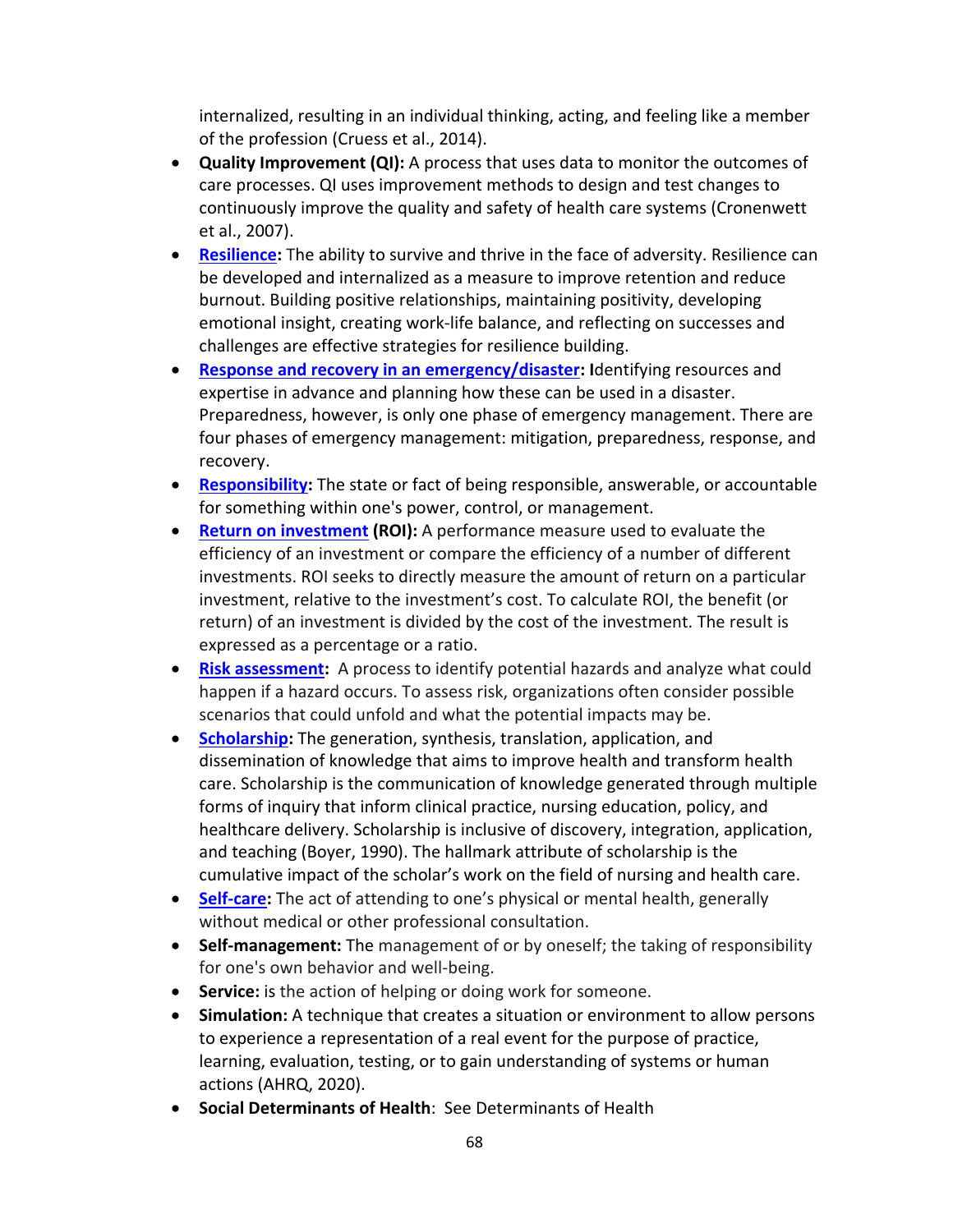internalized, resulting in an individual thinking, acting, and feeling like a member of the profession (Cruess et al., 2014).

- **Quality Improvement (QI):** A process that uses data to monitor the outcomes of care processes. QI uses improvement methods to design and test changes to continuously improve the quality and safety of health care systems (Cronenwett et al., 2007).
- **Resilience:** The ability to survive and thrive in the face of adversity. Resilience can be developed and internalized as a measure to improve retention and reduce burnout. Building positive relationships, maintaining positivity, developing emotional insight, creating work-life balance, and reflecting on successes and challenges are effective strategies for resilience building.
- **[Response and recovery in an emergency/disaster:](https://training.fema.gov/emiweb/downloads/is10_unit3.doc) I**dentifying resources and expertise in advance and planning how these can be used in a disaster. Preparedness, however, is only one phase of emergency management. There are four phases of emergency management: mitigation, preparedness, response, and recovery.
- **[Responsibility:](https://www.dictionary.com/browse/responsibility?s=ts)** The state or fact of being responsible, answerable, or accountable for something within one's power, control, or management.
- **[Return on investment](https://www.investopedia.com/terms/r/returnoninvestment.asp) (ROI):** A performance measure used to evaluate the efficiency of an investment or compare the efficiency of a number of different investments. ROI seeks to directly measure the amount of return on a particular investment, relative to the investment's cost. To calculate ROI, the benefit (or return) of an investment is divided by the cost of the investment. The result is expressed as a percentage or a ratio.
- **[Risk assessment:](https://www.ready.gov/risk-assessment)** A process to identify potential hazards and analyze what could happen if a hazard occurs. To assess risk, organizations often consider possible scenarios that could unfold and what the potential impacts may be.
- **[Scholarship:](https://www.aacnnursing.org/Portals/42/News/Position-Statements/Defining-Scholarship.pdf)** The generation, synthesis, translation, application, and dissemination of knowledge that aims to improve health and transform health care. Scholarship is the communication of knowledge generated through multiple forms of inquiry that inform clinical practice, nursing education, policy, and healthcare delivery. Scholarship is inclusive of discovery, integration, application, and teaching (Boyer, 1990). The hallmark attribute of scholarship is the cumulative impact of the scholar's work on the field of nursing and health care.
- **[Self-care:](https://www.dictionary.com/browse/self-care?s=t)** The act of attending to one's physical or mental health, generally without medical or other professional consultation.
- **Self-management:** The management of or by oneself; the taking of responsibility for one's own behavior and well-being.
- **Service:** is the action of helping or doing work for someone.
- **Simulation:** A technique that creates a situation or environment to allow persons to experience a representation of a real event for the purpose of practice, learning, evaluation, testing, or to gain understanding of systems or human actions (AHRQ, 2020).
- **Social Determinants of Health**: See Determinants of Health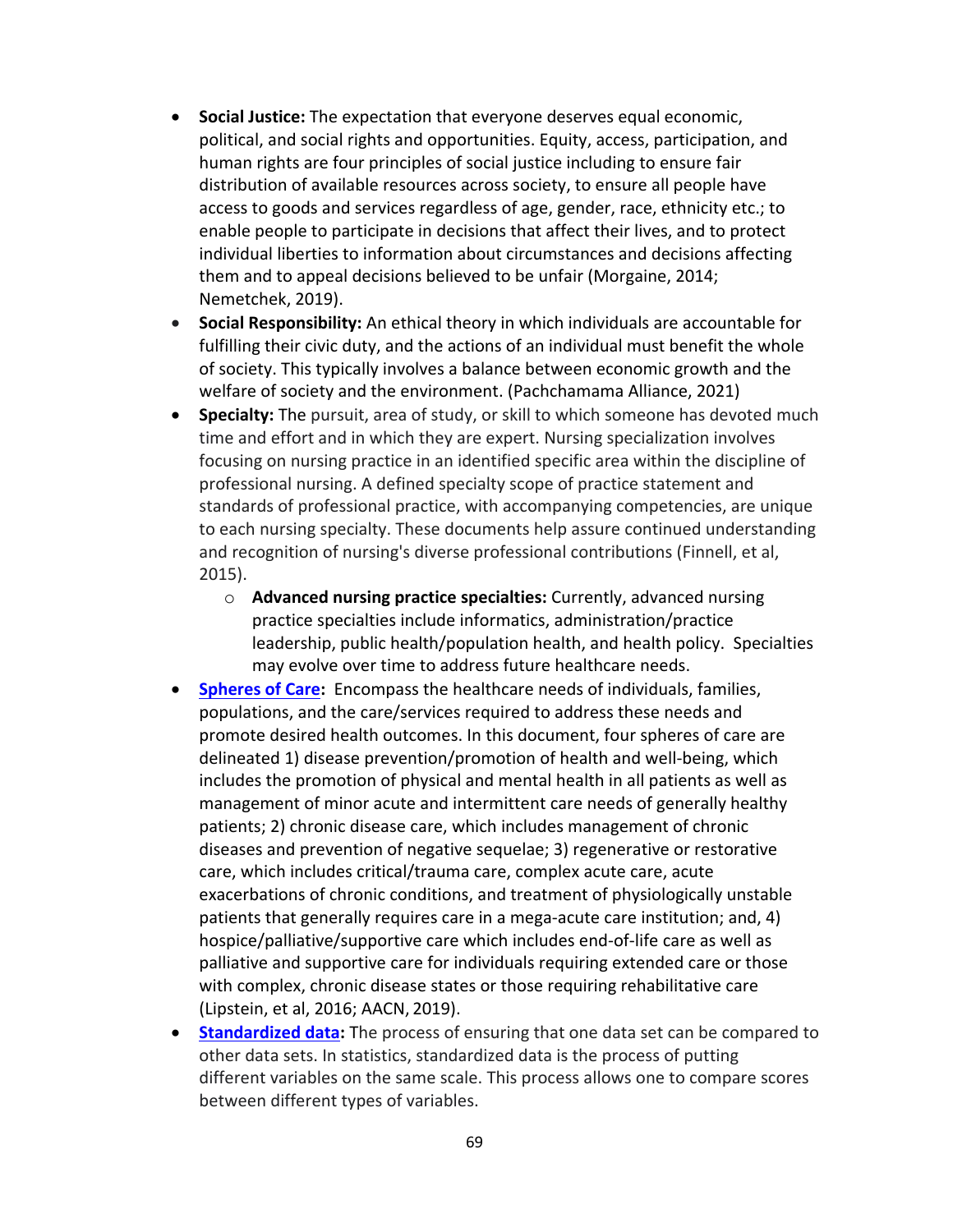- **Social Justice:** The expectation that everyone deserves equal economic, political, and social rights and opportunities. Equity, access, participation, and human rights are four principles of social justice including to ensure fair distribution of available resources across society, to ensure all people have access to goods and services regardless of age, gender, race, ethnicity etc.; to enable people to participate in decisions that affect their lives, and to protect individual liberties to information about circumstances and decisions affecting them and to appeal decisions believed to be unfair (Morgaine, 2014; Nemetchek, 2019).
- **Social Responsibility:** An ethical theory in which individuals are accountable for fulfilling their civic duty, and the actions of an individual must benefit the whole of society. This typically involves a balance between economic growth and the welfare of society and the environment. (Pachchamama Alliance, 2021)
- **Specialty:** The pursuit, area of study, or skill to which someone has devoted much time and effort and in which they are expert. Nursing specialization involves focusing on nursing practice in an identified specific area within the discipline of professional nursing. A defined specialty scope of practice statement and standards of professional practice, with accompanying competencies, are unique to each nursing specialty. These documents help assure continued understanding and recognition of nursing's diverse professional contributions (Finnell, et al, 2015).
	- o **Advanced nursing practice specialties:** Currently, advanced nursing practice specialties include informatics, administration/practice leadership, public health/population health, and health policy. Specialties may evolve over time to address future healthcare needs.
- **[Spheres of Care:](https://nam.edu/workforce-for-21st-century-health-and-health-care-a-vital-direction-for-health-and-health-care/)** Encompass the healthcare needs of individuals, families, populations, and the care/services required to address these needs and promote desired health outcomes. In this document, four spheres of care are delineated 1) disease prevention/promotion of health and well-being, which includes the promotion of physical and mental health in all patients as well as management of minor acute and intermittent care needs of generally healthy patients; 2) chronic disease care, which includes management of chronic diseases and prevention of negative sequelae; 3) regenerative or restorative care, which includes critical/trauma care, complex acute care, acute exacerbations of chronic conditions, and treatment of physiologically unstable patients that generally requires care in a mega-acute care institution; and, 4) hospice/palliative/supportive care which includes end-of-life care as well as palliative and supportive care for individuals requiring extended care or those with complex, chronic disease states or those requiring rehabilitative care (Lipstein, et al, 2016; AACN, 2019).
- **[Standardized data:](https://statisticsbyjim.com/glossary/standardization/#:%7E:text=In%20statistics%2C%20standardization%20is%20the,standard%20deviation%20for%20a%20variable.)** The process of ensuring that one data set can be compared to other data sets. In statistics, standardized data is the process of putting different variables on the same scale. This process allows one to compare scores between different types of variables.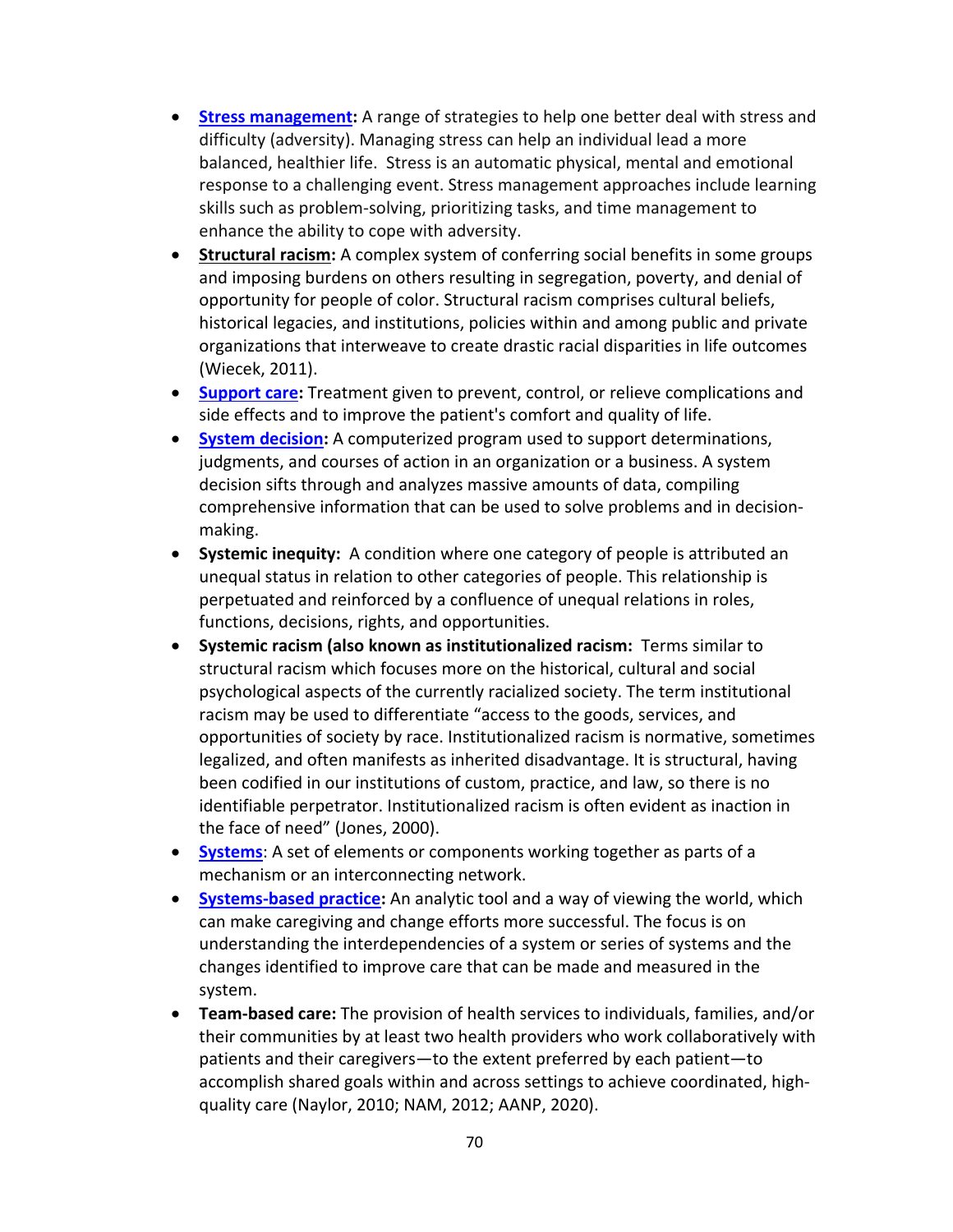- **[Stress management:](https://www.mayoclinic.org/tests-procedures/stress-management/about/pac-20384898)** A range of strategies to help one better deal with stress and difficulty (adversity). Managing stress can help an individual lead a more balanced, healthier life. Stress is an automatic physical, mental and emotional response to a challenging event. Stress management approaches include learning skills such as problem-solving, prioritizing tasks, and time management to enhance the ability to cope with adversity.
- **[Structural racism:](https://www.aspeninstitute.org/blog-posts/structural-racism-definition/)** A complex system of conferring social benefits in some groups and imposing burdens on others resulting in segregation, poverty, and denial of opportunity for people of color. Structural racism comprises cultural beliefs, historical legacies, and institutions, policies within and among public and private organizations that interweave to create drastic racial disparities in life outcomes (Wiecek, 2011).
- **[Support care:](https://www.medicinenet.com/supportive_care/definition.htm)** Treatment given to prevent, control, or relieve complications and side effects and to improve the patient's comfort and quality of life.
- **[System decision:](https://www.investopedia.com/terms/d/decision-support-system.asp)** A computerized program used to support determinations, judgments, and courses of action in an organization or a business. A system decision sifts through and analyzes massive amounts of data, compiling comprehensive information that can be used to solve problems and in decisionmaking.
- **Systemic inequity:** A condition where one category of people is attributed an unequal status in relation to other categories of people. This relationship is perpetuated and reinforced by a confluence of unequal relations in roles, functions, decisions, rights, and opportunities.
- **Systemic racism (also known as institutionalized racism:** Terms similar to structural racism which focuses more on the historical, cultural and social psychological aspects of the currently racialized society. The term institutional racism may be used to differentiate "access to the goods, services, and opportunities of society by race. Institutionalized racism is normative, sometimes legalized, and often manifests as inherited disadvantage. It is structural, having been codified in our institutions of custom, practice, and law, so there is no identifiable perpetrator. Institutionalized racism is often evident as inaction in the face of need" (Jones, 2000).
- **[Systems](https://www.dictionary.com/browse/system?s=t)**: A set of elements or components working together as parts of a mechanism or an interconnecting network.
- **[Systems-based practice:](https://www.ncbi.nlm.nih.gov/books/NBK43731/)** An analytic tool and a way of viewing the world, which can make caregiving and change efforts more successful. The focus is on understanding the interdependencies of a system or series of systems and the changes identified to improve care that can be made and measured in the system.
- **Team-based care:** The provision of health services to individuals, families, and/or their communities by at least two health providers who work collaboratively with patients and their caregivers—to the extent preferred by each patient—to accomplish shared goals within and across settings to achieve coordinated, highquality care (Naylor, 2010; NAM, 2012; AANP, 2020).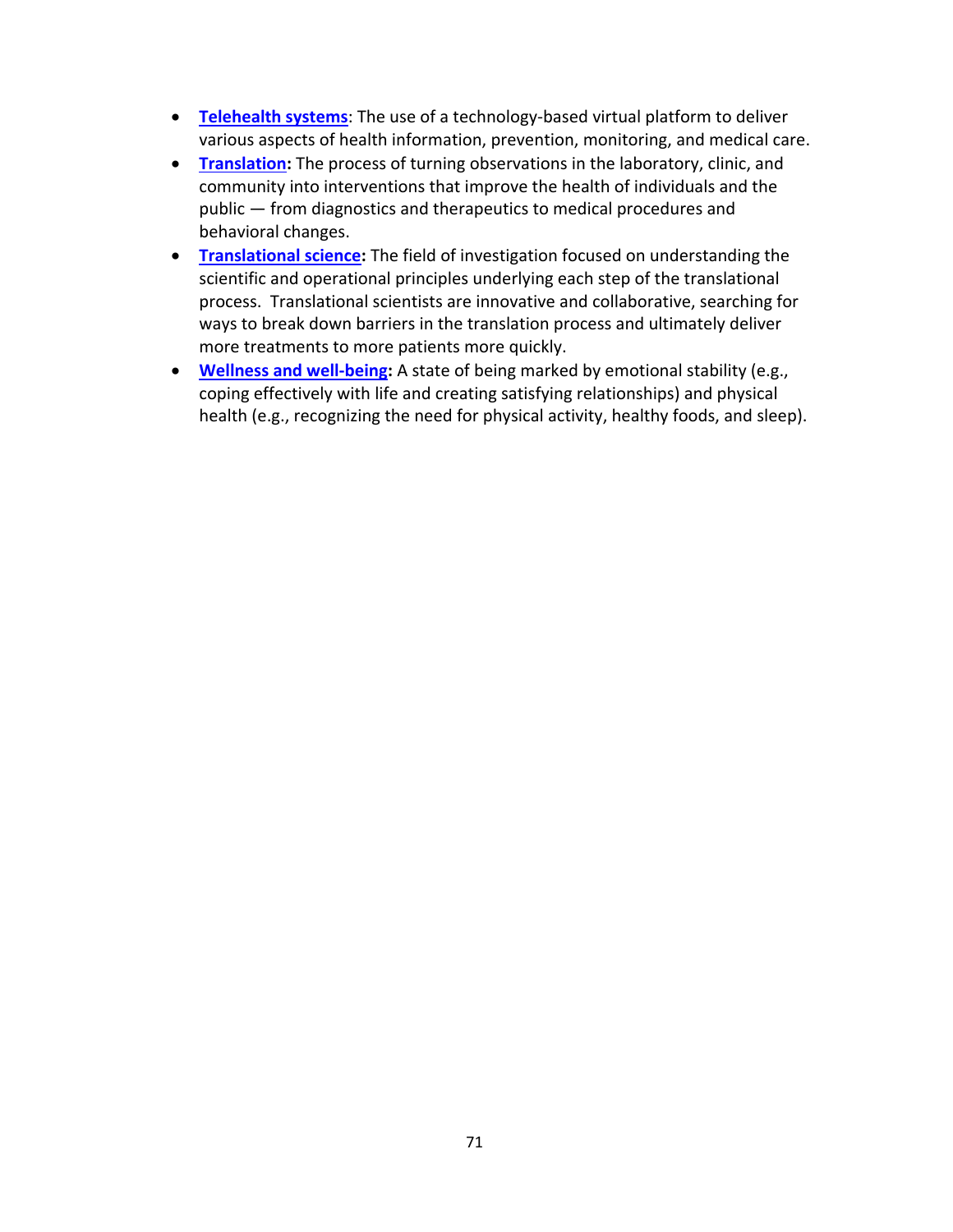- **[Telehealth systems](https://www.ncbi.nlm.nih.gov/books/NBK459384/#:%7E:text=Telehealth%20is%20the%20use%20of,%2C%20monitoring%2C%20and%20medical%20care.)**: The use of a technology-based virtual platform to deliver various aspects of health information, prevention, monitoring, and medical care.
- **[Translation:](https://ncats.nih.gov/translation/spectrum)** The process of turning observations in the laboratory, clinic, and community into interventions that improve the health of individuals and the public — from diagnostics and therapeutics to medical procedures and behavioral changes.
- **[Translational science:](https://ncats.nih.gov/training-education/skills)** The field of investigation focused on understanding the scientific and operational principles underlying each step of the translational process. Translational scientists are innovative and collaborative, searching for ways to break down barriers in the translation process and ultimately deliver more treatments to more patients more quickly.
- **[Wellness and well-being:](https://www.nccih.nih.gov/health/wellness-and-well-being#:%7E:text=Wellness%20has%20several%20dimensions%2C%20including,healthy%20foods%2C%20and%20sleep).)** A state of being marked by emotional stability (e.g., coping effectively with life and creating satisfying relationships) and physical health (e.g., recognizing the need for physical activity, healthy foods, and sleep).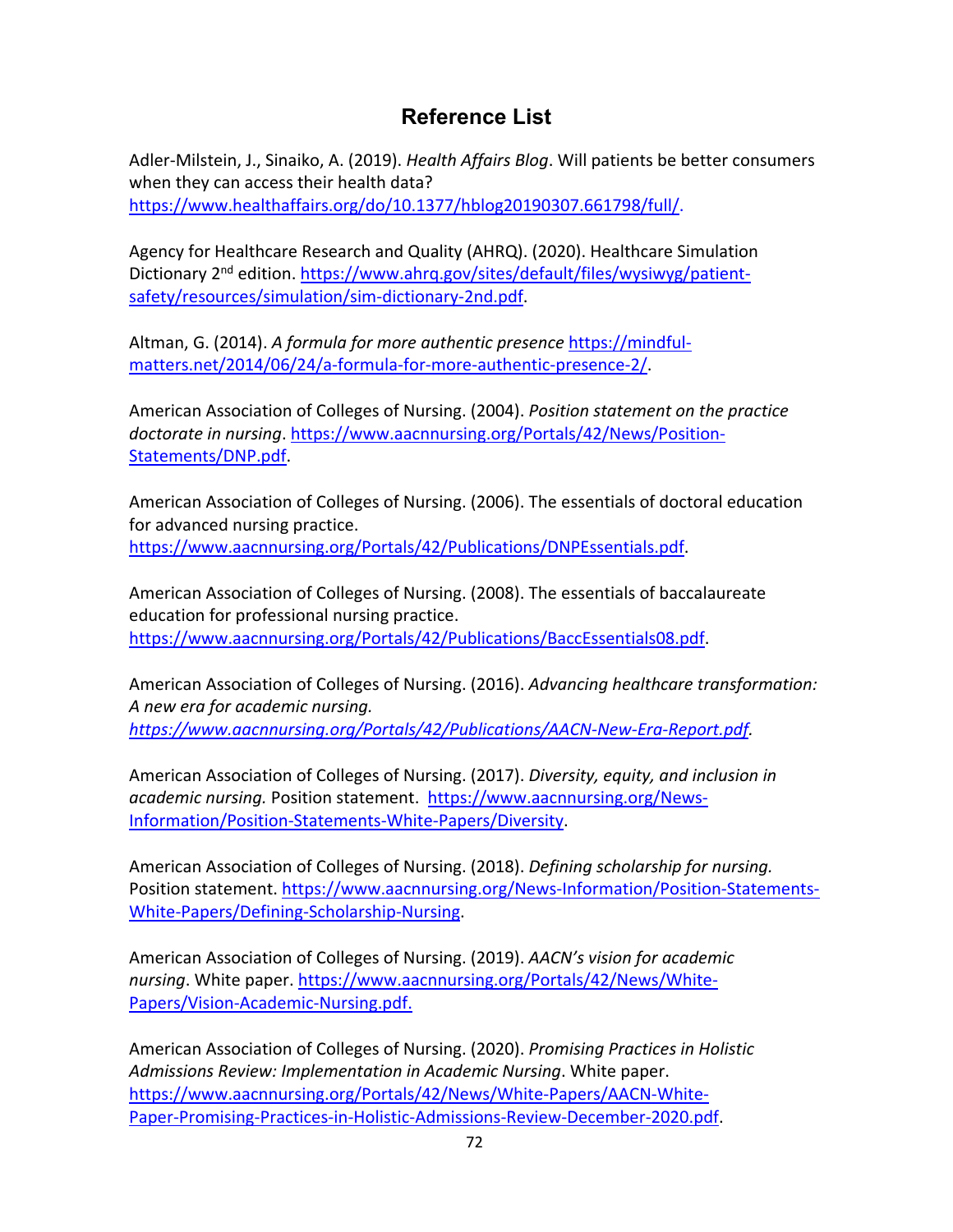## **Reference List**

Adler-Milstein, J., Sinaiko, A. (2019). *Health Affairs Blog*. Will patients be better consumers when they can access their health data? [https://www.healthaffairs.org/do/10.1377/hblog20190307.661798/full/.](https://www.healthaffairs.org/do/10.1377/hblog20190307.661798/full/)

Agency for Healthcare Research and Quality (AHRQ). (2020). Healthcare Simulation Dictionary 2<sup>nd</sup> edition. [https://www.ahrq.gov/sites/default/files/wysiwyg/patient](https://www.ahrq.gov/sites/default/files/wysiwyg/patient-safety/resources/simulation/sim-dictionary-2nd.pdf)[safety/resources/simulation/sim-dictionary-2nd.pdf.](https://www.ahrq.gov/sites/default/files/wysiwyg/patient-safety/resources/simulation/sim-dictionary-2nd.pdf)

Altman, G. (2014). *A formula for more authentic presence* [https://mindful](https://mindful-matters.net/2014/06/24/a-formula-for-more-authentic-presence-2/)[matters.net/2014/06/24/a-formula-for-more-authentic-presence-2/.](https://mindful-matters.net/2014/06/24/a-formula-for-more-authentic-presence-2/)

American Association of Colleges of Nursing. (2004). *Position statement on the practice doctorate in nursing*. [https://www.aacnnursing.org/Portals/42/News/Position-](https://www.aacnnursing.org/Portals/42/News/Position-Statements/DNP.pdf)[Statements/DNP.pdf.](https://www.aacnnursing.org/Portals/42/News/Position-Statements/DNP.pdf)

American Association of Colleges of Nursing. (2006). The essentials of doctoral education for advanced nursing practice. [https://www.aacnnursing.org/Portals/42/Publications/DNPEssentials.pdf.](https://www.aacnnursing.org/Portals/42/Publications/DNPEssentials.pdf)

American Association of Colleges of Nursing. (2008). The essentials of baccalaureate education for professional nursing practice. [https://www.aacnnursing.org/Portals/42/Publications/BaccEssentials08.pdf.](https://www.aacnnursing.org/Portals/42/Publications/BaccEssentials08.pdf)

American Association of Colleges of Nursing. (2016). *Advancing healthcare transformation: A new era for academic nursing. [https://www.aacnnursing.org/Portals/42/Publications/AACN-New-Era-Report.pdf.](https://www.aacnnursing.org/Portals/42/Publications/AACN-New-Era-Report.pdf)* 

American Association of Colleges of Nursing. (2017). *Diversity, equity, and inclusion in academic nursing.* Position statement. [https://www.aacnnursing.org/News-](https://www.aacnnursing.org/News-Information/Position-Statements-White-Papers/Diversity)[Information/Position-Statements-White-Papers/Diversity.](https://www.aacnnursing.org/News-Information/Position-Statements-White-Papers/Diversity)

American Association of Colleges of Nursing. (2018). *Defining scholarship for nursing.*  Position statement. [https://www.aacnnursing.org/News-Information/Position-Statements-](https://www.aacnnursing.org/News-Information/Position-Statements-White-Papers/Defining-Scholarship-Nursing)[White-Papers/Defining-Scholarship-Nursing.](https://www.aacnnursing.org/News-Information/Position-Statements-White-Papers/Defining-Scholarship-Nursing)

American Association of Colleges of Nursing. (2019). *AACN's vision for academic nursing*. White paper. [https://www.aacnnursing.org/Portals/42/News/White-](https://www.aacnnursing.org/Portals/42/News/White-Papers/Vision-Academic-Nursing.pdf)[Papers/Vision-Academic-Nursing.pdf.](https://www.aacnnursing.org/Portals/42/News/White-Papers/Vision-Academic-Nursing.pdf)

American Association of Colleges of Nursing. (2020). *Promising Practices in Holistic Admissions Review: Implementation in Academic Nursing*. White paper. [https://www.aacnnursing.org/Portals/42/News/White-Papers/AACN-White-](https://www.aacnnursing.org/Portals/42/News/White-Papers/AACN-White-Paper-Promising-Practices-in-Holistic-Admissions-Review-December-2020.pdf)[Paper-Promising-Practices-in-Holistic-Admissions-Review-December-2020.pdf.](https://www.aacnnursing.org/Portals/42/News/White-Papers/AACN-White-Paper-Promising-Practices-in-Holistic-Admissions-Review-December-2020.pdf)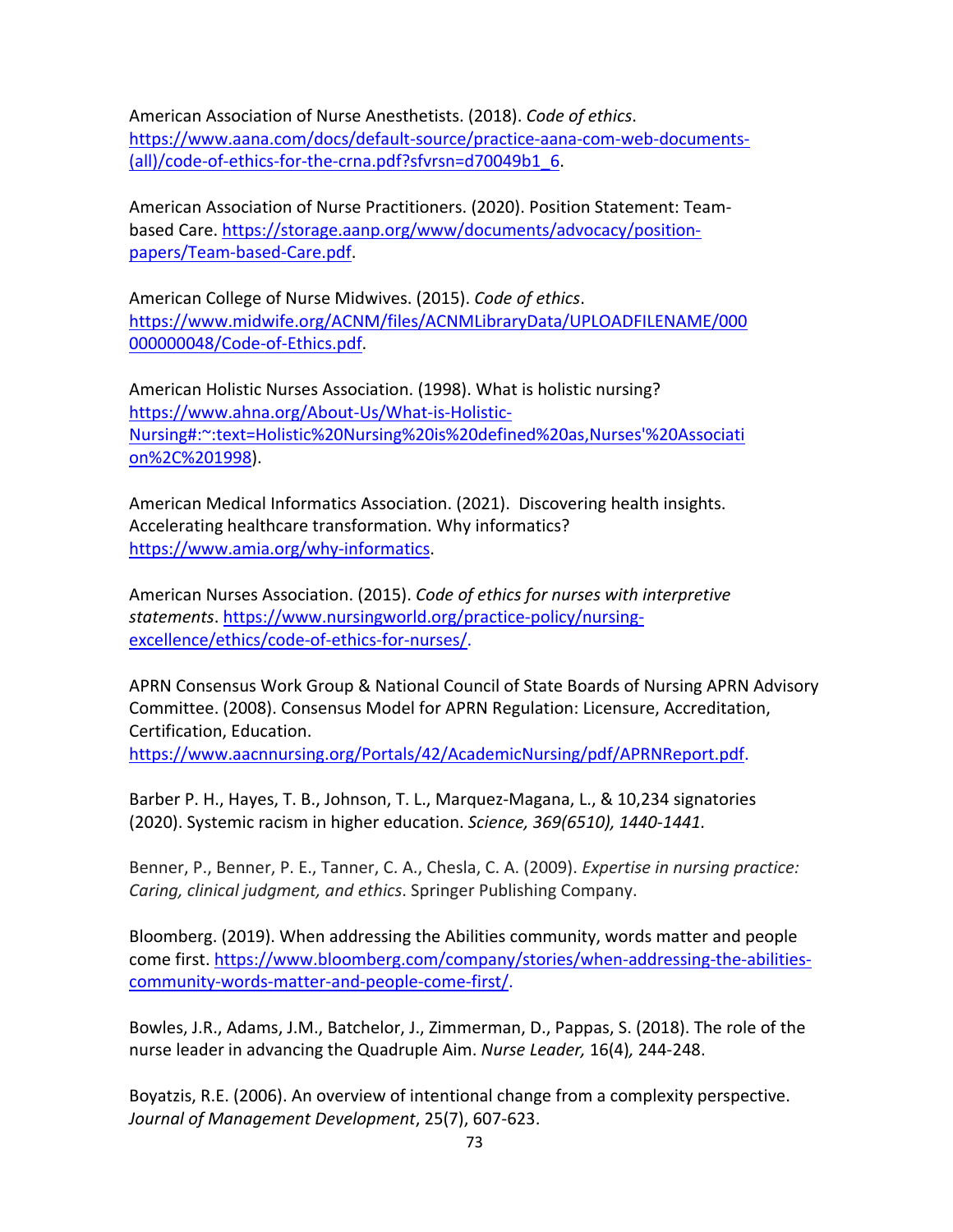American Association of Nurse Anesthetists. (2018). *Code of ethics*. [https://www.aana.com/docs/default-source/practice-aana-com-web-documents-](https://www.aana.com/docs/default-source/practice-aana-com-web-documents-(all)/code-of-ethics-for-the-crna.pdf?sfvrsn=d70049b1_6) [\(all\)/code-of-ethics-for-the-crna.pdf?sfvrsn=d70049b1\\_6.](https://www.aana.com/docs/default-source/practice-aana-com-web-documents-(all)/code-of-ethics-for-the-crna.pdf?sfvrsn=d70049b1_6)

American Association of Nurse Practitioners. (2020). Position Statement: Teambased Care. [https://storage.aanp.org/www/documents/advocacy/position](https://storage.aanp.org/www/documents/advocacy/position-papers/Team-based-Care.pdf)[papers/Team-based-Care.pdf.](https://storage.aanp.org/www/documents/advocacy/position-papers/Team-based-Care.pdf)

American College of Nurse Midwives. (2015). *Code of ethics*. [https://www.midwife.org/ACNM/files/ACNMLibraryData/UPLOADFILENAME/000](https://www.midwife.org/ACNM/files/ACNMLibraryData/UPLOADFILENAME/000000000048/Code-of-Ethics.pdf) [000000048/Code-of-Ethics.pdf.](https://www.midwife.org/ACNM/files/ACNMLibraryData/UPLOADFILENAME/000000000048/Code-of-Ethics.pdf)

American Holistic Nurses Association. (1998). What is holistic nursing? [https://www.ahna.org/About-Us/What-is-Holistic-](https://www.ahna.org/About-Us/What-is-Holistic-Nursing#:%7E:text=Holistic%20Nursing%20is%20defined%20as,Nurses)[Nursing#:~:text=Holistic%20Nursing%20is%20defined%20as,Nurses'%20Associati](https://www.ahna.org/About-Us/What-is-Holistic-Nursing#:%7E:text=Holistic%20Nursing%20is%20defined%20as,Nurses) [on%2C%201998\)](https://www.ahna.org/About-Us/What-is-Holistic-Nursing#:%7E:text=Holistic%20Nursing%20is%20defined%20as,Nurses).

American Medical Informatics Association. (2021). Discovering health insights. Accelerating healthcare transformation. Why informatics? [https://www.amia.org/why-informatics.](https://www.amia.org/why-informatics)

American Nurses Association. (2015). *Code of ethics for nurses with interpretive statements*. [https://www.nursingworld.org/practice-policy/nursing](https://www.nursingworld.org/practice-policy/nursing-excellence/ethics/code-of-ethics-for-nurses/)[excellence/ethics/code-of-ethics-for-nurses/.](https://www.nursingworld.org/practice-policy/nursing-excellence/ethics/code-of-ethics-for-nurses/)

APRN Consensus Work Group & National Council of State Boards of Nursing APRN Advisory Committee. (2008). Consensus Model for APRN Regulation: Licensure, Accreditation, Certification, Education.

[https://www.aacnnursing.org/Portals/42/AcademicNursing/pdf/APRNReport.pdf.](https://www.aacnnursing.org/Portals/42/AcademicNursing/pdf/APRNReport.pdf)

Barber P. H., Hayes, T. B., Johnson, T. L., Marquez-Magana, L., & 10,234 signatories (2020). Systemic racism in higher education. *Science, 369(6510), 1440-1441.*

Benner, P., Benner, P. E., Tanner, C. A., Chesla, C. A. (2009). *Expertise in nursing practice: Caring, clinical judgment, and ethics*. Springer Publishing Company.

Bloomberg. (2019). When addressing the Abilities community, words matter and people come first. [https://www.bloomberg.com/company/stories/when-addressing-the-abilities](https://www.bloomberg.com/company/stories/when-addressing-the-abilities-community-words-matter-and-people-come-first/)[community-words-matter-and-people-come-first/.](https://www.bloomberg.com/company/stories/when-addressing-the-abilities-community-words-matter-and-people-come-first/)

Bowles, J.R., Adams, J.M., Batchelor, J., Zimmerman, D., Pappas, S. (2018). The role of the nurse leader in advancing the Quadruple Aim. *Nurse Leader,* 16(4)*,* 244-248.

Boyatzis, R.E. (2006). An overview of intentional change from a complexity perspective. *Journal of Management Development*, 25(7), 607-623.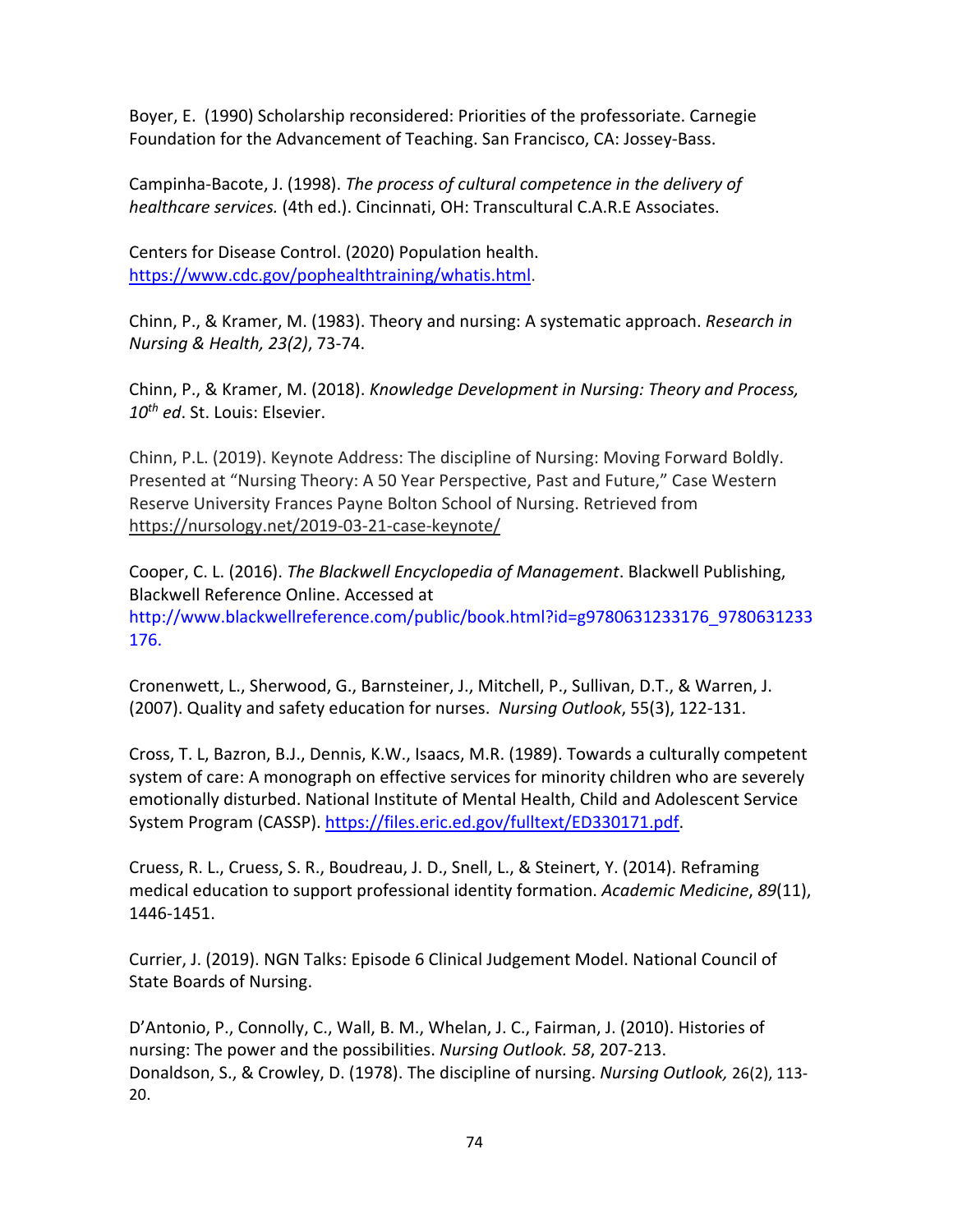Boyer, E. (1990) Scholarship reconsidered: Priorities of the professoriate. Carnegie Foundation for the Advancement of Teaching. San Francisco, CA: Jossey-Bass.

Campinha-Bacote, J. (1998). *The process of cultural competence in the delivery of healthcare services.* (4th ed.). Cincinnati, OH: Transcultural C.A.R.E Associates.

Centers for Disease Control. (2020) Population health. [https://www.cdc.gov/pophealthtraining/whatis.html.](https://www.cdc.gov/pophealthtraining/whatis.html)

Chinn, P., & Kramer, M. (1983). Theory and nursing: A systematic approach. *Research in Nursing & Health, 23(2)*, 73-74.

Chinn, P., & Kramer, M. (2018). *Knowledge Development in Nursing: Theory and Process, 10th ed*. St. Louis: Elsevier.

Chinn, P.L. (2019). Keynote Address: The discipline of Nursing: Moving Forward Boldly. Presented at "Nursing Theory: A 50 Year Perspective, Past and Future," Case Western Reserve University Frances Payne Bolton School of Nursing. Retrieved from <https://nursology.net/2019-03-21-case-keynote/>

Cooper, C. L. (2016). *The Blackwell Encyclopedia of Management*. Blackwell Publishing, Blackwell Reference Online. Accessed at http://www.blackwellreference.com/public/book.html?id=g9780631233176\_9780631233 176.

Cronenwett, L., Sherwood, G., Barnsteiner, J., Mitchell, P., Sullivan, D.T., & Warren, J. (2007). Quality and safety education for nurses. *Nursing Outlook*, 55(3), 122-131.

Cross, T. L, Bazron, B.J., Dennis, K.W., Isaacs, M.R. (1989). Towards a culturally competent system of care: A monograph on effective services for minority children who are severely emotionally disturbed. National Institute of Mental Health, Child and Adolescent Service System Program (CASSP). [https://files.eric.ed.gov/fulltext/ED330171.pdf.](https://files.eric.ed.gov/fulltext/ED330171.pdf)

Cruess, R. L., Cruess, S. R., Boudreau, J. D., Snell, L., & Steinert, Y. (2014). Reframing medical education to support professional identity formation. *Academic Medicine*, *89*(11), 1446-1451.

Currier, J. (2019). NGN Talks: Episode 6 Clinical Judgement Model. National Council of State Boards of Nursing.

D'Antonio, P., Connolly, C., Wall, B. M., Whelan, J. C., Fairman, J. (2010). Histories of nursing: The power and the possibilities. *Nursing Outlook. 58*, 207-213. Donaldson, S., & Crowley, D. (1978). The discipline of nursing. *Nursing Outlook,* 26(2), 113- 20.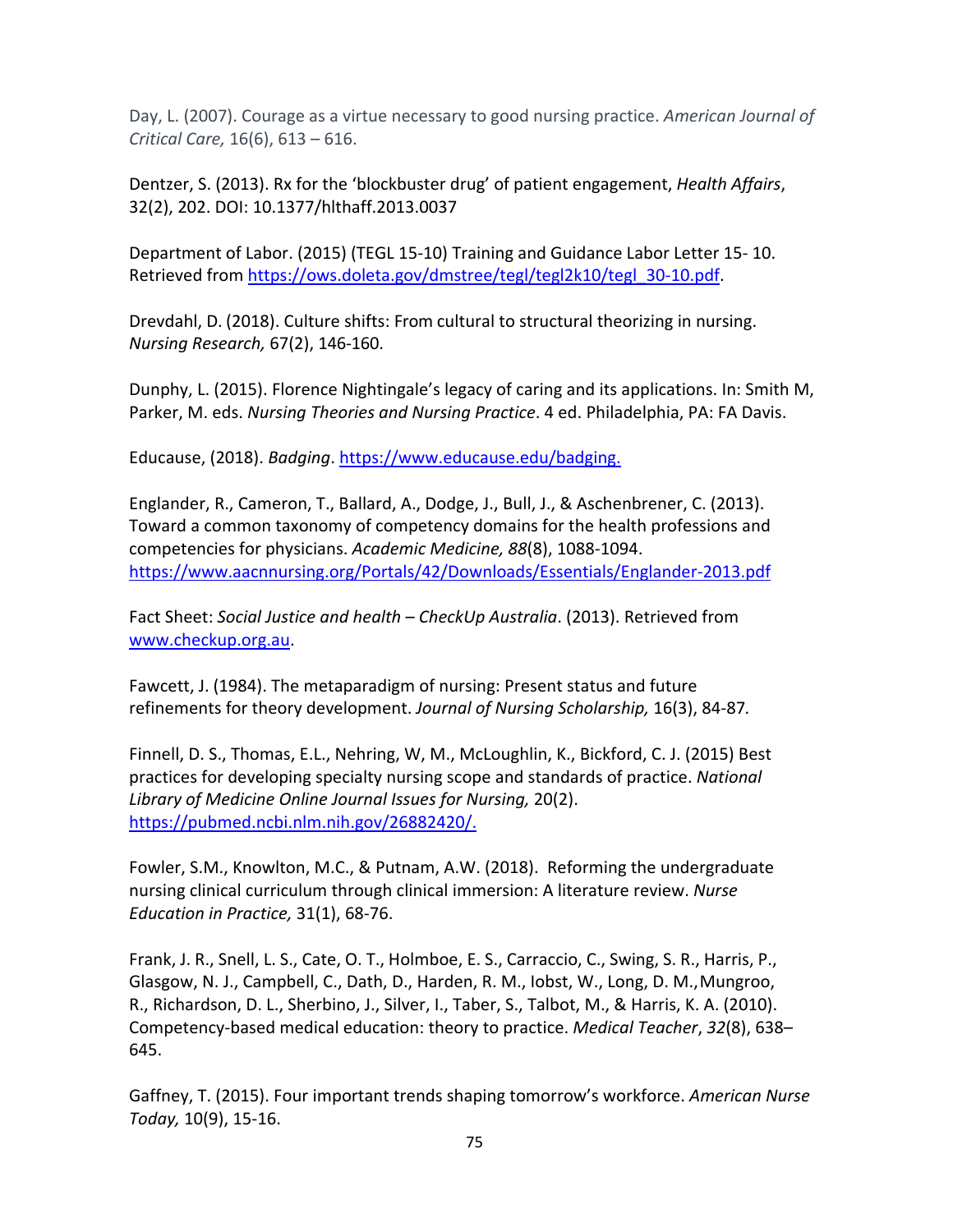Day, L. (2007). Courage as a virtue necessary to good nursing practice. *American Journal of Critical Care,* 16(6), 613 – 616.

Dentzer, S. (2013). Rx for the 'blockbuster drug' of patient engagement, *Health Affairs*, 32(2), 202. DOI: 10.1377/hlthaff.2013.0037

Department of Labor. (2015) (TEGL 15-10) Training and Guidance Labor Letter 15- 10. Retrieved from [https://ows.doleta.gov/dmstree/tegl/tegl2k10/tegl\\_30-10.pdf.](https://ows.doleta.gov/dmstree/tegl/tegl2k10/tegl_30-10.pdf)

Drevdahl, D. (2018). Culture shifts: From cultural to structural theorizing in nursing. *Nursing Research,* 67(2), 146-160.

Dunphy, L. (2015). Florence Nightingale's legacy of caring and its applications. In: Smith M, Parker, M. eds. *Nursing Theories and Nursing Practice*. 4 ed. Philadelphia, PA: FA Davis.

Educause, (2018). *Badging*. [https://www.educause.edu/badging.](https://www.educause.edu/badging)

Englander, R., Cameron, T., Ballard, A., Dodge, J., Bull, J., & Aschenbrener, C. (2013). Toward a common taxonomy of competency domains for the health professions and competencies for physicians. *Academic Medicine, 88*(8), 1088-1094. <https://www.aacnnursing.org/Portals/42/Downloads/Essentials/Englander-2013.pdf>

Fact Sheet: *Social Justice and health – CheckUp Australia*. (2013). Retrieved from [www.checkup.org.au.](http://www.checkup.org.au/)

Fawcett, J. (1984). The metaparadigm of nursing: Present status and future refinements for theory development. *Journal of Nursing Scholarship,* 16(3), 84-87*.* 

Finnell, D. S., Thomas, E.L., Nehring, W, M., McLoughlin, K., Bickford, C. J. (2015) Best practices for developing specialty nursing scope and standards of practice. *National Library of Medicine Online Journal Issues for Nursing,* 20(2). [https://pubmed.ncbi.nlm.nih.gov/26882420/.](https://pubmed.ncbi.nlm.nih.gov/26882420/)

Fowler, S.M., Knowlton, M.C., & Putnam, A.W. (2018). Reforming the undergraduate nursing clinical curriculum through clinical immersion: A literature review. *Nurse Education in Practice,* 31(1), 68-76.

Frank, J. R., Snell, L. S., Cate, O. T., Holmboe, E. S., Carraccio, C., Swing, S. R., Harris, P., Glasgow, N. J., Campbell, C., Dath, D., Harden, R. M., Iobst, W., Long, D. M., Mungroo, R., Richardson, D. L., Sherbino, J., Silver, I., Taber, S., Talbot, M., & Harris, K. A. (2010). Competency-based medical education: theory to practice. *Medical Teacher*, *32*(8), 638– 645.

Gaffney, T. (2015). Four important trends shaping tomorrow's workforce. *American Nurse Today,* 10(9), 15-16.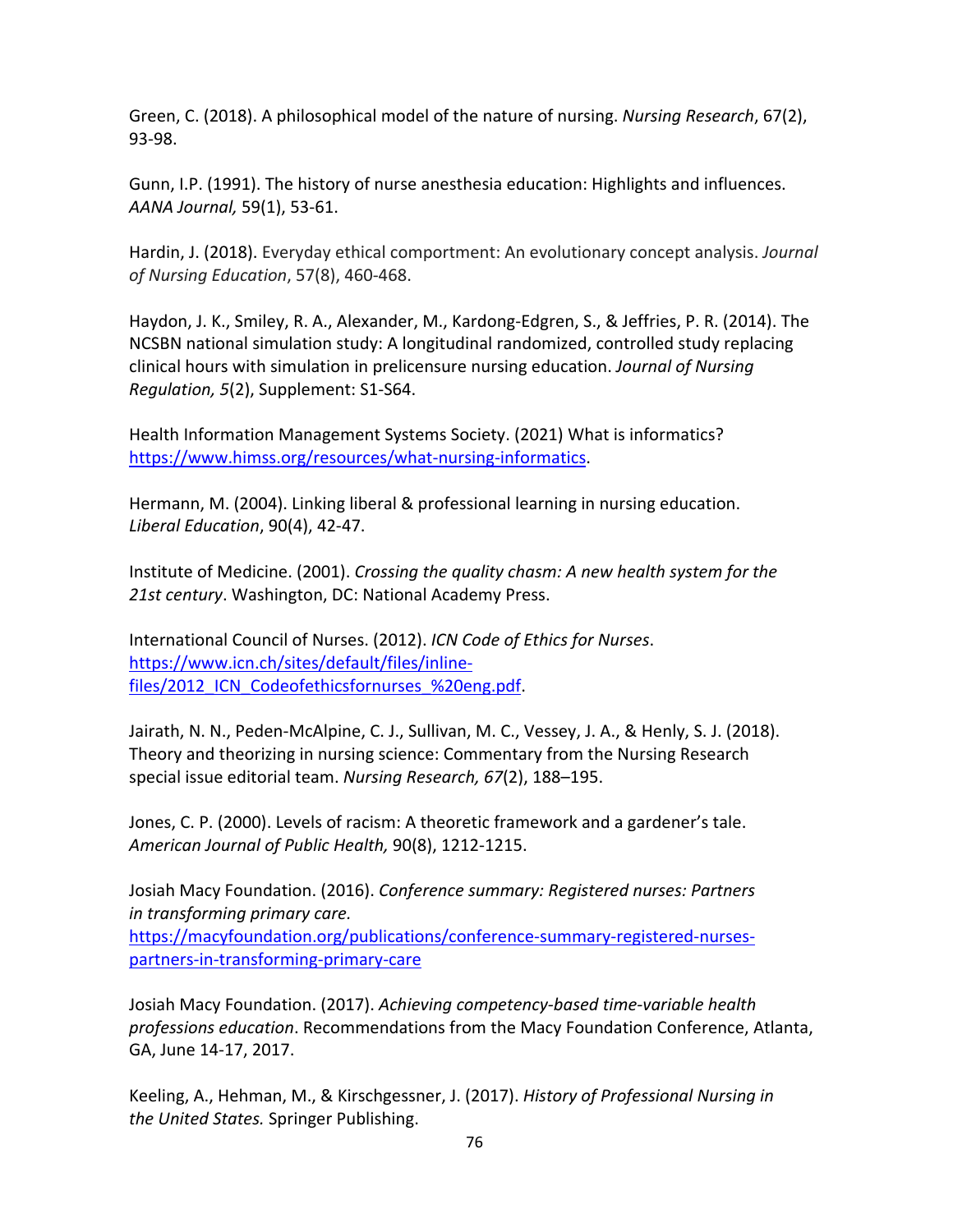Green, C. (2018). A philosophical model of the nature of nursing. *Nursing Research*, 67(2), 93-98.

Gunn, I.P. (1991). The history of nurse anesthesia education: Highlights and influences. *AANA Journal,* 59(1), 53-61.

Hardin, J. (2018). Everyday ethical comportment: An evolutionary concept analysis. *Journal of Nursing Education*, 57(8), 460-468.

Haydon, J. K., Smiley, R. A., Alexander, M., Kardong-Edgren, S., & Jeffries, P. R. (2014). The NCSBN national simulation study: A longitudinal randomized, controlled study replacing clinical hours with simulation in prelicensure nursing education. *Journal of Nursing Regulation, 5*(2), Supplement: S1-S64.

Health Information Management Systems Society. (2021) What is informatics? [https://www.himss.org/resources/what-nursing-informatics.](https://www.himss.org/resources/what-nursing-informatics)

Hermann, M. (2004). Linking liberal & professional learning in nursing education. *Liberal Education*, 90(4), 42-47.

Institute of Medicine. (2001). *Crossing the quality chasm: A new health system for the 21st century*. Washington, DC: National Academy Press.

International Council of Nurses. (2012). *ICN Code of Ethics for Nurses*. [https://www.icn.ch/sites/default/files/inline](https://www.icn.ch/sites/default/files/inline-files/2012_ICN_Codeofethicsfornurses_%20eng.pdf)files/2012 ICN Codeofethicsfornurses %20eng.pdf.

Jairath, N. N., Peden-McAlpine, C. J., Sullivan, M. C., Vessey, J. A., & Henly, S. J. (2018). Theory and theorizing in nursing science: Commentary from the Nursing Research special issue editorial team. *Nursing Research, 67*(2), 188–195.

Jones, C. P. (2000). Levels of racism: A theoretic framework and a gardener's tale. *American Journal of Public Health,* 90(8), 1212-1215.

Josiah Macy Foundation. (2016). *Conference summary: Registered nurses: Partners in transforming primary care.* [https://macyfoundation.org/publications/conference-summary-registered-nurses](https://macyfoundation.org/publications/conference-summary-registered-nurses-)[partners-in-transforming-primary-care](https://macyfoundation.org/publications/conference-summary-registered-nurses-partners-in-transforming-primary-care)

Josiah Macy Foundation. (2017). *Achieving competency-based time-variable health professions education*. Recommendations from the Macy Foundation Conference, Atlanta, GA, June 14-17, 2017.

Keeling, A., Hehman, M., & Kirschgessner, J. (2017). *History of Professional Nursing in the United States.* Springer Publishing.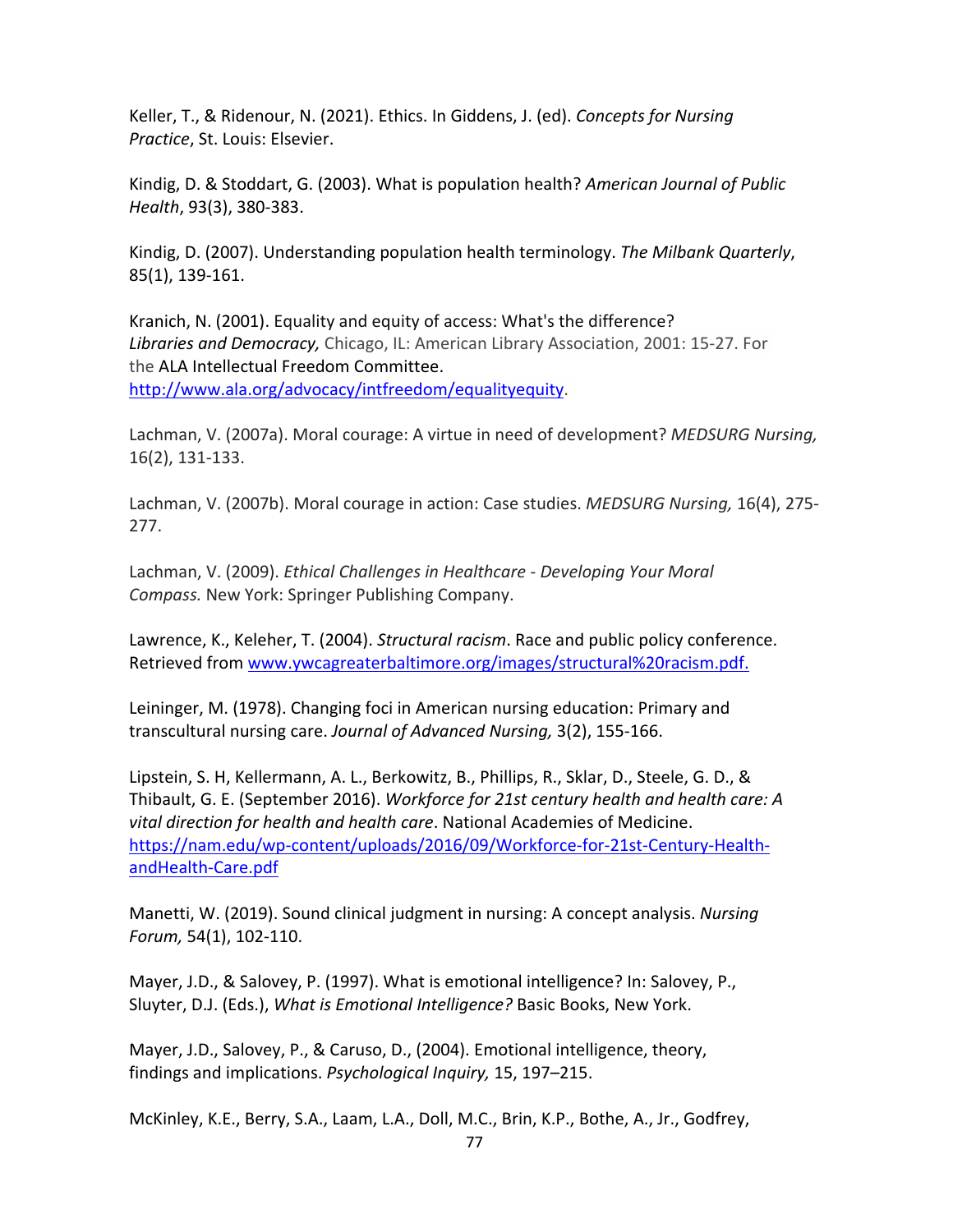Keller, T., & Ridenour, N. (2021). Ethics. In Giddens, J. (ed). *Concepts for Nursing Practice*, St. Louis: Elsevier.

Kindig, D. & Stoddart, G. (2003). What is population health? *American Journal of Public Health*, 93(3), 380-383.

Kindig, D. (2007). Understanding population health terminology. *The Milbank Quarterly*, 85(1), 139-161.

Kranich, N. (2001). Equality and equity of access: What's the difference? *Libraries and [Democracy,](https://ala.on.worldcat.org/oclc/46473866)* Chicago, IL: American Library Association, 2001: 15-27. For th[e ALA Intellectual Freedom](http://www.ala.org/groups/committees/ala/ala-if) Committee. [http://www.ala.org/advocacy/intfreedom/equalityequity.](http://www.ala.org/advocacy/intfreedom/equalityequity)

Lachman, V. (2007a). Moral courage: A virtue in need of development? *MEDSURG Nursing,*  16(2), 131-133.

Lachman, V. (2007b). Moral courage in action: Case studies. *MEDSURG Nursing,* 16(4), 275- 277.

Lachman, V. (2009). *Ethical Challenges in Healthcare - Developing Your Moral Compass.* New York: Springer Publishing Company.

Lawrence, K., Keleher, T. (2004). *Structural racism*. Race and public policy conference. Retrieved from [www.ywcagreaterbaltimore.org/images/structural%20racism.pdf.](http://www.ywcagreaterbaltimore.org/images/structural%20racism.pdf)

Leininger, M. (1978). Changing foci in American nursing education: Primary and transcultural nursing care. *Journal of Advanced Nursing,* 3(2), 155-166.

Lipstein, S. H, Kellermann, A. L., Berkowitz, B., Phillips, R., Sklar, D., Steele, G. D., & Thibault, G. E. (September 2016). *Workforce for 21st century health and health care: A vital direction for health and health care*. National Academies of Medicine. [https://nam.edu/wp-content/uploads/2016/09/Workforce-for-21st-Century-Health](https://nam.edu/wp-content/uploads/2016/09/Workforce-for-21st-Century-Health-andHealth-Care.pdf)[andHealth-Care.pdf](https://nam.edu/wp-content/uploads/2016/09/Workforce-for-21st-Century-Health-andHealth-Care.pdf)

Manetti, W. (2019). Sound clinical judgment in nursing: A concept analysis. *Nursing Forum,* 54(1), 102-110.

Mayer, J.D., & Salovey, P. (1997). What is emotional intelligence? In: Salovey, P., Sluyter, D.J. (Eds.), *What is Emotional Intelligence?* Basic Books, New York.

Mayer, J.D., Salovey, P., & Caruso, D., (2004). Emotional intelligence, theory, findings and implications. *Psychological Inquiry,* 15, 197–215.

McKinley, K.E., Berry, S.A., Laam, L.A., Doll, M.C., Brin, K.P., Bothe, A., Jr., Godfrey,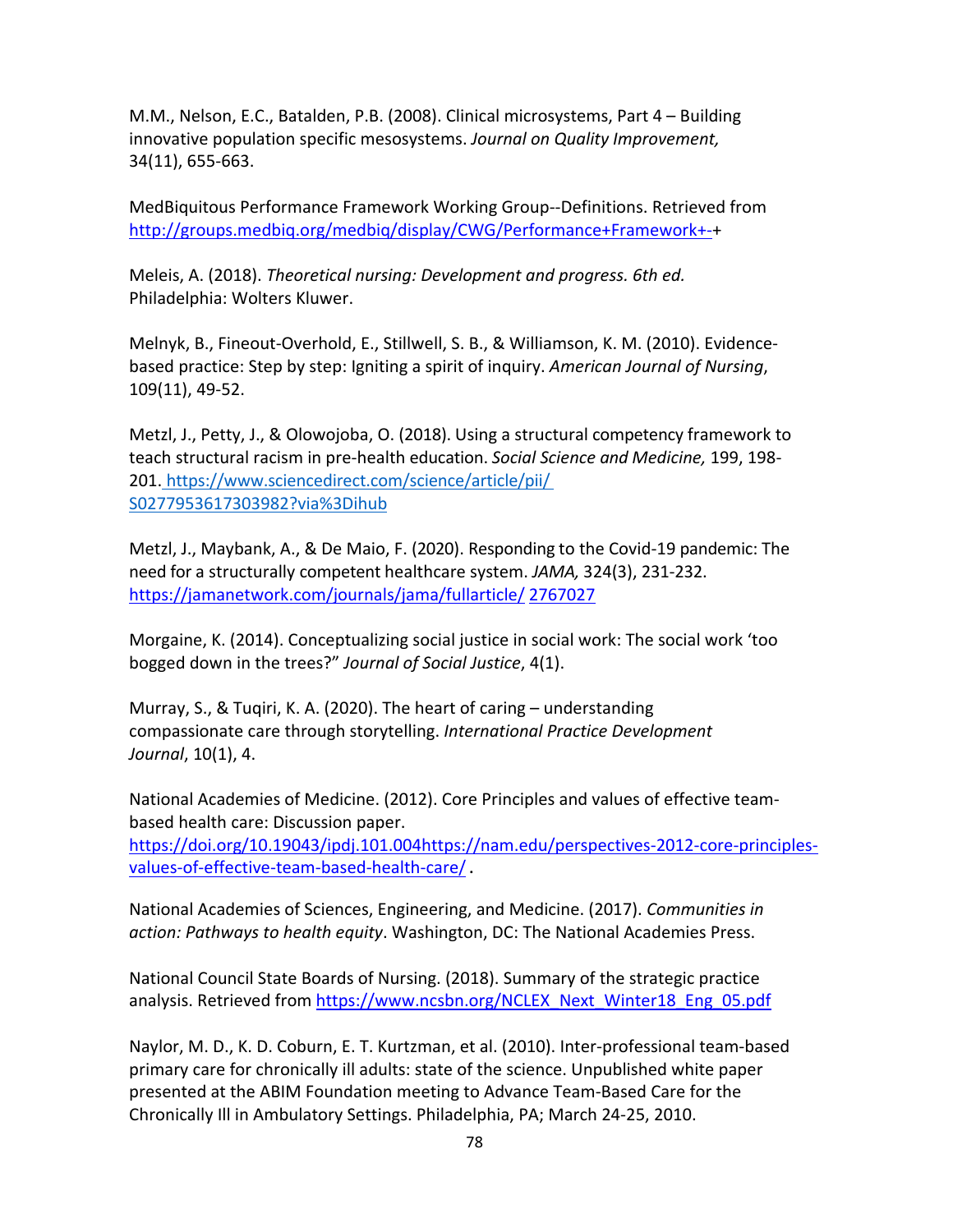M.M., Nelson, E.C., Batalden, P.B. (2008). Clinical microsystems, Part 4 – Building innovative population specific mesosystems. *Journal on Quality Improvement,*  34(11), 655-663.

MedBiquitous Performance Framework Working Group--Definitions. Retrieved from [http://groups.medbiq.org/medbiq/display/CWG/Performance+Framework+-+](http://groups.medbiq.org/medbiq/display/CWG/Performance+Framework+-)

Meleis, A. (2018). *Theoretical nursing: Development and progress. 6th ed.* Philadelphia: Wolters Kluwer.

Melnyk, B., Fineout-Overhold, E., Stillwell, S. B., & Williamson, K. M. (2010). Evidencebased practice: Step by step: Igniting a spirit of inquiry. *American Journal of Nursing*, 109(11), 49-52.

Metzl, J., Petty, J., & Olowojoba, O. (2018). Using a structural competency framework to teach structural racism in pre-health education. *Social Science and Medicine,* 199, 198- 201. [https://www.sciencedirect.com/science/article/pii/](https://www.sciencedirect.com/science/article/pii/S0277953617303982?via%3Dihub) [S0277953617303982?via%3Dihub](https://www.sciencedirect.com/science/article/pii/S0277953617303982?via%3Dihub)

Metzl, J., Maybank, A., & De Maio, F. (2020). Responding to the Covid-19 pandemic: The need for a structurally competent healthcare system. *JAMA,* 324(3), 231-232. [https://jamanetwork.com/journals/jama/fullarticle/](https://jamanetwork.com/journals/jama/fullarticle/2767027) [2767027](https://jamanetwork.com/journals/jama/fullarticle/2767027)

Morgaine, K. (2014). Conceptualizing social justice in social work: The social work 'too bogged down in the trees?" *Journal of Social Justice*, 4(1).

Murray, S., & Tuqiri, K. A. (2020). The heart of caring – understanding compassionate care through storytelling. *International Practice Development Journal*, 10(1), 4.

National Academies of Medicine. (2012). Core Principles and values of effective teambased health care: Discussion paper.

[https://doi.org/10.19043/ipdj.101.004https://nam.edu/perspectives-2012-core-principles](https://doi.org/10.19043/ipdj.101.004https:/nam.edu/perspectives-2012-core-principles-values-of-effective-team-based-health-care/)[values-of-effective-team-based-health-care/](https://doi.org/10.19043/ipdj.101.004https:/nam.edu/perspectives-2012-core-principles-values-of-effective-team-based-health-care/) **.** 

National Academies of Sciences, Engineering, and Medicine. (2017). *Communities in action: Pathways to health equity*. Washington, DC: The National Academies Press.

National Council State Boards of Nursing. (2018). Summary of the strategic practice analysis. Retrieved from [https://www.ncsbn.org/NCLEX\\_Next\\_Winter18\\_Eng\\_05.pdf](https://www.ncsbn.org/NCLEX_Next_Winter18_Eng_05.pdf)

Naylor, M. D., K. D. Coburn, E. T. Kurtzman, et al. (2010). Inter-professional team-based primary care for chronically ill adults: state of the science. Unpublished white paper presented at the ABIM Foundation meeting to Advance Team-Based Care for the Chronically Ill in Ambulatory Settings. Philadelphia, PA; March 24-25, 2010.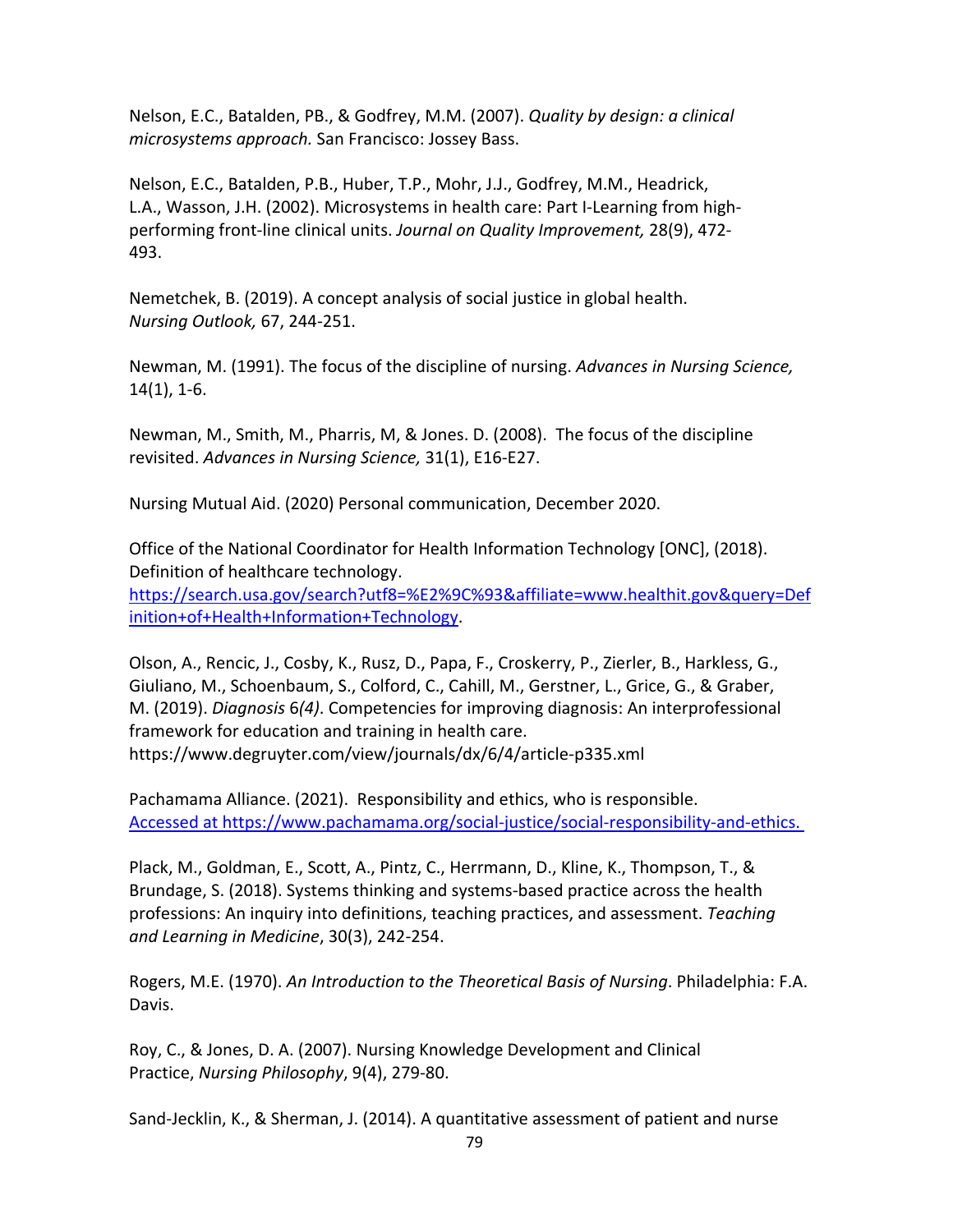Nelson, E.C., Batalden, PB., & Godfrey, M.M. (2007). *Quality by design: a clinical microsystems approach.* San Francisco: Jossey Bass.

Nelson, E.C., Batalden, P.B., Huber, T.P., Mohr, J.J., Godfrey, M.M., Headrick, L.A., Wasson, J.H. (2002). Microsystems in health care: Part I-Learning from highperforming front-line clinical units. *Journal on Quality Improvement,* 28(9), 472- 493.

Nemetchek, B. (2019). A concept analysis of social justice in global health. *Nursing Outlook,* 67, 244-251.

Newman, M. (1991). The focus of the discipline of nursing. *Advances in Nursing Science,*  14(1), 1-6.

Newman, M., Smith, M., Pharris, M, & Jones. D. (2008). The focus of the discipline revisited. *Advances in Nursing Science,* 31(1), E16-E27.

Nursing Mutual Aid. (2020) Personal communication, December 2020.

Office of the National Coordinator for Health Information Technology [ONC], (2018). Definition of healthcare technology.

[https://search.usa.gov/search?utf8=%E2%9C%93&affiliate=www.healthit.gov&query=Def](https://search.usa.gov/search?utf8=%E2%9C%93&affiliate=www.healthit.gov&query=Definition+of+Health+Information+Technology) [inition+of+Health+Information+Technology.](https://search.usa.gov/search?utf8=%E2%9C%93&affiliate=www.healthit.gov&query=Definition+of+Health+Information+Technology)

Olson, A., Rencic, J., Cosby, K., Rusz, D., Papa, F., Croskerry, P., Zierler, B., Harkless, G., Giuliano, M., Schoenbaum, S., Colford, C., Cahill, M., Gerstner, L., Grice, G., & Graber, M. (2019). *Diagnosis* 6*(4)*. Competencies for improving diagnosis: An interprofessional framework for education and training in health care. https://www.degruyter.com/view/journals/dx/6/4/article-p335.xml

Pachamama Alliance. (2021). Responsibility and ethics, who is responsible. Accessed at https://www.pachamama.org/social-justice/social-responsibility-and-ethics.

Plack, M., Goldman, E., Scott, A., Pintz, C., Herrmann, D., Kline, K., Thompson, T., & Brundage, S. (2018). Systems thinking and systems-based practice across the health professions: An inquiry into definitions, teaching practices, and assessment. *Teaching and Learning in Medicine*, 30(3), 242-254.

Rogers, M.E. (1970). *An Introduction to the Theoretical Basis of Nursing*. Philadelphia: F.A. Davis.

Roy, C., & Jones, D. A. (2007). Nursing Knowledge Development and Clinical Practice, *Nursing Philosophy*, 9(4), 279-80.

Sand-Jecklin, K., & Sherman, J. (2014). A quantitative assessment of patient and nurse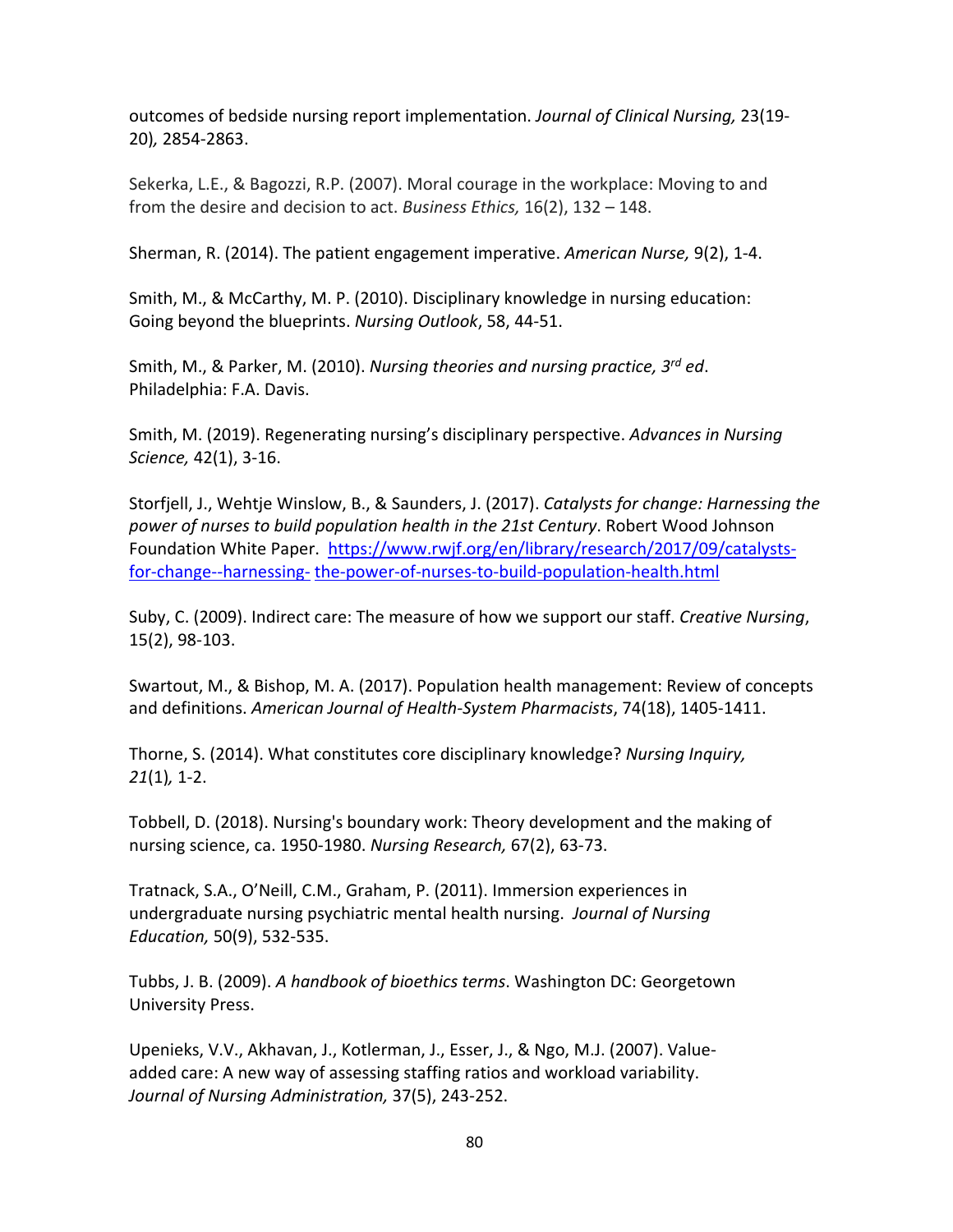outcomes of bedside nursing report implementation. *Journal of Clinical Nursing,* 23(19- 20)*,* 2854-2863.

Sekerka, L.E., & Bagozzi, R.P. (2007). Moral courage in the workplace: Moving to and from the desire and decision to act. *Business Ethics,* 16(2), 132 – 148.

Sherman, R. (2014). The patient engagement imperative. *American Nurse,* 9(2), 1-4.

Smith, M., & McCarthy, M. P. (2010). Disciplinary knowledge in nursing education: Going beyond the blueprints. *Nursing Outlook*, 58, 44-51.

Smith, M., & Parker, M. (2010). *Nursing theories and nursing practice, 3rd ed*. Philadelphia: F.A. Davis.

Smith, M. (2019). Regenerating nursing's disciplinary perspective. *Advances in Nursing Science,* 42(1), 3-16.

Storfjell, J., Wehtje Winslow, B., & Saunders, J. (2017). *Catalysts for change: Harnessing the power of nurses to build population health in the 21st Century*. Robert Wood Johnson Foundation White Paper. [https://www.rwjf.org/en/library/research/2017/09/catalysts](https://www.rwjf.org/en/library/research/2017/09/catalysts-for-change--harnessing-the-power-of-nurses-to-build-population-health.html)[for-change--harnessing-](https://www.rwjf.org/en/library/research/2017/09/catalysts-for-change--harnessing-the-power-of-nurses-to-build-population-health.html) [the-power-of-nurses-to-build-population-health.html](https://www.rwjf.org/en/library/research/2017/09/catalysts-for-change--harnessing-the-power-of-nurses-to-build-population-health.html)

Suby, C. (2009). Indirect care: The measure of how we support our staff. *Creative Nursing*, 15(2), 98-103.

Swartout, M., & Bishop, M. A. (2017). Population health management: Review of concepts and definitions. *American Journal of Health-System Pharmacists*, 74(18), 1405-1411.

Thorne, S. (2014). What constitutes core disciplinary knowledge? *Nursing Inquiry, 21*(1)*,* 1-2.

Tobbell, D. (2018). Nursing's boundary work: Theory development and the making of nursing science, ca. 1950-1980. *Nursing Research,* 67(2), 63-73.

Tratnack, S.A., O'Neill, C.M., Graham, P. (2011). Immersion experiences in undergraduate nursing psychiatric mental health nursing. *Journal of Nursing Education,* 50(9), 532-535.

Tubbs, J. B. (2009). *A handbook of bioethics terms*. Washington DC: Georgetown University Press.

Upenieks, V.V., Akhavan, J., Kotlerman, J., Esser, J., & Ngo, M.J. (2007). Valueadded care: A new way of assessing staffing ratios and workload variability. *Journal of Nursing Administration,* 37(5), 243-252.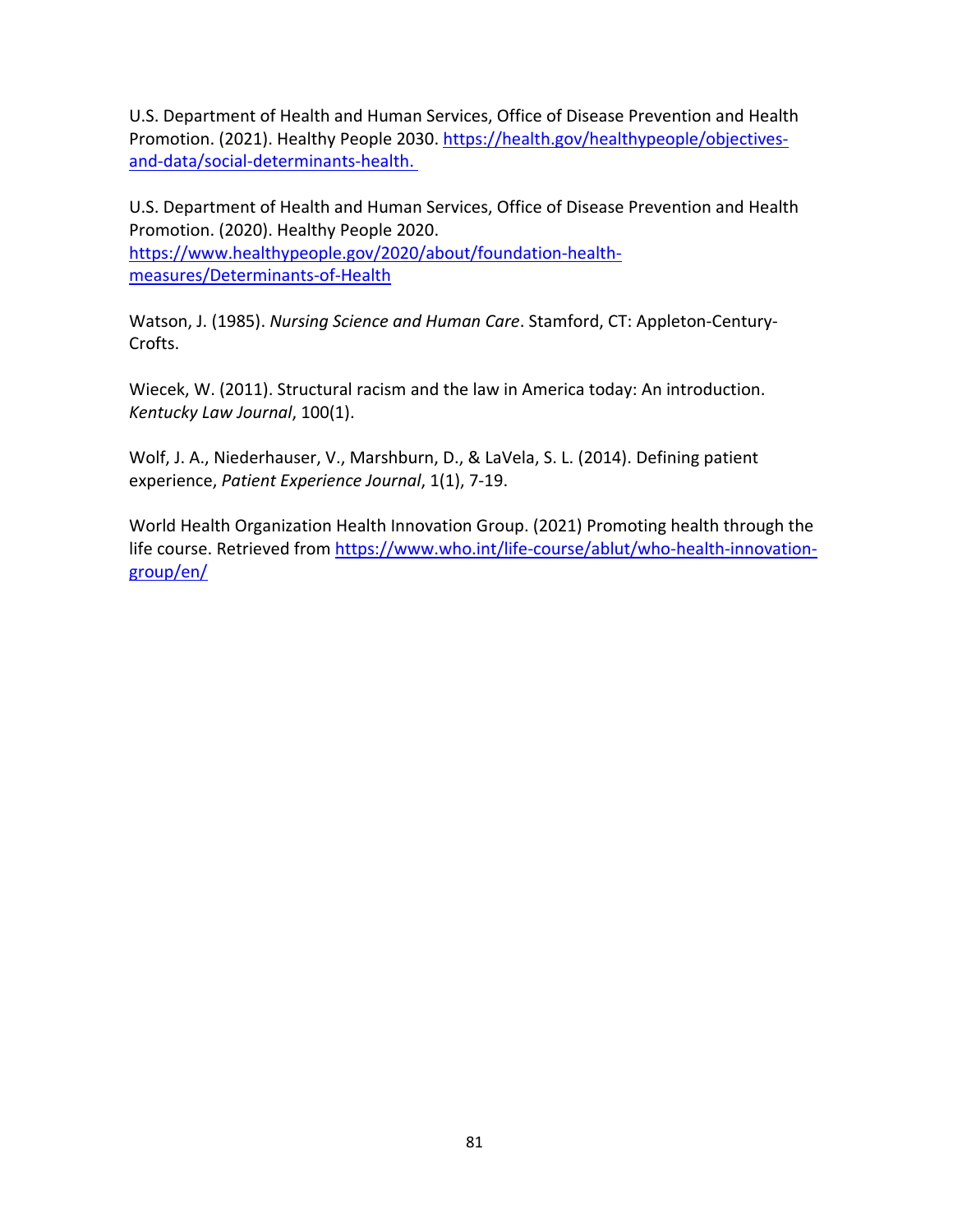U.S. Department of Health and Human Services, Office of Disease Prevention and Health Promotion. (2021). Healthy People 2030. [https://health.gov/healthypeople/objectives](https://health.gov/healthypeople/objectives-and-data/social-determinants-health)[and-data/social-determinants-health.](https://health.gov/healthypeople/objectives-and-data/social-determinants-health)

U.S. Department of Health and Human Services, Office of Disease Prevention and Health Promotion. (2020). Healthy People 2020. [https://www.healthypeople.gov/2020/about/foundation-health](https://www.healthypeople.gov/2020/about/foundation-health-measures/Determinants-of-Health)[measures/Determinants-of-Health](https://www.healthypeople.gov/2020/about/foundation-health-measures/Determinants-of-Health)

Watson, J. (1985). *Nursing Science and Human Care*. Stamford, CT: Appleton-Century-Crofts.

Wiecek, W. (2011). Structural racism and the law in America today: An introduction. *Kentucky Law Journal*, 100(1).

Wolf, J. A., Niederhauser, V., Marshburn, D., & LaVela, S. L. (2014). Defining patient experience, *Patient Experience Journal*, 1(1), 7-19.

World Health Organization Health Innovation Group. (2021) Promoting health through the life course. Retrieved from [https://www.who.int/life-course/ablut/who-health-innovation](https://www.who.int/life-course/ablut/who-health-innovation-group/en/)[group/en/](https://www.who.int/life-course/ablut/who-health-innovation-group/en/)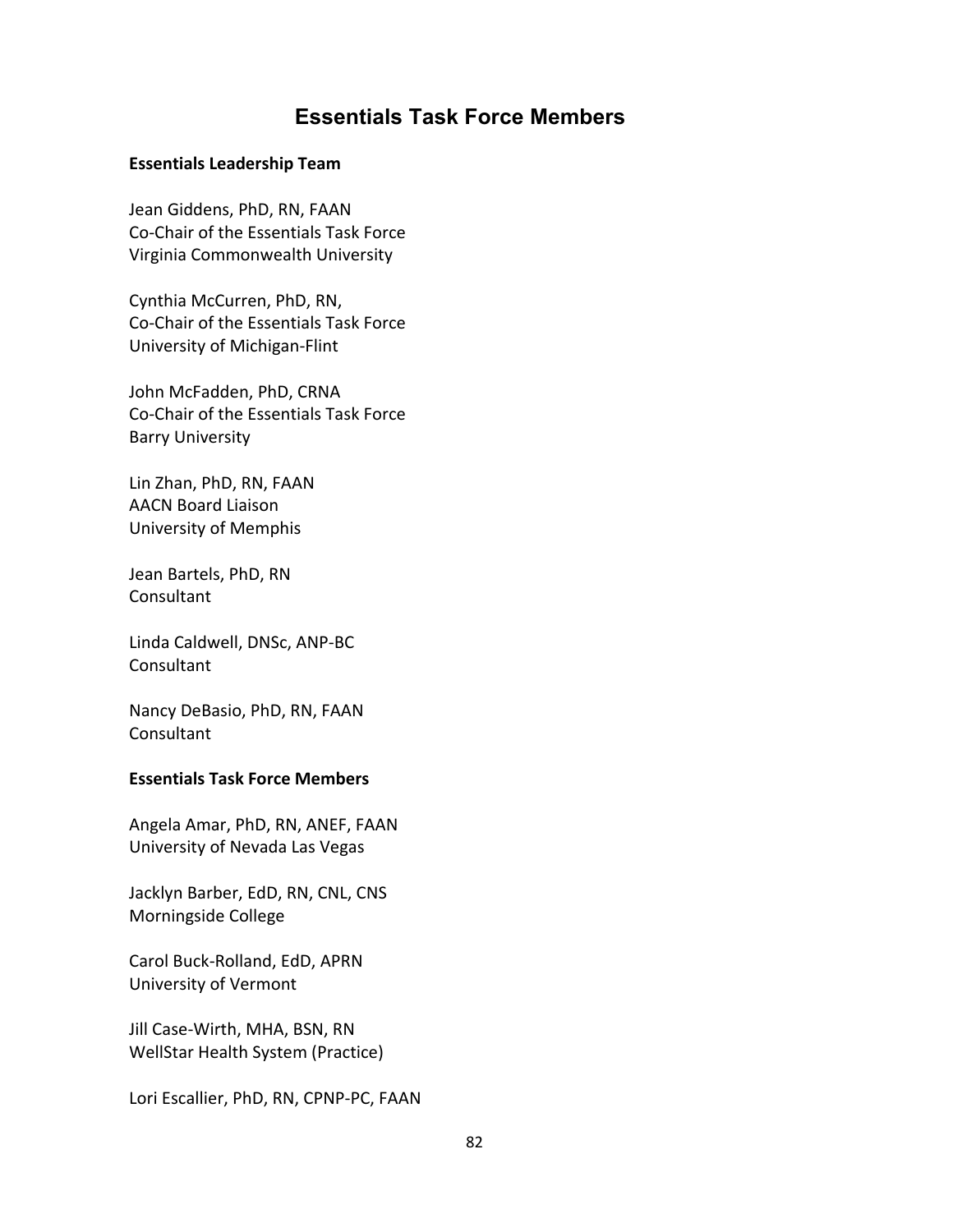## **Essentials Task Force Members**

## **Essentials Leadership Team**

Jean Giddens, PhD, RN, FAAN Co-Chair of the Essentials Task Force Virginia Commonwealth University

Cynthia McCurren, PhD, RN, Co-Chair of the Essentials Task Force University of Michigan-Flint

John McFadden, PhD, CRNA Co-Chair of the Essentials Task Force Barry University

Lin Zhan, PhD, RN, FAAN AACN Board Liaison University of Memphis

Jean Bartels, PhD, RN Consultant

Linda Caldwell, DNSc, ANP-BC Consultant

Nancy DeBasio, PhD, RN, FAAN Consultant

## **Essentials Task Force Members**

Angela Amar, PhD, RN, ANEF, FAAN University of Nevada Las Vegas

Jacklyn Barber, EdD, RN, CNL, CNS Morningside College

Carol Buck-Rolland, EdD, APRN University of Vermont

Jill Case-Wirth, MHA, BSN, RN WellStar Health System (Practice)

Lori Escallier, PhD, RN, CPNP-PC, FAAN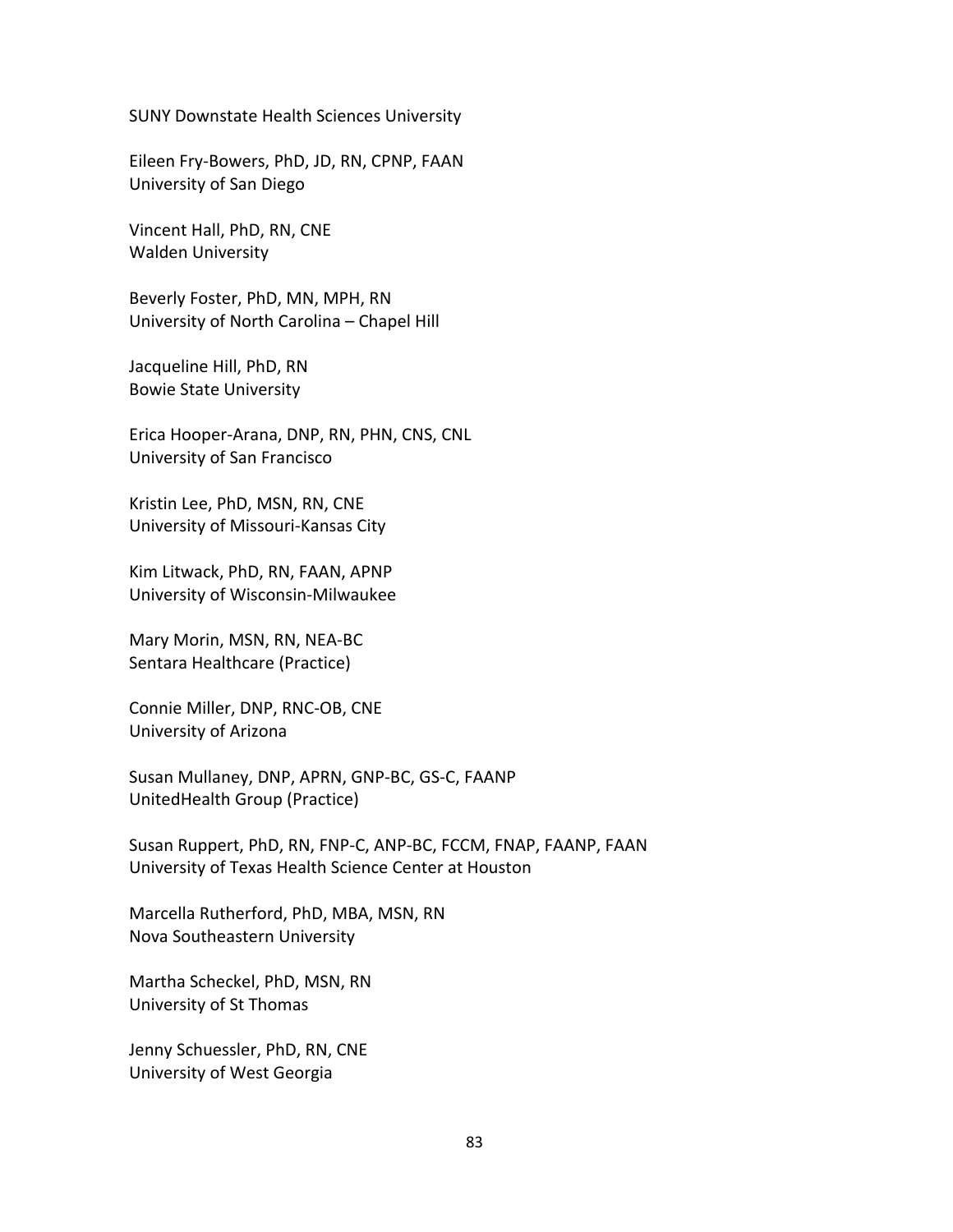SUNY Downstate Health Sciences University

Eileen Fry-Bowers, PhD, JD, RN, CPNP, FAAN University of San Diego

Vincent Hall, PhD, RN, CNE Walden University

Beverly Foster, PhD, MN, MPH, RN University of North Carolina – Chapel Hill

Jacqueline Hill, PhD, RN Bowie State University

Erica Hooper-Arana, DNP, RN, PHN, CNS, CNL University of San Francisco

Kristin Lee, PhD, MSN, RN, CNE University of Missouri-Kansas City

Kim Litwack, PhD, RN, FAAN, APNP University of Wisconsin-Milwaukee

Mary Morin, MSN, RN, NEA-BC Sentara Healthcare (Practice)

Connie Miller, DNP, RNC-OB, CNE University of Arizona

Susan Mullaney, DNP, APRN, GNP-BC, GS-C, FAANP UnitedHealth Group (Practice)

Susan Ruppert, PhD, RN, FNP-C, ANP-BC, FCCM, FNAP, FAANP, FAAN University of Texas Health Science Center at Houston

Marcella Rutherford, PhD, MBA, MSN, RN Nova Southeastern University

Martha Scheckel, PhD, MSN, RN University of St Thomas

Jenny Schuessler, PhD, RN, CNE University of West Georgia